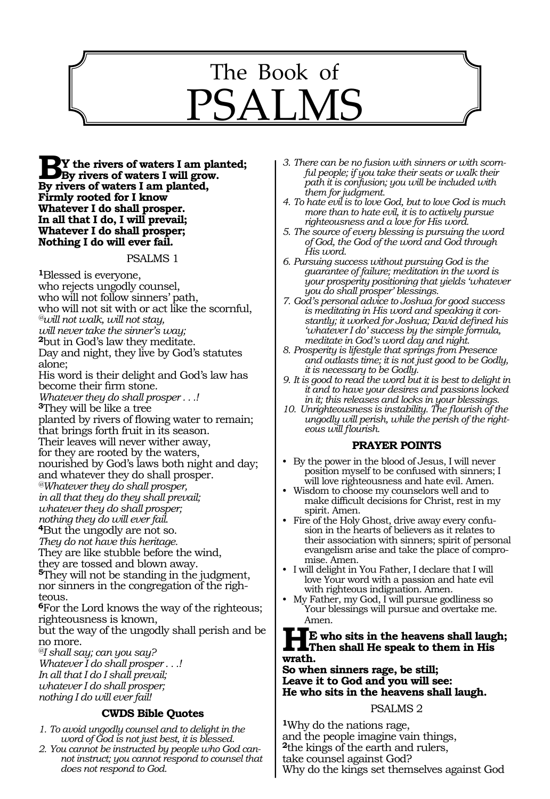

**By** the rivers of waters I am planted;<br>By rivers of waters I will grow. **By rivers of waters I am planted, Firmly rooted for I know Whatever I do shall prosper. In all that I do, I will prevail; Whatever I do shall prosper; Nothing I do will ever fail.** 

#### PSALMS 1

**<sup>1</sup>**Blessed is everyone, who rejects ungodly counsel, who will not follow sinners' path, who will not sit with or act like the scornful, *@will not walk, will not stay, will never take the sinner's way;* **<sup>2</sup>**but in God's law they meditate. Day and night, they live by God's statutes alone; His word is their delight and God's law has become their firm stone. *Whatever they do shall prosper . . .!*  **<sup>3</sup>**They will be like a tree planted by rivers of flowing water to remain; that brings forth fruit in its season. Their leaves will never wither away, for they are rooted by the waters, nourished by God's laws both night and day; and whatever they do shall prosper. *@Whatever they do shall prosper, in all that they do they shall prevail; whatever they do shall prosper; nothing they do will ever fail.*  **<sup>4</sup>**But the ungodly are not so. *They do not have this heritage.* They are like stubble before the wind, they are tossed and blown away. **<sup>5</sup>**They will not be standing in the judgment, nor sinners in the congregation of the righteous. **<sup>6</sup>**For the Lord knows the way of the righteous; righteousness is known, but the way of the ungodly shall perish and be no more.

*@I shall say; can you say? Whatever I do shall prosper . . .! In all that I do I shall prevail; whatever I do shall prosper; nothing I do will ever fail!* 

#### **CWDS Bible Quotes**

- *1. To avoid ungodly counsel and to delight in the word of God is not just best, it is blessed.*
- *2. You cannot be instructed by people who God cannot instruct; you cannot respond to counsel that does not respond to God.*
- *3. There can be no fusion with sinners or with scorn- ful people; if you take their seats or walk their path it is confusion; you will be included with them for judgment.*
- *4. To hate evil is to love God, but to love God is much more than to hate evil, it is to actively pursue righteousness and a love for His word.*
- *5. The source of every blessing is pursuing the word of God, the God of the word and God through His word.*
- *6. Pursuing success without pursuing God is the guarantee of failure; meditation in the word is your prosperity positioning that yields 'whatever you do shall prosper' blessings.*
- *7. God's personal advice to Joshua for good success is meditating in His word and speaking it constantly; it worked for Joshua; David defined his 'whatever I do' success by the simple formula, meditate in God's word day and night.*
- *8. Prosperity is lifestyle that springs from Presence and outlasts time; it is not just good to be Godly, it is necessary to be Godly.*
- *9. It is good to read the word but it is best to delight in it and to have your desires and passions locked in it; this releases and locks in your blessings.*
- *10. Unrighteousness is instability. The flourish of the ungodly will perish, while the perish of the righteous will flourish.*

#### **PRAYER POINTS**

- By the power in the blood of Jesus, I will never position myself to be confused with sinners; I will love righteousness and hate evil. Amen.
- Wisdom to choose my counselors well and to make difficult decisions for Christ, rest in my spirit. Amen.
- Fire of the Holy Ghost, drive away every confusion in the hearts of believers as it relates to their association with sinners; spirit of personal evangelism arise and take the place of compromise. Amen.
- I will delight in You Father, I declare that I will love Your word with a passion and hate evil with righteous indignation. Amen.
- My Father, my God, I will pursue godliness so Your blessings will pursue and overtake me. Amen.

#### **HE who sits in the heavens shall laugh; Then shall He speak to them in His wrath.**

**So when sinners rage, be still; Leave it to God and you will see: He who sits in the heavens shall laugh.** 

#### PSALMS 2

**<sup>1</sup>**Why do the nations rage, and the people imagine vain things, **<sup>2</sup>**the kings of the earth and rulers, take counsel against God? Why do the kings set themselves against God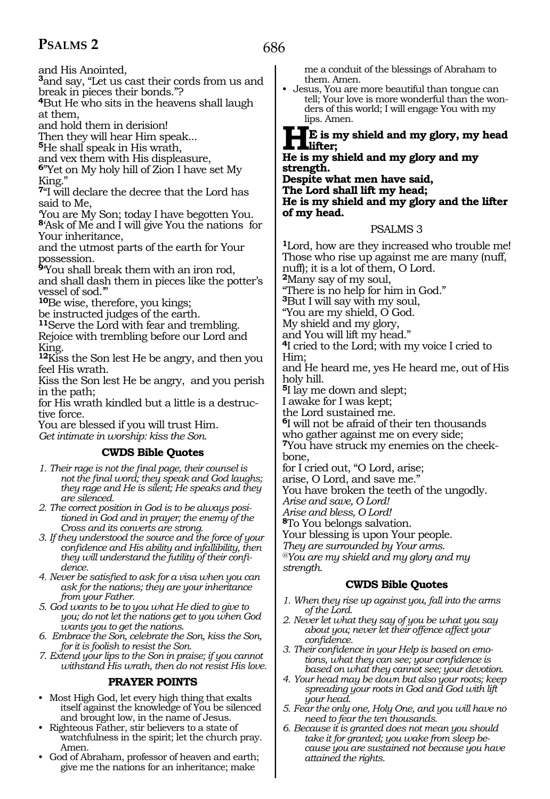and His Anointed,

**<sup>3</sup>**and say, "Let us cast their cords from us and break in pieces their bonds."?

**<sup>4</sup>**But He who sits in the heavens shall laugh at them,

and hold them in derision!

Then they will hear Him speak...

**<sup>5</sup>**He shall speak in His wrath,

and vex them with His displeasure,

**<sup>6</sup>**"Yet on My holy hill of Zion I have set My King."

**<sup>7</sup>**"I will declare the decree that the Lord has said to Me,

'You are My Son; today I have begotten You. **<sup>8</sup>**'Ask of Me and I will give You the nations for Your inheritance,

and the utmost parts of the earth for Your possession.

**<sup>9</sup>**'You shall break them with an iron rod, and shall dash them in pieces like the potter's vessel of sod.'"

**<sup>10</sup>**Be wise, therefore, you kings;

be instructed judges of the earth.

**<sup>11</sup>**Serve the Lord with fear and trembling. Rejoice with trembling before our Lord and King.

**<sup>12</sup>**Kiss the Son lest He be angry, and then you feel His wrath.

Kiss the Son lest He be angry, and you perish in the path;

for His wrath kindled but a little is a destruc- tive force.

You are blessed if you will trust Him. *Get intimate in worship: kiss the Son.* 

#### **CWDS Bible Quotes**

*1. Their rage is not the final page, their counsel is not the final word; they speak and God laughs; they rage and He is silent; He speaks and they are silenced.*

*2. The correct position in God is to be always positioned in God and in prayer; the enemy of the Cross and its converts are strong.*

- *3. If they understood the source and the force of your confidence and His ability and infallibility, then they will understand the futility of their confidence.*
- *4. Never be satisfied to ask for a visa when you can ask for the nations; they are your inheritance from your Father.*
- *5. God wants to be to you what He died to give to you; do not let the nations get to you when God wants you to get the nations.*
- *6. Embrace the Son, celebrate the Son, kiss the Son, for it is foolish to resist the Son.*

*7. Extend your lips to the Son in praise; if you cannot withstand His wrath, then do not resist His love.*

## **PRAYER POINTS**

- Most High God, let every high thing that exalts itself against the knowledge of You be silenced and brought low, in the name of Jesus.
- Righteous Father, stir believers to a state of watchfulness in the spirit; let the church pray. Amen.
- God of Abraham, professor of heaven and earth; give me the nations for an inheritance; make

me a conduit of the blessings of Abraham to them. Amen.

• Jesus, You are more beautiful than tongue can tell; Your love is more wonderful than the wonders of this world; I will engage You with my lips. Amen.

#### **HE is my shield and my glory, my head lifter;**

#### **He is my shield and my glory and my strength.**

**Despite what men have said, The Lord shall lift my head; He is my shield and my glory and the lifter of my head.**

#### PSALMS 3

**<sup>1</sup>**Lord, how are they increased who trouble me! Those who rise up against me are many (nuff, nuff); it is a lot of them, O Lord. **<sup>2</sup>**Many say of my soul, "There is no help for him in God." **<sup>3</sup>**But I will say with my soul, "You are my shield, O God. My shield and my glory, and You will lift my head."

**<sup>4</sup>**I cried to the Lord; with my voice I cried to Him;

and He heard me, yes He heard me, out of His holy hill.

**<sup>5</sup>**I lay me down and slept;

I awake for I was kept;

the Lord sustained me.

**<sup>6</sup>**I will not be afraid of their ten thousands who gather against me on every side;

**7**You have struck my enemies on the cheekbone,

for I cried out, "O Lord, arise;

arise, O Lord, and save me."

You have broken the teeth of the ungodly.

*Arise and save, O Lord!* 

*Arise and bless, O Lord!*

**<sup>8</sup>**To You belongs salvation.

Your blessing is upon Your people.

*They are surrounded by Your arms.* 

*@You are my shield and my glory and my strength.*

#### **CWDS Bible Quotes**

- *1. When they rise up against you, fall into the arms of the Lord.*
- *2. Never let what they say of you be what you say about you; never let their offence affect your confidence.*
- *3. Their confidence in your Help is based on emotions, what they can see; your confidence is based on what they cannot see; your devotion.*
- *4. Your head may be down but also your roots; keep spreading your roots in God and God with lift your head.*
- *5. Fear the only one, Holy One, and you will have no need to fear the ten thousands.*
- *6. Because it is granted does not mean you should take it for granted; you wake from sleep because you are sustained not because you have attained the rights.*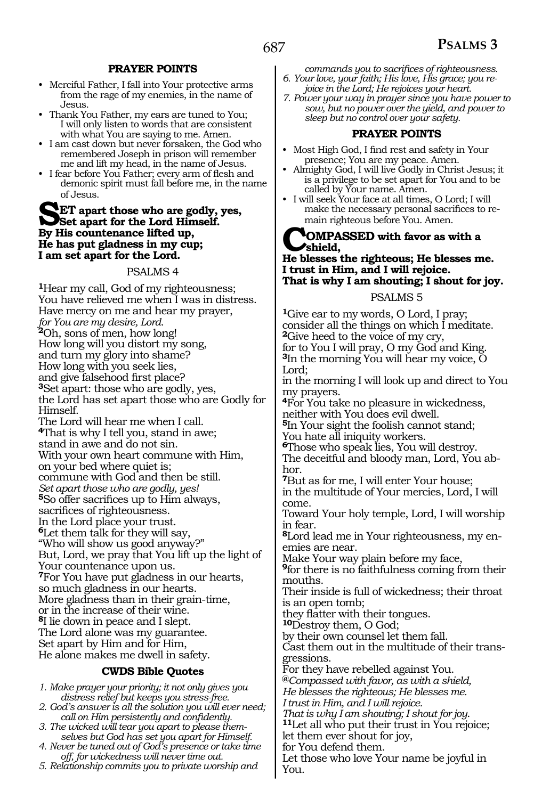#### **PRAYER POINTS**

- Merciful Father, I fall into Your protective arms from the rage of my enemies, in the name of Jesus.
- Thank You Father, my ears are tuned to You; I will only listen to words that are consistent with what You are saying to me. Amen.
- I am cast down but never forsaken, the God who remembered Joseph in prison will remember me and lift my head, in the name of Jesus.
- I fear before You Father; every arm of flesh and demonic spirit must fall before me, in the name of Jesus.

#### **SET apart those who are godly, yes, Set apart for the Lord Himself. By His countenance lifted up, He has put gladness in my cup; I am set apart for the Lord.**

#### PSALMS 4

**<sup>1</sup>**Hear my call, God of my righteousness; You have relieved me when I was in distress. Have mercy on me and hear my prayer, *for You are my desire, Lord.*  **<sup>2</sup>**Oh, sons of men, how long! How long will you distort my song, and turn my glory into shame? How long with you seek lies,<br>and give falsehood first place? <sup>3</sup>Set apart: those who are godly, yes, the Lord has set apart those who are Godly for Himself. The Lord will hear me when I call. **<sup>4</sup>**That is why I tell you, stand in awe; stand in awe and do not sin. With your own heart commune with Him, on your bed where quiet is; commune with God and then be still. *Set apart those who are godly, yes!* **<sup>5</sup>**So offer sacrifices up to Him always, sacrifices of righteousness. In the Lord place your trust. **<sup>6</sup>**Let them talk for they will say, "Who will show us good anyway?" But, Lord, we pray that You lift up the light of Your countenance upon us. **<sup>7</sup>**For You have put gladness in our hearts, so much gladness in our hearts. More gladness than in their grain-time, or in the increase of their wine. **<sup>8</sup>**I lie down in peace and I slept. The Lord alone was my guarantee. Set apart by Him and for Him, He alone makes me dwell in safety.

#### **CWDS Bible Quotes**

*1. Make prayer your priority; it not only gives you distress relief but keeps you stress-free.*

- *2. God's answer is all the solution you will ever need; call on Him persistently and confidently.*
- *3. The wicked will tear you apart to please themselves but God has set you apart for Himself.*
- *4. Never be tuned out of God's presence or take time off, for wickedness will never time out.*
- *5. Relationship commits you to private worship and*
- *commands you to sacrifices of righteousness. 6. Your love, your faith; His love, His grace; you rejoice in the Lord; He rejoices your heart.*
- *7. Power your way in prayer since you have power to sow, but no power over the yield, and power to sleep but no control over your safety.*

#### **PRAYER POINTS**

- Most High God, I find rest and safety in Your presence; You are my peace. Amen.
- Almighty God, I will live Godly in Christ Jesus; it is a privilege to be set apart for You and to be called by Your name. Amen.
- I will seek Your face at all times, O Lord; I will make the necessary personal sacrifices to remain righteous before You. Amen.

#### **COMPASSED with favor as with a shield,**

#### **He blesses the righteous; He blesses me. I trust in Him, and I will rejoice. That is why I am shouting; I shout for joy.**

#### PSALMS 5

**<sup>1</sup>**Give ear to my words, O Lord, I pray; consider all the things on which I meditate. **<sup>2</sup>**Give heed to the voice of my cry, for to You I will pray, O my God and King. **<sup>3</sup>**In the morning You will hear my voice, O Lord; in the morning I will look up and direct to You my prayers. **<sup>4</sup>**For You take no pleasure in wickedness, neither with You does evil dwell. **<sup>5</sup>**In Your sight the foolish cannot stand; You hate all iniquity workers. **<sup>6</sup>**Those who speak lies, You will destroy. The deceitful and bloody man, Lord, You ab- hor. **<sup>7</sup>**But as for me, I will enter Your house; in the multitude of Your mercies, Lord, I will come. Toward Your holy temple, Lord, I will worship in fear. **8**Lord lead me in Your righteousness, my enemies are near. Make Your way plain before my face, **<sup>9</sup>**for there is no faithfulness coming from their mouths. Their inside is full of wickedness; their throat is an open tomb; they flatter with their tongues. **10**Destroy them, O God; by their own counsel let them fall. Cast them out in the multitude of their transgressions. For they have rebelled against You. **@***Compassed with favor, as with a shield, He blesses the righteous; He blesses me. I trust in Him, and I will rejoice. That is why I am shouting; I shout for joy*. **11**Let all who put their trust in You rejoice; let them ever shout for joy, for You defend them. Let those who love Your name be joyful in You.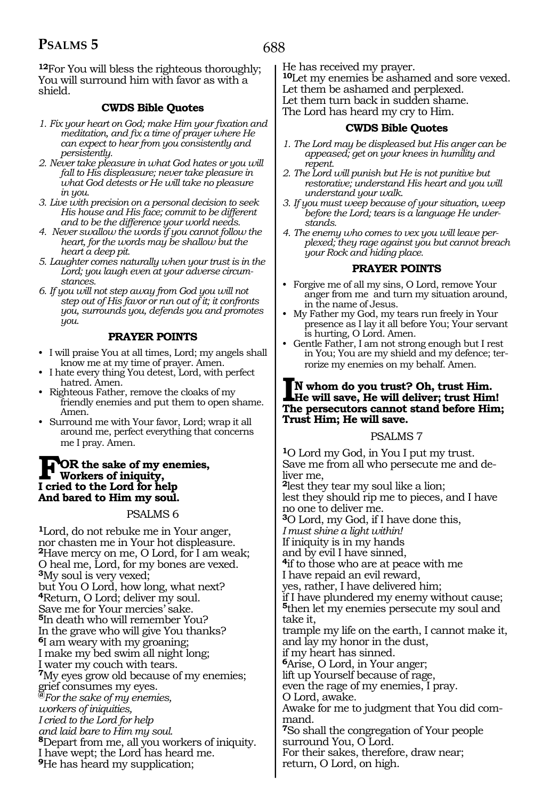**<sup>12</sup>**For You will bless the righteous thoroughly; You will surround him with favor as with a shield.

#### **CWDS Bible Quotes**

- *1. Fix your heart on God; make Him your fixation and meditation, and fix a time of prayer where He can expect to hear from you consistently and persistently.*
- *2. Never take pleasure in what God hates or you will fall to His displeasure; never take pleasure in what God detests or He will take no pleasure in you.*
- *3. Live with precision on a personal decision to seek His house and His face; commit to be different and to be the difference your world needs.*
- *4. Never swallow the words if you cannot follow the heart, for the words may be shallow but the heart a deep pit.*
- *5. Laughter comes naturally when your trust is in the Lord; you laugh even at your adverse circumstances.*
- *6. If you will not step away from God you will not step out of His favor or run out of it; it confronts you, surrounds you, defends you and promotes you.*

#### **PRAYER POINTS**

- I will praise You at all times, Lord; my angels shall know me at my time of prayer. Amen.
- I hate every thing You detest, Lord, with perfect hatred. Amen.
- Righteous Father, remove the cloaks of my friendly enemies and put them to open shame. Amen.
- Surround me with Your favor, Lord; wrap it all around me, perfect everything that concerns me I pray. Amen.

#### **FOR the sake of my enemies, Workers of iniquity, I cried to the Lord for help And bared to Him my soul.**

#### PSALMS 6

**<sup>1</sup>**Lord, do not rebuke me in Your anger, nor chasten me in Your hot displeasure. **<sup>2</sup>**Have mercy on me, O Lord, for I am weak; O heal me, Lord, for my bones are vexed. **<sup>3</sup>**My soul is very vexed; but You O Lord, how long, what next? **<sup>4</sup>**Return, O Lord; deliver my soul. Save me for Your mercies' sake. **<sup>5</sup>**In death who will remember You? In the grave who will give You thanks? **<sup>6</sup>**I am weary with my groaning; I make my bed swim all night long; I water my couch with tears. **<sup>7</sup>**My eyes grow old because of my enemies; grief consumes my eyes. **@***For the sake of my enemies, workers of iniquities, I cried to the Lord for help and laid bare to Him my soul.*  **<sup>8</sup>**Depart from me, all you workers of iniquity. I have wept; the Lord has heard me. **<sup>9</sup>**He has heard my supplication;

He has received my prayer. **<sup>10</sup>**Let my enemies be ashamed and sore vexed. Let them be ashamed and perplexed. Let them turn back in sudden shame. The Lord has heard my cry to Him.

#### **CWDS Bible Quotes**

- *1. The Lord may be displeased but His anger can be appeased; get on your knees in humility and repent.*
- *2. The Lord will punish but He is not punitive but restorative; understand His heart and you will understand your walk.*
- *3. If you must weep because of your situation, weep before the Lord; tears is a language He understands.*
- *4. The enemy who comes to vex you will leave perplexed; they rage against you but cannot breach your Rock and hiding place.*

#### **PRAYER POINTS**

- Forgive me of all my sins, O Lord, remove Your anger from me and turn my situation around, in the name of Jesus.
- My Father my God, my tears run freely in Your presence as I lay it all before You; Your servant is hurting, O Lord. Amen.
- Gentle Father, I am not strong enough but I rest in You; You are my shield and my defence; terrorize my enemies on my behalf. Amen.

## **IN whom do you trust? Oh, trust Him. He will save, He will deliver; trust Him! The persecutors cannot stand before Him; Trust Him; He will save.**

#### PSALMS 7

**<sup>1</sup>**O Lord my God, in You I put my trust. Save me from all who persecute me and deliver me, **<sup>2</sup>**lest they tear my soul like a lion; lest they should rip me to pieces, and I have no one to deliver me. **<sup>3</sup>**O Lord, my God, if I have done this, *I must shine a light within!*  If iniquity is in my hands and by evil I have sinned, **<sup>4</sup>**if to those who are at peace with me I have repaid an evil reward, yes, rather, I have delivered him; if I have plundered my enemy without cause; **<sup>5</sup>**then let my enemies persecute my soul and take it, trample my life on the earth, I cannot make it, and lay my honor in the dust, if my heart has sinned. **<sup>6</sup>**Arise, O Lord, in Your anger; lift up Yourself because of rage, even the rage of my enemies, I pray. O Lord, awake. Awake for me to judgment that You did command. **<sup>7</sup>**So shall the congregation of Your people surround You, O Lord. For their sakes, therefore, draw near; return, O Lord, on high.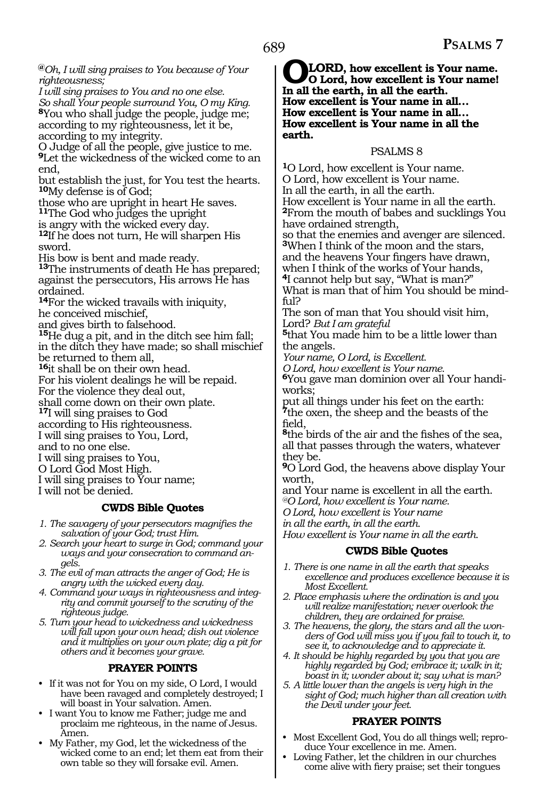**@***Oh, I will sing praises to You because of Your righteousness;* 

*I will sing praises to You and no one else. So shall Your people surround You, O my King.*  **<sup>8</sup>**You who shall judge the people, judge me; according to my righteousness, let it be, according to my integrity.

O Judge of all the people, give justice to me. **<sup>9</sup>**Let the wickedness of the wicked come to an end,

but establish the just, for You test the hearts. **<sup>10</sup>**My defense is of God;

those who are upright in heart He saves. **<sup>11</sup>**The God who judges the upright

is angry with the wicked every day.

**<sup>12</sup>**If he does not turn, He will sharpen His sword.

His bow is bent and made ready.

**<sup>13</sup>**The instruments of death He has prepared; against the persecutors, His arrows He has ordained.

**<sup>14</sup>**For the wicked travails with iniquity, he conceived mischief,

and gives birth to falsehood.

**<sup>15</sup>**He dug a pit, and in the ditch see him fall; in the ditch they have made; so shall mischief be returned to them all,

**<sup>16</sup>**it shall be on their own head.

For his violent dealings he will be repaid.

For the violence they deal out,

shall come down on their own plate.

**<sup>17</sup>**I will sing praises to God

according to His righteousness.

I will sing praises to You, Lord,

and to no one else.

I will sing praises to You,

O Lord God Most High.

I will sing praises to Your name;

I will not be denied.

#### **CWDS Bible Quotes**

- *1. The savagery of your persecutors magnifies the salvation of your God; trust Him.*
- *2. Search your heart to surge in God; command your ways and your consecration to command angels.*
- *3. The evil of man attracts the anger of God; He is angry with the wicked every day.*
- *4. Command your ways in righteousness and integrity and commit yourself to the scrutiny of the righteous judge.*

*5. Turn your head to wickedness and wickedness will fall upon your own head; dish out violence and it multiplies on your own plate; dig a pit for others and it becomes your grave.*

#### **PRAYER POINTS**

- If it was not for You on my side, O Lord, I would have been ravaged and completely destroyed; I will boast in Your salvation. Amen.
- I want You to know me Father; judge me and proclaim me righteous, in the name of Jesus. Amen.
- My Father, my God, let the wickedness of the wicked come to an end; let them eat from their own table so they will forsake evil. Amen.

**OLORD, how excellent is Your name.**<br> **In all the earth in all the earth In all the earth, in all the earth. How excellent is Your name in all… How excellent is Your name in all… How excellent is Your name in all the earth.** 

#### PSALMS 8

**<sup>1</sup>**O Lord, how excellent is Your name. O Lord, how excellent is Your name. In all the earth, in all the earth. How excellent is Your name in all the earth. **<sup>2</sup>**From the mouth of babes and sucklings You have ordained strength,

so that the enemies and avenger are silenced. **<sup>3</sup>**When I think of the moon and the stars,

and the heavens Your fingers have drawn, when I think of the works of Your hands,

**<sup>4</sup>**I cannot help but say, "What is man?"

What is man that of him You should be mind- ful?

The son of man that You should visit him,<br>Lord? But I am grateful

<sup>5</sup>that You made him to be a little lower than the angels.

*Your name, O Lord, is Excellent.* 

*O Lord, how excellent is Your name.* 

**<sup>6</sup>**You gave man dominion over all Your handi- works;

put all things under his feet on the earth: **<sup>7</sup>**the oxen, the sheep and the beasts of the field,

**<sup>8</sup>**the birds of the air and the fishes of the sea, all that passes through the waters, whatever they be.

**<sup>9</sup>**O Lord God, the heavens above display Your worth,

and Your name is excellent in all the earth.

*@O Lord, how excellent is Your name.* 

*O Lord, how excellent is Your name* 

*in all the earth, in all the earth.* 

*How excellent is Your name in all the earth.* 

#### **CWDS Bible Quotes**

- *1. There is one name in all the earth that speaks excellence and produces excellence because it is Most Excellent.*
- *2. Place emphasis where the ordination is and you will realize manifestation; never overlook the children, they are ordained for praise.*
- *3. The heavens, the glory, the stars and all the wonders of God will miss you if you fail to touch it, to see it, to acknowledge and to appreciate it.*
- *4. It should be highly regarded by you that you are highly regarded by God; embrace it; walk in it; boast in it; wonder about it; say what is man?*
- *5. A little lower than the angels is very high in the sight of God; much higher than all creation with the Devil under your feet.*

#### **PRAYER POINTS**

- Most Excellent God, You do all things well; reproduce Your excellence in me. Amen.
- Loving Father, let the children in our churches come alive with fiery praise; set their tongues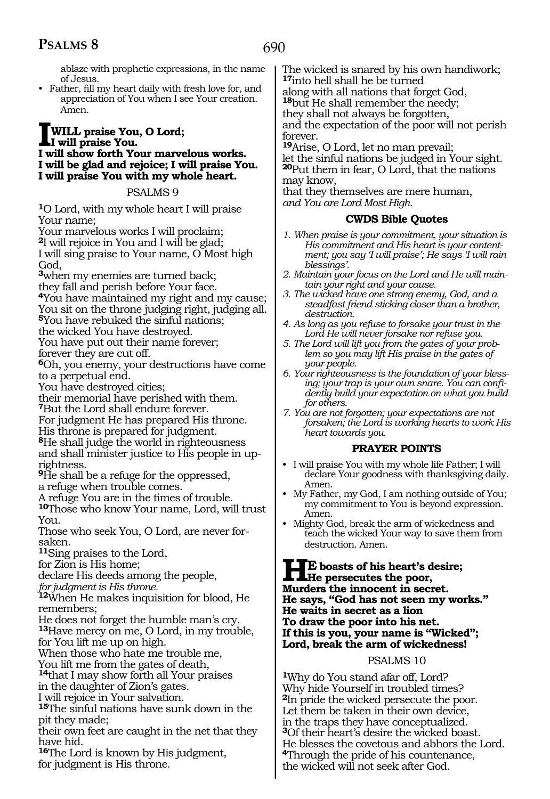690

ablaze with prophetic expressions, in the name of Jesus.

• Father, fill my heart daily with fresh love for, and appreciation of You when I see Your creation. Amen.

#### **IWILL praise You, O Lord; I will praise You. I will show forth Your marvelous works. I will be glad and rejoice; I will praise You. I will praise You with my whole heart.**

#### PSALMS 9

**<sup>1</sup>**O Lord, with my whole heart I will praise Your name;

Your marvelous works I will proclaim; **<sup>2</sup>**I will rejoice in You and I will be glad; I will sing praise to Your name, O Most high God,

**<sup>3</sup>**when my enemies are turned back;

they fall and perish before Your face.

**<sup>4</sup>**You have maintained my right and my cause; You sit on the throne judging right, judging all.

**<sup>5</sup>**You have rebuked the sinful nations;

the wicked You have destroyed. You have put out their name forever; forever they are cut off.

**<sup>6</sup>**Oh, you enemy, your destructions have come to a perpetual end.

You have destroyed cities;

their memorial have perished with them.

**<sup>7</sup>**But the Lord shall endure forever.

For judgment He has prepared His throne.

His throne is prepared for judgment.

**<sup>8</sup>**He shall judge the world in righteousness and shall minister justice to His people in uprightness.

**<sup>9</sup>**He shall be a refuge for the oppressed, a refuge when trouble comes.

A refuge You are in the times of trouble.

**<sup>10</sup>**Those who know Your name, Lord, will trust You.

Those who seek You, O Lord, are never forsaken.

**<sup>11</sup>**Sing praises to the Lord,

for Zion is His home;

declare His deeds among the people,

*for judgment is His throne.* 

**<sup>12</sup>**When He makes inquisition for blood, He remembers;

He does not forget the humble man's cry. **<sup>13</sup>**Have mercy on me, O Lord, in my trouble,

for You lift me up on high.

When those who hate me trouble me,

You lift me from the gates of death,

**<sup>14</sup>**that I may show forth all Your praises in the daughter of Zion's gates.

I will rejoice in Your salvation.

**<sup>15</sup>**The sinful nations have sunk down in the pit they made;

their own feet are caught in the net that they have hid.

**<sup>16</sup>**The Lord is known by His judgment, for judgment is His throne.

The wicked is snared by his own handiwork; **<sup>17</sup>**into hell shall he be turned along with all nations that forget God, **<sup>18</sup>**but He shall remember the needy; they shall not always be forgotten, and the expectation of the poor will not perish

forever. **<sup>19</sup>**Arise, O Lord, let no man prevail;

let the sinful nations be judged in Your sight. **<sup>20</sup>**Put them in fear, O Lord, that the nations may know,

that they themselves are mere human, *and You are Lord Most High.*

#### **CWDS Bible Quotes**

- *1. When praise is your commitment, your situation is His commitment and His heart is your contentment; you say 'I will praise'; He says 'I will rain blessings'.*
- *2. Maintain your focus on the Lord and He will maintain your right and your cause.*
- *3. The wicked have one strong enemy, God, and a steadfast friend sticking closer than a brother, destruction.*
- *4. As long as you refuse to forsake your trust in the Lord He will never forsake nor refuse you.*
- *5. The Lord will lift you from the gates of your problem so you may lift His praise in the gates of your people.*
- *6. Your righteousness is the foundation of your blessing; your trap is your own snare. You can confidently build your expectation on what you build for others.*

*7. You are not forgotten; your expectations are not forsaken; the Lord is working hearts to work His heart towards you.*

#### **PRAYER POINTS**

- I will praise You with my whole life Father; I will declare Your goodness with thanksgiving daily. Amen.
- My Father, my God, I am nothing outside of You; my commitment to You is beyond expression. Amen.
- Mighty God, break the arm of wickedness and teach the wicked Your way to save them from destruction. Amen.

#### **HE boasts of his heart's desire; He persecutes the poor, Murders the innocent in secret. He says, "God has not seen my works." He waits in secret as a lion To draw the poor into his net. If this is you, your name is "Wicked"; Lord, break the arm of wickedness!**

#### PSALMS 10

**<sup>1</sup>**Why do You stand afar off, Lord? Why hide Yourself in troubled times? **<sup>2</sup>**In pride the wicked persecute the poor. Let them be taken in their own device, in the traps they have conceptualized. **<sup>3</sup>**Of their heart's desire the wicked boast. He blesses the covetous and abhors the Lord. **<sup>4</sup>**Through the pride of his countenance, the wicked will not seek after God.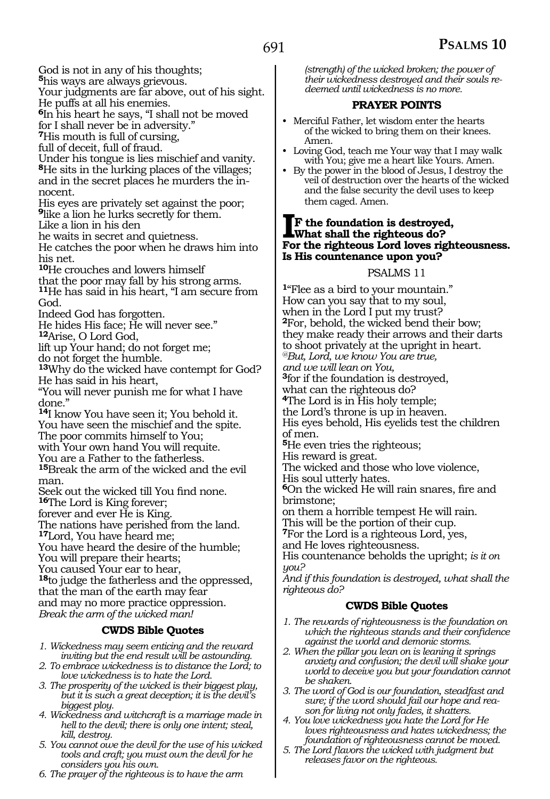God is not in any of his thoughts;

**<sup>5</sup>**his ways are always grievous.

Your judgments are far above, out of his sight. He puffs at all his enemies.

**<sup>6</sup>**In his heart he says, "I shall not be moved for I shall never be in adversity."

**<sup>7</sup>**His mouth is full of cursing,

full of deceit, full of fraud.

Under his tongue is lies mischief and vanity. **<sup>8</sup>**He sits in the lurking places of the villages; and in the secret places he murders the innocent.

His eyes are privately set against the poor; **<sup>9</sup>**like a lion he lurks secretly for them.

Like a lion in his den

he waits in secret and quietness.

He catches the poor when he draws him into his net.

**<sup>10</sup>**He crouches and lowers himself

that the poor may fall by his strong arms. **<sup>11</sup>**He has said in his heart, "I am secure from God.

Indeed God has forgotten.

He hides His face; He will never see." **<sup>12</sup>**Arise, O Lord God,

lift up Your hand; do not forget me;

do not forget the humble. **<sup>13</sup>**Why do the wicked have contempt for God? He has said in his heart,

"You will never punish me for what I have done."

**<sup>14</sup>**I know You have seen it; You behold it. You have seen the mischief and the spite. The poor commits himself to You;

with Your own hand You will requite.

You are a Father to the fatherless.

**<sup>15</sup>**Break the arm of the wicked and the evil man.

Seek out the wicked till You find none. **<sup>16</sup>**The Lord is King forever;

forever and ever He is King.

The nations have perished from the land.

**<sup>17</sup>**Lord, You have heard me;

You have heard the desire of the humble;

You will prepare their hearts;

You caused Your ear to hear,

**<sup>18</sup>**to judge the fatherless and the oppressed, that the man of the earth may fear and may no more practice oppression. *Break the arm of the wicked man!*

#### **CWDS Bible Quotes**

- *1. Wickedness may seem enticing and the reward inviting but the end result will be astounding.*
- *2. To embrace wickedness is to distance the Lord; to love wickedness is to hate the Lord.*
- *3. The prosperity of the wicked is their biggest play, but it is such a great deception; it is the devil's biggest ploy.*
- *4. Wickedness and witchcraft is a marriage made in hell to the devil; there is only one intent; steal, kill, destroy.*
- *5. You cannot owe the devil for the use of his wicked tools and craft; you must own the devil for he considers you his own.*
- *6. The prayer of the righteous is to have the arm*

*(strength) of the wicked broken; the power of their wickedness destroyed and their souls redeemed until wickedness is no more.*

#### **PRAYER POINTS**

- Merciful Father, let wisdom enter the hearts of the wicked to bring them on their knees. Amen.
- Loving God, teach me Your way that I may walk with You; give me a heart like Yours. Amen.
- By the power in the blood of Jesus, I destroy the veil of destruction over the hearts of the wicked and the false security the devil uses to keep them caged. Amen.

#### **IF the foundation is destroyed, What shall the righteous do? For the righteous Lord loves righteousness. Is His countenance upon you?**

#### PSALMS 11

**<sup>1</sup>**"Flee as a bird to your mountain." How can you say that to my soul, when in the Lord I put my trust? **<sup>2</sup>**For, behold, the wicked bend their bow; they make ready their arrows and their darts to shoot privately at the upright in heart. *@But, Lord, we know You are true, and we will lean on You,*  **<sup>3</sup>**for if the foundation is destroyed, what can the righteous do? **<sup>4</sup>**The Lord is in His holy temple; the Lord's throne is up in heaven. His eyes behold, His eyelids test the children of men. **<sup>5</sup>**He even tries the righteous; His reward is great. The wicked and those who love violence, His soul utterly hates. **<sup>6</sup>**On the wicked He will rain snares, fire and brimstone; on them a horrible tempest He will rain. This will be the portion of their cup. **<sup>7</sup>**For the Lord is a righteous Lord, yes, and He loves righteousness. His countenance beholds the upright; *is it on you?* 

*And if this foundation is destroyed, what shall the righteous do?* 

#### **CWDS Bible Quotes**

- *1. The rewards of righteousness is the foundation on which the righteous stands and their confidence against the world and demonic storms.*
- *2. When the pillar you lean on is leaning it springs anxiety and confusion; the devil will shake your world to deceive you but your foundation cannot be shaken.*
- *3. The word of God is our foundation, steadfast and sure; if the word should fail our hope and reason for living not only fades, it shatters.*
- *4. You love wickedness you hate the Lord for He loves righteousness and hates wickedness; the foundation of righteousness cannot be moved.*
- *5. The Lord flavors the wicked with judgment but releases favor on the righteous.*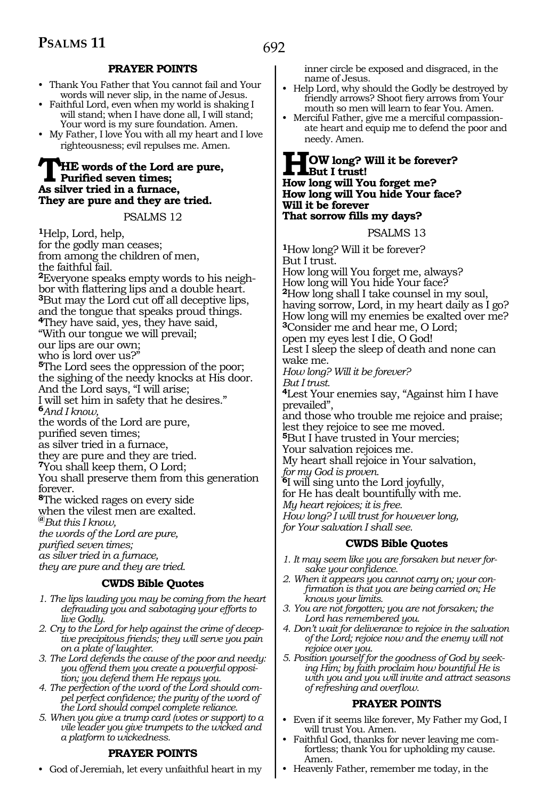#### **PRAYER POINTS**

- Thank You Father that You cannot fail and Your words will never slip, in the name of Jesus.
- Faithful Lord, even when my world is shaking I will stand; when I have done all, I will stand; Your word is my sure foundation. Amen.
- My Father, I love You with all my heart and I love righteousness; evil repulses me. Amen.

#### **THE words of the Lord are pure, Purified seven times; As silver tried in a furnace, They are pure and they are tried.**

PSALMS 12

**<sup>1</sup>**Help, Lord, help, for the godly man ceases; from among the children of men, the faithful fail. **<sup>2</sup>**Everyone speaks empty words to his neigh- bor with flattering lips and a double heart. **<sup>3</sup>**But may the Lord cut off all deceptive lips, and the tongue that speaks proud things. **<sup>4</sup>**They have said, yes, they have said, "With our tongue we will prevail; our lips are our own; who is lord over us?" **<sup>5</sup>**The Lord sees the oppression of the poor; the sighing of the needy knocks at His door. And the Lord says, "I will arise; I will set him in safety that he desires." **<sup>6</sup>***And I know,* the words of the Lord are pure, purified seven times; as silver tried in a furnace, they are pure and they are tried. **<sup>7</sup>**You shall keep them, O Lord; You shall preserve them from this generation forever. **<sup>8</sup>**The wicked rages on every side when the vilest men are exalted. **@***But this I know, the words of the Lord are pure, purified seven times; as silver tried in a furnace, they are pure and they are tried.* 

#### **CWDS Bible Quotes**

- *1. The lips lauding you may be coming from the heart defrauding you and sabotaging your efforts to live Godly.*
- *2. Cry to the Lord for help against the crime of deceptive precipitous friends; they will serve you pain on a plate of laughter.*
- *3. The Lord defends the cause of the poor and needy: you offend them you create a powerful opposition; you defend them He repays you.*
- *4. The perfection of the word of the Lord should compel perfect confidence; the purity of the word of the Lord should compel complete reliance.*
- *5. When you give a trump card (votes or support) to a vile leader you give trumpets to the wicked and a platform to wickedness.*

#### **PRAYER POINTS**

• God of Jeremiah, let every unfaithful heart in my

inner circle be exposed and disgraced, in the name of Jesus.

- Help Lord, why should the Godly be destroyed by friendly arrows? Shoot fiery arrows from Your mouth so men will learn to fear You. Amen.
- Merciful Father, give me a merciful compassionate heart and equip me to defend the poor and needy. Amen.

#### **HOW long? Will it be forever? But I trust! How long will You forget me? How long will You hide Your face? Will it be forever That sorrow fills my days?**

PSALMS 13

**<sup>1</sup>**How long? Will it be forever? But I trust. How long will You forget me, always? How long will You hide Your face? **<sup>2</sup>**How long shall I take counsel in my soul, having sorrow, Lord, in my heart daily as I go? How long will my enemies be exalted over me? **<sup>3</sup>**Consider me and hear me, O Lord; open my eyes lest I die, O God! Lest I sleep the sleep of death and none can wake me. *How long? Will it be forever? But I trust.*  **<sup>4</sup>**Lest Your enemies say, "Against him I have prevailed", and those who trouble me rejoice and praise; lest they rejoice to see me moved. **<sup>5</sup>**But I have trusted in Your mercies; Your salvation rejoices me. My heart shall rejoice in Your salvation, *for my God is proven.*  **<sup>6</sup>**I will sing unto the Lord joyfully, for He has dealt bountifully with me. *My heart rejoices; it is free. How long? I will trust for however long, for Your salvation I shall see.*

#### **CWDS Bible Quotes**

- *1. It may seem like you are forsaken but never forsake your confidence.*
- *2. When it appears you cannot carry on; your confirmation is that you are being carried on; He knows your limits.*
- *3. You are not forgotten; you are not forsaken; the Lord has remembered you.*
- *4. Don't wait for deliverance to rejoice in the salvation of the Lord; rejoice now and the enemy will not rejoice over you.*
- *5. Position yourself for the goodness of God by seeking Him; by faith proclaim how bountiful He is with you and you will invite and attract seasons of refreshing and overflow.*

#### **PRAYER POINTS**

- Even if it seems like forever, My Father my God, I will trust You. Amen.
- Faithful God, thanks for never leaving me comfortless; thank You for upholding my cause. Amen.
- Heavenly Father, remember me today, in the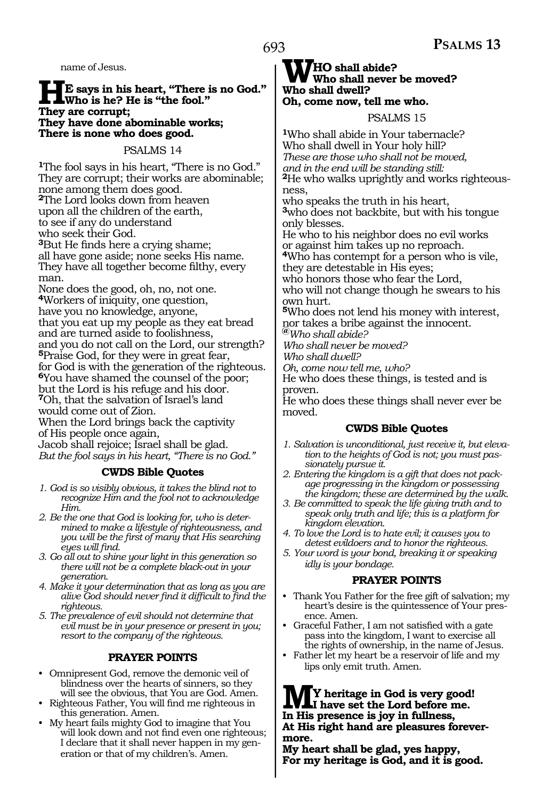name of Jesus.

## **HE** says in his heart, "There is no God."<br>They are corrunt: **They are corrupt; They have done abominable works; There is none who does good.**

#### PSALMS 14

**<sup>1</sup>**The fool says in his heart, "There is no God." They are corrupt; their works are abominable; none among them does good. **<sup>2</sup>**The Lord looks down from heaven upon all the children of the earth, to see if any do understand who seek their God. **<sup>3</sup>**But He finds here a crying shame; all have gone aside; none seeks His name.

They have all together become filthy, every man.

None does the good, oh, no, not one. **<sup>4</sup>**Workers of iniquity, one question, have you no knowledge, anyone, that you eat up my people as they eat bread and are turned aside to foolishness, and you do not call on the Lord, our strength? **<sup>5</sup>**Praise God, for they were in great fear, for God is with the generation of the righteous. **<sup>6</sup>**You have shamed the counsel of the poor; but the Lord is his refuge and his door. **<sup>7</sup>**Oh, that the salvation of Israel's land would come out of Zion.

When the Lord brings back the captivity of His people once again,

Jacob shall rejoice; Israel shall be glad. *But the fool says in his heart, "There is no God."*

#### **CWDS Bible Quotes**

- *1. God is so visibly obvious, it takes the blind not to recognize Him and the fool not to acknowledge Him.*
- *2. Be the one that God is looking for, who is determined to make a lifestyle of righteousness, and you will be the first of many that His searching eyes will find.*
- *3. Go all out to shine your light in this generation so there will not be a complete black-out in your generation.*
- *4. Make it your determination that as long as you are alive God should never find it difficult to find the righteous.*
- *5. The prevalence of evil should not determine that evil must be in your presence or present in you; resort to the company of the righteous.*

#### **PRAYER POINTS**

- Omnipresent God, remove the demonic veil of blindness over the hearts of sinners, so they will see the obvious, that You are God. Amen.
- Righteous Father, You will find me righteous in this generation. Amen.
- My heart fails mighty God to imagine that You will look down and not find even one righteous; I declare that it shall never happen in my generation or that of my children's. Amen.

## **WHO** shall abide?<br>Who shall never be moved? **Who shall dwell? Oh, come now, tell me who.**

PSALMS 15

**<sup>1</sup>**Who shall abide in Your tabernacle? Who shall dwell in Your holy hill? *These are those who shall not be moved, and in the end will be standing still:* **2**He who walks uprightly and works righteousness,

who speaks the truth in his heart, **<sup>3</sup>**who does not backbite, but with his tongue only blesses.

He who to his neighbor does no evil works or against him takes up no reproach.

**<sup>4</sup>**Who has contempt for a person who is vile, they are detestable in His eyes;

who honors those who fear the Lord,

who will not change though he swears to his own hurt.

**<sup>5</sup>**Who does not lend his money with interest, nor takes a bribe against the innocent.

**@***Who shall abide? Who shall never be moved? Who shall dwell?* 

*Oh, come now tell me, who?* 

He who does these things, is tested and is proven.

He who does these things shall never ever be moved.

#### **CWDS Bible Quotes**

- *1. Salvation is unconditional, just receive it, but elevation to the heights of God is not; you must passionately pursue it.*
- *2. Entering the kingdom is a gift that does not package progressing in the kingdom or possessing the kingdom; these are determined by the walk.*
- *3. Be committed to speak the life giving truth and to speak only truth and life; this is a platform for kingdom elevation.*
- *4. To love the Lord is to hate evil; it causes you to detest evildoers and to honor the righteous.*
- *5. Your word is your bond, breaking it or speaking idly is your bondage.*

#### **PRAYER POINTS**

- Thank You Father for the free gift of salvation; my heart's desire is the quintessence of Your presence. Amen.
- Graceful Father, I am not satisfied with a gate pass into the kingdom, I want to exercise all the rights of ownership, in the name of Jesus.
- Father let my heart be a reservoir of life and my lips only emit truth. Amen.

**MY heritage in God is very good! I have set the Lord before me. In His presence is joy in fullness, At His right hand are pleasures forevermore.**

**My heart shall be glad, yes happy, For my heritage is God, and it is good.**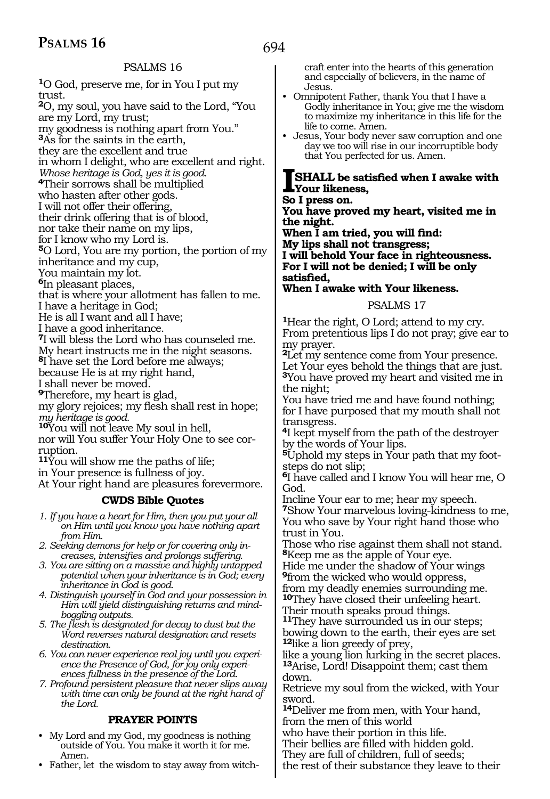#### PSALMS 16

**<sup>1</sup>**O God, preserve me, for in You I put my trust. **<sup>2</sup>**O, my soul, you have said to the Lord, "You are my Lord, my trust; my goodness is nothing apart from You." **<sup>3</sup>**As for the saints in the earth, they are the excellent and true in whom I delight, who are excellent and right. *Whose heritage is God, yes it is good.*  **<sup>4</sup>**Their sorrows shall be multiplied who hasten after other gods. I will not offer their offering, their drink offering that is of blood, nor take their name on my lips, for I know who my Lord is. **<sup>5</sup>**O Lord, You are my portion, the portion of my inheritance and my cup, You maintain my lot. **<sup>6</sup>**In pleasant places, that is where your allotment has fallen to me. I have a heritage in God; He is all I want and all I have; I have a good inheritance. **<sup>7</sup>**I will bless the Lord who has counseled me. My heart instructs me in the night seasons. **<sup>8</sup>**I have set the Lord before me always; because He is at my right hand, I shall never be moved. **<sup>9</sup>**Therefore, my heart is glad, my glory rejoices; my flesh shall rest in hope; *my heritage is good.*  **<sup>10</sup>**You will not leave My soul in hell, nor will You suffer Your Holy One to see corruption. **<sup>11</sup>**You will show me the paths of life; in Your presence is fullness of joy. At Your right hand are pleasures forevermore.

#### **CWDS Bible Quotes**

- *1. If you have a heart for Him, then you put your all on Him until you know you have nothing apart from Him.*
- *2. Seeking demons for help or for covering only increases, intensifies and prolongs suffering.*
- *3. You are sitting on a massive and highly untapped potential when your inheritance is in God; every inheritance in God is good.*
- *4. Distinguish yourself in God and your possession in Him will yield distinguishing returns and mindboggling outputs.*
- *5. The flesh is designated for decay to dust but the Word reverses natural designation and resets destination.*
- *6. You can never experience real joy until you experience the Presence of God, for joy only experiences fullness in the presence of the Lord.*
- *7. Profound persistent pleasure that never slips away with time can only be found at the right hand of the Lord.*

#### **PRAYER POINTS**

- My Lord and my God, my goodness is nothing outside of You. You make it worth it for me. Amen.
- Father, let the wisdom to stay away from witch-

craft enter into the hearts of this generation and especially of believers, in the name of Jesus.

- Omnipotent Father, thank You that I have a Godly inheritance in You; give me the wisdom to maximize my inheritance in this life for the life to come. Amen.
- Jesus, Your body never saw corruption and one day we too will rise in our incorruptible body that You perfected for us. Amen.

#### **ISHALL be satisfied when I awake with Your likeness,**

**So I press on.**

**You have proved my heart, visited me in the night.**

**When I am tried, you will find: My lips shall not transgress; I will behold Your face in righteousness. For I will not be denied; I will be only satisfied,**

**When I awake with Your likeness.**

#### PSALMS 17

**<sup>1</sup>**Hear the right, O Lord; attend to my cry. From pretentious lips I do not pray; give ear to my prayer.

**<sup>2</sup>**Let my sentence come from Your presence. Let Your eyes behold the things that are just. **<sup>3</sup>**You have proved my heart and visited me in the night;

You have tried me and have found nothing; for I have purposed that my mouth shall not transgress.

**<sup>4</sup>**I kept myself from the path of the destroyer by the words of Your lips.

**5**Uphold my steps in Your path that my footsteps do not slip;

**<sup>6</sup>**I have called and I know You will hear me, O God.

Incline Your ear to me; hear my speech. **<sup>7</sup>**Show Your marvelous loving-kindness to me, You who save by Your right hand those who trust in You.

Those who rise against them shall not stand. **<sup>8</sup>**Keep me as the apple of Your eye.

Hide me under the shadow of Your wings **<sup>9</sup>**from the wicked who would oppress,

from my deadly enemies surrounding me. **<sup>10</sup>**They have closed their unfeeling heart.

Their mouth speaks proud things.

**<sup>11</sup>**They have surrounded us in our steps; bowing down to the earth, their eyes are set **<sup>12</sup>**like a lion greedy of prey,

like a young lion lurking in the secret places. **<sup>13</sup>**Arise, Lord! Disappoint them; cast them down.

Retrieve my soul from the wicked, with Your sword.

**<sup>14</sup>**Deliver me from men, with Your hand, from the men of this world

who have their portion in this life.

Their bellies are filled with hidden gold.

They are full of children, full of seeds;

the rest of their substance they leave to their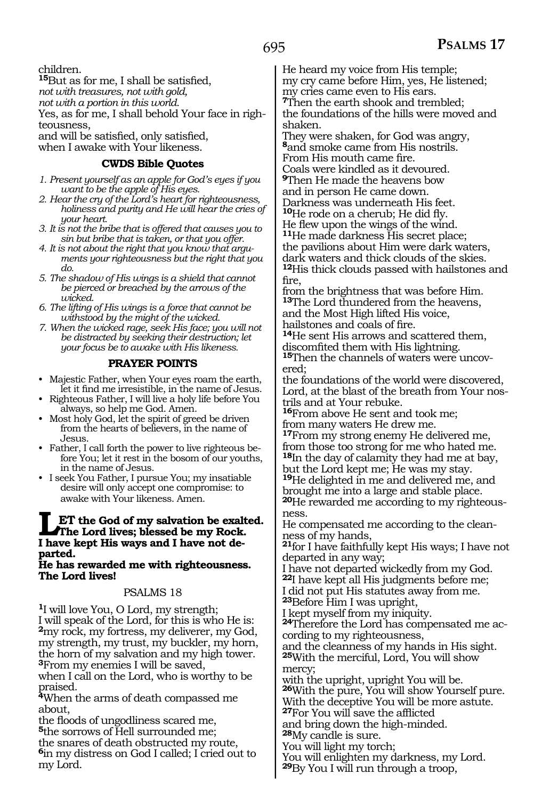children.

**<sup>15</sup>**But as for me, I shall be satisfied, *not with treasures, not with gold, not with a portion in this world.*  Yes, as for me, I shall behold Your face in righteousness, and will be satisfied, only satisfied,

when I awake with Your likeness.

#### **CWDS Bible Quotes**

- *1. Present yourself as an apple for God's eyes if you want to be the apple of His eyes.*
- *2. Hear the cry of the Lord's heart for righteousness, holiness and purity and He will hear the cries of your heart.*
- *3. It is not the bribe that is offered that causes you to sin but bribe that is taken, or that you offer.*
- *4. It is not about the right that you know that arguments your righteousness but the right that you do.*
- *5. The shadow of His wings is a shield that cannot be pierced or breached by the arrows of the wicked.*
- *6. The lifting of His wings is a force that cannot be withstood by the might of the wicked.*

*7. When the wicked rage, seek His face; you will not be distracted by seeking their destruction; let your focus be to awake with His likeness.*

#### **PRAYER POINTS**

- Majestic Father, when Your eyes roam the earth, let it find me irresistible, in the name of Jesus.
- Righteous Father, I will live a holy life before You always, so help me God. Amen.
- Most holy God, let the spirit of greed be driven from the hearts of believers, in the name of Jesus.
- Father, I call forth the power to live righteous before You; let it rest in the bosom of our youths, in the name of Jesus.
- I seek You Father, I pursue You; my insatiable desire will only accept one compromise: to awake with Your likeness. Amen.

#### **LET the God of my salvation be exalted. The Lord lives; blessed be my Rock. I have kept His ways and I have not departed.**

#### **He has rewarded me with righteousness. The Lord lives!**

#### PSALMS 18

**<sup>1</sup>**I will love You, O Lord, my strength; I will speak of the Lord, for this is who He is: **<sup>2</sup>**my rock, my fortress, my deliverer, my God, my strength, my trust, my buckler, my horn, the horn of my salvation and my high tower. **<sup>3</sup>**From my enemies I will be saved,

when I call on the Lord, who is worthy to be praised.

**<sup>4</sup>**When the arms of death compassed me about,

the floods of ungodliness scared me, **<sup>5</sup>**the sorrows of Hell surrounded me;

the snares of death obstructed my route, **<sup>6</sup>**in my distress on God I called; I cried out to my Lord.

He heard my voice from His temple; my cry came before Him, yes, He listened; my cries came even to His ears. **<sup>7</sup>**Then the earth shook and trembled; the foundations of the hills were moved and shaken.

They were shaken, for God was angry, **<sup>8</sup>**and smoke came from His nostrils. From His mouth came fire.

Coals were kindled as it devoured. **<sup>9</sup>**Then He made the heavens bow

and in person He came down. Darkness was underneath His feet. **<sup>10</sup>**He rode on a cherub; He did fly.

He flew upon the wings of the wind.

**<sup>11</sup>**He made darkness His secret place; the pavilions about Him were dark waters, dark waters and thick clouds of the skies. **<sup>12</sup>**His thick clouds passed with hailstones and fire,

from the brightness that was before Him. **<sup>13</sup>**The Lord thundered from the heavens, and the Most High lifted His voice, hailstones and coals of fire.

<sup>14</sup>He sent His arrows and scattered them, discomfited them with His lightning.

15Then the channels of waters were uncovered;

the foundations of the world were discovered, Lord, at the blast of the breath from Your nostrils and at Your rebuke.

**<sup>16</sup>**From above He sent and took me; from many waters He drew me.

**<sup>17</sup>**From my strong enemy He delivered me, from those too strong for me who hated me.

**<sup>18</sup>**In the day of calamity they had me at bay, but the Lord kept me; He was my stay.

**<sup>19</sup>**He delighted in me and delivered me, and brought me into a large and stable place. **<sup>20</sup>**He rewarded me according to my righteous- ness.

He compensated me according to the clean- ness of my hands,

**<sup>21</sup>**for I have faithfully kept His ways; I have not departed in any way;

I have not departed wickedly from my God. **<sup>22</sup>**I have kept all His judgments before me;

I did not put His statutes away from me.

**<sup>23</sup>**Before Him I was upright,

I kept myself from my iniquity.

**24**Therefore the Lord has compensated me according to my righteousness,

and the cleanness of my hands in His sight. **<sup>25</sup>**With the merciful, Lord, You will show

mercy;

with the upright, upright You will be.

**<sup>26</sup>**With the pure, You will show Yourself pure. With the deceptive You will be more astute.

**<sup>27</sup>**For You will save the afflicted

and bring down the high-minded.

**<sup>28</sup>**My candle is sure.

You will light my torch;

You will enlighten my darkness, my Lord.

**<sup>29</sup>**By You I will run through a troop,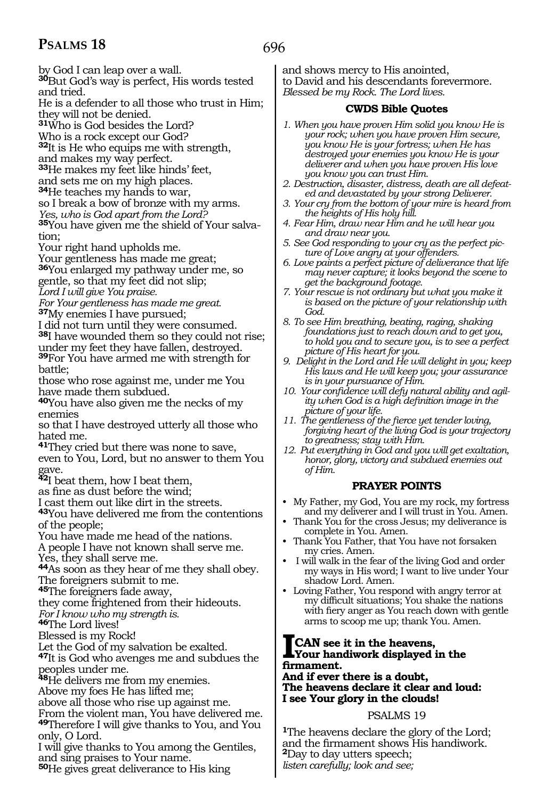696

by God I can leap over a wall. **<sup>30</sup>**But God's way is perfect, His words tested and tried.

He is a defender to all those who trust in Him; they will not be denied.

**<sup>31</sup>**Who is God besides the Lord?

Who is a rock except our God?

**<sup>32</sup>**It is He who equips me with strength,

and makes my way perfect.

**<sup>33</sup>**He makes my feet like hinds' feet, and sets me on my high places.

**<sup>34</sup>**He teaches my hands to war,

so I break a bow of bronze with my arms.

*Yes, who is God apart from the Lord?* 

**35**You have given me the shield of Your salvation;

Your right hand upholds me.

Your gentleness has made me great;

**<sup>36</sup>**You enlarged my pathway under me, so gentle, so that my feet did not slip;

*Lord I will give You praise.* 

*For Your gentleness has made me great.*  **<sup>37</sup>**My enemies I have pursued;

I did not turn until they were consumed. **<sup>38</sup>**I have wounded them so they could not rise; under my feet they have fallen, destroyed.

**<sup>39</sup>**For You have armed me with strength for battle;

those who rose against me, under me You have made them subdued.

**<sup>40</sup>**You have also given me the necks of my enemies

so that I have destroyed utterly all those who hated me.

**<sup>41</sup>**They cried but there was none to save, even to You, Lord, but no answer to them You gave.

**<sup>42</sup>**I beat them, how I beat them,

as fine as dust before the wind;

I cast them out like dirt in the streets.

**<sup>43</sup>**You have delivered me from the contentions of the people;

You have made me head of the nations.

A people I have not known shall serve me.

Yes, they shall serve me.

**<sup>44</sup>**As soon as they hear of me they shall obey. The foreigners submit to me.

**<sup>45</sup>**The foreigners fade away,

they come frightened from their hideouts.

*For I know who my strength is.*

**<sup>46</sup>**The Lord lives!

Blessed is my Rock!

Let the God of my salvation be exalted.

**<sup>47</sup>**It is God who avenges me and subdues the peoples under me.

**<sup>48</sup>**He delivers me from my enemies.

Above my foes He has lifted me;

above all those who rise up against me.

From the violent man, You have delivered me. **<sup>49</sup>**Therefore I will give thanks to You, and You only, O Lord.

I will give thanks to You among the Gentiles, and sing praises to Your name.

**<sup>50</sup>**He gives great deliverance to His king

and shows mercy to His anointed, to David and his descendants forevermore. *Blessed be my Rock. The Lord lives.*

#### **CWDS Bible Quotes**

- *1. When you have proven Him solid you know He is your rock; when you have proven Him secure, you know He is your fortress; when He has destroyed your enemies you know He is your deliverer and when you have proven His love you know you can trust Him.*
- *2. Destruction, disaster, distress, death are all defeated and devastated by your strong Deliverer.*
- *3. Your cry from the bottom of your mire is heard from the heights of His holy hill.*
- *4. Fear Him, draw near Him and he will hear you and draw near you.*
- *5. See God responding to your cry as the perfect picture of Love angry at your offenders.*
- *6. Love paints a perfect picture of deliverance that life may never capture; it looks beyond the scene to get the background footage.*
- *7. Your rescue is not ordinary but what you make it is based on the picture of your relationship with God.*
- *8. To see Him breathing, beating, raging, shaking foundations just to reach down and to get you, to hold you and to secure you, is to see a perfect picture of His heart for you.*
- *9. Delight in the Lord and He will delight in you; keep His laws and He will keep you; your assurance is in your pursuance of Him.*
- *10. Your confidence will defy natural ability and agility when God is a high definition image in the picture of your life.*
- *11. The gentleness of the fierce yet tender loving, forgiving heart of the living God is your trajectory to greatness; stay with Him.*
- *12. Put everything in God and you will get exaltation, honor, glory, victory and subdued enemies out of Him.*

#### **PRAYER POINTS**

- My Father, my God, You are my rock, my fortress and my deliverer and I will trust in You. Amen.
- Thank You for the cross Jesus; my deliverance is complete in You. Amen.
- Thank You Father, that You have not forsaken my cries. Amen.
- I will walk in the fear of the living God and order my ways in His word; I want to live under Your shadow Lord. Amen.
- Loving Father, You respond with angry terror at my difficult situations; You shake the nations with fiery anger as You reach down with gentle arms to scoop me up; thank You. Amen.

## **ICAN see it in the heavens, Your handiwork displayed in the firmament.**

#### **And if ever there is a doubt, The heavens declare it clear and loud: I see Your glory in the clouds!**

#### PSALMS 19

**<sup>1</sup>**The heavens declare the glory of the Lord; and the firmament shows His handiwork. **<sup>2</sup>**Day to day utters speech; *listen carefully; look and see;*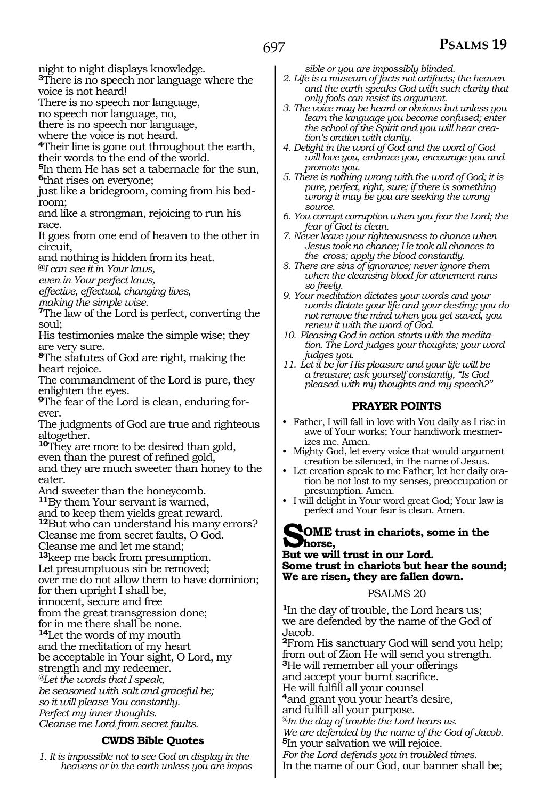night to night displays knowledge.

**<sup>3</sup>**There is no speech nor language where the voice is not heard!

There is no speech nor language,

no speech nor language, no,

there is no speech nor language,

where the voice is not heard.

**<sup>4</sup>**Their line is gone out throughout the earth, their words to the end of the world.

**<sup>5</sup>**In them He has set a tabernacle for the sun, **<sup>6</sup>**that rises on everyone;

just like a bridegroom, coming from his bedroom;

and like a strongman, rejoicing to run his race.

It goes from one end of heaven to the other in circuit,

and nothing is hidden from its heat.

**@***I can see it in Your laws,*

*even in Your perfect laws,* 

*effective, effectual, changing lives,*

*making the simple wise.* 

**<sup>7</sup>**The law of the Lord is perfect, converting the soul;

His testimonies make the simple wise; they are very sure.

**<sup>8</sup>**The statutes of God are right, making the heart rejoice.

The commandment of the Lord is pure, they enlighten the eyes.

**9**The fear of the Lord is clean, enduring forever.

The judgments of God are true and righteous altogether.

**<sup>10</sup>**They are more to be desired than gold, even than the purest of refined gold, and they are much sweeter than honey to the eater.

And sweeter than the honeycomb.

**<sup>11</sup>**By them Your servant is warned,

and to keep them yields great reward. **<sup>12</sup>**But who can understand his many errors? Cleanse me from secret faults, O God.

Cleanse me and let me stand;

**<sup>13</sup>**keep me back from presumption.

Let presumptuous sin be removed;

over me do not allow them to have dominion; for then upright I shall be,

innocent, secure and free

from the great transgression done;

for in me there shall be none.

**<sup>14</sup>**Let the words of my mouth

and the meditation of my heart

be acceptable in Your sight, O Lord, my

strength and my redeemer.

*@Let the words that I speak,* 

*be seasoned with salt and graceful be;*

*so it will please You constantly. Perfect my inner thoughts.* 

*Cleanse me Lord from secret faults.* 

#### **CWDS Bible Quotes**

*1. It is impossible not to see God on display in the heavens or in the earth unless you are impos-* *sible or you are impossibly blinded.*

- *2. Life is a museum of facts not artifacts; the heaven and the earth speaks God with such clarity that only fools can resist its argument.*
- *3. The voice may be heard or obvious but unless you learn the language you become confused; enter the school of the Spirit and you will hear creation's oration with clarity.*
- *4. Delight in the word of God and the word of God will love you, embrace you, encourage you and promote you.*

*5. There is nothing wrong with the word of God; it is pure, perfect, right, sure; if there is something wrong it may be you are seeking the wrong source.* 

- *6. You corrupt corruption when you fear the Lord; the fear of God is clean.*
- *7. Never leave your righteousness to chance when Jesus took no chance; He took all chances to the cross; apply the blood constantly.*
- *8. There are sins of ignorance; never ignore them when the cleansing blood for atonement runs so freely.*
- *9. Your meditation dictates your words and your words dictate your life and your destiny; you do not remove the mind when you get saved, you renew it with the word of God.*
- *10. Pleasing God in action starts with the meditation. The Lord judges your thoughts; your word judges you.*
- *11. Let it be for His pleasure and your life will be a treasure; ask yourself constantly, "Is God pleased with my thoughts and my speech?"*

#### **PRAYER POINTS**

- Father, I will fall in love with You daily as I rise in awe of Your works; Your handiwork mesmerizes me. Amen.
- Mighty God, let every voice that would argument creation be silenced, in the name of Jesus.
- Let creation speak to me Father; let her daily oration be not lost to my senses, preoccupation or presumption. Amen.
- I will delight in Your word great God; Your law is perfect and Your fear is clean. Amen.

#### **SOME trust in chariots, some in the horse,**

**But we will trust in our Lord. Some trust in chariots but hear the sound; We are risen, they are fallen down.**

#### PSALMS 20

**<sup>1</sup>**In the day of trouble, the Lord hears us; we are defended by the name of the God of Jacob. **<sup>2</sup>**From His sanctuary God will send you help; from out of Zion He will send you strength. **<sup>3</sup>**He will remember all your offerings and accept your burnt sacrifice. He will fulfill all your counsel **<sup>4</sup>**and grant you your heart's desire, and fulfill all your purpose. @*In the day of trouble the Lord hears us. We are defended by the name of the God of Jacob.*  **<sup>5</sup>**In your salvation we will rejoice. *For the Lord defends you in troubled times.* In the name of our God, our banner shall be;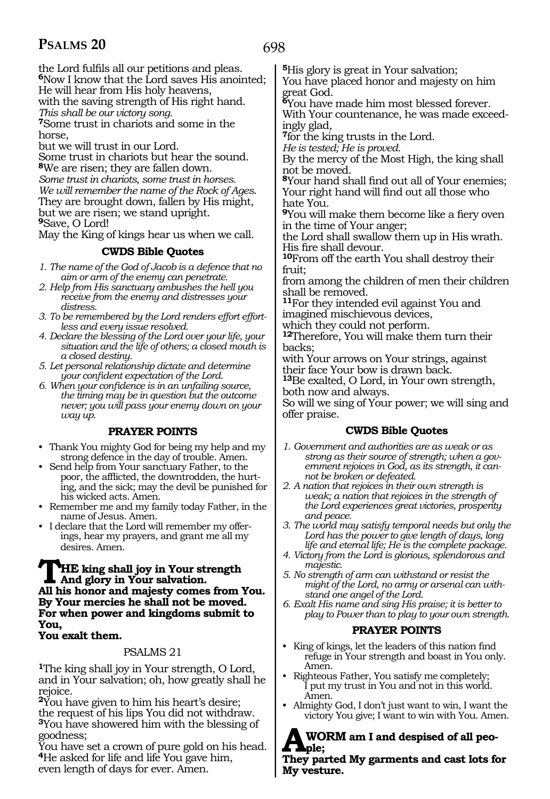698

the Lord fulfils all our petitions and pleas. **<sup>6</sup>**Now I know that the Lord saves His anointed; He will hear from His holy heavens,

with the saving strength of His right hand.

*This shall be our victory song.* 

**<sup>7</sup>**Some trust in chariots and some in the horse,

but we will trust in our Lord.

Some trust in chariots but hear the sound. **<sup>8</sup>**We are risen; they are fallen down.

*Some trust in chariots, some trust in horses. We will remember the name of the Rock of Ages*. They are brought down, fallen by His might, but we are risen; we stand upright. **<sup>9</sup>**Save, O Lord!

May the King of kings hear us when we call.

#### **CWDS Bible Quotes**

- *1. The name of the God of Jacob is a defence that no aim or arm of the enemy can penetrate.*
- *2. Help from His sanctuary ambushes the hell you receive from the enemy and distresses your distress.*
- *3. To be remembered by the Lord renders effort effortless and every issue resolved.*
- *4. Declare the blessing of the Lord over your life, your situation and the life of others; a closed mouth is a closed destiny.*
- *5. Let personal relationship dictate and determine your confident expectation of the Lord.*
- *6. When your confidence is in an unfailing source, the timing may be in question but the outcome never; you will pass your enemy down on your way up.*

#### **PRAYER POINTS**

- Thank You mighty God for being my help and my strong defence in the day of trouble. Amen.
- Send help from Your sanctuary Father, to the poor, the afflicted, the downtrodden, the hurting, and the sick; may the devil be punished for his wicked acts. Amen.
- Remember me and my family today Father, in the name of Jesus. Amen.
- I declare that the Lord will remember my offerings, hear my prayers, and grant me all my desires. Amen.

#### **THE king shall joy in Your strength And glory in Your salvation. All his honor and majesty comes from You. By Your mercies he shall not be moved. For when power and kingdoms submit to You,**

#### **You exalt them.**

#### PSALMS 21

**<sup>1</sup>**The king shall joy in Your strength, O Lord, and in Your salvation; oh, how greatly shall he rejoice.

**<sup>2</sup>**You have given to him his heart's desire; the request of his lips You did not withdraw. **<sup>3</sup>**You have showered him with the blessing of goodness;

You have set a crown of pure gold on his head. **<sup>4</sup>**He asked for life and life You gave him, even length of days for ever. Amen.

**<sup>5</sup>**His glory is great in Your salvation;

You have placed honor and majesty on him great God.

**<sup>6</sup>**You have made him most blessed forever. With Your countenance, he was made exceedingly glad,

**<sup>7</sup>**for the king trusts in the Lord.

*He is tested; He is proved.* 

By the mercy of the Most High, the king shall not be moved.

**<sup>8</sup>**Your hand shall find out all of Your enemies; Your right hand will find out all those who hate You.

**<sup>9</sup>**You will make them become like a fiery oven in the time of Your anger;

the Lord shall swallow them up in His wrath. His fire shall devour.

**<sup>10</sup>**From off the earth You shall destroy their fruit;

from among the children of men their children shall be removed.

**<sup>11</sup>**For they intended evil against You and imagined mischievous devices,

which they could not perform.

**<sup>12</sup>**Therefore, You will make them turn their backs;

with Your arrows on Your strings, against their face Your bow is drawn back.

**<sup>13</sup>**Be exalted, O Lord, in Your own strength, both now and always.

So will we sing of Your power; we will sing and offer praise.

#### **CWDS Bible Quotes**

- *1. Government and authorities are as weak or as strong as their source of strength; when a government rejoices in God, as its strength, it cannot be broken or defeated.*
- *2. A nation that rejoices in their own strength is weak; a nation that rejoices in the strength of the Lord experiences great victories, prosperity and peace.*
- *3. The world may satisfy temporal needs but only the Lord has the power to give length of days, long life and eternal life; He is the complete package.*
- *4. Victory from the Lord is glorious, splendorous and majestic.*
- *5. No strength of arm can withstand or resist the might of the Lord, no army or arsenal can withstand one angel of the Lord.*
- *6. Exalt His name and sing His praise; it is better to play to Power than to play to your own strength.*

#### **PRAYER POINTS**

- King of kings, let the leaders of this nation find refuge in Your strength and boast in You only. Amen.
- Righteous Father, You satisfy me completely; I put my trust in You and not in this world. Amen.
- Almighty God, I don't just want to win, I want the victory You give; I want to win with You. Amen.

#### **AWORM am I and despised of all people;**

**They parted My garments and cast lots for My vesture.**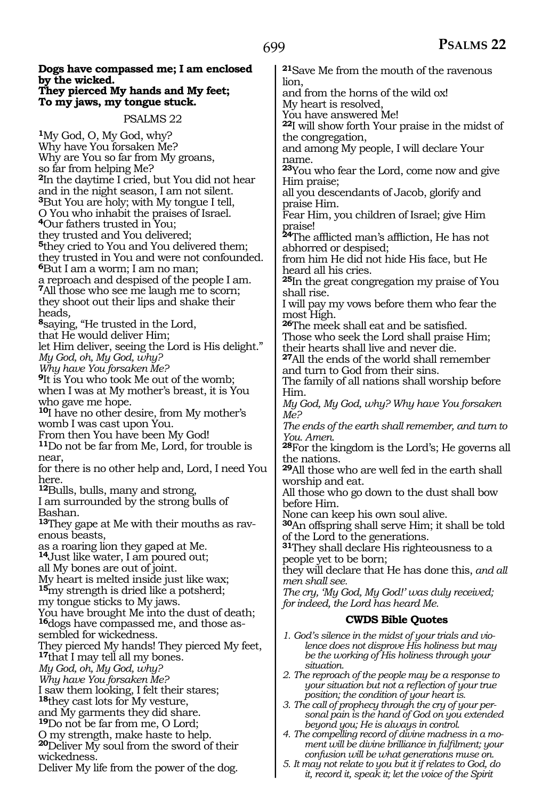**Dogs have compassed me; I am enclosed by the wicked. They pierced My hands and My feet; To my jaws, my tongue stuck.** PSALMS 22 **<sup>1</sup>**My God, O, My God, why? Why have You forsaken Me? Why are You so far from My groans, so far from helping Me? **<sup>2</sup>**In the daytime I cried, but You did not hear and in the night season, I am not silent. **<sup>3</sup>**But You are holy; with My tongue I tell, O You who inhabit the praises of Israel. **<sup>4</sup>**Our fathers trusted in You; they trusted and You delivered; **<sup>5</sup>**they cried to You and You delivered them; they trusted in You and were not confounded. **<sup>6</sup>**But I am a worm; I am no man; a reproach and despised of the people I am. **<sup>7</sup>**All those who see me laugh me to scorn; they shoot out their lips and shake their  $s_{\text{saying}}$ , "He trusted in the Lord, that He would deliver Him; let Him deliver, seeing the Lord is His delight." *My God, oh, My God, why? Why have You forsaken Me?*  **<sup>9</sup>**It is You who took Me out of the womb; when I was at My mother's breast, it is You who gave me hope. **<sup>10</sup>**I have no other desire, from My mother's womb I was cast upon You. From then You have been My God! **<sup>11</sup>**Do not be far from Me, Lord, for trouble is near, for there is no other help and, Lord, I need You here. **<sup>12</sup>**Bulls, bulls, many and strong, I am surrounded by the strong bulls of Bashan. **13**They gape at Me with their mouths as ravenous beasts,<br>as a roaring lion they gaped at Me. <sup>14</sup>Just like water, I am poured out; all My bones are out of joint. My heart is melted inside just like wax; **<sup>15</sup>**my strength is dried like a potsherd; my tongue sticks to My jaws. You have brought Me into the dust of death; **16**dogs have compassed me, and those assembled for wickedness. They pierced My hands! They pierced My feet, **<sup>17</sup>**that I may tell all my bones. *My God, oh, My God, why? Why have You forsaken Me?*  I saw them looking, I felt their stares; **<sup>18</sup>**they cast lots for My vesture, and My garments they did share. **<sup>19</sup>**Do not be far from me, O Lord; O my strength, make haste to help. **<sup>20</sup>**Deliver My soul from the sword of their wickedness. Deliver My life from the power of the dog. **<sup>21</sup>**Save Me from the mouth of the ravenous lion, and from the horns of the wild ox! My heart is resolved, You have answered Me! **<sup>22</sup>**I will show forth Your praise in the midst of the congregation, and among My people, I will declare Your name. **<sup>23</sup>**You who fear the Lord, come now and give Him praise; all you descendants of Jacob, glorify and praise Him. Fear Him, you children of Israel; give Him praise! **<sup>24</sup>**The afflicted man's affliction, He has not abhorred or despised; from him He did not hide His face, but He heard all his cries. **<sup>25</sup>**In the great congregation my praise of You shall rise. I will pay my vows before them who fear the most High. **<sup>26</sup>**The meek shall eat and be satisfied. Those who seek the Lord shall praise Him; their hearts shall live and never die. **<sup>27</sup>**All the ends of the world shall remember and turn to God from their sins. The family of all nations shall worship before Him. *My God, My God, why? Why have You forsaken Me? The ends of the earth shall remember, and turn to You. Amen.* **<sup>28</sup>**For the kingdom is the Lord's; He governs all the nations. **<sup>29</sup>**All those who are well fed in the earth shall worship and eat. All those who go down to the dust shall bow before Him. None can keep his own soul alive. **<sup>30</sup>**An offspring shall serve Him; it shall be told of the Lord to the generations. **<sup>31</sup>**They shall declare His righteousness to a people yet to be born; they will declare that He has done this, *and all men shall see. The cry, 'My God, My God!' was duly received; for indeed, the Lord has heard Me.* **CWDS Bible Quotes** *1. God's silence in the midst of your trials and violence does not disprove His holiness but may be the working of His holiness through your situation. 2. The reproach of the people may be a response to your situation but not a reflection of your true position; the condition of your heart is. 3. The call of prophecy through the cry of your personal pain is the hand of God on you extended beyond you; He is always in control. 4. The compelling record of divine madness in a moment will be divine brilliance in fulfilment; your confusion will be what generations muse on.*

*5. It may not relate to you but it if relates to God, do it, record it, speak it; let the voice of the Spirit*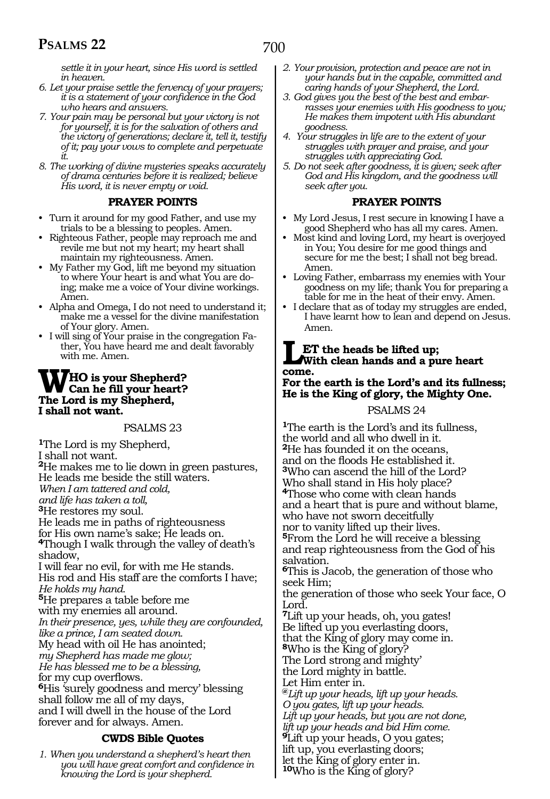*settle it in your heart, since His word is settled in heaven.*

- *6. Let your praise settle the fervency of your prayers; it is a statement of your confidence in the God who hears and answers.*
- *7. Your pain may be personal but your victory is not for yourself, it is for the salvation of others and the victory of generations; declare it, tell it, testify of it; pay your vows to complete and perpetuate*
- *it. 8. The working of divine mysteries speaks accurately of drama centuries before it is realized; believe His word, it is never empty or void.*

#### **PRAYER POINTS**

- Turn it around for my good Father, and use my trials to be a blessing to peoples. Amen.
- Righteous Father, people may reproach me and revile me but not my heart; my heart shall maintain my righteousness. Amen.
- My Father my God, lift me beyond my situation to where Your heart is and what You are doing; make me a voice of Your divine workings. Amen.
- Alpha and Omega, I do not need to understand it; make me a vessel for the divine manifestation of Your glory. Amen.
- I will sing of Your praise in the congregation Father, You have heard me and dealt favorably with me. Amen.

#### **WHO is your Shepherd? Can he fill your heart? The Lord is my Shepherd, I shall not want.**

#### PSALMS 23

**<sup>1</sup>**The Lord is my Shepherd, I shall not want. **<sup>2</sup>**He makes me to lie down in green pastures, He leads me beside the still waters. *When I am tattered and cold, and life has taken a toll,*  **<sup>3</sup>**He restores my soul. He leads me in paths of righteousness for His own name's sake; He leads on. **<sup>4</sup>**Though I walk through the valley of death's shadow, I will fear no evil, for with me He stands. His rod and His staff are the comforts I have; *He holds my hand.*  **<sup>5</sup>**He prepares a table before me with my enemies all around. *In their presence, yes, while they are confounded, like a prince, I am seated down.*  My head with oil He has anointed; *my Shepherd has made me glow; He has blessed me to be a blessing,*  for my cup overflows. **<sup>6</sup>**His 'surely goodness and mercy' blessing shall follow me all of my days, and I will dwell in the house of the Lord forever and for always. Amen.

#### **CWDS Bible Quotes**

*1. When you understand a shepherd's heart then you will have great comfort and confidence in knowing the Lord is your shepherd.*

- *2. Your provision, protection and peace are not in your hands but in the capable, committed and caring hands of your Shepherd, the Lord.*
- *3. God gives you the best of the best and embarrasses your enemies with His goodness to you; He makes them impotent with His abundant goodness.*
- *4. Your struggles in life are to the extent of your struggles with prayer and praise, and your struggles with appreciating God.*
- *5. Do not seek after goodness, it is given; seek after God and His kingdom, and the goodness will seek after you.*

#### **PRAYER POINTS**

- My Lord Jesus, I rest secure in knowing I have a good Shepherd who has all my cares. Amen.
- Most kind and loving Lord, my heart is overjoyed in You; You desire for me good things and secure for me the best; I shall not beg bread. Amen.
- Loving Father, embarrass my enemies with Your goodness on my life; thank You for preparing a table for me in the heat of their envy. Amen.
- I declare that as of today my struggles are ended, I have learnt how to lean and depend on Jesus. Amen.

#### **LET the heads be lifted up; With clean hands and a pure heart come.**

#### **For the earth is the Lord's and its fullness; He is the King of glory, the Mighty One.**

#### PSALMS 24

**<sup>1</sup>**The earth is the Lord's and its fullness, the world and all who dwell in it. **<sup>2</sup>**He has founded it on the oceans, and on the floods He established it. **<sup>3</sup>**Who can ascend the hill of the Lord? Who shall stand in His holy place? **<sup>4</sup>**Those who come with clean hands and a heart that is pure and without blame, who have not sworn deceitfully nor to vanity lifted up their lives. **<sup>5</sup>**From the Lord he will receive a blessing and reap righteousness from the God of his salvation. **<sup>6</sup>**This is Jacob, the generation of those who seek Him; the generation of those who seek Your face, O Lord. **<sup>7</sup>**Lift up your heads, oh, you gates! Be lifted up you everlasting doors, that the King of glory may come in. **<sup>8</sup>**Who is the King of glory? The Lord strong and mighty' the Lord mighty in battle. Let Him enter in. **@***Lift up your heads, lift up your heads. O you gates, lift up your heads. Lift up your heads, but you are not done, lift up your heads and bid Him come.*  **<sup>9</sup>**Lift up your heads, O you gates; lift up, you everlasting doors; let the King of glory enter in.

**<sup>10</sup>**Who is the King of glory?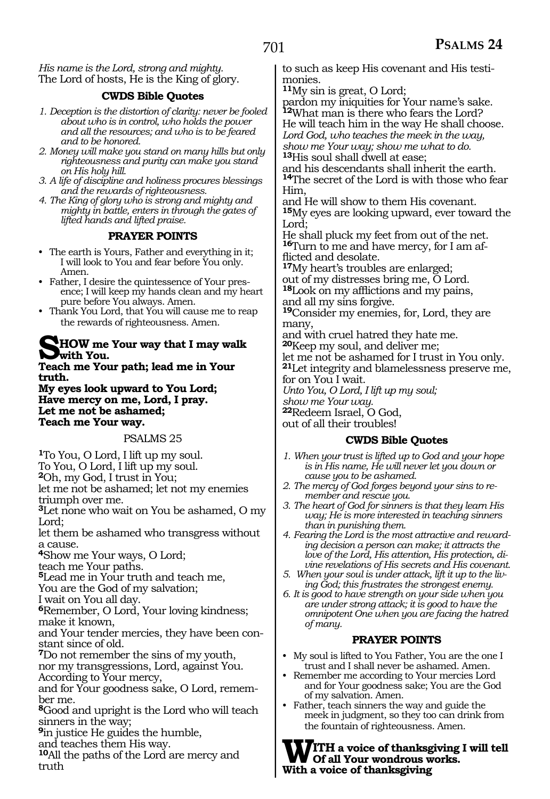*His name is the Lord, strong and mighty.* The Lord of hosts, He is the King of glory.

#### **CWDS Bible Quotes**

- *1. Deception is the distortion of clarity: never be fooled about who is in control, who holds the power and all the resources; and who is to be feared and to be honored.*
- *2. Money will make you stand on many hills but only righteousness and purity can make you stand on His holy hill.*
- *3. A life of discipline and holiness procures blessings and the rewards of righteousness.*
- *4. The King of glory who is strong and mighty and mighty in battle, enters in through the gates of lifted hands and lifted praise.*

#### **PRAYER POINTS**

- The earth is Yours, Father and everything in it; I will look to You and fear before You only. Amen.
- Father, I desire the quintessence of Your presence; I will keep my hands clean and my heart pure before You always. Amen.
- Thank You Lord, that You will cause me to reap the rewards of righteousness. Amen.

#### **SHOW me Your way that I may walk with You.**

**Teach me Your path; lead me in Your truth.**

**My eyes look upward to You Lord; Have mercy on me, Lord, I pray. Let me not be ashamed; Teach me Your way.** 

#### PSALMS 25

**<sup>1</sup>**To You, O Lord, I lift up my soul.

To You, O Lord, I lift up my soul.

**<sup>2</sup>**Oh, my God, I trust in You;

let me not be ashamed; let not my enemies triumph over me.

**<sup>3</sup>**Let none who wait on You be ashamed, O my Lord;

let them be ashamed who transgress without a cause.

**<sup>4</sup>**Show me Your ways, O Lord; teach me Your paths.

**<sup>5</sup>**Lead me in Your truth and teach me,

You are the God of my salvation;

I wait on You all day.

**<sup>6</sup>**Remember, O Lord, Your loving kindness; make it known,

and Your tender mercies, they have been constant since of old.

**<sup>7</sup>**Do not remember the sins of my youth, nor my transgressions, Lord, against You.

According to Your mercy,

and for Your goodness sake, O Lord, remember me.

**<sup>8</sup>**Good and upright is the Lord who will teach sinners in the way;

**<sup>9</sup>**in justice He guides the humble,

and teaches them His way.

**<sup>10</sup>**All the paths of the Lord are mercy and truth

to such as keep His covenant and His testimonies.

**<sup>11</sup>**My sin is great, O Lord;

pardon my iniquities for Your name's sake. **<sup>12</sup>**What man is there who fears the Lord? He will teach him in the way He shall choose. *Lord God, who teaches the meek in the way, show me Your way; show me what to do.* **<sup>13</sup>**His soul shall dwell at ease;

and his descendants shall inherit the earth. **<sup>14</sup>**The secret of the Lord is with those who fear Him,

and He will show to them His covenant.

**<sup>15</sup>**My eyes are looking upward, ever toward the Lord;

He shall pluck my feet from out of the net. **16**Turn to me and have mercy, for I am afflicted and desolate.

**<sup>17</sup>**My heart's troubles are enlarged; out of my distresses bring me, O Lord.

**<sup>18</sup>**Look on my afflictions and my pains, and all my sins forgive.

**<sup>19</sup>**Consider my enemies, for, Lord, they are many,

and with cruel hatred they hate me.

**<sup>20</sup>**Keep my soul, and deliver me; let me not be ashamed for I trust in You only. **<sup>21</sup>**Let integrity and blamelessness preserve me, for on You I wait.

*Unto You, O Lord, I lift up my soul;*

*show me Your way.* **<sup>22</sup>**Redeem Israel, O God,

out of all their troubles!

#### **CWDS Bible Quotes**

- *1. When your trust is lifted up to God and your hope is in His name, He will never let you down or cause you to be ashamed.*
- *2. The mercy of God forges beyond your sins to remember and rescue you.*
- *3. The heart of God for sinners is that they learn His way; He is more interested in teaching sinners than in punishing them.*
- *4. Fearing the Lord is the most attractive and rewarding decision a person can make; it attracts the love of the Lord, His attention, His protection, divine revelations of His secrets and His covenant.*
- *5. When your soul is under attack, lift it up to the living God; this frustrates the strongest enemy.*
- *6. It is good to have strength on your side when you are under strong attack; it is good to have the omnipotent One when you are facing the hatred of many.*

#### **PRAYER POINTS**

- My soul is lifted to You Father, You are the one I trust and I shall never be ashamed. Amen.
- Remember me according to Your mercies Lord and for Your goodness sake; You are the God of my salvation. Amen.
- Father, teach sinners the way and guide the meek in judgment, so they too can drink from the fountain of righteousness. Amen.

**WITH a voice of thanksgiving I will tell Of all Your wondrous works. With a voice of thanksgiving**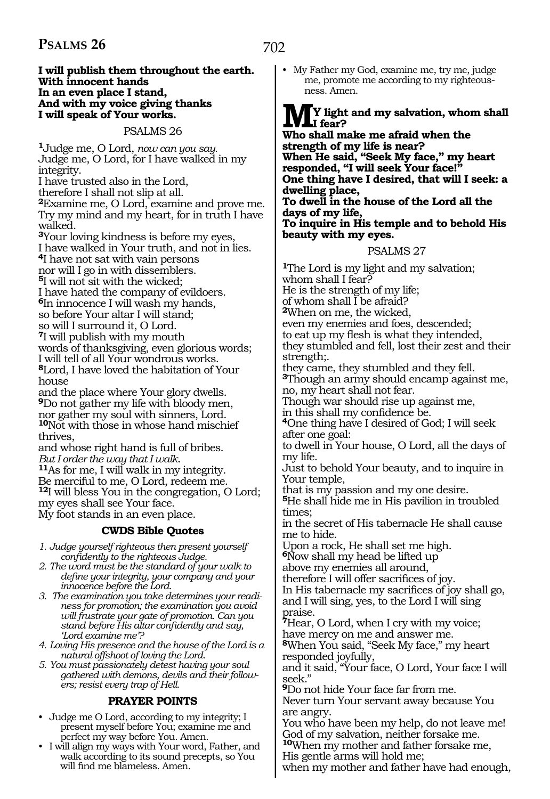#### **I will publish them throughout the earth. With innocent hands In an even place I stand, And with my voice giving thanks I will speak of Your works.**

PSALMS 26

**<sup>1</sup>**Judge me, O Lord, *now can you say.*  Judge me, O Lord, for I have walked in my integrity.

I have trusted also in the Lord,

therefore I shall not slip at all.

**<sup>2</sup>**Examine me, O Lord, examine and prove me. Try my mind and my heart, for in truth I have walked.

**<sup>3</sup>**Your loving kindness is before my eyes,

I have walked in Your truth, and not in lies. **<sup>4</sup>**I have not sat with vain persons

nor will I go in with dissemblers.

**<sup>5</sup>**I will not sit with the wicked;

I have hated the company of evildoers. **<sup>6</sup>**In innocence I will wash my hands, so before Your altar I will stand;

so will I surround it, O Lord.

**<sup>7</sup>**I will publish with my mouth words of thanksgiving, even glorious words; I will tell of all Your wondrous works.

**<sup>8</sup>**Lord, I have loved the habitation of Your house

and the place where Your glory dwells. **<sup>9</sup>**Do not gather my life with bloody men, nor gather my soul with sinners, Lord. **<sup>10</sup>**Not with those in whose hand mischief thrives,

and whose right hand is full of bribes. *But I order the way that I walk.* 

**<sup>11</sup>**As for me, I will walk in my integrity.

Be merciful to me, O Lord, redeem me.

**<sup>12</sup>**I will bless You in the congregation, O Lord; my eyes shall see Your face.

My foot stands in an even place.

#### **CWDS Bible Quotes**

*1. Judge yourself righteous then present yourself confidently to the righteous Judge.*

*2. The word must be the standard of your walk to define your integrity, your company and your innocence before the Lord.*

*3. The examination you take determines your readiness for promotion; the examination you avoid will frustrate your gate of promotion. Can you stand before His altar confidently and say, 'Lord examine me'?* 

*4. Loving His presence and the house of the Lord is a natural offshoot of loving the Lord.*

*5. You must passionately detest having your soul gathered with demons, devils and their followers; resist every trap of Hell.*

#### **PRAYER POINTS**

- Judge me O Lord, according to my integrity; I present myself before You; examine me and perfect my way before You. Amen.
- I will align my ways with Your word, Father, and walk according to its sound precepts, so You will find me blameless. Amen.

• My Father my God, examine me, try me, judge me, promote me according to my righteousness. Amen.

## **MY light and my salvation, whom shall I fear?**

**Who shall make me afraid when the strength of my life is near? When He said, "Seek My face," my heart responded, "I will seek Your face!" One thing have I desired, that will I seek: a dwelling place, To dwell in the house of the Lord all the** 

**days of my life,** 

#### **To inquire in His temple and to behold His beauty with my eyes.**

#### PSALMS 27

**<sup>1</sup>**The Lord is my light and my salvation; whom shall I fear? He is the strength of my life; of whom shall  $\overline{I}$  be afraid? **<sup>2</sup>**When on me, the wicked, even my enemies and foes, descended; to eat up my flesh is what they intended, they stumbled and fell, lost their zest and their strength;. they came, they stumbled and they fell. **<sup>3</sup>**Though an army should encamp against me, no, my heart shall not fear. Though war should rise up against me, in this shall my confidence be. **4**One thing have I desired of God; I will seek after one goal: to dwell in Your house, O Lord, all the days of my life. Just to behold Your beauty, and to inquire in Your temple, that is my passion and my one desire. **<sup>5</sup>**He shall hide me in His pavilion in troubled times; in the secret of His tabernacle He shall cause me to hide. Upon a rock, He shall set me high. **<sup>6</sup>**Now shall my head be lifted up above my enemies all around, therefore I will offer sacrifices of joy. In His tabernacle my sacrifices of joy shall go, and I will sing, yes, to the Lord I will sing praise. **<sup>7</sup>**Hear, O Lord, when I cry with my voice; have mercy on me and answer me. **<sup>8</sup>**When You said, "Seek My face," my heart responded joyfully, and it said, "Your face, O Lord, Your face I will seek." **<sup>9</sup>**Do not hide Your face far from me.

Never turn Your servant away because You are angry.

You who have been my help, do not leave me! God of my salvation, neither forsake me. **<sup>10</sup>**When my mother and father forsake me,

His gentle arms will hold me;

when my mother and father have had enough,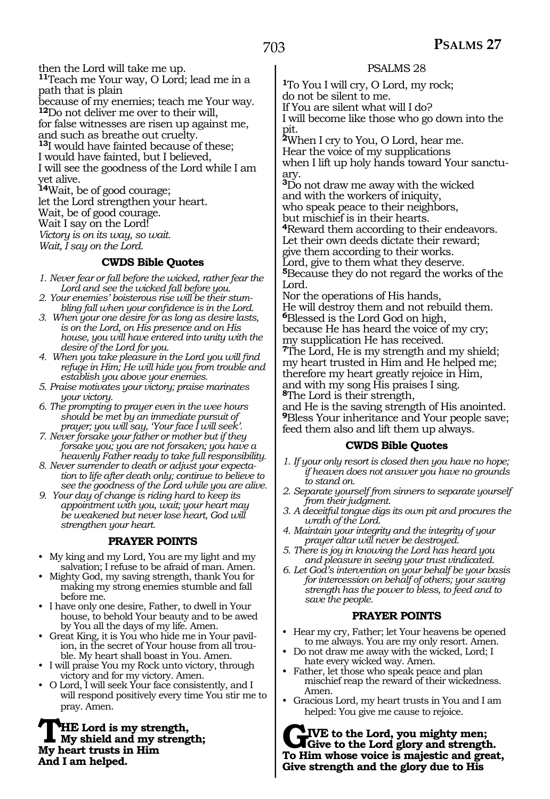then the Lord will take me up. **<sup>11</sup>**Teach me Your way, O Lord; lead me in a path that is plain because of my enemies; teach me Your way. **<sup>12</sup>**Do not deliver me over to their will, for false witnesses are risen up against me, and such as breathe out cruelty. **<sup>13</sup>**I would have fainted because of these; I would have fainted, but I believed, I will see the goodness of the Lord while I am yet alive. **<sup>14</sup>**Wait, be of good courage; let the Lord strengthen your heart.

Wait, be of good courage. Wait I say on the Lord! *Victory is on its way, so wait. Wait, I say on the Lord.*

#### **CWDS Bible Quotes**

- *1. Never fear or fall before the wicked, rather fear the Lord and see the wicked fall before you.*
- *2. Your enemies' boisterous rise will be their stumbling fall when your confidence is in the Lord.*
- *3. When your one desire for as long as desire lasts, is on the Lord, on His presence and on His house, you will have entered into unity with the desire of the Lord for you.*
- *4. When you take pleasure in the Lord you will find refuge in Him; He will hide you from trouble and establish you above your enemies.*
- *5. Praise motivates your victory; praise marinates your victory.*
- *6. The prompting to prayer even in the wee hours should be met by an immediate pursuit of prayer; you will say, 'Your face I will seek'.*
- *7. Never forsake your father or mother but if they forsake you; you are not forsaken; you have a heavenly Father ready to take full responsibility.*
- *8. Never surrender to death or adjust your expectation to life after death only; continue to believe to see the goodness of the Lord while you are alive.*
- *9. Your day of change is riding hard to keep its appointment with you, wait; your heart may be weakened but never lose heart, God will strengthen your heart.*

#### **PRAYER POINTS**

- My king and my Lord, You are my light and my salvation; I refuse to be afraid of man. Amen.
- Mighty God, my saving strength, thank You for making my strong enemies stumble and fall before me.
- I have only one desire, Father, to dwell in Your house, to behold Your beauty and to be awed by You all the days of my life. Amen.
- Great King, it is You who hide me in Your pavilion, in the secret of Your house from all trouble. My heart shall boast in You. Amen.
- I will praise You my Rock unto victory, through victory and for my victory. Amen.
- O Lord, I will seek Your face consistently, and I will respond positively every time You stir me to pray. Amen.

**THE Lord is my strength,<br>My shield and my strength;**<br>My heart trusts in Him **My heart trusts in Him And I am helped.**

#### PSALMS 28

**<sup>1</sup>**To You I will cry, O Lord, my rock; do not be silent to me. If You are silent what will I do?

I will become like those who go down into the pit.

**<sup>2</sup>**When I cry to You, O Lord, hear me. Hear the voice of my supplications when I lift up holy hands toward Your sanctuary.

**<sup>3</sup>**Do not draw me away with the wicked and with the workers of iniquity, who speak peace to their neighbors, but mischief is in their hearts. **<sup>4</sup>**Reward them according to their endeavors.

Let their own deeds dictate their reward;

give them according to their works.

Lord, give to them what they deserve.

**<sup>5</sup>**Because they do not regard the works of the Lord.

Nor the operations of His hands,

He will destroy them and not rebuild them. **<sup>6</sup>**Blessed is the Lord God on high,

because He has heard the voice of my cry; my supplication He has received.

**<sup>7</sup>**The Lord, He is my strength and my shield; my heart trusted in Him and He helped me; therefore my heart greatly rejoice in Him, and with my song His praises I sing. **<sup>8</sup>**The Lord is their strength,

and He is the saving strength of His anointed. **<sup>9</sup>**Bless Your inheritance and Your people save; feed them also and lift them up always.

#### **CWDS Bible Quotes**

- *1. If your only resort is closed then you have no hope; if heaven does not answer you have no grounds to stand on.*
- *2. Separate yourself from sinners to separate yourself from their judgment.*
- *3. A deceitful tongue digs its own pit and procures the wrath of the Lord.*
- *4. Maintain your integrity and the integrity of your prayer altar will never be destroyed.*
- *5. There is joy in knowing the Lord has heard you and pleasure in seeing your trust vindicated.*
- *6. Let God's intervention on your behalf be your basis for intercession on behalf of others; your saving strength has the power to bless, to feed and to save the people.*

#### **PRAYER POINTS**

- Hear my cry, Father; let Your heavens be opened to me always. You are my only resort. Amen.
- Do not draw me away with the wicked, Lord; I hate every wicked way. Amen.
- Father, let those who speak peace and plan mischief reap the reward of their wickedness. Amen.
- Gracious Lord, my heart trusts in You and I am helped: You give me cause to rejoice.

**GIVE** to the Lord, you mighty men;<br> **Give to the Lord glory and strength.**<br> **To Him whose voice is majestic and great To Him whose voice is majestic and great, Give strength and the glory due to His**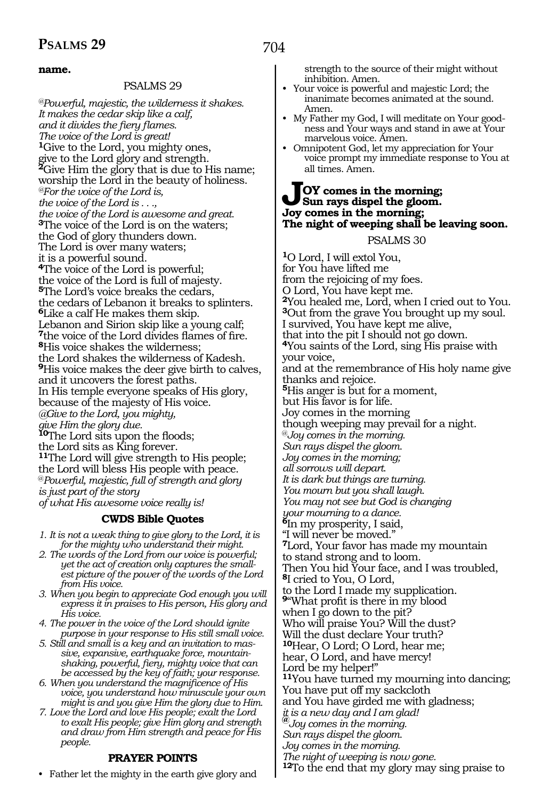#### **name.**

#### PSALMS 29

*@Powerful, majestic, the wilderness it shakes. It makes the cedar skip like a calf, and it divides the fiery flames. The voice of the Lord is great!* **<sup>1</sup>**Give to the Lord, you mighty ones, give to the Lord glory and strength. **<sup>2</sup>**Give Him the glory that is due to His name; worship the Lord in the beauty of holiness. *@For the voice of the Lord is, the voice of the Lord is . . ., the voice of the Lord is awesome and great.*  **<sup>3</sup>**The voice of the Lord is on the waters; the God of glory thunders down. The Lord is over many waters; it is a powerful sound. **<sup>4</sup>**The voice of the Lord is powerful; the voice of the Lord is full of majesty. **<sup>5</sup>**The Lord's voice breaks the cedars, the cedars of Lebanon it breaks to splinters. **<sup>6</sup>**Like a calf He makes them skip. Lebanon and Sirion skip like a young calf; **<sup>7</sup>**the voice of the Lord divides flames of fire. **<sup>8</sup>**His voice shakes the wilderness; the Lord shakes the wilderness of Kadesh. **<sup>9</sup>**His voice makes the deer give birth to calves, and it uncovers the forest paths. In His temple everyone speaks of His glory, because of the majesty of His voice. *@Give to the Lord, you mighty, give Him the glory due.*  **<sup>10</sup>**The Lord sits upon the floods; the Lord sits as King forever. **<sup>11</sup>**The Lord will give strength to His people; the Lord will bless His people with peace. @*Powerful, majestic, full of strength and glory is just part of the story of what His awesome voice really is!*

#### **CWDS Bible Quotes**

- *1. It is not a weak thing to give glory to the Lord, it is for the mighty who understand their might.*
- *2. The words of the Lord from our voice is powerful; yet the act of creation only captures the smallest picture of the power of the words of the Lord from His voice.*
- *3. When you begin to appreciate God enough you will express it in praises to His person, His glory and His voice.*
- *4. The power in the voice of the Lord should ignite purpose in your response to His still small voice.*
- *5. Still and small is a key and an invitation to massive, expansive, earthquake force, mountainshaking, powerful, fiery, mighty voice that can be accessed by the key of faith; your response.*
- *6. When you understand the magnificence of His voice, you understand how minuscule your own might is and you give Him the glory due to Him.*
- *7. Love the Lord and love His people; exalt the Lord to exalt His people; give Him glory and strength and draw from Him strength and peace for His people.*

#### **PRAYER POINTS**

• Father let the mighty in the earth give glory and

strength to the source of their might without inhibition. Amen.

- Your voice is powerful and majestic Lord; the inanimate becomes animated at the sound. Amen.
- My Father my God, I will meditate on Your goodness and Your ways and stand in awe at Your marvelous voice. Amen.
- Omnipotent God, let my appreciation for Your voice prompt my immediate response to You at all times. Amen.

#### **JOY comes in the morning; Sun rays dispel the gloom. Joy comes in the morning; The night of weeping shall be leaving soon.**

#### PSALMS 30

**<sup>1</sup>**O Lord, I will extol You, for You have lifted me from the rejoicing of my foes. O Lord, You have kept me. **<sup>2</sup>**You healed me, Lord, when I cried out to You. **<sup>3</sup>**Out from the grave You brought up my soul. I survived, You have kept me alive, that into the pit I should not go down. **<sup>4</sup>**You saints of the Lord, sing His praise with your voice, and at the remembrance of His holy name give thanks and rejoice. **<sup>5</sup>**His anger is but for a moment, but His favor is for life. Joy comes in the morning though weeping may prevail for a night. @*Joy comes in the morning. Sun rays dispel the gloom. Joy comes in the morning; all sorrows will depart*. *It is dark but things are turning. You mourn but you shall laugh. You may not see but God is changing your mourning to a dance.*  **<sup>6</sup>**In my prosperity, I said, "I will never be moved." **<sup>7</sup>**Lord, Your favor has made my mountain to stand strong and to loom*.* Then You hid Your face, and I was troubled, **<sup>8</sup>**I cried to You, O Lord, to the Lord I made my supplication. **<sup>9</sup>**"What profit is there in my blood when I go down to the pit? Who will praise You? Will the dust? Will the dust declare Your truth? **<sup>10</sup>**Hear, O Lord; O Lord, hear me; hear, O Lord, and have mercy! Lord be my helper!" **<sup>11</sup>**You have turned my mourning into dancing; You have put off my sackcloth and You have girded me with gladness; *it is a new day and I am glad!*  **@***Joy comes in the morning. Sun rays dispel the gloom. Joy comes in the morning. The night of weeping is now gone.*  **<sup>12</sup>**To the end that my glory may sing praise to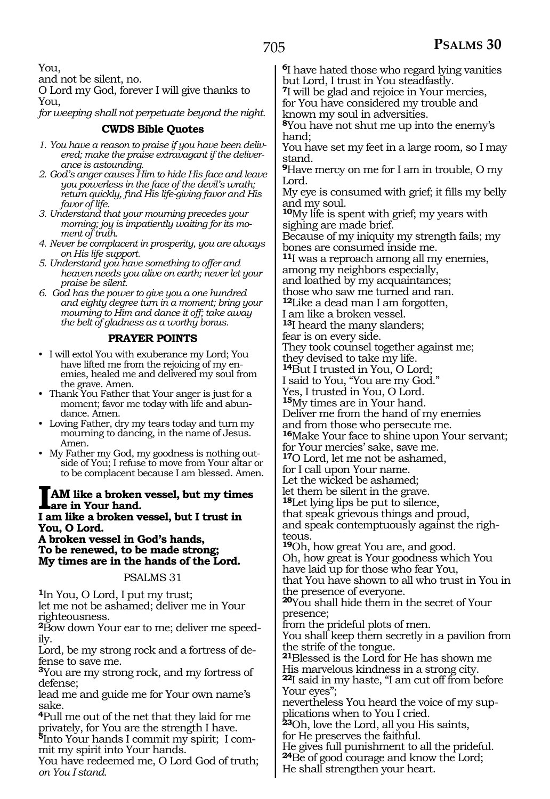You,

and not be silent, no.

O Lord my God, forever I will give thanks to You,

*for weeping shall not perpetuate beyond the night.* 

#### **CWDS Bible Quotes**

- *1. You have a reason to praise if you have been delivered; make the praise extravagant if the deliver-*
- *ance is astounding. 2. God's anger causes Him to hide His face and leave you powerless in the face of the devil's wrath; return quickly, find His life-giving favor and His favor of life.*
- *3. Understand that your mourning precedes your morning; joy is impatiently waiting for its moment of truth.*
- *4. Never be complacent in prosperity, you are always on His life support.*
- *5. Understand you have something to offer and heaven needs you alive on earth; never let your praise be silent.*
- *6. God has the power to give you a one hundred and eighty degree turn in a moment; bring your mourning to Him and dance it off; take away the belt of gladness as a worthy bonus.*

#### **PRAYER POINTS**

- I will extol You with exuberance my Lord; You have lifted me from the rejoicing of my enemies, healed me and delivered my soul from the grave. Amen.
- Thank You Father that Your anger is just for a moment; favor me today with life and abundance. Amen.
- Loving Father, dry my tears today and turn my mourning to dancing, in the name of Jesus. Amen.
- My Father my God, my goodness is nothing outside of You; I refuse to move from Your altar or to be complacent because I am blessed. Amen.

#### **IAM like a broken vessel, but my times are in Your hand.**

**I am like a broken vessel, but I trust in You, O Lord.**

**A broken vessel in God's hands, To be renewed, to be made strong; My times are in the hands of the Lord.**

#### PSALMS 31

**<sup>1</sup>**In You, O Lord, I put my trust; let me not be ashamed; deliver me in Your righteousness.

**2**Bow down Your ear to me; deliver me speedily.

Lord, be my strong rock and a fortress of defense to save me.

**<sup>3</sup>**You are my strong rock, and my fortress of defense;

lead me and guide me for Your own name's sake.

**<sup>4</sup>**Pull me out of the net that they laid for me privately, for You are the strength I have.

**<sup>5</sup>**Into Your hands I commit my spirit; I com- mit my spirit into Your hands.

You have redeemed me, O Lord God of truth; *on You I stand.*

**<sup>6</sup>**I have hated those who regard lying vanities but Lord, I trust in You steadfastly.

**<sup>7</sup>**I will be glad and rejoice in Your mercies, for You have considered my trouble and known my soul in adversities.

**<sup>8</sup>**You have not shut me up into the enemy's hand;

You have set my feet in a large room, so I may stand.

**<sup>9</sup>**Have mercy on me for I am in trouble, O my Lord.

My eye is consumed with grief; it fills my belly and my soul.

**<sup>10</sup>**My life is spent with grief; my years with sighing are made brief.

Because of my iniquity my strength fails; my bones are consumed inside me.

**<sup>11</sup>**I was a reproach among all my enemies, among my neighbors especially,

and loathed by my acquaintances;

those who saw me turned and ran.

**<sup>12</sup>**Like a dead man I am forgotten,

I am like a broken vessel.

**<sup>13</sup>**I heard the many slanders;

fear is on every side.

They took counsel together against me; they devised to take my life.

**<sup>14</sup>**But I trusted in You, O Lord;

I said to You, "You are my God."

Yes, I trusted in You, O Lord.

**<sup>15</sup>**My times are in Your hand.

Deliver me from the hand of my enemies

and from those who persecute me.

**<sup>16</sup>**Make Your face to shine upon Your servant; for Your mercies' sake, save me.

**<sup>17</sup>**O Lord, let me not be ashamed,

for I call upon Your name.

Let the wicked be ashamed;

let them be silent in the grave.

**<sup>18</sup>**Let lying lips be put to silence,

that speak grievous things and proud, and speak contemptuously against the righteous.

**<sup>19</sup>**Oh, how great You are, and good. Oh, how great is Your goodness which You have laid up for those who fear You, that You have shown to all who trust in You in

the presence of everyone.

**<sup>20</sup>**You shall hide them in the secret of Your presence;

from the prideful plots of men.

You shall keep them secretly in a pavilion from the strife of the tongue.

**<sup>21</sup>**Blessed is the Lord for He has shown me His marvelous kindness in a strong city.

**<sup>22</sup>**I said in my haste, "I am cut off from before Your eyes";

nevertheless You heard the voice of my supplications when to You I cried.

**<sup>23</sup>**Oh, love the Lord, all you His saints,

for He preserves the faithful.

He gives full punishment to all the prideful.

**<sup>24</sup>**Be of good courage and know the Lord; He shall strengthen your heart.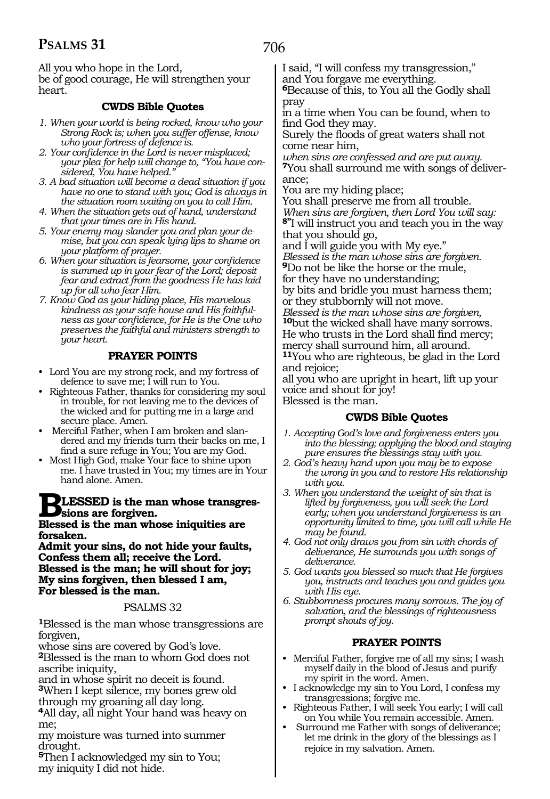706

All you who hope in the Lord, be of good courage, He will strengthen your heart.

#### **CWDS Bible Quotes**

- *1. When your world is being rocked, know who your Strong Rock is; when you suffer offense, know who your fortress of defence is.*
- *2. Your confidence in the Lord is never misplaced; your plea for help will change to, "You have considered, You have helped."*
- *3. A bad situation will become a dead situation if you have no one to stand with you; God is always in the situation room waiting on you to call Him.*
- *4. When the situation gets out of hand, understand that your times are in His hand.*
- *5. Your enemy may slander you and plan your demise, but you can speak lying lips to shame on your platform of prayer.*
- *6. When your situation is fearsome, your confidence is summed up in your fear of the Lord; deposit fear and extract from the goodness He has laid up for all who fear Him.*
- *7. Know God as your hiding place, His marvelous kindness as your safe house and His faithfulness as your confidence, for He is the One who preserves the faithful and ministers strength to your heart.*

#### **PRAYER POINTS**

- Lord You are my strong rock, and my fortress of defence to save me; I will run to You.
- Righteous Father, thanks for considering my soul in trouble, for not leaving me to the devices of the wicked and for putting me in a large and secure place. Amen.
- Merciful Father, when I am broken and slandered and my friends turn their backs on me, I find a sure refuge in You; You are my God.
- Most High God, make Your face to shine upon me. I have trusted in You; my times are in Your hand alone. Amen.

# **BLESSED is the man whose transgres- sions are forgiven.**

#### **Blessed is the man whose iniquities are forsaken.**

**Admit your sins, do not hide your faults, Confess them all; receive the Lord. Blessed is the man; he will shout for joy; My sins forgiven, then blessed I am, For blessed is the man.**

#### PSALMS 32

**<sup>1</sup>**Blessed is the man whose transgressions are forgiven,

whose sins are covered by God's love. **<sup>2</sup>**Blessed is the man to whom God does not ascribe iniquity,

and in whose spirit no deceit is found. **<sup>3</sup>**When I kept silence, my bones grew old

through my groaning all day long.

**<sup>4</sup>**All day, all night Your hand was heavy on me;

my moisture was turned into summer drought.

**<sup>5</sup>**Then I acknowledged my sin to You; my iniquity I did not hide.

I said, "I will confess my transgression," and You forgave me everything.

**<sup>6</sup>**Because of this, to You all the Godly shall pray

in a time when You can be found, when to find God they may.

Surely the floods of great waters shall not come near him,

*when sins are confessed and are put away.* 

**<sup>7</sup>**You shall surround me with songs of deliver- ance;

You are my hiding place;

You shall preserve me from all trouble.

*When sins are forgiven, then Lord You will say:*  **8"**I will instruct you and teach you in the way that you should go,

and I will guide you with My eye."

*Blessed is the man whose sins are forgiven.*  **<sup>9</sup>**Do not be like the horse or the mule,

for they have no understanding;

by bits and bridle you must harness them; or they stubbornly will not move.

*Blessed is the man whose sins are forgiven,*  **<sup>10</sup>**but the wicked shall have many sorrows. He who trusts in the Lord shall find mercy; mercy shall surround him, all around.

**<sup>11</sup>**You who are righteous, be glad in the Lord and rejoice;

all you who are upright in heart, lift up your voice and shout for joy! Blessed is the man.

#### **CWDS Bible Quotes**

- *1. Accepting God's love and forgiveness enters you into the blessing; applying the blood and staying pure ensures the blessings stay with you.*
- *2. God's heavy hand upon you may be to expose the wrong in you and to restore His relationship with you.*
- *3. When you understand the weight of sin that is lifted by forgiveness, you will seek the Lord early; when you understand forgiveness is an opportunity limited to time, you will call while He may be found.*
- *4. God not only draws you from sin with chords of deliverance, He surrounds you with songs of deliverance.*
- *5. God wants you blessed so much that He forgives you, instructs and teaches you and guides you with His eye.*

*6. Stubbornness procures many sorrows. The joy of salvation, and the blessings of righteousness prompt shouts of joy.*

#### **PRAYER POINTS**

- Merciful Father, forgive me of all my sins; I wash myself daily in the blood of Jesus and purify my spirit in the word. Amen.
- I acknowledge my sin to You Lord, I confess my transgressions; forgive me.
- Righteous Father, I will seek You early; I will call on You while You remain accessible. Amen.
- Surround me Father with songs of deliverance; let me drink in the glory of the blessings as I rejoice in my salvation. Amen.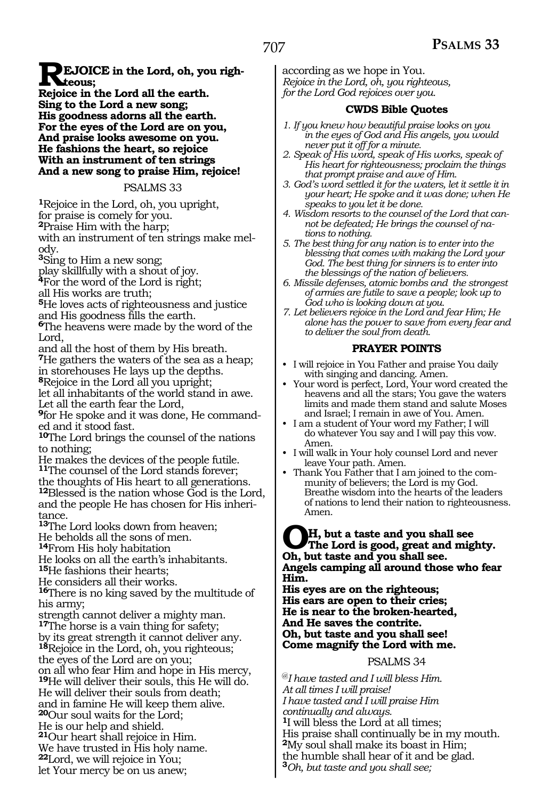**PEJOICE** in the Lord, oh, you righ**teous;**

**Rejoice in the Lord all the earth. Sing to the Lord a new song; His goodness adorns all the earth. For the eyes of the Lord are on you, And praise looks awesome on you. He fashions the heart, so rejoice With an instrument of ten strings And a new song to praise Him, rejoice!** 

#### PSALMS 33

**<sup>1</sup>**Rejoice in the Lord, oh, you upright,

for praise is comely for you.

**<sup>2</sup>**Praise Him with the harp;

with an instrument of ten strings make melody.

**<sup>3</sup>**Sing to Him a new song;

play skillfully with a shout of joy.

**<sup>4</sup>**For the word of the Lord is right;

all His works are truth;

**<sup>5</sup>**He loves acts of righteousness and justice and His goodness fills the earth.

**<sup>6</sup>**The heavens were made by the word of the Lord,

and all the host of them by His breath. **<sup>7</sup>**He gathers the waters of the sea as a heap; in storehouses He lays up the depths. **<sup>8</sup>**Rejoice in the Lord all you upright;

let all inhabitants of the world stand in awe. Let all the earth fear the Lord,

**9**for He spoke and it was done, He commanded and it stood fast.

**<sup>10</sup>**The Lord brings the counsel of the nations to nothing;

He makes the devices of the people futile. **<sup>11</sup>**The counsel of the Lord stands forever; the thoughts of His heart to all generations. **<sup>12</sup>**Blessed is the nation whose God is the Lord, and the people He has chosen for His inheritance.

**<sup>13</sup>**The Lord looks down from heaven; He beholds all the sons of men.

**<sup>14</sup>**From His holy habitation

He looks on all the earth's inhabitants. **<sup>15</sup>**He fashions their hearts;

He considers all their works.

**<sup>16</sup>**There is no king saved by the multitude of his army;

strength cannot deliver a mighty man. **<sup>17</sup>**The horse is a vain thing for safety; by its great strength it cannot deliver any. **<sup>18</sup>**Rejoice in the Lord, oh, you righteous; the eyes of the Lord are on you; on all who fear Him and hope in His mercy, **<sup>19</sup>**He will deliver their souls, this He will do. He will deliver their souls from death; and in famine He will keep them alive. **<sup>20</sup>**Our soul waits for the Lord; He is our help and shield. **<sup>21</sup>**Our heart shall rejoice in Him. We have trusted in His holy name. **<sup>22</sup>**Lord, we will rejoice in You; let Your mercy be on us anew;

according as we hope in You. *Rejoice in the Lord, oh, you righteous, for the Lord God rejoices over you.*

#### **CWDS Bible Quotes**

- *1. If you knew how beautiful praise looks on you in the eyes of God and His angels, you would never put it off for a minute.*
- *2. Speak of His word, speak of His works, speak of His heart for righteousness; proclaim the things that prompt praise and awe of Him.*
- *3. God's word settled it for the waters, let it settle it in your heart; He spoke and it was done; when He speaks to you let it be done.*
- *4. Wisdom resorts to the counsel of the Lord that cannot be defeated; He brings the counsel of nations to nothing.*
- *5. The best thing for any nation is to enter into the blessing that comes with making the Lord your God. The best thing for sinners is to enter into the blessings of the nation of believers.*
- *6. Missile defenses, atomic bombs and the strongest of armies are futile to save a people; look up to God who is looking down at you.*
- *7. Let believers rejoice in the Lord and fear Him; He alone has the power to save from every fear and to deliver the soul from death.*

#### **PRAYER POINTS**

- I will rejoice in You Father and praise You daily with singing and dancing. Amen.
- Your word is perfect, Lord, Your word created the heavens and all the stars; You gave the waters limits and made them stand and salute Moses and Israel; I remain in awe of You. Amen.
- I am a student of Your word my Father; I will do whatever You say and I will pay this vow. Amen.
- I will walk in Your holy counsel Lord and never leave Your path. Amen.
- Thank You Father that I am joined to the community of believers; the Lord is my God. Breathe wisdom into the hearts of the leaders of nations to lend their nation to righteousness. Amen.

## **OH, but a taste and you shall see The Lord is good, great and mighty. Oh, but taste and you shall see. Angels camping all around those who fear Him.**

**His eyes are on the righteous; His ears are open to their cries; He is near to the broken-hearted, And He saves the contrite. Oh, but taste and you shall see! Come magnify the Lord with me.**

#### PSALMS 34

@*I have tasted and I will bless Him. At all times I will praise! I have tasted and I will praise Him continually and always.* **<sup>1</sup>**I will bless the Lord at all times; His praise shall continually be in my mouth. **<sup>2</sup>**My soul shall make its boast in Him; the humble shall hear of it and be glad. **<sup>3</sup>***Oh, but taste and you shall see;*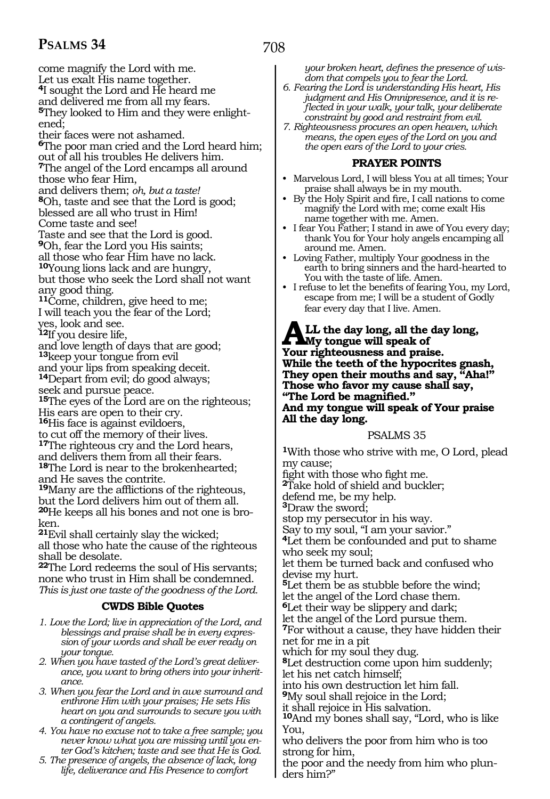708

come magnify the Lord with me. Let us exalt His name together. **<sup>4</sup>**I sought the Lord and He heard me and delivered me from all my fears. **5**They looked to Him and they were enlightened; their faces were not ashamed. **<sup>6</sup>**The poor man cried and the Lord heard him; out of all his troubles He delivers him. **<sup>7</sup>**The angel of the Lord encamps all around those who fear Him, and delivers them; *oh, but a taste!* **<sup>8</sup>**Oh, taste and see that the Lord is good; blessed are all who trust in Him! Come taste and see! Taste and see that the Lord is good. **<sup>9</sup>**Oh, fear the Lord you His saints; all those who fear Him have no lack. **<sup>10</sup>**Young lions lack and are hungry, but those who seek the Lord shall not want any good thing. **<sup>11</sup>**Come, children, give heed to me; I will teach you the fear of the Lord; yes, look and see. **<sup>12</sup>**If you desire life, and love length of days that are good; **<sup>13</sup>**keep your tongue from evil and your lips from speaking deceit. **<sup>14</sup>**Depart from evil; do good always; seek and pursue peace. **<sup>15</sup>**The eyes of the Lord are on the righteous; His ears are open to their cry. **<sup>16</sup>**His face is against evildoers, to cut off the memory of their lives. **<sup>17</sup>**The righteous cry and the Lord hears, and delivers them from all their fears.

**<sup>18</sup>**The Lord is near to the brokenhearted; and He saves the contrite. **<sup>19</sup>**Many are the afflictions of the righteous, but the Lord delivers him out of them all. **20**He keeps all his bones and not one is bro-

ken. **<sup>21</sup>**Evil shall certainly slay the wicked; all those who hate the cause of the righteous shall be desolate.

**<sup>22</sup>**The Lord redeems the soul of His servants; none who trust in Him shall be condemned. *This is just one taste of the goodness of the Lord.* 

#### **CWDS Bible Quotes**

- *1. Love the Lord; live in appreciation of the Lord, and blessings and praise shall be in every expression of your words and shall be ever ready on your tongue.*
- *2. When you have tasted of the Lord's great deliverance, you want to bring others into your inheritance.*
- *3. When you fear the Lord and in awe surround and enthrone Him with your praises; He sets His heart on you and surrounds to secure you with a contingent of angels.*
- *4. You have no excuse not to take a free sample; you never know what you are missing until you enter God's kitchen; taste and see that He is God.*
- *5. The presence of angels, the absence of lack, long life, deliverance and His Presence to comfort*

*your broken heart, defines the presence of wisdom that compels you to fear the Lord.*

- *6. Fearing the Lord is understanding His heart, His judgment and His Omnipresence, and it is reflected in your walk, your talk, your deliberate constraint by good and restraint from evil.*
- *7. Righteousness procures an open heaven, which means, the open eyes of the Lord on you and the open ears of the Lord to your cries.*

#### **PRAYER POINTS**

- Marvelous Lord, I will bless You at all times; Your praise shall always be in my mouth.
- By the Holy Spirit and fire, I call nations to come magnify the Lord with me; come exalt His name together with me. Amen.
- I fear You Father; I stand in awe of You every day; thank You for Your holy angels encamping all around me. Amen.
- Loving Father, multiply Your goodness in the earth to bring sinners and the hard-hearted to You with the taste of life. Amen.
- I refuse to let the benefits of fearing You, my Lord, escape from me; I will be a student of Godly fear every day that I live. Amen.

**ALL the day long, all the day long, My tongue will speak of Your righteousness and praise. While the teeth of the hypocrites gnash, They open their mouths and say, "Aha!" Those who favor my cause shall say, "The Lord be magnified." And my tongue will speak of Your praise All the day long.** 

#### PSALMS 35

**<sup>1</sup>**With those who strive with me, O Lord, plead my cause;

fight with those who fight me.

**<sup>2</sup>**Take hold of shield and buckler;

defend me, be my help.

**<sup>3</sup>**Draw the sword;

stop my persecutor in his way.

Say to my soul, "I am your savior."

**<sup>4</sup>**Let them be confounded and put to shame who seek my soul;

let them be turned back and confused who devise my hurt.

**<sup>5</sup>**Let them be as stubble before the wind; let the angel of the Lord chase them.

**<sup>6</sup>**Let their way be slippery and dark;

let the angel of the Lord pursue them. **<sup>7</sup>**For without a cause, they have hidden their

net for me in a pit which for my soul they dug.

**<sup>8</sup>**Let destruction come upon him suddenly; let his net catch himself;

into his own destruction let him fall.

**<sup>9</sup>**My soul shall rejoice in the Lord;

it shall rejoice in His salvation.

**<sup>10</sup>**And my bones shall say, "Lord, who is like You,

who delivers the poor from him who is too strong for him,

the poor and the needy from him who plunders him?"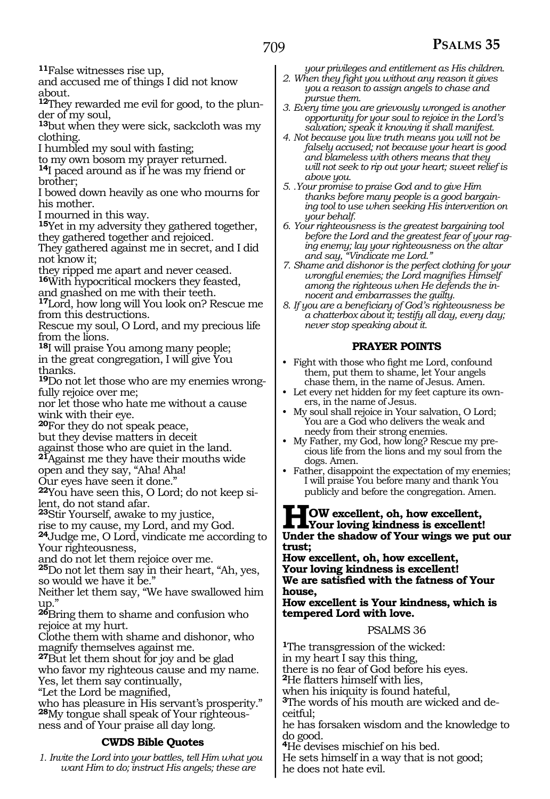**<sup>11</sup>**False witnesses rise up,

and accused me of things I did not know about.

**12**They rewarded me evil for good, to the plunder of my soul,

**<sup>13</sup>**but when they were sick, sackcloth was my clothing.

I humbled my soul with fasting;

to my own bosom my prayer returned.

**<sup>14</sup>**I paced around as if he was my friend or brother;

I bowed down heavily as one who mourns for his mother.

I mourned in this way.

**<sup>15</sup>**Yet in my adversity they gathered together, they gathered together and rejoiced.

They gathered against me in secret, and I did not know it;

they ripped me apart and never ceased. **<sup>16</sup>**With hypocritical mockers they feasted,

and gnashed on me with their teeth.

**<sup>17</sup>**Lord, how long will You look on? Rescue me from this destructions.

Rescue my soul, O Lord, and my precious life from the lions.

**<sup>18</sup>**I will praise You among many people; in the great congregation, I will give You thanks.

**19**Do not let those who are my enemies wrongfully rejoice over me;

nor let those who hate me without a cause wink with their eye.

**<sup>20</sup>**For they do not speak peace,

but they devise matters in deceit

against those who are quiet in the land. **<sup>21</sup>**Against me they have their mouths wide

open and they say, "Aha! Aha!

Our eyes have seen it done."

**22**You have seen this, O Lord; do not keep silent, do not stand afar.

**<sup>23</sup>**Stir Yourself, awake to my justice,

rise to my cause, my Lord, and my God.

**<sup>24</sup>**Judge me, O Lord, vindicate me according to Your righteousness,

and do not let them rejoice over me.

**<sup>25</sup>**Do not let them say in their heart, "Ah, yes, so would we have it be."

Neither let them say, "We have swallowed him up."

**<sup>26</sup>**Bring them to shame and confusion who rejoice at my hurt.

Clothe them with shame and dishonor, who magnify themselves against me.

**<sup>27</sup>**But let them shout for joy and be glad who favor my righteous cause and my name. Yes, let them say continually,

"Let the Lord be magnified,

who has pleasure in His servant's prosperity." **28**My tongue shall speak of Your righteousness and of Your praise all day long.

#### **CWDS Bible Quotes**

*1. Invite the Lord into your battles, tell Him what you want Him to do; instruct His angels; these are* 

*your privileges and entitlement as His children.*

*2. When they fight you without any reason it gives you a reason to assign angels to chase and pursue them.*

*3. Every time you are grievously wronged is another opportunity for your soul to rejoice in the Lord's salvation; speak it knowing it shall manifest.*

*4. Not because you live truth means you will not be falsely accused; not because your heart is good and blameless with others means that they will not seek to rip out your heart; sweet relief is above you.*

*5. .Your promise to praise God and to give Him thanks before many people is a good bargaining tool to use when seeking His intervention on your behalf.*

*6. Your righteousness is the greatest bargaining tool before the Lord and the greatest fear of your raging enemy; lay your righteousness on the altar and say, "Vindicate me Lord."*

*7. Shame and dishonor is the perfect clothing for your wrongful enemies; the Lord magnifies Himself among the righteous when He defends the innocent and embarrasses the guilty.*

*8. If you are a beneficiary of God's righteousness be a chatterbox about it; testify all day, every day; never stop speaking about it.* 

#### **PRAYER POINTS**

• Fight with those who fight me Lord, confound them, put them to shame, let Your angels chase them, in the name of Jesus. Amen.

• Let every net hidden for my feet capture its owners, in the name of Jesus.

• My soul shall rejoice in Your salvation, O Lord; You are a God who delivers the weak and needy from their strong enemies.

• My Father, my God, how long? Rescue my precious life from the lions and my soul from the dogs. Amen.

• Father, disappoint the expectation of my enemies; I will praise You before many and thank You publicly and before the congregation. Amen.

## **HOW excellent, oh, how excellent, Your loving kindness is excellent! Under the shadow of Your wings we put our trust;**

**How excellent, oh, how excellent, Your loving kindness is excellent! We are satisfied with the fatness of Your house,**

**How excellent is Your kindness, which is tempered Lord with love.**

PSALMS 36

**<sup>1</sup>**The transgression of the wicked: in my heart I say this thing, there is no fear of God before his eyes. **<sup>2</sup>**He flatters himself with lies, when his iniquity is found hateful, **<sup>3</sup>**The words of his mouth are wicked and de- ceitful; he has forsaken wisdom and the knowledge to do good. **<sup>4</sup>**He devises mischief on his bed.

He sets himself in a way that is not good; he does not hate evil.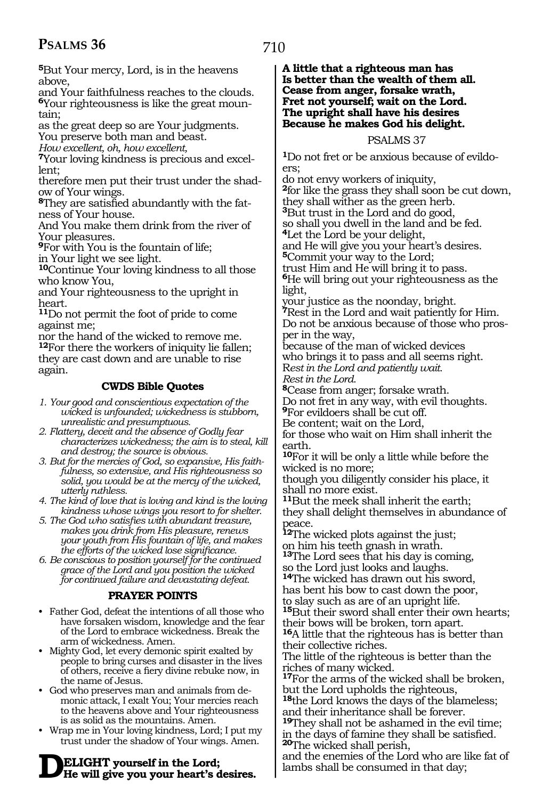710

**<sup>5</sup>**But Your mercy, Lord, is in the heavens above,

and Your faithfulness reaches to the clouds. **6**Your righteousness is like the great mountain;

as the great deep so are Your judgments.

You preserve both man and beast.

*How excellent, oh, how excellent,* 

**7**Your loving kindness is precious and excellent;

therefore men put their trust under the shadow of Your wings.

**8**They are satisfied abundantly with the fatness of Your house.

And You make them drink from the river of Your pleasures.

**<sup>9</sup>**For with You is the fountain of life;

in Your light we see light.

**<sup>10</sup>**Continue Your loving kindness to all those who know You,

and Your righteousness to the upright in heart.

**<sup>11</sup>**Do not permit the foot of pride to come against me;

nor the hand of the wicked to remove me. **<sup>12</sup>**For there the workers of iniquity lie fallen; they are cast down and are unable to rise again.

#### **CWDS Bible Quotes**

*1. Your good and conscientious expectation of the wicked is unfounded; wickedness is stubborn, unrealistic and presumptuous.* 

- *2. Flattery, deceit and the absence of Godly fear characterizes wickedness; the aim is to steal, kill and destroy; the source is obvious.*
- *3. But for the mercies of God, so expansive, His faithfulness, so extensive, and His righteousness so solid, you would be at the mercy of the wicked, utterly ruthless.*

*4. The kind of love that is loving and kind is the loving kindness whose wings you resort to for shelter.* 

*5. The God who satisfies with abundant treasure, makes you drink from His pleasure, renews your youth from His fountain of life, and makes the efforts of the wicked lose significance.*

*6. Be conscious to position yourself for the continued grace of the Lord and you position the wicked for continued failure and devastating defeat.*

#### **PRAYER POINTS**

- Father God, defeat the intentions of all those who have forsaken wisdom, knowledge and the fear of the Lord to embrace wickedness. Break the arm of wickedness. Amen.
- Mighty God, let every demonic spirit exalted by people to bring curses and disaster in the lives of others, receive a fiery divine rebuke now, in the name of Jesus.
- God who preserves man and animals from demonic attack, I exalt You; Your mercies reach to the heavens above and Your righteousness is as solid as the mountains. Amen.
- Wrap me in Your loving kindness, Lord; I put my trust under the shadow of Your wings. Amen.

# **DELIGHT yourself in the Lord; He will give you your heart's desires.**

#### **A little that a righteous man has Is better than the wealth of them all. Cease from anger, forsake wrath, Fret not yourself; wait on the Lord. The upright shall have his desires Because he makes God his delight.**

#### PSALMS 37

**1**Do not fret or be anxious because of evildoers;

do not envy workers of iniquity,

**<sup>2</sup>**for like the grass they shall soon be cut down, they shall wither as the green herb.

**<sup>3</sup>**But trust in the Lord and do good,

so shall you dwell in the land and be fed.

**<sup>4</sup>**Let the Lord be your delight,

and He will give you your heart's desires. **<sup>5</sup>**Commit your way to the Lord;

trust Him and He will bring it to pass.

**<sup>6</sup>**He will bring out your righteousness as the light,

your justice as the noonday, bright. **<sup>7</sup>**Rest in the Lord and wait patiently for Him. Do not be anxious because of those who prosper in the way,

because of the man of wicked devices who brings it to pass and all seems right. R*est in the Lord and patiently wait.* 

*Rest in the Lord.*  **<sup>8</sup>**Cease from anger; forsake wrath.

Do not fret in any way, with evil thoughts. **<sup>9</sup>**For evildoers shall be cut off.

Be content; wait on the Lord,

for those who wait on Him shall inherit the earth.

**<sup>10</sup>**For it will be only a little while before the wicked is no more;

though you diligently consider his place, it shall no more exist.

**<sup>11</sup>**But the meek shall inherit the earth; they shall delight themselves in abundance of peace.

**<sup>12</sup>**The wicked plots against the just; on him his teeth gnash in wrath.

**<sup>13</sup>**The Lord sees that his day is coming, so the Lord just looks and laughs.

**<sup>14</sup>**The wicked has drawn out his sword, has bent his bow to cast down the poor,

to slay such as are of an upright life.

**<sup>15</sup>**But their sword shall enter their own hearts; their bows will be broken, torn apart.

**<sup>16</sup>**A little that the righteous has is better than their collective riches.

The little of the righteous is better than the riches of many wicked.

**<sup>17</sup>**For the arms of the wicked shall be broken, but the Lord upholds the righteous,

**<sup>18</sup>**the Lord knows the days of the blameless; and their inheritance shall be forever.

**<sup>19</sup>**They shall not be ashamed in the evil time; in the days of famine they shall be satisfied. **<sup>20</sup>**The wicked shall perish,

and the enemies of the Lord who are like fat of lambs shall be consumed in that day;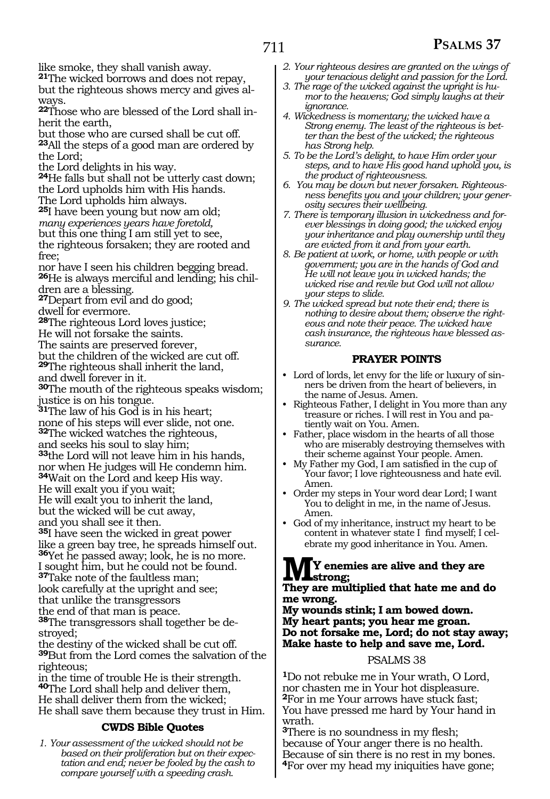like smoke, they shall vanish away. **<sup>21</sup>**The wicked borrows and does not repay,

but the righteous shows mercy and gives always.

**22**Those who are blessed of the Lord shall inherit the earth,

but those who are cursed shall be cut off. **<sup>23</sup>**All the steps of a good man are ordered by the Lord;

the Lord delights in his way.

**<sup>24</sup>**He falls but shall not be utterly cast down; the Lord upholds him with His hands. The Lord upholds him always.

**<sup>25</sup>**I have been young but now am old; *many experiences years have foretold,*  but this one thing I am still yet to see, the righteous forsaken; they are rooted and free;

nor have I seen his children begging bread. **26**He is always merciful and lending; his children are a blessing.

**<sup>27</sup>**Depart from evil and do good;

dwell for evermore.

**<sup>28</sup>**The righteous Lord loves justice;

He will not forsake the saints.

The saints are preserved forever,

but the children of the wicked are cut off.

**<sup>29</sup>**The righteous shall inherit the land,

and dwell forever in it.

**<sup>30</sup>**The mouth of the righteous speaks wisdom; justice is on his tongue.

**<sup>31</sup>**The law of his God is in his heart;

none of his steps will ever slide, not one. **<sup>32</sup>**The wicked watches the righteous,

and seeks his soul to slay him;

**<sup>33</sup>**the Lord will not leave him in his hands, nor when He judges will He condemn him.

**<sup>34</sup>**Wait on the Lord and keep His way.

He will exalt you if you wait;

He will exalt you to inherit the land,

but the wicked will be cut away,

and you shall see it then.

**<sup>35</sup>**I have seen the wicked in great power like a green bay tree, he spreads himself out. **<sup>36</sup>**Yet he passed away; look, he is no more.

I sought him, but he could not be found.

**<sup>37</sup>**Take note of the faultless man; look carefully at the upright and see;

that unlike the transgressors

the end of that man is peace.

**38**The transgressors shall together be destroyed;

the destiny of the wicked shall be cut off. **<sup>39</sup>**But from the Lord comes the salvation of the righteous;

in the time of trouble He is their strength. **<sup>40</sup>**The Lord shall help and deliver them, He shall deliver them from the wicked; He shall save them because they trust in Him.

#### **CWDS Bible Quotes**

*1. Your assessment of the wicked should not be based on their proliferation but on their expectation and end; never be fooled by the cash to compare yourself with a speeding crash.*

- *2. Your righteous desires are granted on the wings of your tenacious delight and passion for the Lord.*
- *3. The rage of the wicked against the upright is humor to the heavens; God simply laughs at their ignorance.*
- *4. Wickedness is momentary; the wicked have a Strong enemy. The least of the righteous is better than the best of the wicked; the righteous has Strong help.*
- *5. To be the Lord's delight, to have Him order your steps, and to have His good hand uphold you, is the product of righteousness.*
- *6. You may be down but never forsaken. Righteousness benefits you and your children; your generosity secures their wellbeing.*

*7. There is temporary illusion in wickedness and forever blessings in doing good; the wicked enjoy your inheritance and play ownership until they are evicted from it and from your earth.*

- *8. Be patient at work, or home, with people or with government; you are in the hands of God and He will not leave you in wicked hands; the wicked rise and revile but God will not allow your steps to slide.*
- *9. The wicked spread but note their end; there is nothing to desire about them; observe the righteous and note their peace. The wicked have cash insurance, the righteous have blessed assurance.*

#### **PRAYER POINTS**

- Lord of lords, let envy for the life or luxury of sinners be driven from the heart of believers, in the name of Jesus. Amen.
- Righteous Father, I delight in You more than any treasure or riches. I will rest in You and patiently wait on You. Amen.
- Father, place wisdom in the hearts of all those who are miserably destroying themselves with their scheme against Your people. Amen.
- My Father my God, I am satisfied in the cup of Your favor; I love righteousness and hate evil. Amen.
- Order my steps in Your word dear Lord; I want You to delight in me, in the name of Jesus. Amen.
- God of my inheritance, instruct my heart to be content in whatever state I find myself; I celebrate my good inheritance in You. Amen.

#### **MY enemies are alive and they are strong;**

#### **They are multiplied that hate me and do me wrong.**

**My wounds stink; I am bowed down. My heart pants; you hear me groan. Do not forsake me, Lord; do not stay away; Make haste to help and save me, Lord.**

#### PSALMS 38

**<sup>1</sup>**Do not rebuke me in Your wrath, O Lord, nor chasten me in Your hot displeasure. **<sup>2</sup>**For in me Your arrows have stuck fast; You have pressed me hard by Your hand in wrath.

**<sup>3</sup>**There is no soundness in my flesh; because of Your anger there is no health. Because of sin there is no rest in my bones. **<sup>4</sup>**For over my head my iniquities have gone;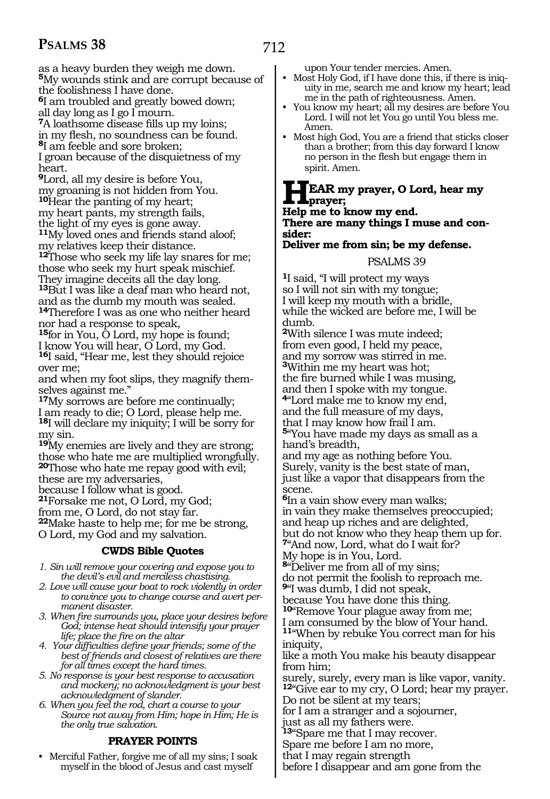as a heavy burden they weigh me down. **<sup>5</sup>**My wounds stink and are corrupt because of the foolishness I have done.

**<sup>6</sup>**I am troubled and greatly bowed down; all day long as I go I mourn.

**<sup>7</sup>**A loathsome disease fills up my loins;

in my flesh, no soundness can be found. **<sup>8</sup>**I am feeble and sore broken;

I groan because of the disquietness of my heart.

**<sup>9</sup>**Lord, all my desire is before You, my groaning is not hidden from You. **<sup>10</sup>**Hear the panting of my heart; my heart pants, my strength fails,

the light of my eyes is gone away.

**<sup>11</sup>**My loved ones and friends stand aloof; my relatives keep their distance.

**<sup>12</sup>**Those who seek my life lay snares for me; those who seek my hurt speak mischief. They imagine deceits all the day long.

**<sup>13</sup>**But I was like a deaf man who heard not, and as the dumb my mouth was sealed. **<sup>14</sup>**Therefore I was as one who neither heard

nor had a response to speak,

**<sup>15</sup>**for in You, O Lord, my hope is found; I know You will hear, O Lord, my God. **<sup>16</sup>**I said, "Hear me, lest they should rejoice

over me;

and when my foot slips, they magnify themselves against me."

**<sup>17</sup>**My sorrows are before me continually; I am ready to die; O Lord, please help me. **<sup>18</sup>**I will declare my iniquity; I will be sorry for my sin.

**<sup>19</sup>**My enemies are lively and they are strong; those who hate me are multiplied wrongfully. **<sup>20</sup>**Those who hate me repay good with evil;

these are my adversaries,

because I follow what is good.

**<sup>21</sup>**Forsake me not, O Lord, my God;

from me, O Lord, do not stay far.

**<sup>22</sup>**Make haste to help me; for me be strong, O Lord, my God and my salvation.

#### **CWDS Bible Quotes**

- *1. Sin will remove your covering and expose you to the devil's evil and merciless chastising.*
- *2. Love will cause your boat to rock violently in order to convince you to change course and avert permanent disaster.*
- *3. When fire surrounds you, place your desires before God; intense heat should intensify your prayer life; place the fire on the altar*
- *4. Your difficulties define your friends; some of the best of friends and closest of relatives are there for all times except the hard times.*
- *5. No response is your best response to accusation and mockery; no acknowledgment is your best acknowledgment of slander.*
- *6. When you feel the rod, chart a course to your Source not away from Him; hope in Him; He is the only true salvation.*

#### **PRAYER POINTS**

• Merciful Father, forgive me of all my sins; I soak myself in the blood of Jesus and cast myself

upon Your tender mercies. Amen.

- Most Holy God, if I have done this, if there is iniquity in me, search me and know my heart; lead me in the path of righteousness. Amen.
- You know my heart; all my desires are before You Lord. I will not let You go until You bless me. Amen.
- Most high God, You are a friend that sticks closer than a brother; from this day forward I know no person in the flesh but engage them in spirit. Amen.

#### **HEAR my prayer, O Lord, hear my prayer;**

**Help me to know my end.**

**There are many things I muse and consider:**

**Deliver me from sin; be my defense.** 

#### PSALMS 39

**<sup>1</sup>**I said, "I will protect my ways so I will not sin with my tongue; I will keep my mouth with a bridle, while the wicked are before me, I will be dumb.

**<sup>2</sup>**With silence I was mute indeed; from even good, I held my peace, and my sorrow was stirred in me. **<sup>3</sup>**Within me my heart was hot; the fire burned while I was musing, and then I spoke with my tongue.

**<sup>4</sup>**"Lord make me to know my end,

and the full measure of my days, that I may know how frail I am.

**<sup>5</sup>**"You have made my days as small as a hand's breadth,

and my age as nothing before You. Surely, vanity is the best state of man, just like a vapor that disappears from the scene.

**<sup>6</sup>**In a vain show every man walks; in vain they make themselves preoccupied; and heap up riches and are delighted, but do not know who they heap them up for. **<sup>7</sup>**"And now, Lord, what do I wait for?

My hope is in You, Lord.

**<sup>8</sup>**"Deliver me from all of my sins;

do not permit the foolish to reproach me.

**<sup>9</sup>**"I was dumb, I did not speak, because You have done this thing.

**<sup>10</sup>**"Remove Your plague away from me; I am consumed by the blow of Your hand.

**<sup>11</sup>**"When by rebuke You correct man for his iniquity,

like a moth You make his beauty disappear from him;

surely, surely, every man is like vapor, vanity. **<sup>12</sup>**"Give ear to my cry, O Lord; hear my prayer. Do not be silent at my tears;

for I am a stranger and a sojourner,

just as all my fathers were.

**<sup>13</sup>**"Spare me that I may recover.

Spare me before I am no more,

that I may regain strength

before I disappear and am gone from the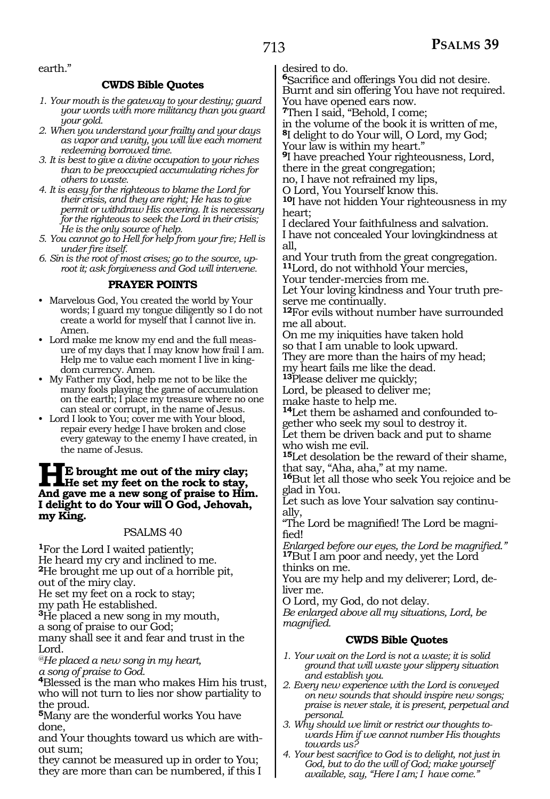#### earth."

#### **CWDS Bible Quotes**

- *1. Your mouth is the gateway to your destiny; guard your words with more militancy than you guard your gold.*
- *2. When you understand your frailty and your days as vapor and vanity, you will live each moment redeeming borrowed time.*
- *3. It is best to give a divine occupation to your riches than to be preoccupied accumulating riches for others to waste.*
- *4. It is easy for the righteous to blame the Lord for their crisis, and they are right; He has to give permit or withdraw His covering. It is necessary for the righteous to seek the Lord in their crisis; He is the only source of help.*
- *5. You cannot go to Hell for help from your fire; Hell is under fire itself.*
- *6. Sin is the root of most crises; go to the source, uproot it; ask forgiveness and God will intervene.*

#### **PRAYER POINTS**

- Marvelous God, You created the world by Your words; I guard my tongue diligently so I do not create a world for myself that I cannot live in. Amen.
- Lord make me know my end and the full measure of my days that I may know how frail I am. Help me to value each moment I live in kingdom currency. Amen.
- My Father my God, help me not to be like the many fools playing the game of accumulation on the earth; I place my treasure where no one can steal or corrupt, in the name of Jesus.
- Lord I look to You; cover me with Your blood, repair every hedge I have broken and close every gateway to the enemy I have created, in the name of Jesus.

## **HE** brought me out of the miry clay;<br>And gave me a new song of praise to His **And gave me a new song of praise to Him. I delight to do Your will O God, Jehovah, my King.**

#### PSALMS 40

**<sup>1</sup>**For the Lord I waited patiently; He heard my cry and inclined to me. **<sup>2</sup>**He brought me up out of a horrible pit, out of the miry clay.

He set my feet on a rock to stay;

my path He established.

**<sup>3</sup>**He placed a new song in my mouth, a song of praise to our God;

many shall see it and fear and trust in the Lord.

*@He placed a new song in my heart, a song of praise to God.* 

**<sup>4</sup>**Blessed is the man who makes Him his trust, who will not turn to lies nor show partiality to the proud.

**<sup>5</sup>**Many are the wonderful works You have done,

and Your thoughts toward us which are without sum;

they cannot be measured up in order to You; they are more than can be numbered, if this I desired to do.

**<sup>6</sup>**Sacrifice and offerings You did not desire. Burnt and sin offering You have not required. You have opened ears now.

**<sup>7</sup>**Then I said, "Behold, I come;

in the volume of the book it is written of me,

**<sup>8</sup>**I delight to do Your will, O Lord, my God; Your law is within my heart."

**<sup>9</sup>**I have preached Your righteousness, Lord, there in the great congregation;

no, I have not refrained my lips,

O Lord, You Yourself know this.

**<sup>10</sup>**I have not hidden Your righteousness in my heart;

I declared Your faithfulness and salvation.

I have not concealed Your lovingkindness at all,

and Your truth from the great congregation. **<sup>11</sup>**Lord, do not withhold Your mercies,

Your tender-mercies from me.

Let Your loving kindness and Your truth preserve me continually.

**<sup>12</sup>**For evils without number have surrounded me all about.

On me my iniquities have taken hold so that I am unable to look upward.

They are more than the hairs of my head;

my heart fails me like the dead.

**<sup>13</sup>**Please deliver me quickly;

Lord, be pleased to deliver me;

make haste to help me.

**14**Let them be ashamed and confounded together who seek my soul to destroy it.

Let them be driven back and put to shame who wish me evil.

**<sup>15</sup>**Let desolation be the reward of their shame, that say, "Aha, aha," at my name.

**<sup>16</sup>**But let all those who seek You rejoice and be glad in You.

Let such as love Your salvation say continu- ally,

"The Lord be magnified! The Lord be magnified!

*Enlarged before our eyes, the Lord be magnified."*  **<sup>17</sup>**But I am poor and needy, yet the Lord thinks on me.

You are my help and my deliverer; Lord, deliver me.

O Lord, my God, do not delay.

*Be enlarged above all my situations, Lord, be magnified.* 

#### **CWDS Bible Quotes**

*1. Your wait on the Lord is not a waste; it is solid ground that will waste your slippery situation and establish you.*

*2. Every new experience with the Lord is conveyed on new sounds that should inspire new songs; praise is never stale, it is present, perpetual and personal.*

*3. Why should we limit or restrict our thoughts towards Him if we cannot number His thoughts towards us?*

*4. Your best sacrifice to God is to delight, not just in God, but to do the will of God; make yourself available, say, "Here I am; I have come."*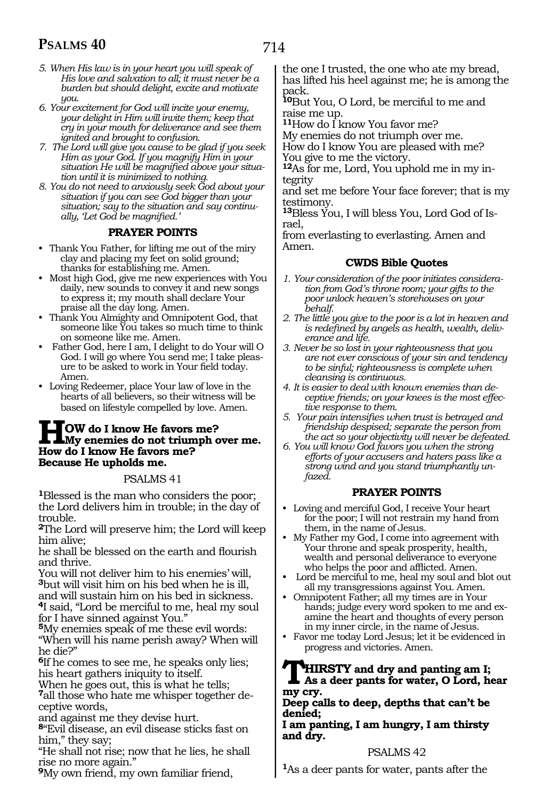- *5. When His law is in your heart you will speak of His love and salvation to all; it must never be a burden but should delight, excite and motivate you.*
- *6. Your excitement for God will incite your enemy, your delight in Him will invite them; keep that cry in your mouth for deliverance and see them ignited and brought to confusion.*
- *7. The Lord will give you cause to be glad if you seek Him as your God. If you magnify Him in your situation He will be magnified above your situation until it is minimized to nothing.*
- *8. You do not need to anxiously seek God about your situation if you can see God bigger than your situation; say to the situation and say continually, 'Let God be magnified.'*

#### **PRAYER POINTS**

- Thank You Father, for lifting me out of the miry clay and placing my feet on solid ground; thanks for establishing me. Amen.
- Most high God, give me new experiences with You daily, new sounds to convey it and new songs to express it; my mouth shall declare Your praise all the day long. Amen.
- Thank You Almighty and Omnipotent God, that someone like You takes so much time to think on someone like me. Amen.
- Father God, here I am, I delight to do Your will O God. I will go where You send me; I take pleasure to be asked to work in Your field today. Amen.
- Loving Redeemer, place Your law of love in the hearts of all believers, so their witness will be based on lifestyle compelled by love. Amen.

## **HOW** do I know He favors me?<br> **How do I know He favors me? How do I know He favors me? Because He upholds me.**

#### PSALMS 41

**<sup>1</sup>**Blessed is the man who considers the poor; the Lord delivers him in trouble; in the day of trouble.

**<sup>2</sup>**The Lord will preserve him; the Lord will keep him alive;

he shall be blessed on the earth and flourish and thrive.

You will not deliver him to his enemies' will, **<sup>3</sup>**but will visit him on his bed when he is ill, and will sustain him on his bed in sickness. **<sup>4</sup>**I said, "Lord be merciful to me, heal my soul for I have sinned against You."

**<sup>5</sup>**My enemies speak of me these evil words: "When will his name perish away? When will he die?"

**<sup>6</sup>**If he comes to see me, he speaks only lies; his heart gathers iniquity to itself.

When he goes out, this is what he tells; **<sup>7</sup>**all those who hate me whisper together de- ceptive words,

and against me they devise hurt.

**<sup>8</sup>**"Evil disease, an evil disease sticks fast on him," they say;

"He shall not rise; now that he lies, he shall rise no more again."

**<sup>9</sup>**My own friend, my own familiar friend,

the one I trusted, the one who ate my bread, has lifted his heel against me; he is among the pack.

**<sup>10</sup>**But You, O Lord, be merciful to me and raise me up.

**<sup>11</sup>**How do I know You favor me?

My enemies do not triumph over me. How do I know You are pleased with me? You give to me the victory.

**<sup>12</sup>**As for me, Lord, You uphold me in my in- tegrity

and set me before Your face forever; that is my testimony.

**<sup>13</sup>**Bless You, I will bless You, Lord God of Is- rael,

from everlasting to everlasting. Amen and Amen.

#### **CWDS Bible Quotes**

- *1. Your consideration of the poor initiates consideration from God's throne room; your gifts to the poor unlock heaven's storehouses on your behalf.*
- *2. The little you give to the poor is a lot in heaven and is redefined by angels as health, wealth, deliverance and life.*
- *3. Never be so lost in your righteousness that you are not ever conscious of your sin and tendency to be sinful; righteousness is complete when cleansing is continuous.*
- *4. It is easier to deal with known enemies than deceptive friends; on your knees is the most effective response to them.*
- *5. Your pain intensifies when trust is betrayed and friendship despised; separate the person from the act so your objectivity will never be defeated.*
- *6. You will know God favors you when the strong efforts of your accusers and haters pass like a strong wind and you stand triumphantly unfazed.*

#### **PRAYER POINTS**

- Loving and merciful God, I receive Your heart for the poor; I will not restrain my hand from them, in the name of Jesus.
- My Father my God, I come into agreement with Your throne and speak prosperity, health, wealth and personal deliverance to everyone who helps the poor and afflicted. Amen.
- Lord be merciful to me, heal my soul and blot out all my transgressions against You. Amen.
- Omnipotent Father; all my times are in Your hands; judge every word spoken to me and examine the heart and thoughts of every person in my inner circle, in the name of Jesus.
- Favor me today Lord Jesus; let it be evidenced in progress and victories. Amen.

#### **THIRSTY and dry and panting am I; As a deer pants for water, O Lord, hear my cry.**

#### **Deep calls to deep, depths that can't be denied;**

**I am panting, I am hungry, I am thirsty and dry.**

#### PSALMS 42

**<sup>1</sup>**As a deer pants for water, pants after the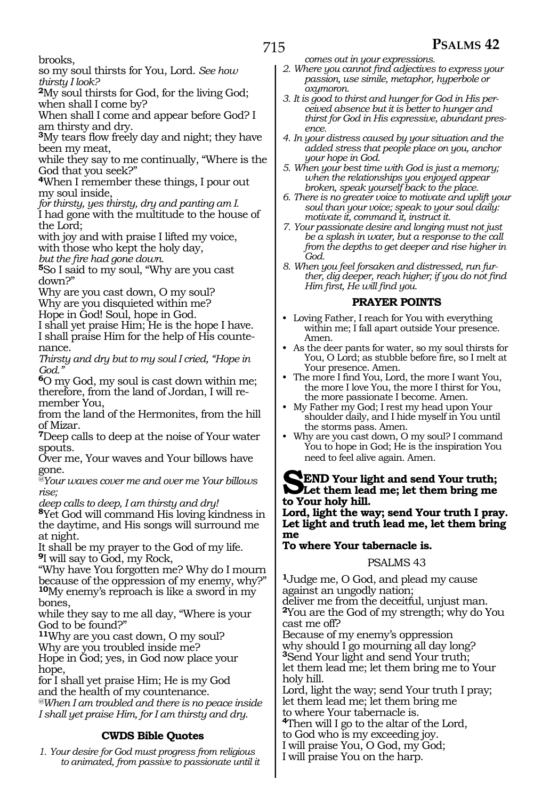brooks,

so my soul thirsts for You, Lord. *See how thirsty I look?* 

**<sup>2</sup>**My soul thirsts for God, for the living God; when shall I come by?

When shall I come and appear before God? I am thirsty and dry.

**<sup>3</sup>**My tears flow freely day and night; they have been my meat,

while they say to me continually, "Where is the God that you seek?"

**<sup>4</sup>**When I remember these things, I pour out my soul inside,

*for thirsty, yes thirsty, dry and panting am I.* 

I had gone with the multitude to the house of the Lord;

with joy and with praise I lifted my voice, with those who kept the holy day,

*but the fire had gone down.* 

**<sup>5</sup>**So I said to my soul, "Why are you cast down?"

Why are you cast down, O my soul? Why are you disquieted within me?

Hope in God! Soul, hope in God.

I shall yet praise Him; He is the hope I have. I shall praise Him for the help of His countenance.

*Thirsty and dry but to my soul I cried, "Hope in God."* 

**<sup>6</sup>**O my God, my soul is cast down within me; therefore, from the land of Jordan, I will remember You,

from the land of the Hermonites, from the hill of Mizar.

**<sup>7</sup>**Deep calls to deep at the noise of Your water spouts.

Over me, Your waves and Your billows have gone.

*@Your waves cover me and over me Your billows rise;* 

*deep calls to deep, I am thirsty and dry!* 

**<sup>8</sup>**Yet God will command His loving kindness in the daytime, and His songs will surround me at night.

It shall be my prayer to the God of my life. **<sup>9</sup>**I will say to God, my Rock,

"Why have You forgotten me? Why do I mourn because of the oppression of my enemy, why?" **<sup>10</sup>**My enemy's reproach is like a sword in my bones,

while they say to me all day, "Where is your God to be found?"

**<sup>11</sup>**Why are you cast down, O my soul? Why are you troubled inside me?

Hope in God; yes, in God now place your hope,

for I shall yet praise Him; He is my God and the health of my countenance. *@When I am troubled and there is no peace inside I shall yet praise Him, for I am thirsty and dry.* 

#### **CWDS Bible Quotes**

*1. Your desire for God must progress from religious to animated, from passive to passionate until it* 

- *comes out in your expressions.*
- *2. Where you cannot find adjectives to express your passion, use simile, metaphor, hyperbole or oxymoron.*
- *3. It is good to thirst and hunger for God in His perceived absence but it is better to hunger and thirst for God in His expressive, abundant presence.*
- *4. In your distress caused by your situation and the added stress that people place on you, anchor your hope in God.*

*5. When your best time with God is just a memory; when the relationships you enjoyed appear broken, speak yourself back to the place.*

*6. There is no greater voice to motivate and uplift your soul than your voice; speak to your soul daily: motivate it, command it, instruct it.*

*7. Your passionate desire and longing must not just be a splash in water, but a response to the call from the depths to get deeper and rise higher in God.*

*8. When you feel forsaken and distressed, run further, dig deeper, reach higher; if you do not find Him first, He will find you.*

#### **PRAYER POINTS**

- Loving Father, I reach for You with everything within me; I fall apart outside Your presence. Amen.
- As the deer pants for water, so my soul thirsts for You, O Lord; as stubble before fire, so I melt at Your presence. Amen.
- The more I find You, Lord, the more I want You, the more I love You, the more I thirst for You, the more passionate I become. Amen.
- My Father my God; I rest my head upon Your shoulder daily, and I hide myself in You until the storms pass. Amen.

• Why are you cast down, O my soul? I command You to hope in God; He is the inspiration You need to feel alive again. Amen.

#### **SEND Your light and send Your truth; Let them lead me; let them bring me to Your holy hill.**

**Lord, light the way; send Your truth I pray. Let light and truth lead me, let them bring me** 

#### **To where Your tabernacle is.**

#### PSALMS 43

**<sup>1</sup>**Judge me, O God, and plead my cause against an ungodly nation; deliver me from the deceitful, unjust man. **<sup>2</sup>**You are the God of my strength; why do You cast me off?

Because of my enemy's oppression why should I go mourning all day long? **<sup>3</sup>**Send Your light and send Your truth; let them lead me; let them bring me to Your holy hill.

Lord, light the way; send Your truth I pray; let them lead me; let them bring me to where Your tabernacle is.

**<sup>4</sup>**Then will I go to the altar of the Lord,

to God who is my exceeding joy.

I will praise You, O God, my God;

I will praise You on the harp.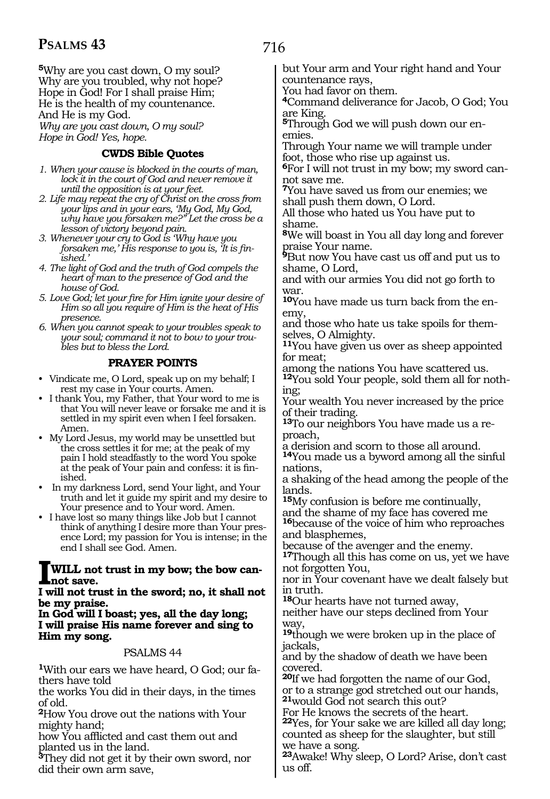**<sup>5</sup>**Why are you cast down, O my soul? Why are you troubled, why not hope? Hope in God! For I shall praise Him; He is the health of my countenance. And He is my God.

*Why are you cast down, O my soul? Hope in God! Yes, hope.* 

#### **CWDS Bible Quotes**

- *1. When your cause is blocked in the courts of man, lock it in the court of God and never remove it until the opposition is at your feet.*
- *2. Life may repeat the cry of Christ on the cross from your lips and in your ears, 'My God, My God, why have you forsaken me?" Let the cross be a lesson of victory beyond pain.*
- *3. Whenever your cry to God is 'Why have you forsaken me,' His response to you is, 'It is finished.'*
- *4. The light of God and the truth of God compels the heart of man to the presence of God and the house of God.*
- *5. Love God; let your fire for Him ignite your desire of Him so all you require of Him is the heat of His presence.*
- *6. When you cannot speak to your troubles speak to your soul; command it not to bow to your troubles but to bless the Lord.*

#### **PRAYER POINTS**

- Vindicate me, O Lord, speak up on my behalf; I rest my case in Your courts. Amen.
- I thank You, my Father, that Your word to me is that You will never leave or forsake me and it is settled in my spirit even when I feel forsaken. Amen.
- My Lord Jesus, my world may be unsettled but the cross settles it for me; at the peak of my pain I hold steadfastly to the word You spoke at the peak of Your pain and confess: it is finished.
- In my darkness Lord, send Your light, and Your truth and let it guide my spirit and my desire to Your presence and to Your word. Amen.
- I have lost so many things like Job but I cannot think of anything I desire more than Your presence Lord; my passion for You is intense; in the end I shall see God. Amen.

## **IWILL not trust in my bow; the bow can- not save.**

#### **I will not trust in the sword; no, it shall not be my praise.**

**In God will I boast; yes, all the day long; I will praise His name forever and sing to Him my song.**

#### PSALMS 44

**1**With our ears we have heard, O God; our fathers have told

the works You did in their days, in the times of old.

**<sup>2</sup>**How You drove out the nations with Your mighty hand;

how You afflicted and cast them out and planted us in the land.

**<sup>3</sup>**They did not get it by their own sword, nor did their own arm save,

but Your arm and Your right hand and Your countenance rays,

You had favor on them.

**<sup>4</sup>**Command deliverance for Jacob, O God; You are King.

**5**Through God we will push down our enemies.

Through Your name we will trample under foot, those who rise up against us.

**6**For I will not trust in my bow; my sword cannot save me.

**<sup>7</sup>**You have saved us from our enemies; we shall push them down, O Lord.

All those who hated us You have put to shame.

**<sup>8</sup>**We will boast in You all day long and forever praise Your name.

**<sup>9</sup>**But now You have cast us off and put us to shame, O Lord,

and with our armies You did not go forth to war.

**10**You have made us turn back from the enemy,

and those who hate us take spoils for themselves, O Almighty.

**<sup>11</sup>**You have given us over as sheep appointed for meat;

among the nations You have scattered us.

**12**You sold Your people, sold them all for nothing;

Your wealth You never increased by the price of their trading.

**13**To our neighbors You have made us a reproach,

a derision and scorn to those all around.

**<sup>14</sup>**You made us a byword among all the sinful nations,

a shaking of the head among the people of the lands.

**<sup>15</sup>**My confusion is before me continually, and the shame of my face has covered me

**<sup>16</sup>**because of the voice of him who reproaches and blasphemes,

because of the avenger and the enemy.

**<sup>17</sup>**Though all this has come on us, yet we have not forgotten You,

nor in Your covenant have we dealt falsely but in truth.

**<sup>18</sup>**Our hearts have not turned away,

neither have our steps declined from Your way,

**<sup>19</sup>**though we were broken up in the place of jackals,

and by the shadow of death we have been covered.

**<sup>20</sup>**If we had forgotten the name of our God, or to a strange god stretched out our hands, **<sup>21</sup>**would God not search this out?

For He knows the secrets of the heart.

**<sup>22</sup>**Yes, for Your sake we are killed all day long; counted as sheep for the slaughter, but still we have a song.

**<sup>23</sup>**Awake! Why sleep, O Lord? Arise, don't cast us off.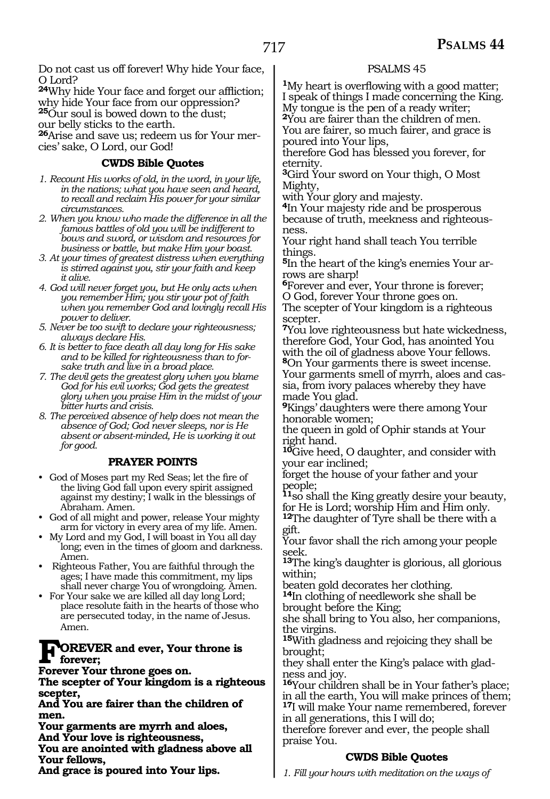Do not cast us off forever! Why hide Your face, O Lord?

**<sup>24</sup>**Why hide Your face and forget our affliction; why hide Your face from our oppression? **<sup>25</sup>**Our soul is bowed down to the dust;

our belly sticks to the earth.

**26**Arise and save us; redeem us for Your mercies' sake, O Lord, our God!

#### **CWDS Bible Quotes**

- *1. Recount His works of old, in the word, in your life, in the nations; what you have seen and heard, to recall and reclaim His power for your similar circumstances.*
- *2. When you know who made the difference in all the famous battles of old you will be indifferent to bows and sword, or wisdom and resources for business or battle, but make Him your boast.*
- *3. At your times of greatest distress when everything is stirred against you, stir your faith and keep it alive.*
- *4. God will never forget you, but He only acts when you remember Him; you stir your pot of faith when you remember God and lovingly recall His power to deliver.*
- *5. Never be too swift to declare your righteousness; always declare His.*
- *6. It is better to face death all day long for His sake and to be killed for righteousness than to forsake truth and live in a broad place.*
- *7. The devil gets the greatest glory when you blame God for his evil works; God gets the greatest glory when you praise Him in the midst of your bitter hurts and crisis.*
- *8. The perceived absence of help does not mean the absence of God; God never sleeps, nor is He absent or absent-minded, He is working it out for good.*

#### **PRAYER POINTS**

- God of Moses part my Red Seas; let the fire of the living God fall upon every spirit assigned against my destiny; I walk in the blessings of Abraham. Amen.
- God of all might and power, release Your mighty arm for victory in every area of my life. Amen.
- My Lord and my God, I will boast in You all day long; even in the times of gloom and darkness. Amen.
- Righteous Father, You are faithful through the ages; I have made this commitment, my lips shall never charge You of wrongdoing. Amen.
- For Your sake we are killed all day long Lord; place resolute faith in the hearts of those who are persecuted today, in the name of Jesus. Amen.

#### **FOREVER** and ever, Your throne is **forever;**

**Forever Your throne goes on.** 

**The scepter of Your kingdom is a righteous scepter,** 

**And You are fairer than the children of men.** 

**Your garments are myrrh and aloes,** 

**And Your love is righteousness,** 

**You are anointed with gladness above all Your fellows,** 

**And grace is poured into Your lips.** 

#### PSALMS 45

**<sup>1</sup>**My heart is overflowing with a good matter; I speak of things I made concerning the King. My tongue is the pen of a ready writer; **<sup>2</sup>**You are fairer than the children of men.

You are fairer, so much fairer, and grace is poured into Your lips,

therefore God has blessed you forever, for eternity.

**<sup>3</sup>**Gird Your sword on Your thigh, O Most Mighty,

with Your glory and majesty.

**<sup>4</sup>**In Your majesty ride and be prosperous because of truth, meekness and righteousness.

Your right hand shall teach You terrible things.

**5**In the heart of the king's enemies Your arrows are sharp!

**<sup>6</sup>**Forever and ever, Your throne is forever; O God, forever Your throne goes on.

The scepter of Your kingdom is a righteous scepter.

**<sup>7</sup>**You love righteousness but hate wickedness, therefore God, Your God, has anointed You with the oil of gladness above Your fellows.

**<sup>8</sup>**On Your garments there is sweet incense. Your garments smell of myrrh, aloes and cassia, from ivory palaces whereby they have made You glad.

**<sup>9</sup>**Kings' daughters were there among Your honorable women;

the queen in gold of Ophir stands at Your right hand.

**<sup>10</sup>**Give heed, O daughter, and consider with your ear inclined;

forget the house of your father and your people;

**<sup>11</sup>**so shall the King greatly desire your beauty, for He is Lord; worship Him and Him only.

**<sup>12</sup>**The daughter of Tyre shall be there with a gift.

Your favor shall the rich among your people seek.

**<sup>13</sup>**The king's daughter is glorious, all glorious within;

beaten gold decorates her clothing.

**<sup>14</sup>**In clothing of needlework she shall be brought before the King;

she shall bring to You also, her companions, the virgins.

**<sup>15</sup>**With gladness and rejoicing they shall be brought;

they shall enter the King's palace with gladness and joy.

**<sup>16</sup>**Your children shall be in Your father's place; in all the earth, You will make princes of them; **<sup>17</sup>**I will make Your name remembered, forever

in all generations, this I will do;

therefore forever and ever, the people shall praise You.

#### **CWDS Bible Quotes**

*1. Fill your hours with meditation on the ways of*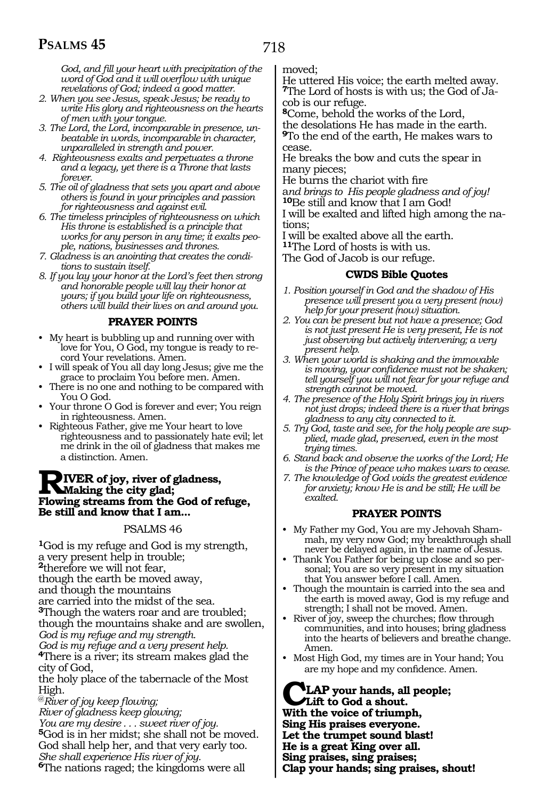*God, and fill your heart with precipitation of the word of God and it will overflow with unique revelations of God; indeed a good matter.*

- *2. When you see Jesus, speak Jesus; be ready to write His glory and righteousness on the hearts of men with your tongue.*
- *3. The Lord, the Lord, incomparable in presence, unbeatable in words, incomparable in character, unparalleled in strength and power.*
- *4. Righteousness exalts and perpetuates a throne and a legacy, yet there is a Throne that lasts forever.*
- *5. The oil of gladness that sets you apart and above others is found in your principles and passion for righteousness and against evil.*
- *6. The timeless principles of righteousness on which His throne is established is a principle that works for any person in any time; it exalts people, nations, businesses and thrones.*
- *7. Gladness is an anointing that creates the conditions to sustain itself.*
- *8. If you lay your honor at the Lord's feet then strong and honorable people will lay their honor at yours; if you build your life on righteousness, others will build their lives on and around you.*

#### **PRAYER POINTS**

- My heart is bubbling up and running over with love for You, O God, my tongue is ready to record Your revelations. Amen.
- I will speak of You all day long Jesus; give me the grace to proclaim You before men. Amen.
- There is no one and nothing to be compared with You O God.
- Your throne O God is forever and ever; You reign in righteousness. Amen.
- Righteous Father, give me Your heart to love righteousness and to passionately hate evil; let me drink in the oil of gladness that makes me a distinction. Amen.

#### **RIVER of joy, river of gladness, Making the city glad; Flowing streams from the God of refuge, Be still and know that I am...**

#### PSALMS 46

**<sup>1</sup>**God is my refuge and God is my strength, a very present help in trouble; **<sup>2</sup>**therefore we will not fear, though the earth be moved away, and though the mountains are carried into the midst of the sea. **<sup>3</sup>**Though the waters roar and are troubled; though the mountains shake and are swollen, *God is my refuge and my strength. God is my refuge and a very present help.* 

**<sup>4</sup>**There is a river; its stream makes glad the city of God,

the holy place of the tabernacle of the Most High.

@*River of joy keep flowing; River of gladness keep glowing; You are my desire . . . sweet river of joy.*  **<sup>5</sup>**God is in her midst; she shall not be moved. God shall help her, and that very early too. *She shall experience His river of joy.*  **<sup>6</sup>**The nations raged; the kingdoms were all

moved;

He uttered His voice; the earth melted away. **7**The Lord of hosts is with us; the God of Jacob is our refuge.

**<sup>8</sup>**Come, behold the works of the Lord, the desolations He has made in the earth. **<sup>9</sup>**To the end of the earth, He makes wars to

cease.

He breaks the bow and cuts the spear in many pieces;

He burns the chariot with fire

a*nd brings to His people gladness and of joy!* 

**<sup>10</sup>**Be still and know that I am God!

I will be exalted and lifted high among the nations;

I will be exalted above all the earth.

**<sup>11</sup>**The Lord of hosts is with us.

The God of Jacob is our refuge.

#### **CWDS Bible Quotes**

- *1. Position yourself in God and the shadow of His presence will present you a very present (now) help for your present (now) situation.*
- *2. You can be present but not have a presence; God is not just present He is very present, He is not just observing but actively intervening; a very present help.*
- *3. When your world is shaking and the immovable is moving, your confidence must not be shaken; tell yourself you will not fear for your refuge and strength cannot be moved.*
- *4. The presence of the Holy Spirit brings joy in rivers not just drops; indeed there is a river that brings gladness to any city connected to it.*
- *5. Try God, taste and see, for the holy people are supplied, made glad, preserved, even in the most trying times.*
- *6. Stand back and observe the works of the Lord; He is the Prince of peace who makes wars to cease.*
- *7. The knowledge of God voids the greatest evidence for anxiety; know He is and be still; He will be exalted.*

#### **PRAYER POINTS**

- My Father my God, You are my Jehovah Shammah, my very now God; my breakthrough shall never be delayed again, in the name of Jesus.
- Thank You Father for being up close and so personal; You are so very present in my situation that You answer before I call. Amen.
- Though the mountain is carried into the sea and the earth is moved away, God is my refuge and strength; I shall not be moved. Amen.
- River of joy, sweep the churches; flow through communities, and into houses; bring gladness into the hearts of believers and breathe change. Amen.
- Most High God, my times are in Your hand; You are my hope and my confidence. Amen.

**CLAP your hands, all people; Lift to God a shout. With the voice of triumph, Sing His praises everyone. Let the trumpet sound blast! He is a great King over all. Sing praises, sing praises; Clap your hands; sing praises, shout!**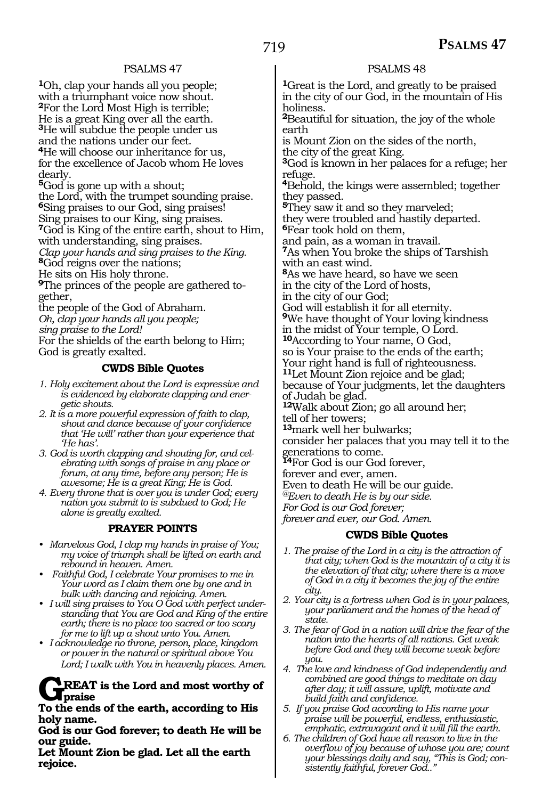#### PSALMS 47

**<sup>1</sup>**Oh, clap your hands all you people; with a triumphant voice now shout. **<sup>2</sup>**For the Lord Most High is terrible; He is a great King over all the earth. **<sup>3</sup>**He will subdue the people under us and the nations under our feet. **<sup>4</sup>**He will choose our inheritance for us, for the excellence of Jacob whom He loves dearly.

**<sup>5</sup>**God is gone up with a shout; the Lord, with the trumpet sounding praise. **<sup>6</sup>**Sing praises to our God, sing praises! Sing praises to our King, sing praises.

**<sup>7</sup>**God is King of the entire earth, shout to Him, with understanding, sing praises.

*Clap your hands and sing praises to the King.* **<sup>8</sup>**God reigns over the nations;

He sits on His holy throne.

**9**The princes of the people are gathered together,

the people of the God of Abraham.

*Oh, clap your hands all you people;* 

*sing praise to the Lord!* 

For the shields of the earth belong to Him; God is greatly exalted.

#### **CWDS Bible Quotes**

- *1. Holy excitement about the Lord is expressive and is evidenced by elaborate clapping and energetic shouts.*
- *2. It is a more powerful expression of faith to clap, shout and dance because of your confidence that 'He will' rather than your experience that 'He has'.*
- *3. God is worth clapping and shouting for, and celebrating with songs of praise in any place or forum, at any time, before any person; He is awesome; He is a great King; He is God.*
- *4. Every throne that is over you is under God; every nation you submit to is subdued to God; He alone is greatly exalted.*

#### **PRAYER POINTS**

- *• Marvelous God, I clap my hands in praise of You; my voice of triumph shall be lifted on earth and rebound in heaven. Amen.*
- *• Faithful God, I celebrate Your promises to me in Your word as I claim them one by one and in bulk with dancing and rejoicing. Amen.*
- *• I will sing praises to You O God with perfect understanding that You are God and King of the entire earth; there is no place too sacred or too scary for me to lift up a shout unto You. Amen.*
- *• I acknowledge no throne, person, place, kingdom or power in the natural or spiritual above You Lord; I walk with You in heavenly places. Amen.*

#### **REAT** is the Lord and most worthy of **praise**

**To the ends of the earth, according to His holy name.**

**God is our God forever; to death He will be our guide.**

**Let Mount Zion be glad. Let all the earth rejoice.**

#### PSALMS 48

**<sup>1</sup>**Great is the Lord, and greatly to be praised in the city of our God, in the mountain of His holiness.

**<sup>2</sup>**Beautiful for situation, the joy of the whole earth

is Mount Zion on the sides of the north, the city of the great King.

**<sup>3</sup>**God is known in her palaces for a refuge; her refuge.

**<sup>4</sup>**Behold, the kings were assembled; together they passed.

**<sup>5</sup>**They saw it and so they marveled;

they were troubled and hastily departed. **<sup>6</sup>**Fear took hold on them,

and pain, as a woman in travail.

**<sup>7</sup>**As when You broke the ships of Tarshish with an east wind.

**<sup>8</sup>**As we have heard, so have we seen in the city of the Lord of hosts,

in the city of our God;

God will establish it for all eternity. **<sup>9</sup>**We have thought of Your loving kindness

in the midst of Your temple, O Lord. **<sup>10</sup>**According to Your name, O God, so is Your praise to the ends of the earth;

Your right hand is full of righteousness.

**<sup>11</sup>**Let Mount Zion rejoice and be glad; because of Your judgments, let the daughters of Judah be glad.

**<sup>12</sup>**Walk about Zion; go all around her;

tell of her towers;

**<sup>13</sup>**mark well her bulwarks; consider her palaces that you may tell it to the generations to come.

**<sup>14</sup>**For God is our God forever,

forever and ever, amen.

Even to death He will be our guide.

*@Even to death He is by our side.* 

*For God is our God forever;* 

*forever and ever, our God. Amen.* 

#### **CWDS Bible Quotes**

- *1. The praise of the Lord in a city is the attraction of that city; when God is the mountain of a city it is the elevation of that city; where there is a move of God in a city it becomes the joy of the entire city.*
- *2. Your city is a fortress when God is in your palaces, your parliament and the homes of the head of state.*
- *3. The fear of God in a nation will drive the fear of the nation into the hearts of all nations. Get weak before God and they will become weak before you.*
- *4. The love and kindness of God independently and combined are good things to meditate on day after day; it will assure, uplift, motivate and build faith and confidence.*
- *5. If you praise God according to His name your praise will be powerful, endless, enthusiastic, emphatic, extravagant and it will fill the earth.*
- *6. The children of God have all reason to live in the overflow of joy because of whose you are; count your blessings daily and say, "This is God; consistently faithful, forever God.."*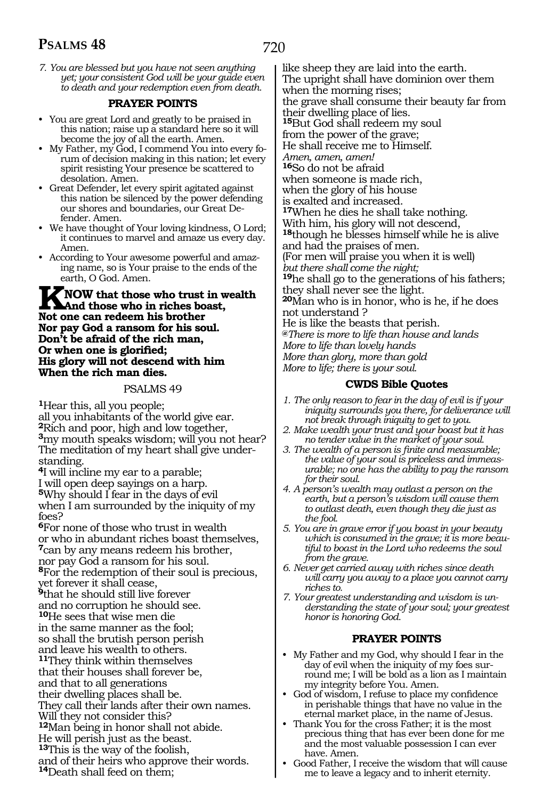720

*7. You are blessed but you have not seen anything yet; your consistent God will be your guide even to death and your redemption even from death.*

#### **PRAYER POINTS**

- You are great Lord and greatly to be praised in this nation; raise up a standard here so it will become the joy of all the earth. Amen.
- My Father, my God, I commend You into every forum of decision making in this nation; let every spirit resisting Your presence be scattered to desolation. Amen.
- Great Defender, let every spirit agitated against this nation be silenced by the power defending our shores and boundaries, our Great Defender. Amen.
- We have thought of Your loving kindness, O Lord; it continues to marvel and amaze us every day. Amen.
- According to Your awesome powerful and amazing name, so is Your praise to the ends of the earth, O God. Amen.

**KNOW that those who trust in wealth And those who in riches boast, Not one can redeem his brother Nor pay God a ransom for his soul. Don't be afraid of the rich man, Or when one is glorified; His glory will not descend with him When the rich man dies.** 

#### PSALMS 49

**<sup>1</sup>**Hear this, all you people; all you inhabitants of the world give ear. **<sup>2</sup>**Rich and poor, high and low together, **<sup>3</sup>**my mouth speaks wisdom; will you not hear? The meditation of my heart shall give under- standing.

**<sup>4</sup>**I will incline my ear to a parable; I will open deep sayings on a harp. **<sup>5</sup>**Why should I fear in the days of evil when I am surrounded by the iniquity of my foes?

**<sup>6</sup>**For none of those who trust in wealth or who in abundant riches boast themselves, **<sup>7</sup>**can by any means redeem his brother, nor pay God a ransom for his soul. **<sup>8</sup>**For the redemption of their soul is precious, yet forever it shall cease, **<sup>9</sup>**that he should still live forever and no corruption he should see. **<sup>10</sup>**He sees that wise men die in the same manner as the fool;

so shall the brutish person perish and leave his wealth to others.

**<sup>11</sup>**They think within themselves

that their houses shall forever be,

and that to all generations

their dwelling places shall be.

They call their lands after their own names. Will they not consider this?

**<sup>12</sup>**Man being in honor shall not abide.

He will perish just as the beast.

**<sup>13</sup>**This is the way of the foolish,

and of their heirs who approve their words.

**<sup>14</sup>**Death shall feed on them;

like sheep they are laid into the earth. The upright shall have dominion over them when the morning rises; the grave shall consume their beauty far from their dwelling place of lies. **<sup>15</sup>**But God shall redeem my soul from the power of the grave; He shall receive me to Himself. *Amen, amen, amen!*  **<sup>16</sup>**So do not be afraid when someone is made rich, when the glory of his house is exalted and increased. **<sup>17</sup>**When he dies he shall take nothing. With him, his glory will not descend, **<sup>18</sup>**though he blesses himself while he is alive and had the praises of men. (For men will praise you when it is well) *but there shall come the night;* **<sup>19</sup>**he shall go to the generations of his fathers; they shall never see the light. **<sup>20</sup>**Man who is in honor, who is he, if he does not understand ? He is like the beasts that perish. **@***There is more to life than house and lands More to life than lovely hands More than glory, more than gold More to life; there is your soul.*

#### **CWDS Bible Quotes**

- *1. The only reason to fear in the day of evil is if your iniquity surrounds you there, for deliverance will not break through iniquity to get to you.*
- *2. Make wealth your trust and your boast but it has no tender value in the market of your soul.*
- *3. The wealth of a person is finite and measurable; the value of your soul is priceless and immeasurable; no one has the ability to pay the ransom for their soul.*
- *4. A person's wealth may outlast a person on the earth, but a person's wisdom will cause them to outlast death, even though they die just as the fool.*
- *5. You are in grave error if you boast in your beauty which is consumed in the grave; it is more beautiful to boast in the Lord who redeems the soul from the grave.*

*6. Never get carried away with riches since death will carry you away to a place you cannot carry riches to.*

*7. Your greatest understanding and wisdom is understanding the state of your soul; your greatest honor is honoring God.*

#### **PRAYER POINTS**

- My Father and my God, why should I fear in the day of evil when the iniquity of my foes surround me; I will be bold as a lion as I maintain my integrity before You. Amen.
- God of wisdom, I refuse to place my confidence in perishable things that have no value in the eternal market place, in the name of Jesus.
- Thank You for the cross Father; it is the most precious thing that has ever been done for me and the most valuable possession I can ever have. Amen.
- Good Father, I receive the wisdom that will cause me to leave a legacy and to inherit eternity.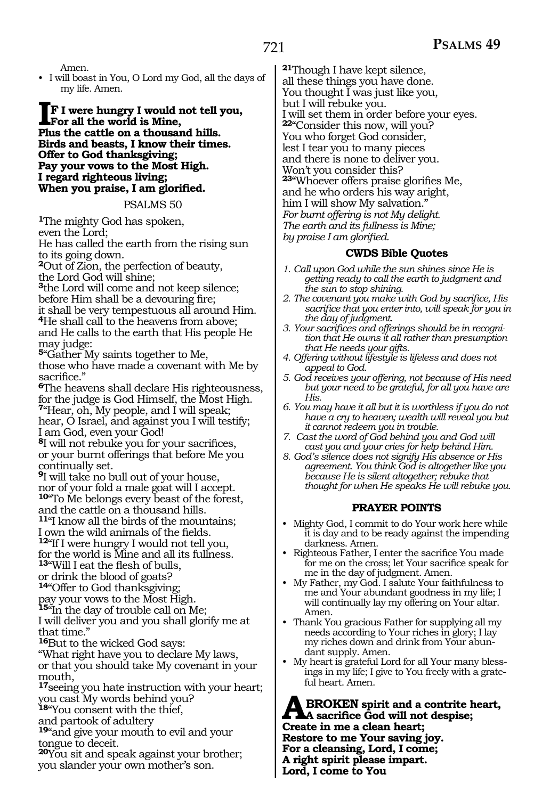Amen.

• I will boast in You, O Lord my God, all the days of my life. Amen.

#### **IF I were hungry I would not tell you, For all the world is Mine, Plus the cattle on a thousand hills. Birds and beasts, I know their times. Offer to God thanksgiving; Pay your vows to the Most High. I regard righteous living; When you praise, I am glorified.**

#### PSALMS 50

**<sup>1</sup>**The mighty God has spoken, even the Lord;

He has called the earth from the rising sun to its going down.

**<sup>2</sup>**Out of Zion, the perfection of beauty, the Lord God will shine;

**<sup>3</sup>**the Lord will come and not keep silence; before Him shall be a devouring fire; it shall be very tempestuous all around Him.

**<sup>4</sup>**He shall call to the heavens from above; and He calls to the earth that His people He may judge:

**<sup>5</sup>**"Gather My saints together to Me, those who have made a covenant with Me by sacrifice."

**<sup>6</sup>**The heavens shall declare His righteousness, for the judge is God Himself, the Most High. **<sup>7</sup>**"Hear, oh, My people, and I will speak; hear, O Israel, and against you I will testify; I am God, even your God!

**<sup>8</sup>**I will not rebuke you for your sacrifices, or your burnt offerings that before Me you continually set.

**<sup>9</sup>**I will take no bull out of your house, nor of your fold a male goat will I accept.

**<sup>10</sup>**"To Me belongs every beast of the forest, and the cattle on a thousand hills. **<sup>11</sup>**"I know all the birds of the mountains;

I own the wild animals of the fields. **<sup>12</sup>**"If I were hungry I would not tell you, for the world is Mine and all its fullness.

**<sup>13</sup>**"Will I eat the flesh of bulls, or drink the blood of goats?

**<sup>14</sup>**"Offer to God thanksgiving; pay your vows to the Most High.

**<sup>15</sup>**"In the day of trouble call on Me;

I will deliver you and you shall glorify me at that time."

**<sup>16</sup>**But to the wicked God says:

"What right have you to declare My laws, or that you should take My covenant in your mouth,

**<sup>17</sup>**seeing you hate instruction with your heart; you cast My words behind you?

**<sup>18</sup>**"You consent with the thief,

and partook of adultery

**<sup>19</sup>**"and give your mouth to evil and your tongue to deceit.

**<sup>20</sup>**You sit and speak against your brother; you slander your own mother's son.

**<sup>21</sup>**Though I have kept silence, all these things you have done. You thought I was just like you, but I will rebuke you. I will set them in order before your eyes. **<sup>22</sup>**"Consider this now, will you? You who forget God consider, lest I tear you to many pieces and there is none to deliver you. Won't you consider this? **<sup>23</sup>**"Whoever offers praise glorifies Me, and he who orders his way aright, him I will show My salvation." *For burnt offering is not My delight. The earth and its fullness is Mine; by praise I am glorified.*

#### **CWDS Bible Quotes**

- *1. Call upon God while the sun shines since He is getting ready to call the earth to judgment and the sun to stop shining.*
- *2. The covenant you make with God by sacrifice, His sacrifice that you enter into, will speak for you in the day of judgment.*
- *3. Your sacrifices and offerings should be in recognition that He owns it all rather than presumption that He needs your gifts.*
- *4. Offering without lifestyle is lifeless and does not appeal to God.*
- *5. God receives your offering, not because of His need but your need to be grateful, for all you have are His.*
- *6. You may have it all but it is worthless if you do not have a cry to heaven; wealth will reveal you but it cannot redeem you in trouble.*
- *7. Cast the word of God behind you and God will cast you and your cries for help behind Him.*
- *8. God's silence does not signify His absence or His agreement. You think God is altogether like you because He is silent altogether; rebuke that thought for when He speaks He will rebuke you.*

### **PRAYER POINTS**

- Mighty God, I commit to do Your work here while it is day and to be ready against the impending darkness. Amen.
- Righteous Father, I enter the sacrifice You made for me on the cross; let Your sacrifice speak for me in the day of judgment. Amen.
- My Father, my God. I salute Your faithfulness to me and Your abundant goodness in my life; I will continually lay my offering on Your altar. Amen.
- Thank You gracious Father for supplying all my needs according to Your riches in glory; I lay my riches down and drink from Your abundant supply. Amen.
- My heart is grateful Lord for all Your many blessings in my life; I give to You freely with a grateful heart. Amen.

**ABROKEN spirit and a contrite heart,<br>
A sacrifice God will not despise;<br>
Create in me a clean heart; Create in me a clean heart; Restore to me Your saving joy. For a cleansing, Lord, I come; A right spirit please impart. Lord, I come to You**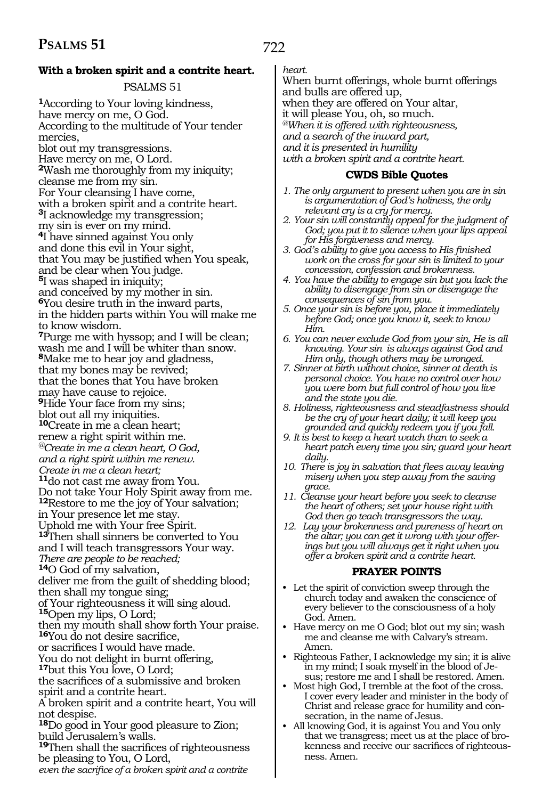### **With a broken spirit and a contrite heart.**

### PSALMS 51

**<sup>1</sup>**According to Your loving kindness, have mercy on me, O God. According to the multitude of Your tender mercies, blot out my transgressions. Have mercy on me, O Lord. **<sup>2</sup>**Wash me thoroughly from my iniquity; cleanse me from my sin. For Your cleansing I have come, with a broken spirit and a contrite heart. **<sup>3</sup>**I acknowledge my transgression; my sin is ever on my mind. **<sup>4</sup>**I have sinned against You only and done this evil in Your sight, that You may be justified when You speak, and be clear when You judge. **<sup>5</sup>**I was shaped in iniquity; and conceived by my mother in sin. **<sup>6</sup>**You desire truth in the inward parts, in the hidden parts within You will make me to know wisdom. **<sup>7</sup>**Purge me with hyssop; and I will be clean; wash me and I will be whiter than snow. **<sup>8</sup>**Make me to hear joy and gladness, that my bones may be revived; that the bones that You have broken may have cause to rejoice. **<sup>9</sup>**Hide Your face from my sins; blot out all my iniquities. **<sup>10</sup>**Create in me a clean heart; renew a right spirit within me. *@Create in me a clean heart, O God, and a right spirit within me renew. Create in me a clean heart;*  **<sup>11</sup>**do not cast me away from You. Do not take Your Holy Spirit away from me. **<sup>12</sup>**Restore to me the joy of Your salvation; in Your presence let me stay. Uphold me with Your free Spirit. **<sup>13</sup>**Then shall sinners be converted to You and I will teach transgressors Your way. *There are people to be reached;*  **<sup>14</sup>**O God of my salvation, deliver me from the guilt of shedding blood; then shall my tongue sing; of Your righteousness it will sing aloud. **<sup>15</sup>**Open my lips, O Lord; then my mouth shall show forth Your praise. **<sup>16</sup>**You do not desire sacrifice, or sacrifices I would have made. You do not delight in burnt offering, **<sup>17</sup>**but this You love, O Lord; the sacrifices of a submissive and broken spirit and a contrite heart. A broken spirit and a contrite heart, You will not despise. **<sup>18</sup>**Do good in Your good pleasure to Zion; build Jerusalem's walls. **<sup>19</sup>**Then shall the sacrifices of righteousness be pleasing to You, O Lord, *even the sacrifice of a broken spirit and a contrite* 

# *heart.*

When burnt offerings, whole burnt offerings and bulls are offered up, when they are offered on Your altar, it will please You, oh, so much. *@When it is offered with righteousness, and a search of the inward part, and it is presented in humility with a broken spirit and a contrite heart.* 

#### **CWDS Bible Quotes**

- *1. The only argument to present when you are in sin is argumentation of God's holiness, the only relevant cry is a cry for mercy.*
- *2. Your sin will constantly appeal for the judgment of God; you put it to silence when your lips appeal for His forgiveness and mercy.*
- *3. God's ability to give you access to His finished work on the cross for your sin is limited to your concession, confession and brokenness.*
- *4. You have the ability to engage sin but you lack the ability to disengage from sin or disengage the consequences of sin from you.*
- *5. Once your sin is before you, place it immediately before God; once you know it, seek to know Him.*
- *6. You can never exclude God from your sin, He is all knowing. Your sin is always against God and Him only, though others may be wronged.*
- *7. Sinner at birth without choice, sinner at death is personal choice. You have no control over how you were born but full control of how you live and the state you die.*
- *8. Holiness, righteousness and steadfastness should be the cry of your heart daily; it will keep you grounded and quickly redeem you if you fall.*
- *9. It is best to keep a heart watch than to seek a heart patch every time you sin; guard your heart daily.*
- *10. There is joy in salvation that flees away leaving misery when you step away from the saving grace.*
- *11. Cleanse your heart before you seek to cleanse the heart of others; set your house right with God then go teach transgressors the way.*
- *12. Lay your brokenness and pureness of heart on the altar; you can get it wrong with your offerings but you will always get it right when you offer a broken spirit and a contrite heart.*

#### **PRAYER POINTS**

- Let the spirit of conviction sweep through the church today and awaken the conscience of every believer to the consciousness of a holy God. Amen.
- Have mercy on me O God; blot out my sin; wash me and cleanse me with Calvary's stream. Amen.
- Righteous Father, I acknowledge my sin; it is alive in my mind; I soak myself in the blood of Jesus; restore me and I shall be restored. Amen.
- Most high God, I tremble at the foot of the cross. I cover every leader and minister in the body of Christ and release grace for humility and consecration, in the name of Jesus.
- All knowing God, it is against You and You only that we transgress; meet us at the place of brokenness and receive our sacrifices of righteousness. Amen.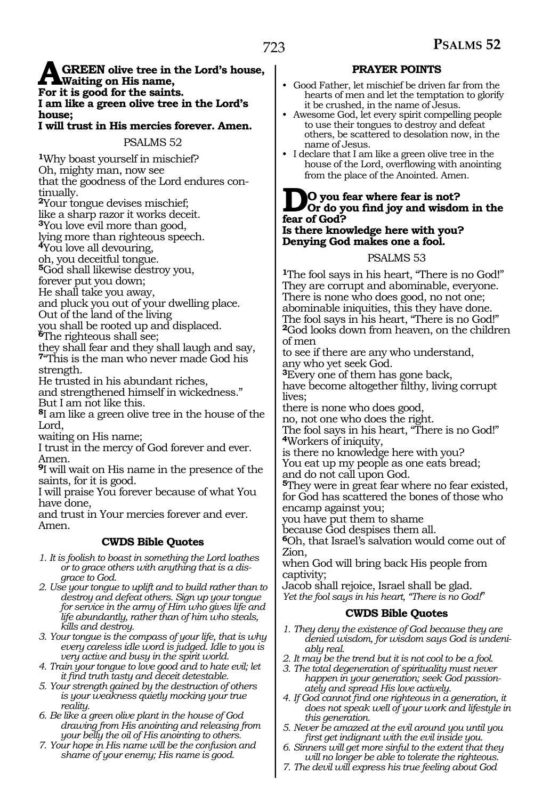#### **AGREEN olive tree in the Lord's house, Waiting on His name, For it is good for the saints. I am like a green olive tree in the Lord's house;**

**I will trust in His mercies forever. Amen.** 

PSALMS 52

**<sup>1</sup>**Why boast yourself in mischief? Oh, mighty man, now see that the goodness of the Lord endures continually.

**<sup>2</sup>**Your tongue devises mischief;

like a sharp razor it works deceit.

**<sup>3</sup>**You love evil more than good,

lying more than righteous speech.

**<sup>4</sup>**You love all devouring,

oh, you deceitful tongue.

**<sup>5</sup>**God shall likewise destroy you,

forever put you down;

He shall take you away,

and pluck you out of your dwelling place.

Out of the land of the living

you shall be rooted up and displaced. **<sup>6</sup>**The righteous shall see;

they shall fear and they shall laugh and say, **<sup>7</sup>**"This is the man who never made God his strength.

He trusted in his abundant riches,

and strengthened himself in wickedness." But I am not like this.

**<sup>8</sup>**I am like a green olive tree in the house of the Lord,

waiting on His name;

I trust in the mercy of God forever and ever. Amen.

**<sup>9</sup>**I will wait on His name in the presence of the saints, for it is good.

I will praise You forever because of what You have done,

and trust in Your mercies forever and ever. Amen.

### **CWDS Bible Quotes**

- *1. It is foolish to boast in something the Lord loathes or to grace others with anything that is a disgrace to God.*
- *2. Use your tongue to uplift and to build rather than to destroy and defeat others. Sign up your tongue for service in the army of Him who gives life and life abundantly, rather than of him who steals, kills and destroy.*
- *3. Your tongue is the compass of your life, that is why every careless idle word is judged. Idle to you is very active and busy in the spirit world.*
- *4. Train your tongue to love good and to hate evil; let it find truth tasty and deceit detestable.*
- *5. Your strength gained by the destruction of others is your weakness quietly mocking your true reality.*
- *6. Be like a green olive plant in the house of God drawing from His anointing and releasing from your belly the oil of His anointing to others.*
- *7. Your hope in His name will be the confusion and shame of your enemy; His name is good.*

### **PRAYER POINTS**

- Good Father, let mischief be driven far from the hearts of men and let the temptation to glorify it be crushed, in the name of Jesus.
- Awesome God, let every spirit compelling people to use their tongues to destroy and defeat others, be scattered to desolation now, in the name of Jesus.
- I declare that I am like a green olive tree in the house of the Lord, overflowing with anointing from the place of the Anointed. Amen.

# **DO** you fear where fear is not?<br> **Or** do you find joy and wisdom in the **fear of God?**

**Is there knowledge here with you? Denying God makes one a fool.** 

#### PSALMS 53

**<sup>1</sup>**The fool says in his heart, "There is no God!" They are corrupt and abominable, everyone. There is none who does good, no not one; abominable iniquities, this they have done. The fool says in his heart, "There is no God!" **<sup>2</sup>**God looks down from heaven, on the children of men

to see if there are any who understand, any who yet seek God.

**<sup>3</sup>**Every one of them has gone back,

have become altogether filthy, living corrupt lives;

there is none who does good,

no, not one who does the right.

The fool says in his heart, "There is no God!" **<sup>4</sup>**Workers of iniquity,

is there no knowledge here with you? You eat up my people as one eats bread; and do not call upon God.

**<sup>5</sup>**They were in great fear where no fear existed, for God has scattered the bones of those who encamp against you;

you have put them to shame

because God despises them all.

**<sup>6</sup>**Oh, that Israel's salvation would come out of Zion,

when God will bring back His people from captivity;

Jacob shall rejoice, Israel shall be glad. *Yet the fool says in his heart, "There is no God!*"

### **CWDS Bible Quotes**

- *1. They deny the existence of God because they are denied wisdom, for wisdom says God is undeniably real.*
- *2. It may be the trend but it is not cool to be a fool.*
- *3. The total degeneration of spirituality must never happen in your generation; seek God passionately and spread His love actively.*
- *4. If God cannot find one righteous in a generation, it does not speak well of your work and lifestyle in this generation.*
- *5. Never be amazed at the evil around you until you first get indignant with the evil inside you.*
- *6. Sinners will get more sinful to the extent that they will no longer be able to tolerate the righteous.*
- *7. The devil will express his true feeling about God*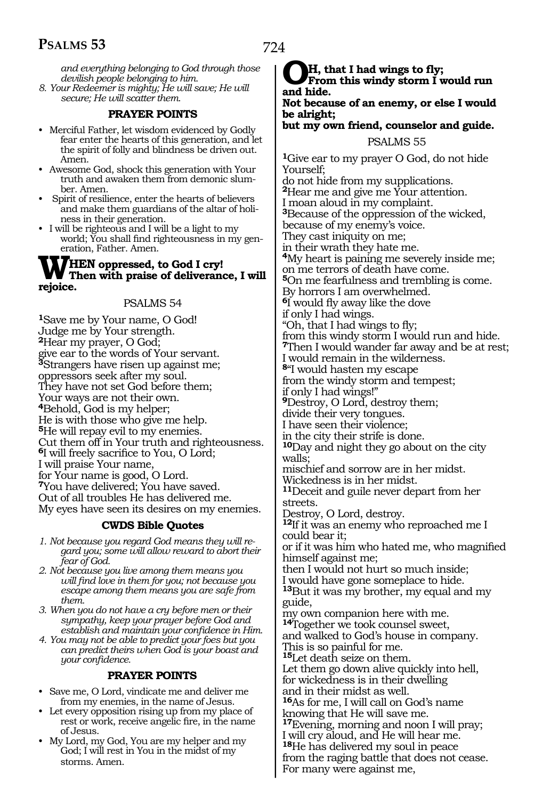*and everything belonging to God through those devilish people belonging to him. 8. Your Redeemer is mighty; He will save; He will* 

*secure; He will scatter them.*

# **PRAYER POINTS**

- Merciful Father, let wisdom evidenced by Godly fear enter the hearts of this generation, and let the spirit of folly and blindness be driven out. Amen.
- Awesome God, shock this generation with Your truth and awaken them from demonic slumber. Amen.
- Spirit of resilience, enter the hearts of believers and make them guardians of the altar of holiness in their generation.
- I will be righteous and I will be a light to my world; You shall find righteousness in my generation, Father. Amen.

#### **WHEN oppressed, to God I cry! Then with praise of deliverance, I will rejoice.**

#### PSALMS 54

**<sup>1</sup>**Save me by Your name, O God! Judge me by Your strength. **<sup>2</sup>**Hear my prayer, O God; give ear to the words of Your servant. **<sup>3</sup>**Strangers have risen up against me; oppressors seek after my soul. They have not set God before them; Your ways are not their own. **<sup>4</sup>**Behold, God is my helper; He is with those who give me help. **<sup>5</sup>**He will repay evil to my enemies. Cut them off in Your truth and righteousness. **<sup>6</sup>**I will freely sacrifice to You, O Lord; I will praise Your name, for Your name is good, O Lord. **<sup>7</sup>**You have delivered; You have saved. Out of all troubles He has delivered me. My eyes have seen its desires on my enemies.

#### **CWDS Bible Quotes**

- *1. Not because you regard God means they will regard you; some will allow reward to abort their fear of God.*
- *2. Not because you live among them means you will find love in them for you; not because you escape among them means you are safe from them.*
- *3. When you do not have a cry before men or their sympathy, keep your prayer before God and establish and maintain your confidence in Him.*
- *4. You may not be able to predict your foes but you can predict theirs when God is your boast and your confidence.*

#### **PRAYER POINTS**

- Save me, O Lord, vindicate me and deliver me from my enemies, in the name of Jesus.
- Let every opposition rising up from my place of rest or work, receive angelic fire, in the name of Jesus.
- My Lord, my God, You are my helper and my God; I will rest in You in the midst of my storms. Amen.

**OH, that I had wings to fly; From this windy storm I would run and hide. Not because of an enemy, or else I would be alright; but my own friend, counselor and guide.** PSALMS 55 **<sup>1</sup>**Give ear to my prayer O God, do not hide Yourself; do not hide from my supplications. **<sup>2</sup>**Hear me and give me Your attention. I moan aloud in my complaint. **<sup>3</sup>**Because of the oppression of the wicked, because of my enemy's voice. They cast iniquity on me; in their wrath they hate me. **<sup>4</sup>**My heart is paining me severely inside me; on me terrors of death have come. **<sup>5</sup>**On me fearfulness and trembling is come. By horrors I am overwhelmed. **<sup>6</sup>**I would fly away like the dove if only I had wings. "Oh, that I had wings to fly; from this windy storm I would run and hide. **<sup>7</sup>**Then I would wander far away and be at rest; I would remain in the wilderness. **<sup>8</sup>**"I would hasten my escape from the windy storm and tempest; if only I had wings!" **<sup>9</sup>**Destroy, O Lord, destroy them; divide their very tongues. I have seen their violence; in the city their strife is done. **<sup>10</sup>**Day and night they go about on the city walls; mischief and sorrow are in her midst. Wickedness is in her midst. **<sup>11</sup>**Deceit and guile never depart from her streets. Destroy, O Lord, destroy. **<sup>12</sup>**If it was an enemy who reproached me I could bear it; or if it was him who hated me, who magnified himself against me; then I would not hurt so much inside; I would have gone someplace to hide. **<sup>13</sup>**But it was my brother, my equal and my guide, my own companion here with me. **<sup>14</sup>**Together we took counsel sweet, and walked to God's house in company. This is so painful for me. **<sup>15</sup>**Let death seize on them. Let them go down alive quickly into hell, for wickedness is in their dwelling and in their midst as well. **<sup>16</sup>**As for me, I will call on God's name knowing that He will save me. **<sup>17</sup>**Evening, morning and noon I will pray; I will cry aloud, and He will hear me.

**<sup>18</sup>**He has delivered my soul in peace

from the raging battle that does not cease. For many were against me,

724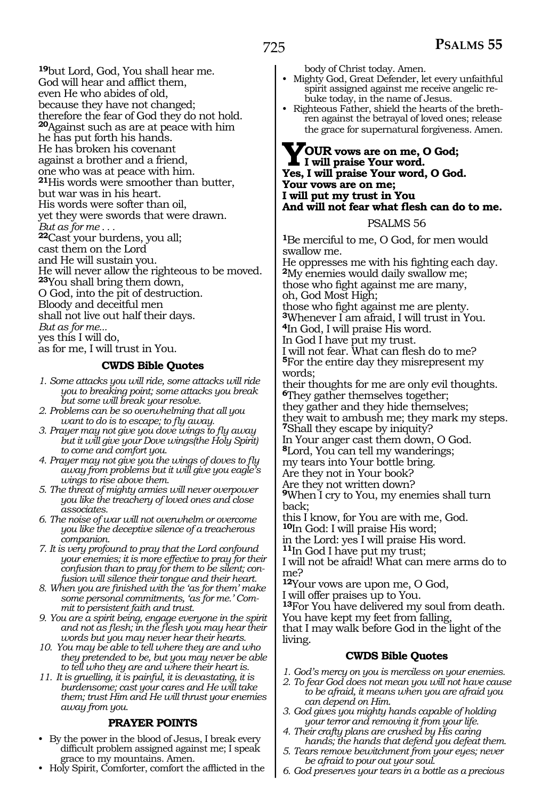**<sup>19</sup>**but Lord, God, You shall hear me. God will hear and afflict them, even He who abides of old, because they have not changed; therefore the fear of God they do not hold. **<sup>20</sup>**Against such as are at peace with him he has put forth his hands. He has broken his covenant against a brother and a friend, one who was at peace with him. **<sup>21</sup>**His words were smoother than butter, but war was in his heart. His words were softer than oil, yet they were swords that were drawn. *But as for me . . .* **<sup>22</sup>**Cast your burdens, you all; cast them on the Lord and He will sustain you. He will never allow the righteous to be moved. **<sup>23</sup>**You shall bring them down, O God, into the pit of destruction. Bloody and deceitful men shall not live out half their days. *But as for me...* yes this I will do, as for me, I will trust in You.

#### **CWDS Bible Quotes**

- *1. Some attacks you will ride, some attacks will ride you to breaking point; some attacks you break but some will break your resolve.*
- *2. Problems can be so overwhelming that all you want to do is to escape; to fly away.*
- *3. Prayer may not give you dove wings to fly away but it will give your Dove wings(the Holy Spirit) to come and comfort you.*
- *4. Prayer may not give you the wings of doves to fly away from problems but it will give you eagle's wings to rise above them.*
- *5. The threat of mighty armies will never overpower you like the treachery of loved ones and close associates.*
- *6. The noise of war will not overwhelm or overcome you like the deceptive silence of a treacherous companion.*
- *7. It is very profound to pray that the Lord confound your enemies; it is more effective to pray for their confusion than to pray for them to be silent; confusion will silence their tongue and their heart.*
- *8. When you are finished with the 'as for them' make some personal commitments, 'as for me.' Commit to persistent faith and trust.*
- *9. You are a spirit being, engage everyone in the spirit and not as flesh; in the flesh you may hear their words but you may never hear their hearts.*
- *10. You may be able to tell where they are and who they pretended to be, but you may never be able to tell who they are and where their heart is.*
- *11. It is gruelling, it is painful, it is devastating, it is burdensome; cast your cares and He will take them; trust Him and He will thrust your enemies away from you.*

#### **PRAYER POINTS**

- By the power in the blood of Jesus, I break every difficult problem assigned against me; I speak grace to my mountains. Amen.
- Holy Spirit, Comforter, comfort the afflicted in the

body of Christ today. Amen.

- Mighty God, Great Defender, let every unfaithful spirit assigned against me receive angelic rebuke today, in the name of Jesus.
- Righteous Father, shield the hearts of the brethren against the betrayal of loved ones; release the grace for supernatural forgiveness. Amen.

# **YOUR vows are on me, O God; I will praise Your word. Yes, I will praise Your word, O God. Your vows are on me; I will put my trust in You And will not fear what flesh can do to me.**

#### PSALMS 56

**<sup>1</sup>**Be merciful to me, O God, for men would swallow me.

He oppresses me with his fighting each day. **<sup>2</sup>**My enemies would daily swallow me; those who fight against me are many, oh, God Most High; those who fight against me are plenty. **<sup>3</sup>**Whenever I am afraid, I will trust in You. **<sup>4</sup>**In God, I will praise His word. In God I have put my trust. I will not fear. What can flesh do to me? **<sup>5</sup>**For the entire day they misrepresent my

words; their thoughts for me are only evil thoughts.

**<sup>6</sup>**They gather themselves together; they gather and they hide themselves;

they wait to ambush me; they mark my steps. **<sup>7</sup>**Shall they escape by iniquity?

In Your anger cast them down, O God.

**<sup>8</sup>**Lord, You can tell my wanderings;

my tears into Your bottle bring.

Are they not in Your book?

Are they not written down?

**<sup>9</sup>**When I cry to You, my enemies shall turn back;

this I know, for You are with me, God. **<sup>10</sup>**In God: I will praise His word;

in the Lord: yes I will praise His word.

**<sup>11</sup>**In God I have put my trust;

I will not be afraid! What can mere arms do to me?

**<sup>12</sup>**Your vows are upon me, O God,

I will offer praises up to You.

**<sup>13</sup>**For You have delivered my soul from death.

You have kept my feet from falling, that I may walk before God in the light of the living.

### **CWDS Bible Quotes**

- *1. God's mercy on you is merciless on your enemies.*
- *2. To fear God does not mean you will not have cause to be afraid, it means when you are afraid you can depend on Him.*
- *3. God gives you mighty hands capable of holding your terror and removing it from your life.*
- *4. Their crafty plans are crushed by His caring hands; the hands that defend you defeat them.*
- *5. Tears remove bewitchment from your eyes; never be afraid to pour out your soul.*
- *6. God preserves your tears in a bottle as a precious*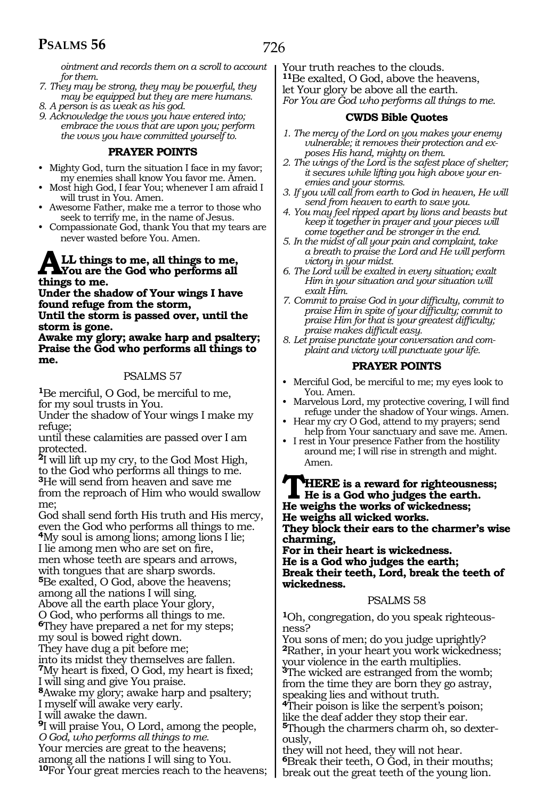*ointment and records them on a scroll to account for them.*

- *7. They may be strong, they may be powerful, they may be equipped but they are mere humans.*
- *8. A person is as weak as his god.*
- *9. Acknowledge the vows you have entered into; embrace the vows that are upon you; perform the vows you have committed yourself to.*

#### **PRAYER POINTS**

- Mighty God, turn the situation I face in my favor; my enemies shall know You favor me. Amen.
- Most high God, I fear You; whenever I am afraid I will trust in You. Amen.
- Awesome Father, make me a terror to those who seek to terrify me, in the name of Jesus.
- Compassionate God, thank You that my tears are never wasted before You. Amen.

# ALL things to me, all things to me, You are the God who performs all **things to me.**

**Under the shadow of Your wings I have found refuge from the storm, Until the storm is passed over, until the** 

**storm is gone. Awake my glory; awake harp and psaltery; Praise the God who performs all things to me.** 

#### PSALMS 57

**<sup>1</sup>**Be merciful, O God, be merciful to me, for my soul trusts in You.

Under the shadow of Your wings I make my refuge;

until these calamities are passed over I am protected.

**<sup>2</sup>**I will lift up my cry, to the God Most High, to the God who performs all things to me. **<sup>3</sup>**He will send from heaven and save me from the reproach of Him who would swallow me;

God shall send forth His truth and His mercy, even the God who performs all things to me. **<sup>4</sup>**My soul is among lions; among lions I lie; I lie among men who are set on fire, men whose teeth are spears and arrows, with tongues that are sharp swords. **<sup>5</sup>**Be exalted, O God, above the heavens; among all the nations I will sing. Above all the earth place Your glory, O God, who performs all things to me. **<sup>6</sup>**They have prepared a net for my steps; my soul is bowed right down. They have dug a pit before me; into its midst they themselves are fallen. **<sup>7</sup>**My heart is fixed, O God, my heart is fixed; I will sing and give You praise. **<sup>8</sup>**Awake my glory; awake harp and psaltery; I myself will awake very early. I will awake the dawn. **<sup>9</sup>**I will praise You, O Lord, among the people, *O God, who performs all things to me.*  Your mercies are great to the heavens; among all the nations I will sing to You. **<sup>10</sup>**For Your great mercies reach to the heavens; Your truth reaches to the clouds. **<sup>11</sup>**Be exalted, O God, above the heavens, let Your glory be above all the earth. *For You are God who performs all things to me.* 

### **CWDS Bible Quotes**

- *1. The mercy of the Lord on you makes your enemy vulnerable; it removes their protection and exposes His hand, mighty on them.*
- *2. The wings of the Lord is the safest place of shelter; it secures while lifting you high above your enemies and your storms.*
- *3. If you will call from earth to God in heaven, He will send from heaven to earth to save you.*
- *4. You may feel ripped apart by lions and beasts but keep it together in prayer and your pieces will come together and be stronger in the end.*
- *5. In the midst of all your pain and complaint, take a breath to praise the Lord and He will perform victory in your midst.*
- *6. The Lord will be exalted in every situation; exalt Him in your situation and your situation will exalt Him.*
- *7. Commit to praise God in your difficulty, commit to praise Him in spite of your difficulty; commit to praise Him for that is your greatest difficulty; praise makes difficult easy.*
- *8. Let praise punctate your conversation and complaint and victory will punctuate your life.*

#### **PRAYER POINTS**

- Merciful God, be merciful to me; my eyes look to You. Amen.
- Marvelous Lord, my protective covering, I will find refuge under the shadow of Your wings. Amen.
- Hear my cry O God, attend to my prayers; send help from Your sanctuary and save me. Amen.
- I rest in Your presence Father from the hostility around me; I will rise in strength and might. Amen.

**THERE** is a reward for righteousness;<br>He usighs the works of wickedness: **He weighs the works of wickedness; He weighs all wicked works. They block their ears to the charmer's wise charming,**

**For in their heart is wickedness. He is a God who judges the earth; Break their teeth, Lord, break the teeth of wickedness.**

#### PSALMS 58

**<sup>1</sup>**Oh, congregation, do you speak righteous- ness?

You sons of men; do you judge uprightly? **<sup>2</sup>**Rather, in your heart you work wickedness; your violence in the earth multiplies. <sup>3</sup>The wicked are estranged from the womb; from the time they are born they go astray,

speaking lies and without truth.

**<sup>4</sup>**Their poison is like the serpent's poison; like the deaf adder they stop their ear. **5**Though the charmers charm oh, so dexterously,

they will not heed, they will not hear. **<sup>6</sup>**Break their teeth, O God, in their mouths; break out the great teeth of the young lion.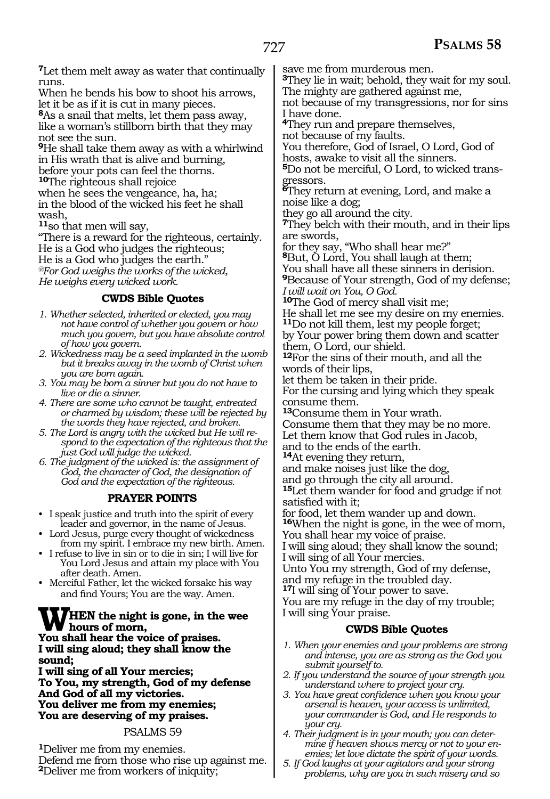**<sup>7</sup>**Let them melt away as water that continually runs.

When he bends his bow to shoot his arrows, let it be as if it is cut in many pieces.

**<sup>8</sup>**As a snail that melts, let them pass away, like a woman's stillborn birth that they may not see the sun.

**<sup>9</sup>**He shall take them away as with a whirlwind in His wrath that is alive and burning, before your pots can feel the thorns. **<sup>10</sup>**The righteous shall rejoice

when he sees the vengeance, ha, ha; in the blood of the wicked his feet he shall wash,

**<sup>11</sup>**so that men will say,

"There is a reward for the righteous, certainly. He is a God who judges the righteous; He is a God who judges the earth." *@For God weighs the works of the wicked, He weighs every wicked work.*

#### **CWDS Bible Quotes**

- *1. Whether selected, inherited or elected, you may not have control of whether you govern or how much you govern, but you have absolute control of how you govern.*
- *2. Wickedness may be a seed implanted in the womb but it breaks away in the womb of Christ when you are born again.*
- *3. You may be born a sinner but you do not have to live or die a sinner.*
- *4. There are some who cannot be taught, entreated or charmed by wisdom; these will be rejected by the words they have rejected, and broken.*
- *5. The Lord is angry with the wicked but He will respond to the expectation of the righteous that the just God will judge the wicked.*
- *6. The judgment of the wicked is: the assignment of God, the character of God, the designation of God and the expectation of the righteous.*

### **PRAYER POINTS**

- I speak justice and truth into the spirit of every leader and governor, in the name of Jesus.
- Lord Jesus, purge every thought of wickedness from my spirit. I embrace my new birth. Amen.
- I refuse to live in sin or to die in sin; I will live for You Lord Jesus and attain my place with You after death. Amen.
- Merciful Father, let the wicked forsake his way and find Yours; You are the way. Amen.

### **WHEN the night is gone, in the wee hours of morn,**

**You shall hear the voice of praises. I will sing aloud; they shall know the sound;** 

**I will sing of all Your mercies; To You, my strength, God of my defense And God of all my victories. You deliver me from my enemies; You are deserving of my praises.**

#### PSALMS 59

**<sup>1</sup>**Deliver me from my enemies. Defend me from those who rise up against me. **<sup>2</sup>**Deliver me from workers of iniquity;

save me from murderous men.

**<sup>3</sup>**They lie in wait; behold, they wait for my soul. The mighty are gathered against me,

not because of my transgressions, nor for sins I have done.

**<sup>4</sup>**They run and prepare themselves,

not because of my faults.

You therefore, God of Israel, O Lord, God of hosts, awake to visit all the sinners.

**5**Do not be merciful, O Lord, to wicked transgressors.

**<sup>6</sup>**They return at evening, Lord, and make a noise like a dog;

they go all around the city.

**<sup>7</sup>**They belch with their mouth, and in their lips are swords,

for they say, "Who shall hear me?"

**<sup>8</sup>**But, O Lord, You shall laugh at them;

You shall have all these sinners in derision.

**<sup>9</sup>**Because of Your strength, God of my defense; *I will wait on You, O God.* 

**<sup>10</sup>**The God of mercy shall visit me;

He shall let me see my desire on my enemies. **<sup>11</sup>**Do not kill them, lest my people forget;

by Your power bring them down and scatter them, O Lord, our shield.

**<sup>12</sup>**For the sins of their mouth, and all the words of their lips,

let them be taken in their pride.

For the cursing and lying which they speak consume them.

**<sup>13</sup>**Consume them in Your wrath.

Consume them that they may be no more. Let them know that God rules in Jacob, and to the ends of the earth.

**<sup>14</sup>**At evening they return,

and make noises just like the dog,

and go through the city all around.

**<sup>15</sup>**Let them wander for food and grudge if not satisfied with it;

for food, let them wander up and down.

**<sup>16</sup>**When the night is gone, in the wee of morn, You shall hear my voice of praise.

I will sing aloud; they shall know the sound; I will sing of all Your mercies.

Unto You my strength, God of my defense, and my refuge in the troubled day.

**<sup>17</sup>**I will sing of Your power to save.

You are my refuge in the day of my trouble; I will sing Your praise.

### **CWDS Bible Quotes**

- *1. When your enemies and your problems are strong and intense, you are as strong as the God you submit yourself to.*
- *2. If you understand the source of your strength you understand where to project your cry.*
- *3. You have great confidence when you know your arsenal is heaven, your access is unlimited, your commander is God, and He responds to your cry.*
- *4. Their judgment is in your mouth; you can determine if heaven shows mercy or not to your enemies; let love dictate the spirit of your words.*
- *5. If God laughs at your agitators and your strong problems, why are you in such misery and so*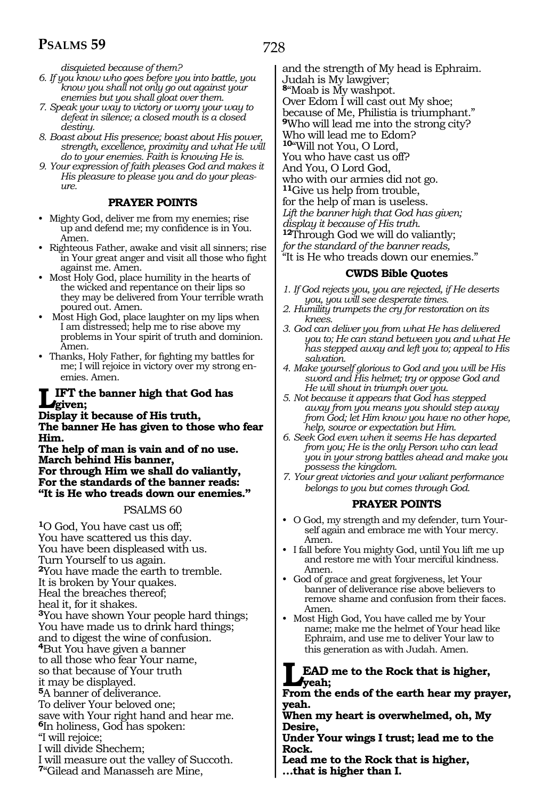*disquieted because of them?*

- *6. If you know who goes before you into battle, you know you shall not only go out against your enemies but you shall gloat over them.*
- *7. Speak your way to victory or worry your way to defeat in silence; a closed mouth is a closed destiny.*
- *8. Boast about His presence; boast about His power, strength, excellence, proximity and what He will do to your enemies. Faith is knowing He is.*
- *9. Your expression of faith pleases God and makes it His pleasure to please you and do your pleasure.*

#### **PRAYER POINTS**

- Mighty God, deliver me from my enemies; rise up and defend me; my confidence is in You. Amen.
- Righteous Father, awake and visit all sinners; rise in Your great anger and visit all those who fight against me. Amen.
- Most Holy God, place humility in the hearts of the wicked and repentance on their lips so they may be delivered from Your terrible wrath poured out. Amen.
- Most High God, place laughter on my lips when I am distressed; help me to rise above my problems in Your spirit of truth and dominion. Amen.
- Thanks, Holy Father, for fighting my battles for me; I will rejoice in victory over my strong enemies. Amen.

#### **LIFT the banner high that God has given;**

**Display it because of His truth, The banner He has given to those who fear Him.**

**The help of man is vain and of no use. March behind His banner, For through Him we shall do valiantly, For the standards of the banner reads: "It is He who treads down our enemies."**

### PSALMS 60

- **<sup>1</sup>**O God, You have cast us off; You have scattered us this day. You have been displeased with us. Turn Yourself to us again. **<sup>2</sup>**You have made the earth to tremble. It is broken by Your quakes. Heal the breaches thereof; heal it, for it shakes. **<sup>3</sup>**You have shown Your people hard things; You have made us to drink hard things; and to digest the wine of confusion. **<sup>4</sup>**But You have given a banner to all those who fear Your name, so that because of Your truth it may be displayed. **<sup>5</sup>**A banner of deliverance. To deliver Your beloved one; save with Your right hand and hear me. **<sup>6</sup>**In holiness, God has spoken: "I will rejoice; I will divide Shechem;
- I will measure out the valley of Succoth.

**<sup>7</sup>**"Gilead and Manasseh are Mine,

728

and the strength of My head is Ephraim. Judah is My lawgiver; **<sup>8</sup>**"Moab is My washpot. Over Edom I will cast out My shoe; because of Me, Philistia is triumphant." **<sup>9</sup>**Who will lead me into the strong city? Who will lead me to Edom? **<sup>10</sup>**"Will not You, O Lord, You who have cast us off? And You, O Lord God, who with our armies did not go. **<sup>11</sup>**Give us help from trouble, for the help of man is useless. *Lift the banner high that God has given; display it because of His truth.*  **<sup>12</sup>**Through God we will do valiantly; *for the standard of the banner reads,*  "It is He who treads down our enemies."

#### **CWDS Bible Quotes**

- *1. If God rejects you, you are rejected, if He deserts you, you will see desperate times.*
- *2. Humility trumpets the cry for restoration on its knees.*
- *3. God can deliver you from what He has delivered you to; He can stand between you and what He has stepped away and left you to; appeal to His salvation.*
- *4. Make yourself glorious to God and you will be His sword and His helmet; try or oppose God and He will shout in triumph over you.*
- *5. Not because it appears that God has stepped away from you means you should step away from God; let Him know you have no other hope, help, source or expectation but Him.*
- *6. Seek God even when it seems He has departed from you; He is the only Person who can lead you in your strong battles ahead and make you possess the kingdom.*
- *7. Your great victories and your valiant performance belongs to you but comes through God.*

### **PRAYER POINTS**

- O God, my strength and my defender, turn Yourself again and embrace me with Your mercy. Amen.
- I fall before You mighty God, until You lift me up and restore me with Your merciful kindness. Amen.
- God of grace and great forgiveness, let Your banner of deliverance rise above believers to remove shame and confusion from their faces. Amen.
- Most High God, You have called me by Your name; make me the helmet of Your head like Ephraim, and use me to deliver Your law to this generation as with Judah. Amen.

# **LEAD me to the Rock that is higher, yeah;**

**From the ends of the earth hear my prayer, yeah.** 

**When my heart is overwhelmed, oh, My Desire,** 

**Under Your wings I trust; lead me to the Rock.** 

**Lead me to the Rock that is higher,** 

**…that is higher than I.**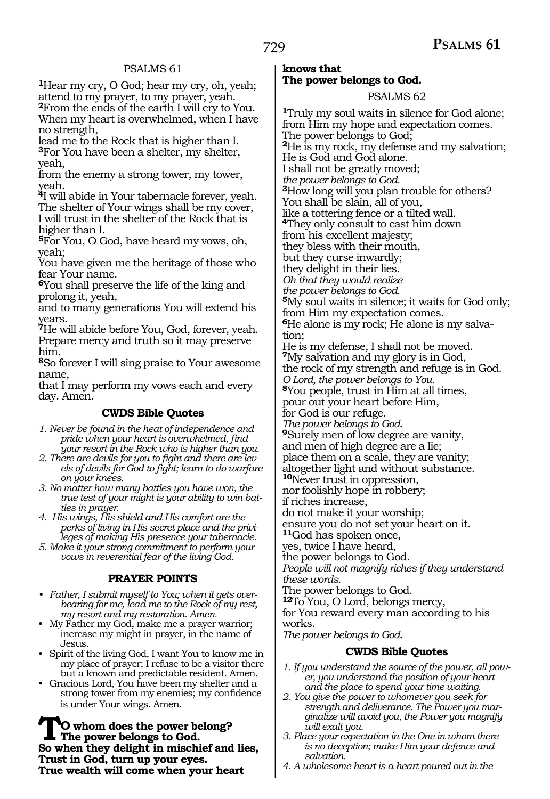**<sup>1</sup>**Hear my cry, O God; hear my cry, oh, yeah; attend to my prayer, to my prayer, yeah. **<sup>2</sup>**From the ends of the earth I will cry to You. When my heart is overwhelmed, when I have no strength,

lead me to the Rock that is higher than I. **<sup>3</sup>**For You have been a shelter, my shelter, yeah,

from the enemy a strong tower, my tower, yeah.

**<sup>4</sup>**I will abide in Your tabernacle forever, yeah. The shelter of Your wings shall be my cover, I will trust in the shelter of the Rock that is higher than I.

**<sup>5</sup>**For You, O God, have heard my vows, oh, yeah;

You have given me the heritage of those who fear Your name.

**<sup>6</sup>**You shall preserve the life of the king and prolong it, yeah,

and to many generations You will extend his years.

**<sup>7</sup>**He will abide before You, God, forever, yeah. Prepare mercy and truth so it may preserve him.

**<sup>8</sup>**So forever I will sing praise to Your awesome name,

that I may perform my vows each and every day. Amen.

### **CWDS Bible Quotes**

*1. Never be found in the heat of independence and pride when your heart is overwhelmed, find your resort in the Rock who is higher than you.*

*2. There are devils for you to fight and there are levels of devils for God to fight; learn to do warfare on your knees.*

*3. No matter how many battles you have won, the true test of your might is your ability to win battles in prayer.*

*4. His wings, His shield and His comfort are the perks of living in His secret place and the privileges of making His presence your tabernacle.*

*5. Make it your strong commitment to perform your vows in reverential fear of the living God.*

#### **PRAYER POINTS**

*• Father, I submit myself to You; when it gets overbearing for me, lead me to the Rock of my rest, my resort and my restoration. Amen.* 

- My Father my God, make me a prayer warrior; increase my might in prayer, in the name of Jesus.
- Spirit of the living God, I want You to know me in my place of prayer; I refuse to be a visitor there but a known and predictable resident. Amen.
- Gracious Lord, You have been my shelter and a strong tower from my enemies; my confidence is under Your wings. Amen.

**TO whom does the power belong? The power belongs to God. So when they delight in mischief and lies, Trust in God, turn up your eyes. True wealth will come when your heart** 

#### **knows that The power belongs to God.**

PSALMS 62

**<sup>1</sup>**Truly my soul waits in silence for God alone; from Him my hope and expectation comes. The power belongs to God; **<sup>2</sup>**He is my rock, my defense and my salvation; He is God and God alone*.* I shall not be greatly moved; *the power belongs to God.* **<sup>3</sup>**How long will you plan trouble for others? You shall be slain, all of you, like a tottering fence or a tilted wall. **<sup>4</sup>**They only consult to cast him down from his excellent majesty; they bless with their mouth, but they curse inwardly; they delight in their lies. *Oh that they would realize the power belongs to God.*  **<sup>5</sup>**My soul waits in silence; it waits for God only; from Him my expectation comes. **6**He alone is my rock; He alone is my salvation; He is my defense, I shall not be moved. **<sup>7</sup>**My salvation and my glory is in God, the rock of my strength and refuge is in God. *O Lord, the power belongs to You.*  **<sup>8</sup>**You people, trust in Him at all times, pour out your heart before Him, for God is our refuge. *The power belongs to God.* **<sup>9</sup>**Surely men of low degree are vanity, and men of high degree are a lie; place them on a scale, they are vanity; altogether light and without substance. **<sup>10</sup>**Never trust in oppression, nor foolishly hope in robbery; if riches increase, do not make it your worship; ensure you do not set your heart on it. **<sup>11</sup>**God has spoken once, yes, twice I have heard, the power belongs to God. *People will not magnify riches if they understand these words.* The power belongs to God. **<sup>12</sup>**To You, O Lord, belongs mercy, for You reward every man according to his works. *The power belongs to God.*  **CWDS Bible Quotes** *1. If you understand the source of the power, all power, you understand the position of your heart* 

*and the place to spend your time waiting. 2. You give the power to whomever you seek for strength and deliverance. The Power you mar-*

*ginalize will avoid you, the Power you magnify will exalt you. 3. Place your expectation in the One in whom there* 

*is no deception; make Him your defence and salvation.*

*4. A wholesome heart is a heart poured out in the*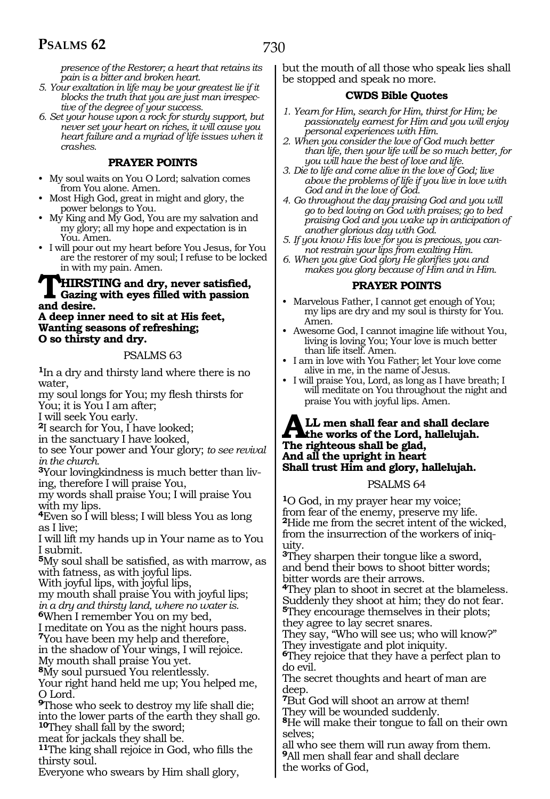730

*presence of the Restorer; a heart that retains its pain is a bitter and broken heart.*

- *5. Your exaltation in life may be your greatest lie if it blocks the truth that you are just man irrespective of the degree of your success.*
- *6. Set your house upon a rock for sturdy support, but never set your heart on riches, it will cause you heart failure and a myriad of life issues when it crashes.*

#### **PRAYER POINTS**

- My soul waits on You O Lord; salvation comes from You alone. Amen.
- Most High God, great in might and glory, the power belongs to You.
- My King and My God, You are my salvation and my glory; all my hope and expectation is in You. Amen.
- I will pour out my heart before You Jesus, for You are the restorer of my soul; I refuse to be locked in with my pain. Amen.

# **THIRSTING** and dry, never satisfied,<br>
and desire<br> **Gazing with eyes filled with passion and desire.**

#### **A deep inner need to sit at His feet, Wanting seasons of refreshing; O so thirsty and dry.**

#### PSALMS 63

**<sup>1</sup>**In a dry and thirsty land where there is no water,

my soul longs for You; my flesh thirsts for You; it is You I am after;

I will seek You early.

**<sup>2</sup>**I search for You, I have looked;

in the sanctuary I have looked,

to see Your power and Your glory; *to see revival in the church.*

**<sup>3</sup>**Your lovingkindness is much better than liv- ing, therefore I will praise You,

my words shall praise You; I will praise You with my lips.

**<sup>4</sup>**Even so I will bless; I will bless You as long as I live;

I will lift my hands up in Your name as to You I submit.

**<sup>5</sup>**My soul shall be satisfied, as with marrow, as with fatness, as with joyful lips.

With joyful lips, with joyful lips,

my mouth shall praise You with joyful lips; *in a dry and thirsty land, where no water is.*  **<sup>6</sup>**When I remember You on my bed,

I meditate on You as the night hours pass. **<sup>7</sup>**You have been my help and therefore,

in the shadow of Your wings, I will rejoice. My mouth shall praise You yet.

**<sup>8</sup>**My soul pursued You relentlessly.

Your right hand held me up; You helped me, O Lord.

**<sup>9</sup>**Those who seek to destroy my life shall die; into the lower parts of the earth they shall go. **<sup>10</sup>**They shall fall by the sword;

meat for jackals they shall be.

**<sup>11</sup>**The king shall rejoice in God, who fills the thirsty soul.

Everyone who swears by Him shall glory,

but the mouth of all those who speak lies shall be stopped and speak no more.

#### **CWDS Bible Quotes**

- *1. Yearn for Him, search for Him, thirst for Him; be passionately earnest for Him and you will enjoy personal experiences with Him.*
- *2. When you consider the love of God much better than life, then your life will be so much better, for you will have the best of love and life.*
- *3. Die to life and come alive in the love of God; live above the problems of life if you live in love with God and in the love of God.*
- *4. Go throughout the day praising God and you will go to bed loving on God with praises; go to bed praising God and you wake up in anticipation of another glorious day with God.*
- *5. If you know His love for you is precious, you cannot restrain your lips from exalting Him.*
- *6. When you give God glory He glorifies you and makes you glory because of Him and in Him.*

#### **PRAYER POINTS**

- Marvelous Father, I cannot get enough of You; my lips are dry and my soul is thirsty for You. Amen.
- Awesome God, I cannot imagine life without You, living is loving You; Your love is much better than life itself. Amen.
- I am in love with You Father; let Your love come alive in me, in the name of Jesus.
- I will praise You, Lord, as long as I have breath; I will meditate on You throughout the night and praise You with joyful lips. Amen.

#### **ALL men shall fear and shall declare the works of the Lord, hallelujah. The righteous shall be glad, And all the upright in heart Shall trust Him and glory, hallelujah.**

PSALMS 64

**<sup>1</sup>**O God, in my prayer hear my voice; from fear of the enemy, preserve my life. **<sup>2</sup>**Hide me from the secret intent of the wicked, from the insurrection of the workers of iniquity.

**<sup>3</sup>**They sharpen their tongue like a sword, and bend their bows to shoot bitter words; bitter words are their arrows.

**<sup>4</sup>**They plan to shoot in secret at the blameless. Suddenly they shoot at him; they do not fear. **<sup>5</sup>**They encourage themselves in their plots; they agree to lay secret snares.

They say, "Who will see us; who will know?" They investigate and plot iniquity.

**<sup>6</sup>**They rejoice that they have a perfect plan to do evil.

The secret thoughts and heart of man are deep.

**<sup>7</sup>**But God will shoot an arrow at them! They will be wounded suddenly.

**<sup>8</sup>**He will make their tongue to fall on their own selves;

all who see them will run away from them. **<sup>9</sup>**All men shall fear and shall declare the works of God,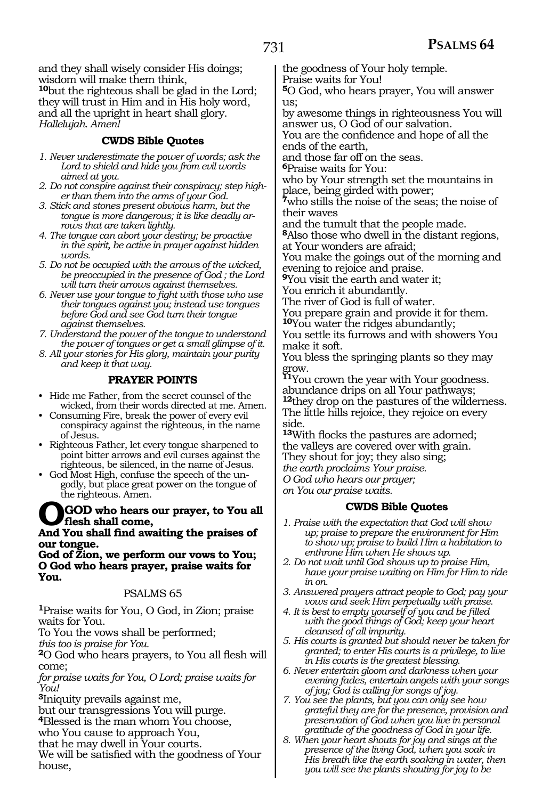and they shall wisely consider His doings; wisdom will make them think, **<sup>10</sup>**but the righteous shall be glad in the Lord; they will trust in Him and in His holy word, and all the upright in heart shall glory. *Hallelujah. Amen!* 

### **CWDS Bible Quotes**

- *1. Never underestimate the power of words; ask the Lord to shield and hide you from evil words aimed at you.*
- *2. Do not conspire against their conspiracy; step higher than them into the arms of your God.*
- *3. Stick and stones present obvious harm, but the tongue is more dangerous; it is like deadly arrows that are taken lightly.*
- *4. The tongue can abort your destiny; be proactive in the spirit, be active in prayer against hidden words.*
- *5. Do not be occupied with the arrows of the wicked, be preoccupied in the presence of God ; the Lord will turn their arrows against themselves.*
- *6. Never use your tongue to fight with those who use their tongues against you; instead use tongues before God and see God turn their tongue against themselves.*
- *7. Understand the power of the tongue to understand the power of tongues or get a small glimpse of it.*
- *8. All your stories for His glory, maintain your purity and keep it that way.*

#### **PRAYER POINTS**

- Hide me Father, from the secret counsel of the wicked, from their words directed at me. Amen.
- Consuming Fire, break the power of every evil conspiracy against the righteous, in the name of Jesus.
- Righteous Father, let every tongue sharpened to point bitter arrows and evil curses against the righteous, be silenced, in the name of Jesus.
- God Most High, confuse the speech of the ungodly, but place great power on the tongue of the righteous. Amen.

#### **OGOD who hears our prayer, to You all flesh shall come,**

#### **And You shall find awaiting the praises of our tongue.**

**God of Zion, we perform our vows to You; O God who hears prayer, praise waits for You.** 

#### PSALMS 65

**<sup>1</sup>**Praise waits for You, O God, in Zion; praise waits for You.

To You the vows shall be performed;

*this too is praise for You.*

**<sup>2</sup>**O God who hears prayers, to You all flesh will come;

*for praise waits for You, O Lord; praise waits for You!* 

**<sup>3</sup>**Iniquity prevails against me,

but our transgressions You will purge.

**<sup>4</sup>**Blessed is the man whom You choose,

who You cause to approach You,

that he may dwell in Your courts.

We will be satisfied with the goodness of Your house,

the goodness of Your holy temple.

Praise waits for You!

**<sup>5</sup>**O God, who hears prayer, You will answer us;

by awesome things in righteousness You will answer us, O God of our salvation.

You are the confidence and hope of all the ends of the earth,

and those far off on the seas.

**<sup>6</sup>**Praise waits for You:

who by Your strength set the mountains in place, being girded with power;

**<sup>7</sup>**who stills the noise of the seas; the noise of their waves

and the tumult that the people made.

**<sup>8</sup>**Also those who dwell in the distant regions, at Your wonders are afraid;

You make the goings out of the morning and evening to rejoice and praise.

**<sup>9</sup>**You visit the earth and water it; You enrich it abundantly.

The river of God is full of water.

You prepare grain and provide it for them. **<sup>10</sup>**You water the ridges abundantly;

You settle its furrows and with showers You make it soft.

You bless the springing plants so they may grow.

**<sup>11</sup>**You crown the year with Your goodness. abundance drips on all Your pathways; **<sup>12</sup>**they drop on the pastures of the wilderness. The little hills rejoice, they rejoice on every side.

**<sup>13</sup>**With flocks the pastures are adorned; the valleys are covered over with grain. They shout for joy; they also sing; *the earth proclaims Your praise. O God who hears our prayer;* 

*on You our praise waits.* 

### **CWDS Bible Quotes**

- *1. Praise with the expectation that God will show up; praise to prepare the environment for Him to show up; praise to build Him a habitation to enthrone Him when He shows up.*
- *2. Do not wait until God shows up to praise Him, have your praise waiting on Him for Him to ride in on.*
- *3. Answered prayers attract people to God; pay your vows and seek Him perpetually with praise.*
- *4. It is best to empty yourself of you and be filled with the good things of God; keep your heart cleansed of all impurity.*
- *5. His courts is granted but should never be taken for granted; to enter His courts is a privilege, to live in His courts is the greatest blessing.*
- *6. Never entertain gloom and darkness when your evening fades, entertain angels with your songs of joy; God is calling for songs of joy.*
- *7. You see the plants, but you can only see how grateful they are for the presence, provision and preservation of God when you live in personal gratitude of the goodness of God in your life.*
- *8. When your heart shouts for joy and sings at the presence of the living God, when you soak in His breath like the earth soaking in water, then you will see the plants shouting for joy to be*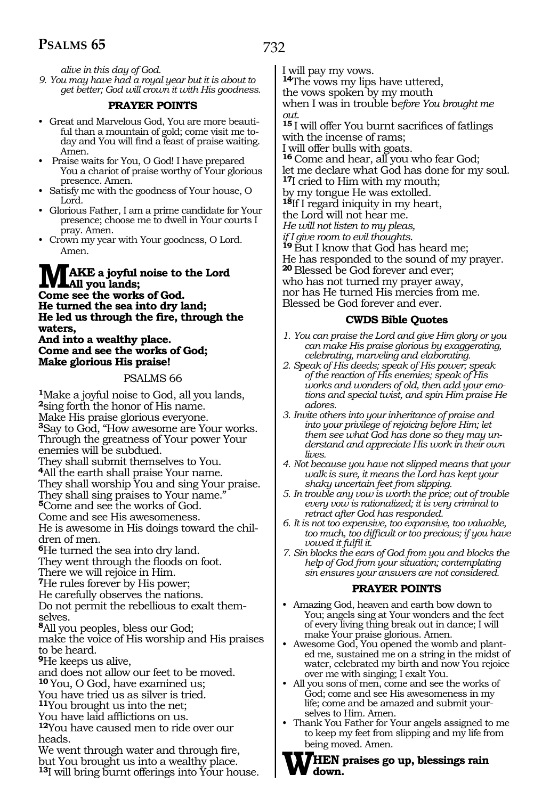732

*alive in this day of God.*

*9. You may have had a royal year but it is about to get better; God will crown it with His goodness.*

#### **PRAYER POINTS**

- Great and Marvelous God, You are more beautiful than a mountain of gold; come visit me today and You will find a feast of praise waiting. Amen.
- Praise waits for You, O God! I have prepared You a chariot of praise worthy of Your glorious presence. Amen.
- Satisfy me with the goodness of Your house, O Lord.
- Glorious Father, I am a prime candidate for Your presence; choose me to dwell in Your courts I pray. Amen.
- Crown my year with Your goodness, O Lord. Amen.

# **MAKE a joyful noise to the Lord All you lands; Come see the works of God.**

**He turned the sea into dry land; He led us through the fire, through the waters,**

#### **And into a wealthy place. Come and see the works of God; Make glorious His praise!**

#### PSALMS 66

**<sup>1</sup>**Make a joyful noise to God, all you lands, **<sup>2</sup>**sing forth the honor of His name. Make His praise glorious everyone. **<sup>3</sup>**Say to God, "How awesome are Your works. Through the greatness of Your power Your enemies will be subdued. They shall submit themselves to You. **<sup>4</sup>**All the earth shall praise Your name. They shall worship You and sing Your praise. They shall sing praises to Your name." **<sup>5</sup>**Come and see the works of God. Come and see His awesomeness. He is awesome in His doings toward the children of men. **<sup>6</sup>**He turned the sea into dry land. They went through the floods on foot. There we will rejoice in Him. **<sup>7</sup>**He rules forever by His power; He carefully observes the nations. Do not permit the rebellious to exalt themselves. **<sup>8</sup>**All you peoples, bless our God; make the voice of His worship and His praises to be heard. **<sup>9</sup>**He keeps us alive, and does not allow our feet to be moved. **<sup>10</sup>**You, O God, have examined us; You have tried us as silver is tried. **<sup>11</sup>**You brought us into the net; You have laid afflictions on us. **<sup>12</sup>**You have caused men to ride over our heads. We went through water and through fire, but You brought us into a wealthy place. **<sup>13</sup>**I will bring burnt offerings into Your house.

I will pay my vows. **<sup>14</sup>**The vows my lips have uttered, the vows spoken by my mouth when I was in trouble b*efore You brought me out.* **<sup>15</sup>**I will offer You burnt sacrifices of fatlings with the incense of rams; I will offer bulls with goats. **<sup>16</sup>**Come and hear, all you who fear God; let me declare what God has done for my soul. **<sup>17</sup>**I cried to Him with my mouth; by my tongue He was extolled. **<sup>18</sup>**If I regard iniquity in my heart, the Lord will not hear me. *He will not listen to my pleas, if I give room to evil thoughts.* **19** But I know that God has heard me; He has responded to the sound of my prayer. **<sup>20</sup>**Blessed be God forever and ever; who has not turned my prayer away, nor has He turned His mercies from me. Blessed be God forever and ever.

#### **CWDS Bible Quotes**

- *1. You can praise the Lord and give Him glory or you can make His praise glorious by exaggerating, celebrating, marveling and elaborating.*
- *2. Speak of His deeds; speak of His power; speak of the reaction of His enemies; speak of His works and wonders of old, then add your emotions and special twist, and spin Him praise He adores.*
- *3. Invite others into your inheritance of praise and into your privilege of rejoicing before Him; let them see what God has done so they may understand and appreciate His work in their own lives.*
- *4. Not because you have not slipped means that your walk is sure, it means the Lord has kept your shaky uncertain feet from slipping.*
- *5. In trouble any vow is worth the price; out of trouble every vow is rationalized; it is very criminal to retract after God has responded.*
- *6. It is not too expensive, too expansive, too valuable, too much, too difficult or too precious; if you have vowed it fulfil it.*
- *7. Sin blocks the ears of God from you and blocks the help of God from your situation; contemplating sin ensures your answers are not considered.*

#### **PRAYER POINTS**

- Amazing God, heaven and earth bow down to You; angels sing at Your wonders and the feet of every living thing break out in dance; I will make Your praise glorious. Amen.
- Awesome God, You opened the womb and planted me, sustained me on a string in the midst of water, celebrated my birth and now You rejoice over me with singing; I exalt You.
- All you sons of men, come and see the works of God; come and see His awesomeness in my life; come and be amazed and submit yourselves to Him. Amen.
- Thank You Father for Your angels assigned to me to keep my feet from slipping and my life from being moved. Amen.
- **WHEN praises go up, blessings rain down.**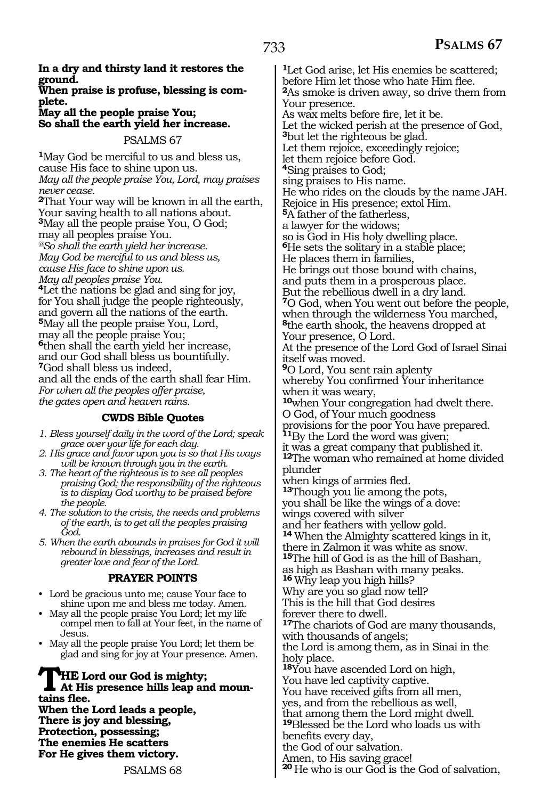#### **In a dry and thirsty land it restores the ground.**

#### **When praise is profuse, blessing is com plete.**

#### **May all the people praise You; So shall the earth yield her increase.**

#### PSALMS 67

**<sup>1</sup>**May God be merciful to us and bless us, cause His face to shine upon us. *May all the people praise You, Lord, may praises never cease.*  **<sup>2</sup>**That Your way will be known in all the earth, Your saving health to all nations about. **<sup>3</sup>**May all the people praise You, O God; may all peoples praise You. *@So shall the earth yield her increase. May God be merciful to us and bless us, cause His face to shine upon us. May all peoples praise You.*  **<sup>4</sup>**Let the nations be glad and sing for joy, for You shall judge the people righteously, and govern all the nations of the earth. **<sup>5</sup>**May all the people praise You, Lord, may all the people praise You; **<sup>6</sup>**then shall the earth yield her increase, and our God shall bless us bountifully. **<sup>7</sup>**God shall bless us indeed, and all the ends of the earth shall fear Him. *For when all the peoples offer praise, the gates open and heaven rains.*

### **CWDS Bible Quotes**

- *1. Bless yourself daily in the word of the Lord; speak grace over your life for each day.*
- *2. His grace and favor upon you is so that His ways will be known through you in the earth.*
- *3. The heart of the righteous is to see all peoples praising God; the responsibility of the righteous is to display God worthy to be praised before the people.*
- *4. The solution to the crisis, the needs and problems of the earth, is to get all the peoples praising God.*
- *5. When the earth abounds in praises for God it will rebound in blessings, increases and result in greater love and fear of the Lord.*

#### **PRAYER POINTS**

- Lord be gracious unto me; cause Your face to shine upon me and bless me today. Amen.
- May all the people praise You Lord; let my life compel men to fall at Your feet, in the name of Jesus.
- May all the people praise You Lord; let them be glad and sing for joy at Your presence. Amen.

# **THE Lord our God is mighty;**<br>At His presence hills leap and moun**tains flee.**

**When the Lord leads a people, There is joy and blessing, Protection, possessing; The enemies He scatters For He gives them victory.** 

**<sup>1</sup>**Let God arise, let His enemies be scattered; before Him let those who hate Him flee. **<sup>2</sup>**As smoke is driven away, so drive them from Your presence. As wax melts before fire, let it be. Let the wicked perish at the presence of God, **<sup>3</sup>**but let the righteous be glad. Let them rejoice, exceedingly rejoice; let them rejoice before God. **<sup>4</sup>**Sing praises to God; sing praises to His name. He who rides on the clouds by the name JAH. Rejoice in His presence; extol Him. **<sup>5</sup>**A father of the fatherless, a lawyer for the widows; so is God in His holy dwelling place. **<sup>6</sup>**He sets the solitary in a stable place; He places them in families, He brings out those bound with chains, and puts them in a prosperous place. But the rebellious dwell in a dry land. **<sup>7</sup>**O God, when You went out before the people, when through the wilderness You marched, **<sup>8</sup>**the earth shook, the heavens dropped at Your presence, O Lord. At the presence of the Lord God of Israel Sinai itself was moved. **<sup>9</sup>**O Lord, You sent rain aplenty whereby You confirmed Your inheritance when it was weary, **<sup>10</sup>**when Your congregation had dwelt there. O God, of Your much goodness provisions for the poor You have prepared. **<sup>11</sup>**By the Lord the word was given; it was a great company that published it. **<sup>12</sup>**The woman who remained at home divided plunder when kings of armies fled. **<sup>13</sup>**Though you lie among the pots, you shall be like the wings of a dove: wings covered with silver and her feathers with yellow gold. **<sup>14</sup>**When the Almighty scattered kings in it, there in Zalmon it was white as snow. **<sup>15</sup>**The hill of God is as the hill of Bashan, as high as Bashan with many peaks. **<sup>16</sup>**Why leap you high hills? Why are you so glad now tell? This is the hill that God desires forever there to dwell. **<sup>17</sup>**The chariots of God are many thousands, with thousands of angels; the Lord is among them, as in Sinai in the holy place. **<sup>18</sup>**You have ascended Lord on high, You have led captivity captive. You have received gifts from all men, yes, and from the rebellious as well, that among them the Lord might dwell. **<sup>19</sup>**Blessed be the Lord who loads us with benefits every day, the God of our salvation. Amen, to His saving grace!

**<sup>20</sup>**He who is our God is the God of salvation,

PSALMS 68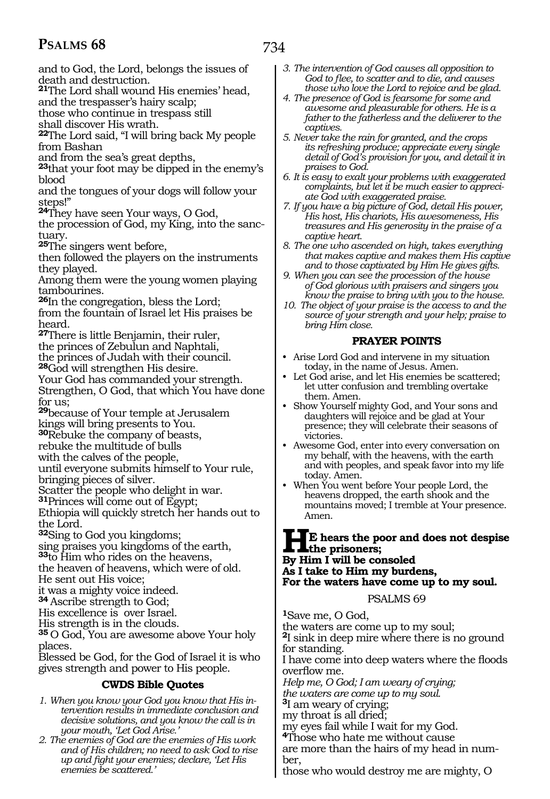and to God, the Lord, belongs the issues of death and destruction.

**<sup>21</sup>**The Lord shall wound His enemies' head,

and the trespasser's hairy scalp;

those who continue in trespass still

shall discover His wrath.

**<sup>22</sup>**The Lord said, "I will bring back My people from Bashan

and from the sea's great depths,

**<sup>23</sup>**that your foot may be dipped in the enemy's blood

and the tongues of your dogs will follow your steps!"

**<sup>24</sup>**They have seen Your ways, O God,

the procession of God, my King, into the sanc- tuary.

**<sup>25</sup>**The singers went before,

then followed the players on the instruments they played.

Among them were the young women playing tambourines.

**<sup>26</sup>**In the congregation, bless the Lord; from the fountain of Israel let His praises be heard.

**<sup>27</sup>**There is little Benjamin, their ruler, the princes of Zebulun and Naphtali,

the princes of Judah with their council. **<sup>28</sup>**God will strengthen His desire.

Your God has commanded your strength. Strengthen, O God, that which You have done for us;

**<sup>29</sup>**because of Your temple at Jerusalem kings will bring presents to You.

**<sup>30</sup>**Rebuke the company of beasts,

rebuke the multitude of bulls

with the calves of the people,

until everyone submits himself to Your rule, bringing pieces of silver.

Scatter the people who delight in war.

**<sup>31</sup>**Princes will come out of Egypt;

Ethiopia will quickly stretch her hands out to the Lord.

**<sup>32</sup>**Sing to God you kingdoms;

sing praises you kingdoms of the earth, **<sup>33</sup>**to Him who rides on the heavens,

the heaven of heavens, which were of old.

He sent out His voice;

it was a mighty voice indeed.

**<sup>34</sup>**Ascribe strength to God; His excellence is over Israel.

His strength is in the clouds.

**<sup>35</sup>**O God, You are awesome above Your holy places.

Blessed be God, for the God of Israel it is who gives strength and power to His people.

### **CWDS Bible Quotes**

- *1. When you know your God you know that His intervention results in immediate conclusion and decisive solutions, and you know the call is in your mouth, 'Let God Arise.'*
- *2. The enemies of God are the enemies of His work and of His children; no need to ask God to rise up and fight your enemies; declare, 'Let His enemies be scattered.'*
- *3. The intervention of God causes all opposition to God to flee, to scatter and to die, and causes those who love the Lord to rejoice and be glad.*
- *4. The presence of God is fearsome for some and awesome and pleasurable for others. He is a father to the fatherless and the deliverer to the captives.*
- *5. Never take the rain for granted, and the crops its refreshing produce; appreciate every single detail of God's provision for you, and detail it in praises to God.*
- *6. It is easy to exalt your problems with exaggerated complaints, but let it be much easier to appreciate God with exaggerated praise.*
- *7. If you have a big picture of God, detail His power, His host, His chariots, His awesomeness, His treasures and His generosity in the praise of a captive heart.*
- *8. The one who ascended on high, takes everything that makes captive and makes them His captive and to those captivated by Him He gives gifts.*
- *9. When you can see the procession of the house of God glorious with praisers and singers you know the praise to bring with you to the house.*
- *10. The object of your praise is the access to and the source of your strength and your help; praise to bring Him close.*

### **PRAYER POINTS**

- Arise Lord God and intervene in my situation today, in the name of Jesus. Amen.
- Let God arise, and let His enemies be scattered; let utter confusion and trembling overtake them. Amen.
- Show Yourself mighty God, and Your sons and daughters will rejoice and be glad at Your presence; they will celebrate their seasons of victories.
- Awesome God, enter into every conversation on my behalf, with the heavens, with the earth and with peoples, and speak favor into my life today. Amen.
- When You went before Your people Lord, the heavens dropped, the earth shook and the mountains moved; I tremble at Your presence. Amen.

#### **HE hears the poor and does not despise the prisoners; By Him I will be consoled As I take to Him my burdens, For the waters have come up to my soul.**

PSALMS 69

**<sup>1</sup>**Save me, O God,

the waters are come up to my soul; **<sup>2</sup>**I sink in deep mire where there is no ground for standing.

I have come into deep waters where the floods overflow me.

*Help me, O God; I am weary of crying; the waters are come up to my soul.*

**<sup>3</sup>**I am weary of crying;

my throat is all dried;

my eyes fail while I wait for my God. **<sup>4</sup>**Those who hate me without cause

are more than the hairs of my head in num- ber,

those who would destroy me are mighty, O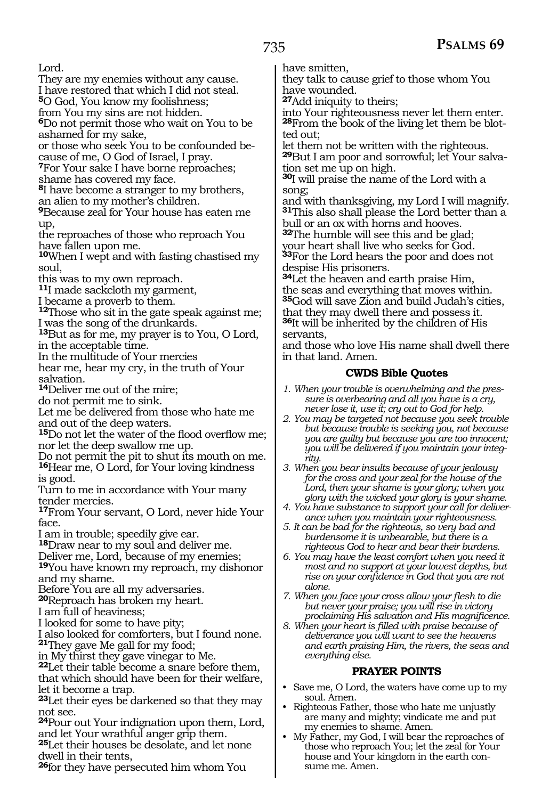Lord.

They are my enemies without any cause.

I have restored that which I did not steal.

**<sup>5</sup>**O God, You know my foolishness;

from You my sins are not hidden. **<sup>6</sup>**Do not permit those who wait on You to be ashamed for my sake,

or those who seek You to be confounded be- cause of me, O God of Israel, I pray.

**<sup>7</sup>**For Your sake I have borne reproaches; shame has covered my face.

**<sup>8</sup>**I have become a stranger to my brothers, an alien to my mother's children.

**<sup>9</sup>**Because zeal for Your house has eaten me up,

the reproaches of those who reproach You have fallen upon me.

**<sup>10</sup>**When I wept and with fasting chastised my soul,

this was to my own reproach.

**<sup>11</sup>**I made sackcloth my garment,

I became a proverb to them.

**<sup>12</sup>**Those who sit in the gate speak against me; I was the song of the drunkards.

**<sup>13</sup>**But as for me, my prayer is to You, O Lord, in the acceptable time.

In the multitude of Your mercies

hear me, hear my cry, in the truth of Your salvation.

**<sup>14</sup>**Deliver me out of the mire;

do not permit me to sink.

Let me be delivered from those who hate me and out of the deep waters.

**<sup>15</sup>**Do not let the water of the flood overflow me; nor let the deep swallow me up.

Do not permit the pit to shut its mouth on me. **<sup>16</sup>**Hear me, O Lord, for Your loving kindness is good.

Turn to me in accordance with Your many tender mercies.

**<sup>17</sup>**From Your servant, O Lord, never hide Your face.

I am in trouble; speedily give ear.

**<sup>18</sup>**Draw near to my soul and deliver me.

Deliver me, Lord, because of my enemies;

**<sup>19</sup>**You have known my reproach, my dishonor and my shame.

Before You are all my adversaries.

**<sup>20</sup>**Reproach has broken my heart.

I am full of heaviness;

I looked for some to have pity;

I also looked for comforters, but I found none. **<sup>21</sup>**They gave Me gall for my food;

in My thirst they gave vinegar to Me.

**<sup>22</sup>**Let their table become a snare before them, that which should have been for their welfare, let it become a trap.

**<sup>23</sup>**Let their eyes be darkened so that they may not see.

**<sup>24</sup>**Pour out Your indignation upon them, Lord, and let Your wrathful anger grip them.

**<sup>25</sup>**Let their houses be desolate, and let none dwell in their tents,

**<sup>26</sup>**for they have persecuted him whom You

have smitten,

they talk to cause grief to those whom You have wounded.

**<sup>27</sup>**Add iniquity to theirs;

into Your righteousness never let them enter. **<sup>28</sup>**From the book of the living let them be blot- ted out;

let them not be written with the righteous. **<sup>29</sup>**But I am poor and sorrowful; let Your salva- tion set me up on high.

**<sup>30</sup>**I will praise the name of the Lord with a song;

and with thanksgiving, my Lord I will magnify. **<sup>31</sup>**This also shall please the Lord better than a bull or an ox with horns and hooves.

**<sup>32</sup>**The humble will see this and be glad; your heart shall live who seeks for God.

**<sup>33</sup>**For the Lord hears the poor and does not despise His prisoners.

**<sup>34</sup>**Let the heaven and earth praise Him, the seas and everything that moves within. **<sup>35</sup>**God will save Zion and build Judah's cities, that they may dwell there and possess it. **<sup>36</sup>**It will be inherited by the children of His servants,

and those who love His name shall dwell there in that land. Amen.

### **CWDS Bible Quotes**

*1. When your trouble is overwhelming and the pressure is overbearing and all you have is a cry, never lose it, use it; cry out to God for help.*

*2. You may be targeted not because you seek trouble but because trouble is seeking you, not because you are guilty but because you are too innocent; you will be delivered if you maintain your integrity.*

*3. When you bear insults because of your jealousy for the cross and your zeal for the house of the Lord, then your shame is your glory; when you glory with the wicked your glory is your shame.*

*4. You have substance to support your call for deliverance when you maintain your righteousness.*

*5. It can be bad for the righteous, so very bad and burdensome it is unbearable, but there is a righteous God to hear and bear their burdens.*

*6. You may have the least comfort when you need it most and no support at your lowest depths, but rise on your confidence in God that you are not alone.*

*7. When you face your cross allow your flesh to die but never your praise; you will rise in victory proclaiming His salvation and His magnificence.*

*8. When your heart is filled with praise because of deliverance you will want to see the heavens and earth praising Him, the rivers, the seas and everything else.*

### **PRAYER POINTS**

- Save me, O Lord, the waters have come up to my soul. Amen.
- Righteous Father, those who hate me unjustly are many and mighty; vindicate me and put my enemies to shame. Amen.
- My Father, my God, I will bear the reproaches of those who reproach You; let the zeal for Your house and Your kingdom in the earth consume me. Amen.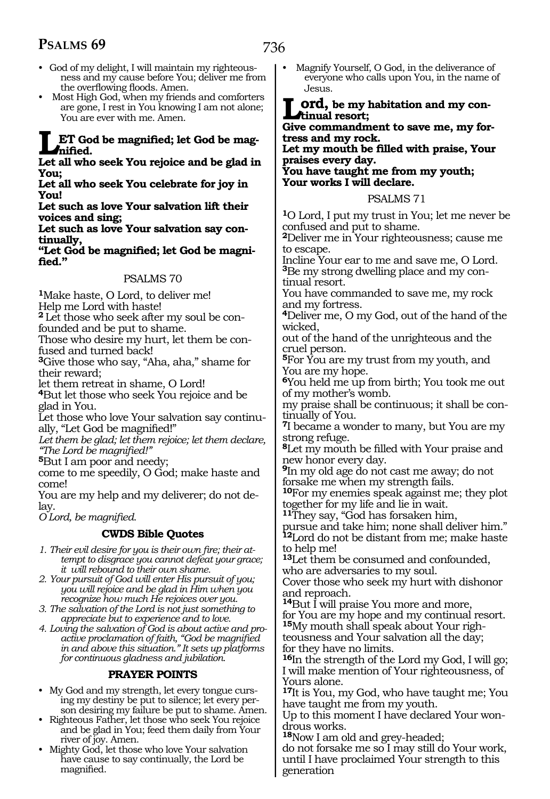- God of my delight, I will maintain my righteousness and my cause before You; deliver me from the overflowing floods. Amen.
- Most High God, when my friends and comforters are gone, I rest in You knowing I am not alone; You are ever with me. Amen.

### **LET God be magnified; let God be magnified.**

**Let all who seek You rejoice and be glad in You;**

**Let all who seek You celebrate for joy in You!**

**Let such as love Your salvation lift their voices and sing;**

**Let such as love Your salvation say continually,**

**"Let God be magnified; let God be magnified."**

#### PSALMS 70

**<sup>1</sup>**Make haste, O Lord, to deliver me!

Help me Lord with haste!

**2** Let those who seek after my soul be confounded and be put to shame.

Those who desire my hurt, let them be confused and turned back!

**<sup>3</sup>**Give those who say, "Aha, aha," shame for their reward;

let them retreat in shame, O Lord!

**<sup>4</sup>**But let those who seek You rejoice and be glad in You.

Let those who love Your salvation say continually, "Let God be magnified!"

*Let them be glad; let them rejoice; let them declare, "The Lord be magnified!"* 

**<sup>5</sup>**But I am poor and needy;

come to me speedily, O God; make haste and come!

You are my help and my deliverer; do not delay.

*O Lord, be magnified.* 

### **CWDS Bible Quotes**

*1. Their evil desire for you is their own fire; their attempt to disgrace you cannot defeat your grace; it will rebound to their own shame.*

- *2. Your pursuit of God will enter His pursuit of you; you will rejoice and be glad in Him when you recognize how much He rejoices over you.*
- *3. The salvation of the Lord is not just something to appreciate but to experience and to love.*
- *4. Loving the salvation of God is about active and proactive proclamation of faith, "God be magnified in and above this situation." It sets up platforms for continuous gladness and jubilation.*

### **PRAYER POINTS**

- My God and my strength, let every tongue cursing my destiny be put to silence; let every person desiring my failure be put to shame. Amen.
- Righteous Father, let those who seek You rejoice and be glad in You; feed them daily from Your river of joy. Amen.
- Mighty God, let those who love Your salvation have cause to say continually, the Lord be magnified.

• Magnify Yourself, O God, in the deliverance of everyone who calls upon You, in the name of Jesus.

**Ord, be my habitation and my continual resort;**

**Give commandment to save me, my fortress and my rock.**

**Let my mouth be filled with praise, Your praises every day. You have taught me from my youth; Your works I will declare.**

#### PSALMS 71

**<sup>1</sup>**O Lord, I put my trust in You; let me never be confused and put to shame.

**<sup>2</sup>**Deliver me in Your righteousness; cause me to escape.

Incline Your ear to me and save me, O Lord. **3**Be my strong dwelling place and my continual resort.

You have commanded to save me, my rock and my fortress.

**<sup>4</sup>**Deliver me, O my God, out of the hand of the wicked,

out of the hand of the unrighteous and the cruel person.

**<sup>5</sup>**For You are my trust from my youth, and You are my hope.

**<sup>6</sup>**You held me up from birth; You took me out of my mother's womb.

my praise shall be continuous; it shall be con- tinually of You.

**<sup>7</sup>**I became a wonder to many, but You are my strong refuge.

**<sup>8</sup>**Let my mouth be filled with Your praise and new honor every day.

**<sup>9</sup>**In my old age do not cast me away; do not forsake me when my strength fails.

**<sup>10</sup>**For my enemies speak against me; they plot together for my life and lie in wait.

**<sup>11</sup>**They say, "God has forsaken him,

pursue and take him; none shall deliver him." **<sup>12</sup>**Lord do not be distant from me; make haste to help me!

**<sup>13</sup>**Let them be consumed and confounded, who are adversaries to my soul.

Cover those who seek my hurt with dishonor and reproach.

**<sup>14</sup>**But I will praise You more and more, for You are my hope and my continual resort. **<sup>15</sup>**My mouth shall speak about Your righ- teousness and Your salvation all the day; for they have no limits.

**<sup>16</sup>**In the strength of the Lord my God, I will go; I will make mention of Your righteousness, of Yours alone.

**<sup>17</sup>**It is You, my God, who have taught me; You have taught me from my youth.

Up to this moment I have declared Your wondrous works.

**<sup>18</sup>**Now I am old and grey-headed;

do not forsake me so I may still do Your work, until I have proclaimed Your strength to this generation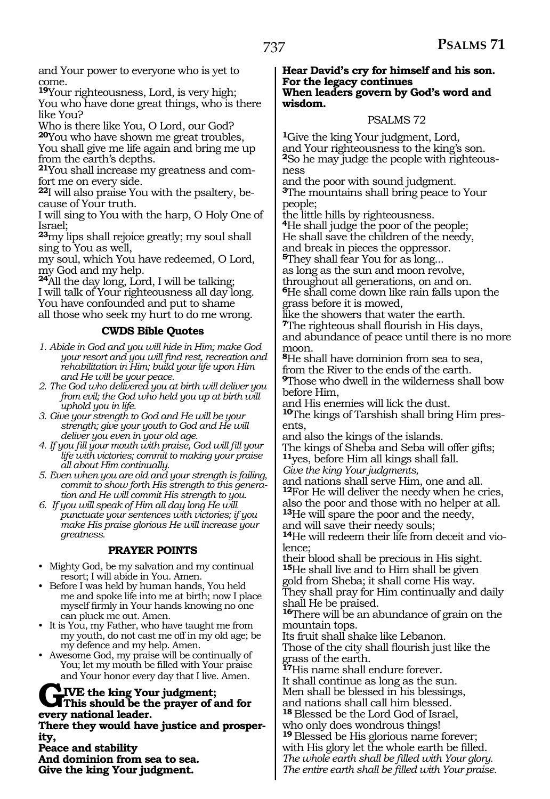and Your power to everyone who is yet to come.

**<sup>19</sup>**Your righteousness, Lord, is very high; You who have done great things, who is there like You?

Who is there like You, O Lord, our God? **<sup>20</sup>**You who have shown me great troubles, You shall give me life again and bring me up from the earth's depths.

**21**You shall increase my greatness and comfort me on every side.

**22**I will also praise You with the psaltery, because of Your truth.

I will sing to You with the harp, O Holy One of Israel;

**<sup>23</sup>**my lips shall rejoice greatly; my soul shall sing to You as well,

my soul, which You have redeemed, O Lord, my God and my help.

**<sup>24</sup>**All the day long, Lord, I will be talking; I will talk of Your righteousness all day long. You have confounded and put to shame all those who seek my hurt to do me wrong.

#### **CWDS Bible Quotes**

- *1. Abide in God and you will hide in Him; make God your resort and you will find rest, recreation and rehabilitation in Him; build your life upon Him and He will be your peace.*
- *2. The God who delivered you at birth will deliver you from evil; the God who held you up at birth will uphold you in life.*
- *3. Give your strength to God and He will be your strength; give your youth to God and He will deliver you even in your old age.*
- *4. If you fill your mouth with praise, God will fill your life with victories; commit to making your praise all about Him continually.*
- *5. Even when you are old and your strength is failing, commit to show forth His strength to this generation and He will commit His strength to you.*
- *6. If you will speak of Him all day long He will punctuate your sentences with victories; if you make His praise glorious He will increase your greatness.*

### **PRAYER POINTS**

- Mighty God, be my salvation and my continual resort; I will abide in You. Amen.
- Before I was held by human hands, You held me and spoke life into me at birth; now I place myself firmly in Your hands knowing no one can pluck me out. Amen.
- It is You, my Father, who have taught me from my youth, do not cast me off in my old age; be my defence and my help. Amen.
- Awesome God, my praise will be continually of You; let my mouth be filled with Your praise and Your honor every day that I live. Amen.

#### **GIVE the king Your judgment; This should be the prayer of and for every national leader.**

**There they would have justice and prosperity,**

**Peace and stability And dominion from sea to sea. Give the king Your judgment.**

#### **Hear David's cry for himself and his son. For the legacy continues When leaders govern by God's word and wisdom.**

#### PSALMS 72

**<sup>1</sup>**Give the king Your judgment, Lord, and Your righteousness to the king's son. **2**So he may judge the people with righteousness

and the poor with sound judgment. **<sup>3</sup>**The mountains shall bring peace to Your people;

the little hills by righteousness.

**<sup>4</sup>**He shall judge the poor of the people;

He shall save the children of the needy,

and break in pieces the oppressor.

**<sup>5</sup>**They shall fear You for as long...

as long as the sun and moon revolve,

throughout all generations, on and on. **<sup>6</sup>**He shall come down like rain falls upon the grass before it is mowed,

like the showers that water the earth. **<sup>7</sup>**The righteous shall flourish in His days, and abundance of peace until there is no more moon.

**<sup>8</sup>**He shall have dominion from sea to sea, from the River to the ends of the earth. **<sup>9</sup>**Those who dwell in the wilderness shall bow before Him,

and His enemies will lick the dust. **10**The kings of Tarshish shall bring Him presents,

and also the kings of the islands.

The kings of Sheba and Seba will offer gifts; **<sup>11</sup>**yes, before Him all kings shall fall.

*Give the king Your judgments,* 

and nations shall serve Him, one and all. **<sup>12</sup>**For He will deliver the needy when he cries, also the poor and those with no helper at all. **<sup>13</sup>**He will spare the poor and the needy,

and will save their needy souls;

**14**He will redeem their life from deceit and violence;

their blood shall be precious in His sight. **<sup>15</sup>**He shall live and to Him shall be given gold from Sheba; it shall come His way. They shall pray for Him continually and daily shall He be praised.

**<sup>16</sup>**There will be an abundance of grain on the mountain tops.

Its fruit shall shake like Lebanon.

Those of the city shall flourish just like the grass of the earth.

**<sup>17</sup>**His name shall endure forever.

It shall continue as long as the sun. Men shall be blessed in his blessings,

and nations shall call him blessed. **<sup>18</sup>**Blessed be the Lord God of Israel,

who only does wondrous things!

**<sup>19</sup>**Blessed be His glorious name forever; with His glory let the whole earth be filled. *@The whole earth shall be filled with Your glory. The entire earth shall be filled with Your praise.*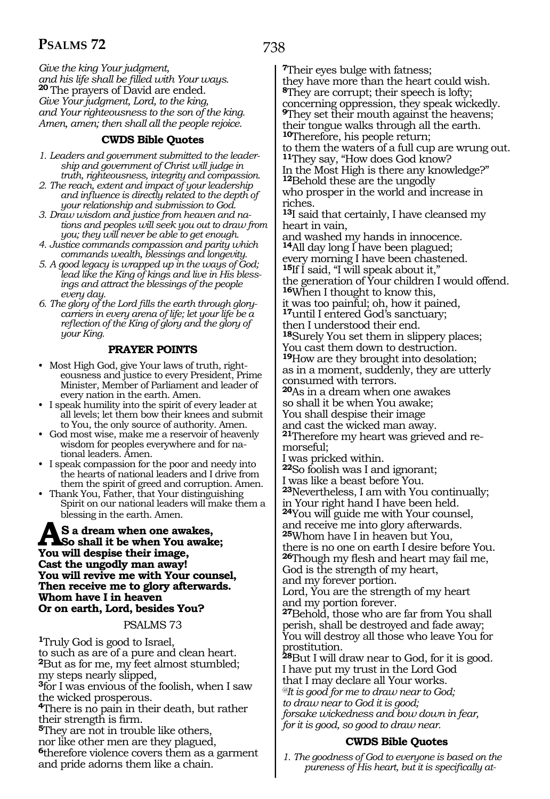738

*Give the king Your judgment, and his life shall be filled with Your ways.* **20** The prayers of David are ended. *Give Your judgment, Lord, to the king, and Your righteousness to the son of the king. Amen, amen; then shall all the people rejoice.*

#### **CWDS Bible Quotes**

- *1. Leaders and government submitted to the leadership and government of Christ will judge in truth, righteousness, integrity and compassion.*
- *2. The reach, extent and impact of your leadership and influence is directly related to the depth of your relationship and submission to God.*
- *3. Draw wisdom and justice from heaven and nations and peoples will seek you out to draw from you; they will never be able to get enough.*
- *4. Justice commands compassion and parity which commands wealth, blessings and longevity.*
- *5. A good legacy is wrapped up in the ways of God; lead like the King of kings and live in His blessings and attract the blessings of the people every day.*
- *6. The glory of the Lord fills the earth through glorycarriers in every arena of life; let your life be a reflection of the King of glory and the glory of your King.*

#### **PRAYER POINTS**

- Most High God, give Your laws of truth, righteousness and justice to every President, Prime Minister, Member of Parliament and leader of every nation in the earth. Amen.
- I speak humility into the spirit of every leader at all levels; let them bow their knees and submit to You, the only source of authority. Amen.
- God most wise, make me a reservoir of heavenly wisdom for peoples everywhere and for national leaders. Amen.
- I speak compassion for the poor and needy into the hearts of national leaders and I drive from them the spirit of greed and corruption. Amen.
- Thank You, Father, that Your distinguishing Spirit on our national leaders will make them a blessing in the earth. Amen.

### **AS** a dream when one awakes,<br> **So shall it be when You awake;**<br> **You will despise their image You will despise their image, Cast the ungodly man away! You will revive me with Your counsel, Then receive me to glory afterwards. Whom have I in heaven Or on earth, Lord, besides You?**

#### PSALMS 73

**<sup>1</sup>**Truly God is good to Israel, to such as are of a pure and clean heart. **<sup>2</sup>**But as for me, my feet almost stumbled; my steps nearly slipped, **<sup>3</sup>**for I was envious of the foolish, when I saw the wicked prosperous. **<sup>4</sup>**There is no pain in their death, but rather their strength is firm. **<sup>5</sup>**They are not in trouble like others, nor like other men are they plagued, **<sup>6</sup>**therefore violence covers them as a garment and pride adorns them like a chain.

**<sup>7</sup>**Their eyes bulge with fatness; they have more than the heart could wish. **<sup>8</sup>**They are corrupt; their speech is lofty;

concerning oppression, they speak wickedly. **<sup>9</sup>**They set their mouth against the heavens; their tongue walks through all the earth. **<sup>10</sup>**Therefore, his people return;

to them the waters of a full cup are wrung out. **<sup>11</sup>**They say, "How does God know?

In the Most High is there any knowledge?" **<sup>12</sup>**Behold these are the ungodly

who prosper in the world and increase in riches.

**<sup>13</sup>**I said that certainly, I have cleansed my heart in vain,

and washed my hands in innocence. **<sup>14</sup>**All day long I have been plagued;

every morning I have been chastened. **<sup>15</sup>**If I said, "I will speak about it,"

the generation of Your children I would offend. **<sup>16</sup>**When I thought to know this,

it was too painful; oh, how it pained, **<sup>17</sup>**until I entered God's sanctuary;

then I understood their end.

**<sup>18</sup>**Surely You set them in slippery places; You cast them down to destruction.

**<sup>19</sup>**How are they brought into desolation; as in a moment, suddenly, they are utterly consumed with terrors.

**<sup>20</sup>**As in a dream when one awakes so shall it be when You awake;

You shall despise their image

and cast the wicked man away.

**<sup>21</sup>**Therefore my heart was grieved and re- morseful;

I was pricked within.

**<sup>22</sup>**So foolish was I and ignorant;

I was like a beast before You.

**<sup>23</sup>**Nevertheless, I am with You continually;

in Your right hand I have been held. **<sup>24</sup>**You will guide me with Your counsel,

and receive me into glory afterwards. **<sup>25</sup>**Whom have I in heaven but You, there is no one on earth I desire before You.

**<sup>26</sup>**Though my flesh and heart may fail me, God is the strength of my heart,

and my forever portion.

Lord, You are the strength of my heart and my portion forever.

**<sup>27</sup>**Behold, those who are far from You shall perish, shall be destroyed and fade away; You will destroy all those who leave You for prostitution.

**<sup>28</sup>**But I will draw near to God, for it is good. I have put my trust in the Lord God that I may declare all Your works*. @It is good for me to draw near to God; to draw near to God it is good; forsake wickedness and bow down in fear,* 

*for it is good, so good to draw near.* 

### **CWDS Bible Quotes**

*1. The goodness of God to everyone is based on the pureness of His heart, but it is specifically at-*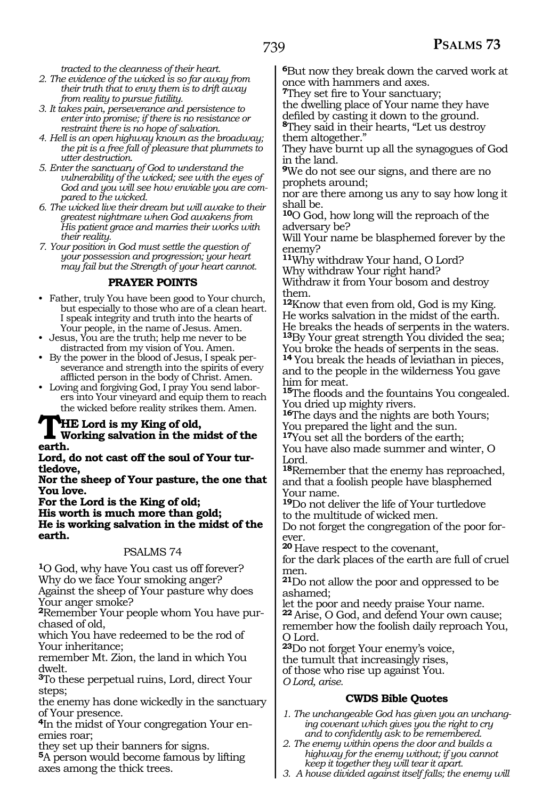*tracted to the cleanness of their heart.*

- *2. The evidence of the wicked is so far away from their truth that to envy them is to drift away from reality to pursue futility.*
- *3. It takes pain, perseverance and persistence to enter into promise; if there is no resistance or restraint there is no hope of salvation.*
- *4. Hell is an open highway known as the broadway; the pit is a free fall of pleasure that plummets to utter destruction.*
- *5. Enter the sanctuary of God to understand the vulnerability of the wicked; see with the eyes of God and you will see how enviable you are compared to the wicked.*
- *6. The wicked live their dream but will awake to their greatest nightmare when God awakens from His patient grace and marries their works with their reality.*
- *7. Your position in God must settle the question of your possession and progression; your heart may fail but the Strength of your heart cannot.*

# **PRAYER POINTS**

- Father, truly You have been good to Your church, but especially to those who are of a clean heart. I speak integrity and truth into the hearts of Your people, in the name of Jesus. Amen.
- Jesus, You are the truth; help me never to be distracted from my vision of You. Amen.
- By the power in the blood of Jesus, I speak perseverance and strength into the spirits of every afflicted person in the body of Christ. Amen.
- Loving and forgiving God, I pray You send laborers into Your vineyard and equip them to reach the wicked before reality strikes them. Amen.

# **THE Lord is my King of old,**

#### **Working salvation in the midst of the earth.**

**Lord, do not cast off the soul of Your turtledove,** 

**Nor the sheep of Your pasture, the one that You love.** 

**For the Lord is the King of old; His worth is much more than gold; He is working salvation in the midst of the earth.** 

#### PSALMS 74

**<sup>1</sup>**O God, why have You cast us off forever? Why do we face Your smoking anger? Against the sheep of Your pasture why does

Your anger smoke? **2**Remember Your people whom You have purchased of old,

which You have redeemed to be the rod of Your inheritance;

remember Mt. Zion, the land in which You dwelt.

**<sup>3</sup>**To these perpetual ruins, Lord, direct Your steps;

the enemy has done wickedly in the sanctuary of Your presence.

**4**In the midst of Your congregation Your enemies roar;

they set up their banners for signs.

**<sup>5</sup>**A person would become famous by lifting axes among the thick trees.

**<sup>6</sup>**But now they break down the carved work at once with hammers and axes.

**<sup>7</sup>**They set fire to Your sanctuary;

the dwelling place of Your name they have defiled by casting it down to the ground. **<sup>8</sup>**They said in their hearts, "Let us destroy

them altogether."

They have burnt up all the synagogues of God in the land.

**<sup>9</sup>**We do not see our signs, and there are no prophets around;

nor are there among us any to say how long it shall be.

**<sup>10</sup>**O God, how long will the reproach of the adversary be?

Will Your name be blasphemed forever by the enemy?

**<sup>11</sup>**Why withdraw Your hand, O Lord? Why withdraw Your right hand? Withdraw it from Your bosom and destroy

them.

**<sup>12</sup>**Know that even from old, God is my King. He works salvation in the midst of the earth. He breaks the heads of serpents in the waters. **<sup>13</sup>**By Your great strength You divided the sea; You broke the heads of serpents in the seas.

**<sup>14</sup>**You break the heads of leviathan in pieces, and to the people in the wilderness You gave him for meat.

**<sup>15</sup>**The floods and the fountains You congealed. You dried up mighty rivers.

**<sup>16</sup>**The days and the nights are both Yours; You prepared the light and the sun.

**<sup>17</sup>**You set all the borders of the earth;

You have also made summer and winter, O Lord.

**<sup>18</sup>**Remember that the enemy has reproached, and that a foolish people have blasphemed Your name.

**<sup>19</sup>**Do not deliver the life of Your turtledove to the multitude of wicked men.

Do not forget the congregation of the poor forever.

**<sup>20</sup>**Have respect to the covenant,

for the dark places of the earth are full of cruel men.

**<sup>21</sup>**Do not allow the poor and oppressed to be ashamed;

let the poor and needy praise Your name. **<sup>22</sup>**Arise, O God, and defend Your own cause;

remember how the foolish daily reproach You, O Lord.

**<sup>23</sup>**Do not forget Your enemy's voice, the tumult that increasingly rises,

of those who rise up against You. *O Lord, arise.* 

# **CWDS Bible Quotes**

- *1. The unchangeable God has given you an unchanging covenant which gives you the right to cry and to confidently ask to be remembered.*
- *2. The enemy within opens the door and builds a highway for the enemy without; if you cannot keep it together they will tear it apart.*
- *3. A house divided against itself falls; the enemy will*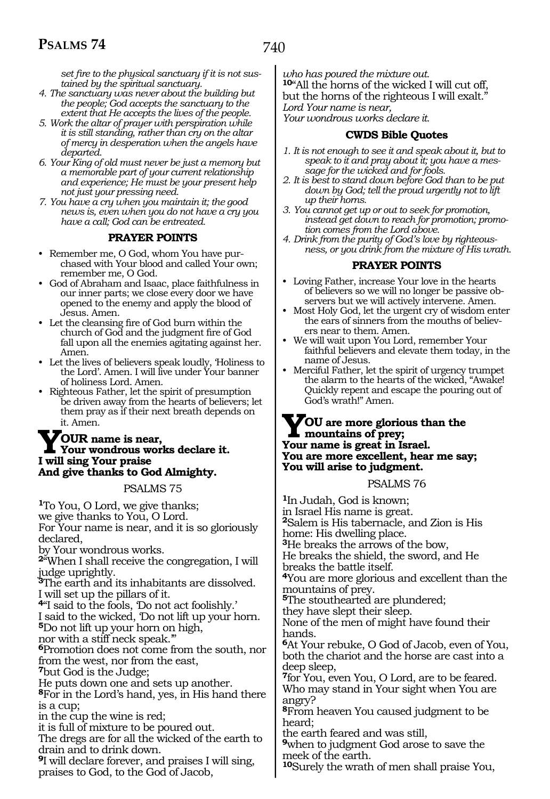*set fire to the physical sanctuary if it is not sustained by the spiritual sanctuary.*

- *4. The sanctuary was never about the building but the people; God accepts the sanctuary to the extent that He accepts the lives of the people.*
- *5. Work the altar of prayer with perspiration while it is still standing, rather than cry on the altar of mercy in desperation when the angels have departed.*
- *6. Your King of old must never be just a memory but a memorable part of your current relationship and experience; He must be your present help not just your pressing need.*
- *7. You have a cry when you maintain it; the good news is, even when you do not have a cry you have a call; God can be entreated.*

#### **PRAYER POINTS**

- Remember me, O God, whom You have purchased with Your blood and called Your own; remember me, O God.
- God of Abraham and Isaac, place faithfulness in our inner parts; we close every door we have opened to the enemy and apply the blood of Jesus. Amen.
- Let the cleansing fire of God burn within the church of God and the judgment fire of God fall upon all the enemies agitating against her. Amen.
- Let the lives of believers speak loudly, 'Holiness to the Lord'. Amen. I will live under Your banner of holiness Lord. Amen.
- Righteous Father, let the spirit of presumption be driven away from the hearts of believers; let them pray as if their next breath depends on it. Amen.

# **YOUR name is near,<br>I will sing Your praise**<br>Lyvill sing Your praise **I will sing Your praise And give thanks to God Almighty.**

#### PSALMS 75

**<sup>1</sup>**To You, O Lord, we give thanks; we give thanks to You, O Lord. For Your name is near, and it is so gloriously declared, by Your wondrous works. **<sup>2</sup>**"When I shall receive the congregation, I will judge uprightly. **<sup>3</sup>**The earth and its inhabitants are dissolved. I will set up the pillars of it. **<sup>4</sup>**"I said to the fools, 'Do not act foolishly.' I said to the wicked, 'Do not lift up your horn. **<sup>5</sup>**Do not lift up your horn on high, nor with a stiff neck speak.'" **<sup>6</sup>**Promotion does not come from the south, nor from the west, nor from the east, **<sup>7</sup>**but God is the Judge; He puts down one and sets up another. **<sup>8</sup>**For in the Lord's hand, yes, in His hand there is a cup; in the cup the wine is red; it is full of mixture to be poured out. The dregs are for all the wicked of the earth to drain and to drink down. **<sup>9</sup>**I will declare forever, and praises I will sing, praises to God, to the God of Jacob,

*who has poured the mixture out.*  **<sup>10</sup>**"All the horns of the wicked I will cut off, but the horns of the righteous I will exalt." *Lord Your name is near, Your wondrous works declare it.*

#### **CWDS Bible Quotes**

- *1. It is not enough to see it and speak about it, but to speak to it and pray about it; you have a message for the wicked and for fools.*
- *2. It is best to stand down before God than to be put down by God; tell the proud urgently not to lift up their horns.*
- *3. You cannot get up or out to seek for promotion, instead get down to reach for promotion; promotion comes from the Lord above.*
- *4. Drink from the purity of God's love by righteousness, or you drink from the mixture of His wrath.*

#### **PRAYER POINTS**

- Loving Father, increase Your love in the hearts of believers so we will no longer be passive observers but we will actively intervene. Amen.
- Most Holy God, let the urgent cry of wisdom enter the ears of sinners from the mouths of believers near to them. Amen.
- We will wait upon You Lord, remember Your faithful believers and elevate them today, in the name of Jesus.
- Merciful Father, let the spirit of urgency trumpet the alarm to the hearts of the wicked, "Awake! Quickly repent and escape the pouring out of God's wrath!" Amen.

#### **YOU are more glorious than the mountains of prey; Your name is great in Israel. You are more excellent, hear me say; You will arise to judgment.**

PSALMS 76

**<sup>1</sup>**In Judah, God is known; in Israel His name is great. **<sup>2</sup>**Salem is His tabernacle, and Zion is His home: His dwelling place. **<sup>3</sup>**He breaks the arrows of the bow, He breaks the shield, the sword, and He breaks the battle itself. **<sup>4</sup>**You are more glorious and excellent than the mountains of prey. **<sup>5</sup>**The stouthearted are plundered; they have slept their sleep. None of the men of might have found their hands. **<sup>6</sup>**At Your rebuke, O God of Jacob, even of You, both the chariot and the horse are cast into a deep sleep, **<sup>7</sup>**for You, even You, O Lord, are to be feared. Who may stand in Your sight when You are angry? **<sup>8</sup>**From heaven You caused judgment to be heard; the earth feared and was still, **<sup>9</sup>**when to judgment God arose to save the meek of the earth. **<sup>10</sup>**Surely the wrath of men shall praise You,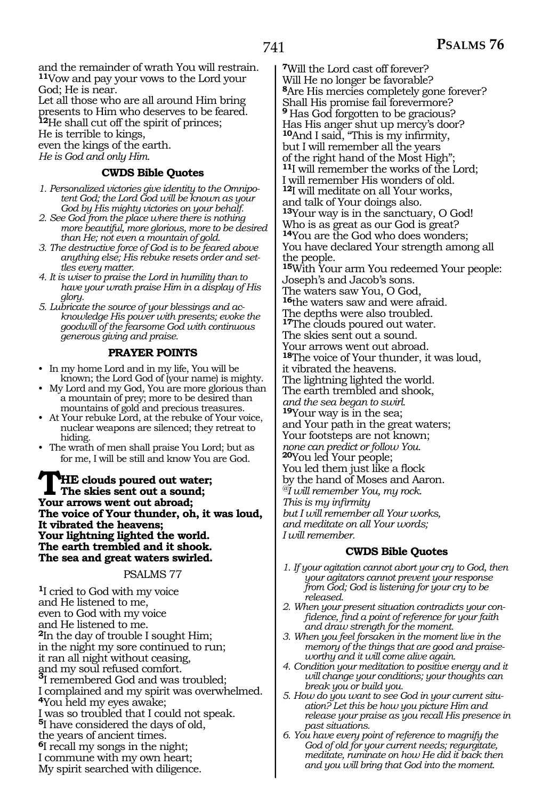and the remainder of wrath You will restrain. **<sup>11</sup>**Vow and pay your vows to the Lord your God; He is near.

Let all those who are all around Him bring presents to Him who deserves to be feared. **<sup>12</sup>**He shall cut off the spirit of princes; He is terrible to kings, even the kings of the earth. *He is God and only Him.* 

#### **CWDS Bible Quotes**

- *1. Personalized victories give identity to the Omnipotent God; the Lord God will be known as your God by His mighty victories on your behalf.*
- *2. See God from the place where there is nothing more beautiful, more glorious, more to be desired than He; not even a mountain of gold.*
- *3. The destructive force of God is to be feared above anything else; His rebuke resets order and settles every matter.*
- *4. It is wiser to praise the Lord in humility than to have your wrath praise Him in a display of His glory.*
- *5. Lubricate the source of your blessings and acknowledge His power with presents; evoke the goodwill of the fearsome God with continuous generous giving and praise.*

#### **PRAYER POINTS**

- In my home Lord and in my life, You will be known; the Lord God of (your name) is mighty.
- My Lord and my God, You are more glorious than a mountain of prey; more to be desired than mountains of gold and precious treasures.
- At Your rebuke Lord, at the rebuke of Your voice, nuclear weapons are silenced; they retreat to hiding.
- The wrath of men shall praise You Lord; but as for me, I will be still and know You are God.

**THE clouds poured out water; The skies sent out a sound; Your arrows went out abroad; The voice of Your thunder, oh, it was loud, It vibrated the heavens; Your lightning lighted the world. The earth trembled and it shook. The sea and great waters swirled.**

#### PSALMS 77

**<sup>1</sup>**I cried to God with my voice and He listened to me, even to God with my voice and He listened to me. **<sup>2</sup>**In the day of trouble I sought Him; in the night my sore continued to run; it ran all night without ceasing, and my soul refused comfort. **<sup>3</sup>**I remembered God and was troubled; I complained and my spirit was overwhelmed. **<sup>4</sup>**You held my eyes awake; I was so troubled that I could not speak. **<sup>5</sup>**I have considered the days of old, the years of ancient times. **<sup>6</sup>**I recall my songs in the night; I commune with my own heart; My spirit searched with diligence.

**<sup>7</sup>**Will the Lord cast off forever? Will He no longer be favorable? **<sup>8</sup>**Are His mercies completely gone forever? Shall His promise fail forevermore? **<sup>9</sup>**Has God forgotten to be gracious? Has His anger shut up mercy's door? **<sup>10</sup>**And I said, "This is my infirmity, but I will remember all the years of the right hand of the Most High"; **<sup>11</sup>**I will remember the works of the Lord; I will remember His wonders of old. **<sup>12</sup>**I will meditate on all Your works, and talk of Your doings also.

**<sup>13</sup>**Your way is in the sanctuary, O God! Who is as great as our God is great? **<sup>14</sup>**You are the God who does wonders; You have declared Your strength among all the people.

**<sup>15</sup>**With Your arm You redeemed Your people: Joseph's and Jacob's sons.

The waters saw You, O God,

**<sup>16</sup>**the waters saw and were afraid. The depths were also troubled.

**<sup>17</sup>**The clouds poured out water.

The skies sent out a sound.

Your arrows went out abroad.

**<sup>18</sup>**The voice of Your thunder, it was loud,

it vibrated the heavens.

The lightning lighted the world.

The earth trembled and shook,

*and the sea began to swirl.* 

**<sup>19</sup>**Your way is in the sea;

and Your path in the great waters; Your footsteps are not known;

*none can predict or follow You.* 

**<sup>20</sup>**You led Your people;

You led them just like a flock

by the hand of Moses and Aaron.

*@I will remember You, my rock.* 

*This is my infirmity* 

*I will remember.* 

*but I will remember all Your works,* 

*and meditate on all Your words;* 

#### **CWDS Bible Quotes**

- *1. If your agitation cannot abort your cry to God, then your agitators cannot prevent your response from God; God is listening for your cry to be released.*
- *2. When your present situation contradicts your confidence, find a point of reference for your faith and draw strength for the moment.*
- *3. When you feel forsaken in the moment live in the memory of the things that are good and praiseworthy and it will come alive again.*
- *4. Condition your meditation to positive energy and it will change your conditions; your thoughts can break you or build you.*
- *5. How do you want to see God in your current situation? Let this be how you picture Him and release your praise as you recall His presence in past situations.*
- *6. You have every point of reference to magnify the God of old for your current needs; regurgitate, meditate, ruminate on how He did it back then and you will bring that God into the moment.*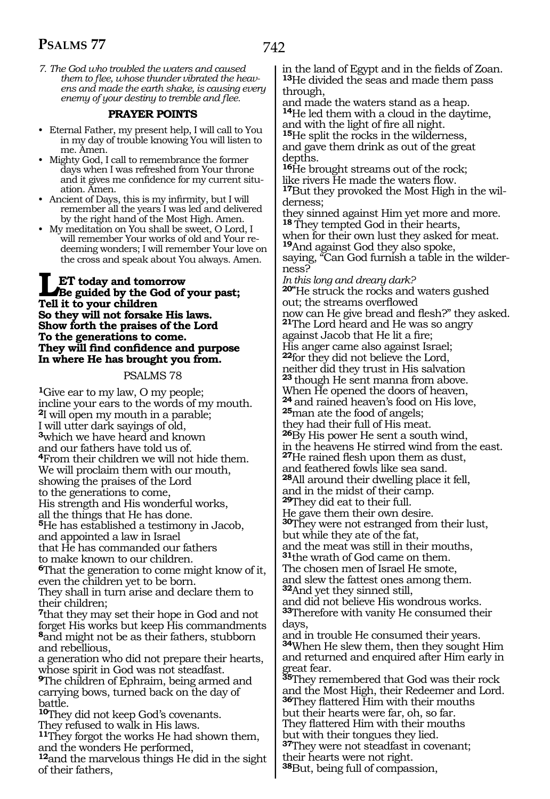*7. The God who troubled the waters and caused them to flee, whose thunder vibrated the heavens and made the earth shake, is causing every enemy of your destiny to tremble and flee.*

#### **PRAYER POINTS**

- Eternal Father, my present help, I will call to You in my day of trouble knowing You will listen to me. Amen.
- Mighty God, I call to remembrance the former days when I was refreshed from Your throne and it gives me confidence for my current situation. Amen.
- Ancient of Days, this is my infirmity, but I will remember all the years I was led and delivered by the right hand of the Most High. Amen.
- My meditation on You shall be sweet, O Lord, I will remember Your works of old and Your redeeming wonders; I will remember Your love on the cross and speak about You always. Amen.

### **LET** today and tomorrow<br> **Be guided by the God of your past;**<br>
Tell it to your children **Tell it to your children So they will not forsake His laws. Show forth the praises of the Lord To the generations to come. They will find confidence and purpose In where He has brought you from.**

#### PSALMS 78

**<sup>1</sup>**Give ear to my law, O my people; incline your ears to the words of my mouth. **<sup>2</sup>**I will open my mouth in a parable; I will utter dark sayings of old, **<sup>3</sup>**which we have heard and known and our fathers have told us of. **<sup>4</sup>**From their children we will not hide them. We will proclaim them with our mouth, showing the praises of the Lord to the generations to come, His strength and His wonderful works, all the things that He has done. **<sup>5</sup>**He has established a testimony in Jacob, and appointed a law in Israel that He has commanded our fathers to make known to our children. **<sup>6</sup>**That the generation to come might know of it, even the children yet to be born. They shall in turn arise and declare them to their children; **<sup>7</sup>**that they may set their hope in God and not forget His works but keep His commandments **<sup>8</sup>**and might not be as their fathers, stubborn and rebellious, a generation who did not prepare their hearts, whose spirit in God was not steadfast. **<sup>9</sup>**The children of Ephraim, being armed and carrying bows, turned back on the day of battle. **<sup>10</sup>**They did not keep God's covenants. They refused to walk in His laws.

**<sup>11</sup>**They forgot the works He had shown them, and the wonders He performed,

**<sup>12</sup>**and the marvelous things He did in the sight of their fathers,

in the land of Egypt and in the fields of Zoan. **<sup>13</sup>**He divided the seas and made them pass through,

and made the waters stand as a heap. **<sup>14</sup>**He led them with a cloud in the daytime, and with the light of fire all night.

**<sup>15</sup>**He split the rocks in the wilderness, and gave them drink as out of the great depths.

**<sup>16</sup>**He brought streams out of the rock; like rivers He made the waters flow. **17**But they provoked the Most High in the wil-

derness;

they sinned against Him yet more and more. **<sup>18</sup>**They tempted God in their hearts,

when for their own lust they asked for meat. **<sup>19</sup>**And against God they also spoke,

saying, "Can God furnish a table in the wilderness?

*In this long and dreary dark?*  **20"**He struck the rocks and waters gushed

out; the streams overflowed<br>now can He give bread and flesh?" they asked. **21**The Lord heard and He was so angry

against Jacob that He lit a fire; His anger came also against Israel; **<sup>22</sup>**for they did not believe the Lord, neither did they trust in His salvation **<sup>23</sup>**though He sent manna from above. When He opened the doors of heaven, **<sup>24</sup>**and rained heaven's food on His love, **<sup>25</sup>**man ate the food of angels; they had their full of His meat. **<sup>26</sup>**By His power He sent a south wind, in the heavens He stirred wind from the east.

**<sup>27</sup>**He rained flesh upon them as dust,

and feathered fowls like sea sand.

**<sup>28</sup>**All around their dwelling place it fell,

and in the midst of their camp.

**<sup>29</sup>**They did eat to their full.

He gave them their own desire. **<sup>30</sup>**They were not estranged from their lust, but while they ate of the fat,

and the meat was still in their mouths,

**<sup>31</sup>**the wrath of God came on them.

The chosen men of Israel He smote,

and slew the fattest ones among them. **<sup>32</sup>**And yet they sinned still,

and did not believe His wondrous works. **<sup>33</sup>**Therefore with vanity He consumed their days,

and in trouble He consumed their years. **<sup>34</sup>**When He slew them, then they sought Him and returned and enquired after Him early in great fear.

**<sup>35</sup>**They remembered that God was their rock and the Most High, their Redeemer and Lord. **<sup>36</sup>**They flattered Him with their mouths but their hearts were far, oh, so far.

They flattered Him with their mouths but with their tongues they lied.

**<sup>37</sup>**They were not steadfast in covenant; their hearts were not right.

**<sup>38</sup>**But, being full of compassion,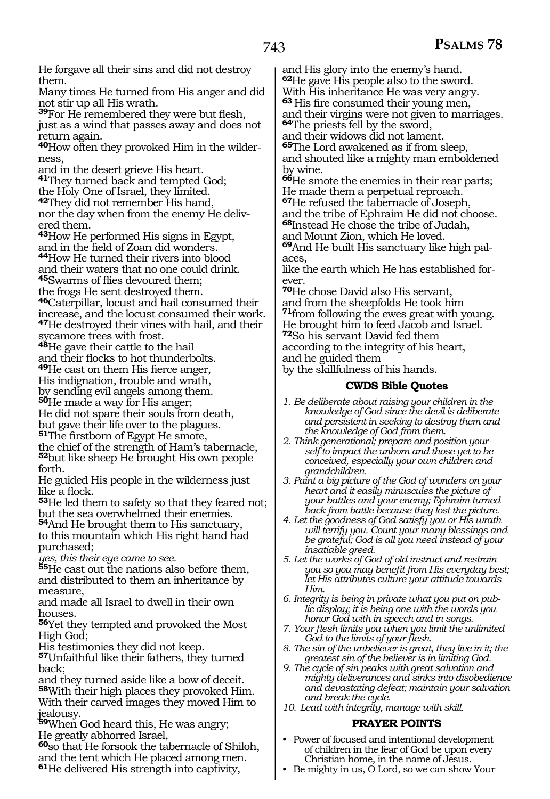He forgave all their sins and did not destroy them.

Many times He turned from His anger and did not stir up all His wrath.

**<sup>39</sup>**For He remembered they were but flesh, just as a wind that passes away and does not return again.

**40**How often they provoked Him in the wilderness,

and in the desert grieve His heart.

**<sup>41</sup>**They turned back and tempted God;

the Holy One of Israel, they limited.

**<sup>42</sup>**They did not remember His hand, nor the day when from the enemy He delivered them.

**<sup>43</sup>**How He performed His signs in Egypt,

44How He turned their rivers into blood and their waters that no one could drink. **<sup>45</sup>**Swarms of flies devoured them;

the frogs He sent destroyed them.

**<sup>46</sup>**Caterpillar, locust and hail consumed their increase, and the locust consumed their work. **<sup>47</sup>**He destroyed their vines with hail, and their sycamore trees with frost.

**<sup>48</sup>**He gave their cattle to the hail

and their flocks to hot thunderbolts.

**<sup>49</sup>**He cast on them His fierce anger,

His indignation, trouble and wrath,

by sending evil angels among them.

**<sup>50</sup>**He made a way for His anger;

He did not spare their souls from death, but gave their life over to the plagues.

**<sup>51</sup>**The firstborn of Egypt He smote,

the chief of the strength of Ham's tabernacle, **<sup>52</sup>**but like sheep He brought His own people forth.

He guided His people in the wilderness just like a flock.

**<sup>53</sup>**He led them to safety so that they feared not; but the sea overwhelmed their enemies.

**<sup>54</sup>**And He brought them to His sanctuary, to this mountain which His right hand had purchased;

*yes, this their eye came to see.*

**<sup>55</sup>**He cast out the nations also before them, and distributed to them an inheritance by measure

and made all Israel to dwell in their own houses.

**<sup>56</sup>**Yet they tempted and provoked the Most High God;

His testimonies they did not keep.

**<sup>57</sup>**Unfaithful like their fathers, they turned back;

and they turned aside like a bow of deceit. **<sup>58</sup>**With their high places they provoked Him. With their carved images they moved Him to jealousy.

**<sup>59</sup>**When God heard this, He was angry; He greatly abhorred Israel,

**<sup>60</sup>**so that He forsook the tabernacle of Shiloh, and the tent which He placed among men. **<sup>61</sup>**He delivered His strength into captivity,

and His glory into the enemy's hand. **<sup>62</sup>**He gave His people also to the sword. With His inheritance He was very angry.

**<sup>63</sup>**His fire consumed their young men,

and their virgins were not given to marriages. **<sup>64</sup>**The priests fell by the sword,

and their widows did not lament.

**<sup>65</sup>**The Lord awakened as if from sleep, and shouted like a mighty man emboldened by wine.

**<sup>66</sup>**He smote the enemies in their rear parts; He made them a perpetual reproach.

**<sup>67</sup>**He refused the tabernacle of Joseph, and the tribe of Ephraim He did not choose.

**<sup>68</sup>**Instead He chose the tribe of Judah,

and Mount Zion, which He loved.

**69**And He built His sanctuary like high palaces,

like the earth which He has established forever.

**<sup>70</sup>**He chose David also His servant, and from the sheepfolds He took him **<sup>71</sup>**from following the ewes great with young. He brought him to feed Jacob and Israel. **<sup>72</sup>**So his servant David fed them according to the integrity of his heart, and he guided them

by the skillfulness of his hands.

#### **CWDS Bible Quotes**

- *1. Be deliberate about raising your children in the knowledge of God since the devil is deliberate and persistent in seeking to destroy them and the knowledge of God from them.*
- *2. Think generational; prepare and position yourself to impact the unborn and those yet to be conceived, especially your own children and grandchildren.*
- *3. Paint a big picture of the God of wonders on your heart and it easily minuscules the picture of your battles and your enemy; Ephraim turned back from battle because they lost the picture.*
- *4. Let the goodness of God satisfy you or His wrath will terrify you. Count your many blessings and be grateful; God is all you need instead of your insatiable greed.*
- *5. Let the works of God of old instruct and restrain you so you may benefit from His everyday best; let His attributes culture your attitude towards Him.*

*6. Integrity is being in private what you put on public display; it is being one with the words you honor God with in speech and in songs.*

- *7. Your flesh limits you when you limit the unlimited God to the limits of your flesh.*
- *8. The sin of the unbeliever is great, they live in it; the greatest sin of the believer is in limiting God.*
- *9. The cycle of sin peaks with great salvation and mighty deliverances and sinks into disobedience and devastating defeat; maintain your salvation and break the cycle.*
- *10. Lead with integrity, manage with skill.*

# **PRAYER POINTS**

- Power of focused and intentional development of children in the fear of God be upon every Christian home, in the name of Jesus.
- Be mighty in us, O Lord, so we can show Your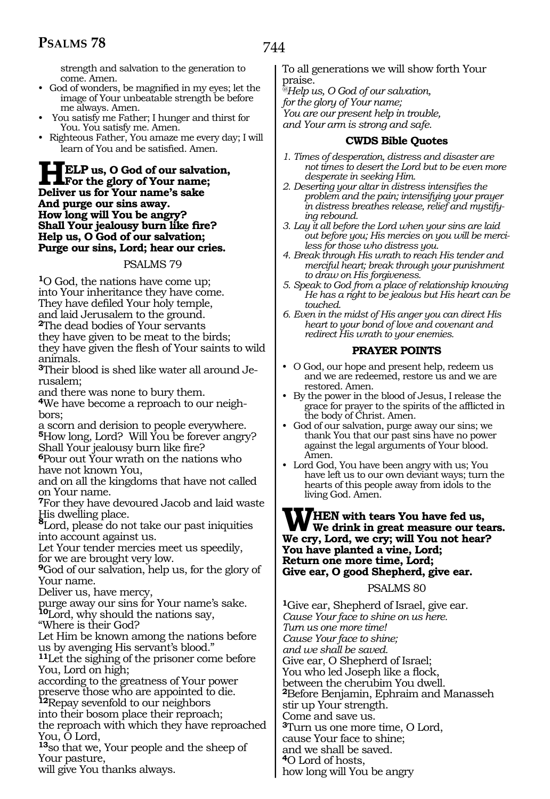strength and salvation to the generation to come. Amen.

- God of wonders, be magnified in my eyes; let the image of Your unbeatable strength be before me always. Amen.
- You satisfy me Father; I hunger and thirst for You. You satisfy me. Amen.
- Righteous Father, You amaze me every day; I will learn of You and be satisfied. Amen.

**HELP us, O God of our salvation, For the glory of Your name; Deliver us for Your name's sake And purge our sins away. How long will You be angry? Shall Your jealousy burn like fire? Help us, O God of our salvation; Purge our sins, Lord; hear our cries.** 

#### PSALMS 79

**<sup>1</sup>**O God, the nations have come up; into Your inheritance they have come. They have defiled Your holy temple, and laid Jerusalem to the ground. **<sup>2</sup>**The dead bodies of Your servants they have given to be meat to the birds;

they have given the flesh of Your saints to wild animals.

**3**Their blood is shed like water all around Jerusalem;

and there was none to bury them.

**4**We have become a reproach to our neighbors;

a scorn and derision to people everywhere. **<sup>5</sup>**How long, Lord? Will You be forever angry? Shall Your jealousy burn like fire?

**<sup>6</sup>**Pour out Your wrath on the nations who have not known You,

and on all the kingdoms that have not called on Your name.

**<sup>7</sup>**For they have devoured Jacob and laid waste His dwelling place.

**<sup>8</sup>**Lord, please do not take our past iniquities into account against us.

Let Your tender mercies meet us speedily, for we are brought very low.

**<sup>9</sup>**God of our salvation, help us, for the glory of Your name.

Deliver us, have mercy,

purge away our sins for Your name's sake. **<sup>10</sup>**Lord, why should the nations say,

"Where is their God?

Let Him be known among the nations before us by avenging His servant's blood."

**<sup>11</sup>**Let the sighing of the prisoner come before You, Lord on high;

according to the greatness of Your power preserve those who are appointed to die.

**<sup>12</sup>**Repay sevenfold to our neighbors

into their bosom place their reproach;

the reproach with which they have reproached You, O Lord,

**<sup>13</sup>**so that we, Your people and the sheep of Your pasture,

will give You thanks always.

To all generations we will show forth Your praise.

*@Help us, O God of our salvation, for the glory of Your name; You are our present help in trouble, and Your arm is strong and safe.* 

#### **CWDS Bible Quotes**

- *1. Times of desperation, distress and disaster are not times to desert the Lord but to be even more desperate in seeking Him.*
- *2. Deserting your altar in distress intensifies the problem and the pain; intensifying your prayer in distress breathes release, relief and mystifying rebound.*
- *3. Lay it all before the Lord when your sins are laid out before you; His mercies on you will be merciless for those who distress you.*
- *4. Break through His wrath to reach His tender and merciful heart; break through your punishment to draw on His forgiveness.*
- *5. Speak to God from a place of relationship knowing He has a right to be jealous but His heart can be touched.*
- *6. Even in the midst of His anger you can direct His heart to your bond of love and covenant and redirect His wrath to your enemies.*

### **PRAYER POINTS**

- O God, our hope and present help, redeem us and we are redeemed, restore us and we are restored. Amen.
- By the power in the blood of Jesus, I release the grace for prayer to the spirits of the afflicted in the body of Christ. Amen.
- God of our salvation, purge away our sins; we thank You that our past sins have no power against the legal arguments of Your blood. Amen.
- Lord God, You have been angry with us; You have left us to our own deviant ways; turn the hearts of this people away from idols to the living God. Amen.

# **WHEN** with tears You have fed us,<br>We drink in great measure our tears. **We cry, Lord, we cry; will You not hear? You have planted a vine, Lord; Return one more time, Lord; Give ear, O good Shepherd, give ear.**

#### PSALMS 80

**<sup>1</sup>**Give ear, Shepherd of Israel, give ear. *Cause Your face to shine on us here. Turn us one more time! Cause Your face to shine; and we shall be saved.*  Give ear, O Shepherd of Israel; You who led Joseph like a flock, between the cherubim You dwell. **<sup>2</sup>**Before Benjamin, Ephraim and Manasseh stir up Your strength. Come and save us. **<sup>3</sup>**Turn us one more time, O Lord, cause Your face to shine; and we shall be saved. **<sup>4</sup>**O Lord of hosts, how long will You be angry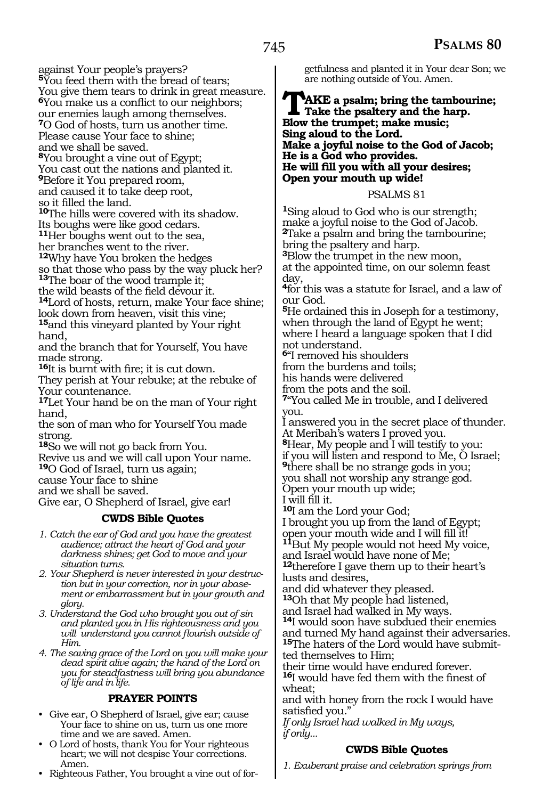against Your people's prayers? **<sup>5</sup>**You feed them with the bread of tears; You give them tears to drink in great measure. **<sup>6</sup>**You make us a conflict to our neighbors; our enemies laugh among themselves.

**<sup>7</sup>**O God of hosts, turn us another time. Please cause Your face to shine;

and we shall be saved.

**<sup>8</sup>**You brought a vine out of Egypt; You cast out the nations and planted it. **<sup>9</sup>**Before it You prepared room, and caused it to take deep root,

so it filled the land.

**<sup>10</sup>**The hills were covered with its shadow. Its boughs were like good cedars. **<sup>11</sup>**Her boughs went out to the sea,

her branches went to the river.

**<sup>12</sup>**Why have You broken the hedges so that those who pass by the way pluck her? **<sup>13</sup>**The boar of the wood trample it;

the wild beasts of the field devour it. **14**Lord of hosts, return, make Your face shine; look down from heaven, visit this vine;

**<sup>15</sup>**and this vineyard planted by Your right hand,

and the branch that for Yourself, You have made strong.

**<sup>16</sup>**It is burnt with fire; it is cut down.

They perish at Your rebuke; at the rebuke of Your countenance.

**<sup>17</sup>**Let Your hand be on the man of Your right hand,

the son of man who for Yourself You made strong.

**<sup>18</sup>**So we will not go back from You.

Revive us and we will call upon Your name.

**<sup>19</sup>**O God of Israel, turn us again;

cause Your face to shine

and we shall be saved.

Give ear, O Shepherd of Israel, give ear!

### **CWDS Bible Quotes**

*1. Catch the ear of God and you have the greatest audience; attract the heart of God and your darkness shines; get God to move and your situation turns.*

*2. Your Shepherd is never interested in your destruction but in your correction, nor in your abasement or embarrassment but in your growth and glory.*

*3. Understand the God who brought you out of sin and planted you in His righteousness and you will understand you cannot flourish outside of Him.*

*4. The saving grace of the Lord on you will make your dead spirit alive again; the hand of the Lord on you for steadfastness will bring you abundance of life and in life.*

### **PRAYER POINTS**

• Give ear, O Shepherd of Israel, give ear; cause Your face to shine on us, turn us one more time and we are saved. Amen.

• O Lord of hosts, thank You for Your righteous heart; we will not despise Your corrections. Amen.

• Righteous Father, You brought a vine out of for-

getfulness and planted it in Your dear Son; we are nothing outside of You. Amen.

### TAKE a psalm; bring the tambourine;<br>Take the psaltery and the harp.<br>Rlow the trumpet: make music: **Blow the trumpet; make music; Sing aloud to the Lord. Make a joyful noise to the God of Jacob; He is a God who provides. He will fill you with all your desires; Open your mouth up wide!**

#### PSALMS 81

**<sup>1</sup>**Sing aloud to God who is our strength; make a joyful noise to the God of Jacob. **<sup>2</sup>**Take a psalm and bring the tambourine; bring the psaltery and harp. **<sup>3</sup>**Blow the trumpet in the new moon, at the appointed time, on our solemn feast

day, **<sup>4</sup>**for this was a statute for Israel, and a law of

our God.

**<sup>5</sup>**He ordained this in Joseph for a testimony, when through the land of Egypt he went; where I heard a language spoken that I did not understand.

**<sup>6</sup>**"I removed his shoulders

from the burdens and toils;

his hands were delivered

from the pots and the soil.

**<sup>7</sup>**"You called Me in trouble, and I delivered you.

I answered you in the secret place of thunder. At Meribah's waters I proved you.

**<sup>8</sup>**Hear, My people and I will testify to you:

if you will listen and respond to Me, O Israel; **<sup>9</sup>**there shall be no strange gods in you;

you shall not worship any strange god.

Open your mouth up wide;

I will fill it.

**<sup>10</sup>**I am the Lord your God;

I brought you up from the land of Egypt;

<sup>11</sup>But My people would not heed My voice,

and Israel would have none of Me;

**<sup>12</sup>**therefore I gave them up to their heart's lusts and desires,

and did whatever they pleased.

**<sup>13</sup>**Oh that My people had listened, and Israel had walked in My ways.

**<sup>14</sup>**I would soon have subdued their enemies and turned My hand against their adversaries. **15**The haters of the Lord would have submitted themselves to Him;

their time would have endured forever. **<sup>16</sup>**I would have fed them with the finest of wheat;

and with honey from the rock I would have satisfied you."

*If only Israel had walked in My ways, if only...*

# **CWDS Bible Quotes**

*1. Exuberant praise and celebration springs from*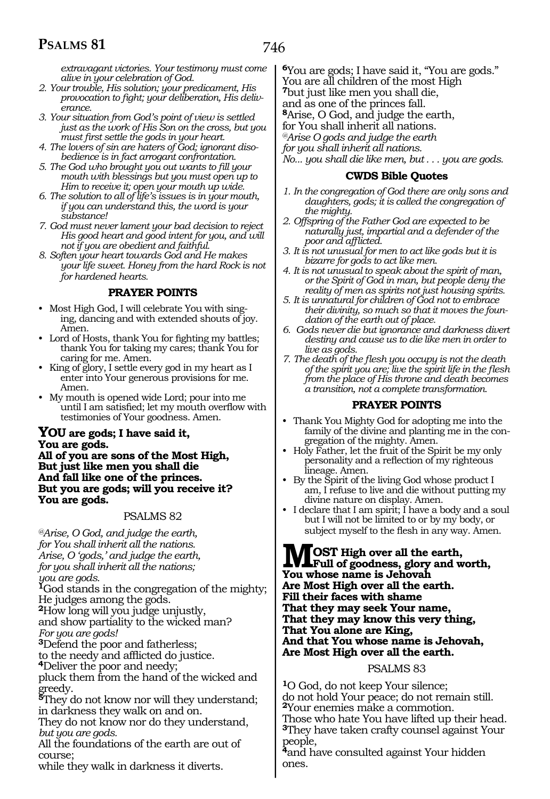*extravagant victories. Your testimony must come alive in your celebration of God.*

- *2. Your trouble, His solution; your predicament, His provocation to fight; your deliberation, His deliverance.*
- *3. Your situation from God's point of view is settled just as the work of His Son on the cross, but you must first settle the gods in your heart.*
- *4. The lovers of sin are haters of God; ignorant disobedience is in fact arrogant confrontation.*
- *5. The God who brought you out wants to fill your mouth with blessings but you must open up to Him to receive it; open your mouth up wide.*
- *6. The solution to all of life's issues is in your mouth, if you can understand this, the word is your substance!*
- *7. God must never lament your bad decision to reject His good heart and good intent for you, and will not if you are obedient and faithful.*
- *8. Soften your heart towards God and He makes your life sweet. Honey from the hard Rock is not for hardened hearts.*

#### **PRAYER POINTS**

- Most High God, I will celebrate You with singing, dancing and with extended shouts of joy. Amen.
- Lord of Hosts, thank You for fighting my battles; thank You for taking my cares; thank You for caring for me. Amen.
- King of glory, I settle every god in my heart as I enter into Your generous provisions for me. Amen.
- My mouth is opened wide Lord; pour into me until I am satisfied; let my mouth overflow with testimonies of Your goodness. Amen.

#### **YOU are gods; I have said it, You are gods.**

**All of you are sons of the Most High, But just like men you shall die And fall like one of the princes. But you are gods; will you receive it? You are gods.**

#### PSALMS 82

*@Arise, O God, and judge the earth, for You shall inherit all the nations. Arise, O 'gods,' and judge the earth, for you shall inherit all the nations; you are gods.* 

**<sup>1</sup>**God stands in the congregation of the mighty; He judges among the gods.

**<sup>2</sup>**How long will you judge unjustly,

and show partiality to the wicked man? *For you are gods!* 

**<sup>3</sup>**Defend the poor and fatherless;

to the needy and afflicted do justice.

**<sup>4</sup>**Deliver the poor and needy;

pluck them from the hand of the wicked and greedy.

**<sup>5</sup>**They do not know nor will they understand; in darkness they walk on and on.

They do not know nor do they understand, *but you are gods.*

All the foundations of the earth are out of course;

while they walk in darkness it diverts.

**<sup>6</sup>**You are gods; I have said it, "You are gods." You are all children of the most High **<sup>7</sup>**but just like men you shall die, and as one of the princes fall. **<sup>8</sup>**Arise, O God, and judge the earth, for You shall inherit all nations. *@Arise O gods and judge the earth for you shall inherit all nations.* 

*No... you shall die like men, but . . . you are gods.*

#### **CWDS Bible Quotes**

- *1. In the congregation of God there are only sons and daughters, gods; it is called the congregation of the mighty.*
- *2. Offspring of the Father God are expected to be naturally just, impartial and a defender of the poor and afflicted.*
- *3. It is not unusual for men to act like gods but it is bizarre for gods to act like men.*
- *4. It is not unusual to speak about the spirit of man, or the Spirit of God in man, but people deny the reality of men as spirits not just housing spirits.*
- *5. It is unnatural for children of God not to embrace their divinity, so much so that it moves the foundation of the earth out of place.*
- *6. Gods never die but ignorance and darkness divert destiny and cause us to die like men in order to live as gods.*
- *7. The death of the flesh you occupy is not the death of the spirit you are; live the spirit life in the flesh from the place of His throne and death becomes a transition, not a complete transformation.*

#### **PRAYER POINTS**

- Thank You Mighty God for adopting me into the family of the divine and planting me in the congregation of the mighty. Amen.
- Holy Father, let the fruit of the Spirit be my only personality and a reflection of my righteous lineage. Amen.
- By the Spirit of the living God whose product I am, I refuse to live and die without putting my divine nature on display. Amen.
- I declare that I am spirit; I have a body and a soul but I will not be limited to or by my body, or subject myself to the flesh in any way. Amen.

**MOST High over all the earth, Full of goodness, glory and worth, You whose name is Jehovah Are Most High over all the earth. Fill their faces with shame That they may seek Your name, That they may know this very thing, That You alone are King, And that You whose name is Jehovah, Are Most High over all the earth.** 

#### PSALMS 83

**<sup>1</sup>**O God, do not keep Your silence; do not hold Your peace; do not remain still. **<sup>2</sup>**Your enemies make a commotion. Those who hate You have lifted up their head. **<sup>3</sup>**They have taken crafty counsel against Your

people, **<sup>4</sup>**and have consulted against Your hidden ones.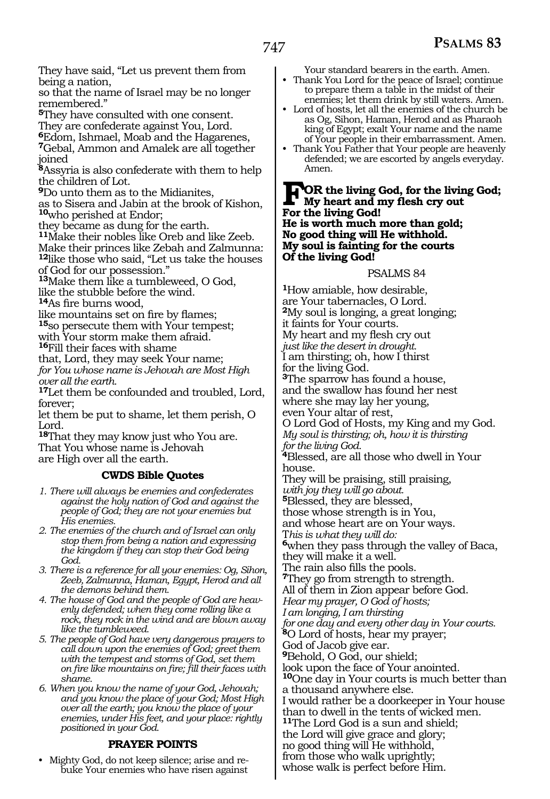They have said, "Let us prevent them from being a nation,

so that the name of Israel may be no longer remembered."

**<sup>5</sup>**They have consulted with one consent.

They are confederate against You, Lord.

**<sup>6</sup>**Edom, Ishmael, Moab and the Hagarenes, **<sup>7</sup>**Gebal, Ammon and Amalek are all together

joined

**<sup>8</sup>**Assyria is also confederate with them to help the children of Lot.

**<sup>9</sup>**Do unto them as to the Midianites,

as to Sisera and Jabin at the brook of Kishon, **<sup>10</sup>**who perished at Endor;

they became as dung for the earth.

**<sup>11</sup>**Make their nobles like Oreb and like Zeeb. Make their princes like Zebah and Zalmunna: **<sup>12</sup>**like those who said, "Let us take the houses of God for our possession."

**<sup>13</sup>**Make them like a tumbleweed, O God, like the stubble before the wind.

**<sup>14</sup>**As fire burns wood,

like mountains set on fire by flames; **<sup>15</sup>**so persecute them with Your tempest; with Your storm make them afraid. **<sup>16</sup>**Fill their faces with shame

that, Lord, they may seek Your name; *for You whose name is Jehovah are Most High over all the earth.* 

**<sup>17</sup>**Let them be confounded and troubled, Lord, forever;

let them be put to shame, let them perish, O Lord.

**<sup>18</sup>**That they may know just who You are. That You whose name is Jehovah are High over all the earth.

### **CWDS Bible Quotes**

- *1. There will always be enemies and confederates against the holy nation of God and against the people of God; they are not your enemies but His enemies.*
- *2. The enemies of the church and of Israel can only stop them from being a nation and expressing the kingdom if they can stop their God being God.*
- *3. There is a reference for all your enemies: Og, Sihon, Zeeb, Zalmunna, Haman, Egypt, Herod and all the demons behind them.*
- *4. The house of God and the people of God are heavenly defended; when they come rolling like a rock, they rock in the wind and are blown away like the tumbleweed.*
- *5. The people of God have very dangerous prayers to call down upon the enemies of God; greet them with the tempest and storms of God, set them on fire like mountains on fire; fill their faces with shame.*
- *6. When you know the name of your God, Jehovah; and you know the place of your God; Most High over all the earth; you know the place of your enemies, under His feet, and your place: rightly positioned in your God.*

### **PRAYER POINTS**

• Mighty God, do not keep silence; arise and rebuke Your enemies who have risen against Your standard bearers in the earth. Amen.

- Thank You Lord for the peace of Israel; continue to prepare them a table in the midst of their enemies; let them drink by still waters. Amen.
- Lord of hosts, let all the enemies of the church be as Og, Sihon, Haman, Herod and as Pharaoh king of Egypt; exalt Your name and the name of Your people in their embarrassment. Amen.
- Thank You Father that Your people are heavenly defended; we are escorted by angels everyday. Amen.

#### **FOR the living God, for the living God; My heart and my flesh cry out For the living God! He is worth much more than gold; No good thing will He withhold. My soul is fainting for the courts Of the living God!**

#### PSALMS 84

**<sup>1</sup>**How amiable, how desirable, are Your tabernacles, O Lord. **<sup>2</sup>**My soul is longing, a great longing; it faints for Your courts. My heart and my flesh cry out *just like the desert in drought.* I am thirsting; oh, how I thirst for the living God. **<sup>3</sup>**The sparrow has found a house, and the swallow has found her nest where she may lay her young, even Your altar of rest, O Lord God of Hosts, my King and my God. *My soul is thirsting; oh, how it is thirsting for the living God.*  **<sup>4</sup>**Blessed, are all those who dwell in Your house. They will be praising, still praising, *with joy they will go about.* **<sup>5</sup>**Blessed, they are blessed, those whose strength is in You, and whose heart are on Your ways. T*his is what they will do:* **<sup>6</sup>**when they pass through the valley of Baca, they will make it a well. The rain also fills the pools. **<sup>7</sup>**They go from strength to strength. All of them in Zion appear before God. *Hear my prayer, O God of hosts; I am longing, I am thirsting for one day and every other day in Your courts.*  **<sup>8</sup>**O Lord of hosts, hear my prayer; God of Jacob give ear. **<sup>9</sup>**Behold, O God, our shield; look upon the face of Your anointed. **<sup>10</sup>**One day in Your courts is much better than a thousand anywhere else. I would rather be a doorkeeper in Your house than to dwell in the tents of wicked men. **<sup>11</sup>**The Lord God is a sun and shield; the Lord will give grace and glory; no good thing will He withhold, from those who walk uprightly; whose walk is perfect before Him.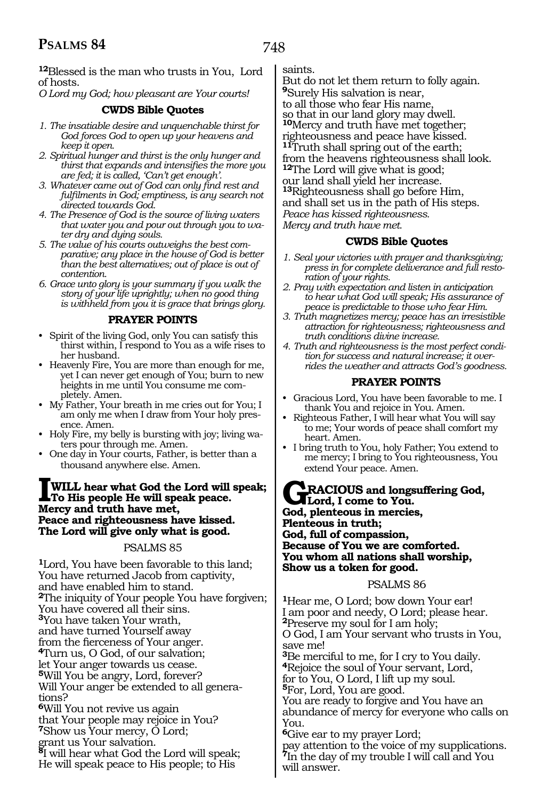**<sup>12</sup>**Blessed is the man who trusts in You, Lord of hosts.

*O Lord my God; how pleasant are Your courts!* 

#### **CWDS Bible Quotes**

- *1. The insatiable desire and unquenchable thirst for God forces God to open up your heavens and keep it open.*
- *2. Spiritual hunger and thirst is the only hunger and thirst that expands and intensifies the more you are fed; it is called, 'Can't get enough'.*
- *3. Whatever came out of God can only find rest and fulfilments in God; emptiness, is any search not directed towards God.*
- *4. The Presence of God is the source of living waters that water you and pour out through you to water dry and dying souls.*
- *5. The value of his courts outweighs the best comparative; any place in the house of God is better than the best alternatives; out of place is out of contention.*
- *6. Grace unto glory is your summary if you walk the story of your life uprightly; when no good thing is withheld from you it is grace that brings glory.*

#### **PRAYER POINTS**

- Spirit of the living God, only You can satisfy this thirst within, I respond to You as a wife rises to her husband.
- Heavenly Fire, You are more than enough for me, yet I can never get enough of You; burn to new heights in me until You consume me completely. Amen.
- My Father, Your breath in me cries out for You; I am only me when I draw from Your holy presence. Amen.
- Holy Fire, my belly is bursting with joy; living waters pour through me. Amen.
- One day in Your courts, Father, is better than a thousand anywhere else. Amen.

#### **IWILL hear what God the Lord will speak; To His people He will speak peace. Mercy and truth have met, Peace and righteousness have kissed. The Lord will give only what is good.**

PSALMS 85

**<sup>1</sup>**Lord, You have been favorable to this land; You have returned Jacob from captivity, and have enabled him to stand. **<sup>2</sup>**The iniquity of Your people You have forgiven; You have covered all their sins. **<sup>3</sup>**You have taken Your wrath, and have turned Yourself away <sup>4</sup>Turn us, O God, of our salvation; let Your anger towards us cease. **<sup>5</sup>**Will You be angry, Lord, forever? Will Your anger be extended to all generations? **<sup>6</sup>**Will You not revive us again that Your people may rejoice in You? **<sup>7</sup>**Show us Your mercy, O Lord; grant us Your salvation. **<sup>8</sup>**I will hear what God the Lord will speak; He will speak peace to His people; to His

#### saints.

But do not let them return to folly again. **<sup>9</sup>**Surely His salvation is near, to all those who fear His name so that in our land glory may dwell. **<sup>10</sup>**Mercy and truth have met together; righteousness and peace have kissed. **<sup>11</sup>**Truth shall spring out of the earth; from the heavens righteousness shall look. **<sup>12</sup>**The Lord will give what is good; our land shall yield her increase. **<sup>13</sup>**Righteousness shall go before Him, and shall set us in the path of His steps. *Peace has kissed righteousness. Mercy and truth have met.* 

#### **CWDS Bible Quotes**

- *1. Seal your victories with prayer and thanksgiving; press in for complete deliverance and full restoration of your rights.*
- *2. Pray with expectation and listen in anticipation to hear what God will speak; His assurance of peace is predictable to those who fear Him.*
- *3. Truth magnetizes mercy; peace has an irresistible attraction for righteousness; righteousness and truth conditions divine increase.*
- *4. Truth and righteousness is the most perfect condition for success and natural increase; it overrides the weather and attracts God's goodness.*

### **PRAYER POINTS**

- Gracious Lord, You have been favorable to me. I thank You and rejoice in You. Amen.
- Righteous Father, I will hear what You will say to me; Your words of peace shall comfort my heart. Amen.
- I bring truth to You, holy Father; You extend to me mercy; I bring to You righteousness, You extend Your peace. Amen.

**GRACIOUS and longsuffering God, Lord, I come to You. God, plenteous in mercies, Plenteous in truth; God, full of compassion, Because of You we are comforted. You whom all nations shall worship, Show us a token for good.**

#### PSALMS 86

**<sup>1</sup>**Hear me, O Lord; bow down Your ear! I am poor and needy, O Lord; please hear. **<sup>2</sup>**Preserve my soul for I am holy; O God, I am Your servant who trusts in You, save me! **<sup>3</sup>**Be merciful to me, for I cry to You daily. **<sup>4</sup>**Rejoice the soul of Your servant, Lord, for to You, O Lord, I lift up my soul. **<sup>5</sup>**For, Lord, You are good. You are ready to forgive and You have an abundance of mercy for everyone who calls on You. **<sup>6</sup>**Give ear to my prayer Lord; pay attention to the voice of my supplications.

**<sup>7</sup>**In the day of my trouble I will call and You will answer.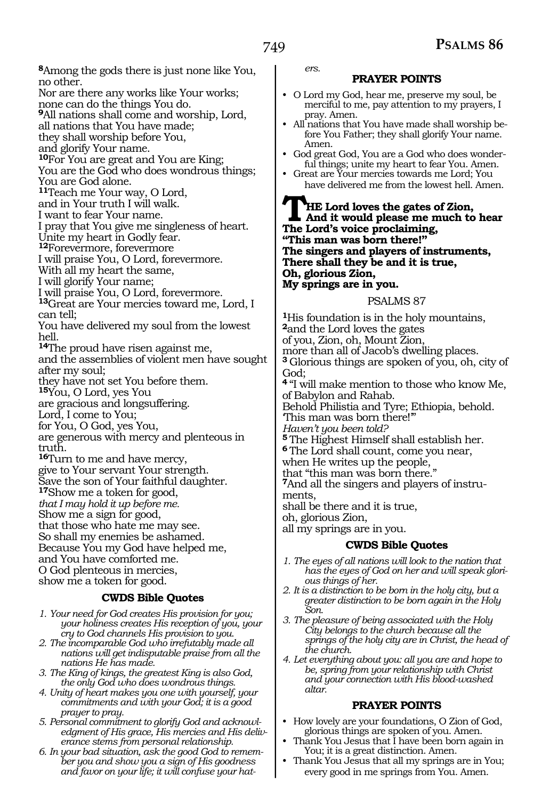**<sup>8</sup>**Among the gods there is just none like You, no other. Nor are there any works like Your works; none can do the things You do. **<sup>9</sup>**All nations shall come and worship, Lord, all nations that You have made; they shall worship before You, and glorify Your name. **<sup>10</sup>**For You are great and You are King; You are the God who does wondrous things; You are God alone. **<sup>11</sup>**Teach me Your way, O Lord, and in Your truth I will walk. I want to fear Your name. I pray that You give me singleness of heart. Unite my heart in Godly fear. **<sup>12</sup>**Forevermore, forevermore I will praise You, O Lord, forevermore. With all my heart the same, I will glorify Your name; I will praise You, O Lord, forevermore. **<sup>13</sup>**Great are Your mercies toward me, Lord, I can tell; You have delivered my soul from the lowest hell. **<sup>14</sup>**The proud have risen against me, and the assemblies of violent men have sought after my soul; they have not set You before them. **<sup>15</sup>**You, O Lord, yes You are gracious and longsuffering. Lord, I come to You; for You, O God, yes You, are generous with mercy and plenteous in truth. **<sup>16</sup>**Turn to me and have mercy, give to Your servant Your strength. Save the son of Your faithful daughter. **<sup>17</sup>**Show me a token for good, *that I may hold it up before me.* Show me a sign for good, that those who hate me may see. So shall my enemies be ashamed. Because You my God have helped me, and You have comforted me. O God plenteous in mercies, show me a token for good. **CWDS Bible Quotes**

#### *1. Your need for God creates His provision for you; your holiness creates His reception of you, your cry to God channels His provision to you.*

- *2. The incomparable God who irrefutably made all nations will get indisputable praise from all the nations He has made.*
- *3. The King of kings, the greatest King is also God, the only God who does wondrous things.*
- *4. Unity of heart makes you one with yourself, your commitments and with your God; it is a good prayer to pray.*
- *5. Personal commitment to glorify God and acknowledgment of His grace, His mercies and His deliverance stems from personal relationship.*
- *6. In your bad situation, ask the good God to remember you and show you a sign of His goodness and favor on your life; it will confuse your hat-*

*ers.* 

#### **PRAYER POINTS**

- O Lord my God, hear me, preserve my soul, be merciful to me, pay attention to my prayers, I pray. Amen.
- All nations that You have made shall worship before You Father; they shall glorify Your name. Amen.
- God great God, You are a God who does wonderful things; unite my heart to fear You. Amen.
- Great are Your mercies towards me Lord; You have delivered me from the lowest hell. Amen.

**THE Lord loves the gates of Zion,<br>
And it would please me much to hear<br>
The Lord's voice proclaiming The Lord's voice proclaiming, "This man was born there!" The singers and players of instruments, There shall they be and it is true, Oh, glorious Zion, My springs are in you.** 

#### PSALMS 87

**<sup>1</sup>**His foundation is in the holy mountains, **<sup>2</sup>**and the Lord loves the gates of you, Zion, oh, Mount Zion, more than all of Jacob's dwelling places. **<sup>3</sup>**Glorious things are spoken of you, oh, city of God; **<sup>4</sup>**"I will make mention to those who know Me, of Babylon and Rahab. Behold Philistia and Tyre; Ethiopia, behold. 'This man was born there!'" *Haven't you been told?* **<sup>5</sup>**The Highest Himself shall establish her. **<sup>6</sup>**The Lord shall count, come you near, when He writes up the people, that "this man was born there." **7**And all the singers and players of instruments, shall be there and it is true, oh, glorious Zion, all my springs are in you. **CWDS Bible Quotes**

- *1. The eyes of all nations will look to the nation that has the eyes of God on her and will speak glorious things of her.*
- *2. It is a distinction to be born in the holy city, but a greater distinction to be born again in the Holy Son.*
- *3. The pleasure of being associated with the Holy City belongs to the church because all the springs of the holy city are in Christ, the head of the church.*
- *4. Let everything about you: all you are and hope to be, spring from your relationship with Christ and your connection with His blood-washed altar.*

#### **PRAYER POINTS**

- How lovely are your foundations, O Zion of God, glorious things are spoken of you. Amen.
- Thank You Jesus that I have been born again in You; it is a great distinction. Amen.
- Thank You Jesus that all my springs are in You; every good in me springs from You. Amen.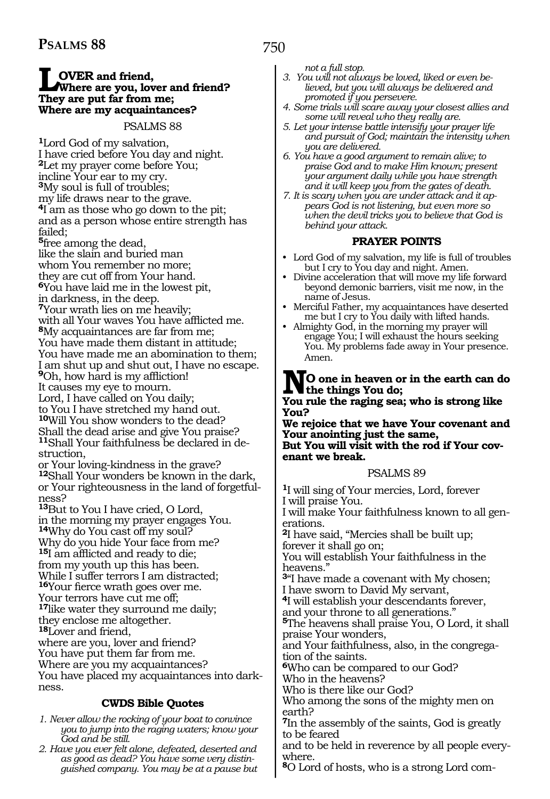# **LOVER** and friend,<br>
Where are you, lover and friend?<br>
They are nut far from me: **They are put far from me; Where are my acquaintances?**

### PSALMS 88

**<sup>1</sup>**Lord God of my salvation, I have cried before You day and night. **<sup>2</sup>**Let my prayer come before You; incline Your ear to my cry. **<sup>3</sup>**My soul is full of troubles; my life draws near to the grave. **<sup>4</sup>**I am as those who go down to the pit; and as a person whose entire strength has failed; **<sup>5</sup>**free among the dead, like the slain and buried man whom You remember no more; they are cut off from Your hand. **<sup>6</sup>**You have laid me in the lowest pit, in darkness, in the deep. **<sup>7</sup>**Your wrath lies on me heavily; with all Your waves You have afflicted me. **<sup>8</sup>**My acquaintances are far from me; You have made them distant in attitude; You have made me an abomination to them; I am shut up and shut out, I have no escape. **<sup>9</sup>**Oh, how hard is my affliction! It causes my eye to mourn. Lord, I have called on You daily; to You I have stretched my hand out. **<sup>10</sup>**Will You show wonders to the dead? Shall the dead arise and give You praise? **<sup>11</sup>**Shall Your faithfulness be declared in de- struction,

or Your loving-kindness in the grave? **<sup>12</sup>**Shall Your wonders be known in the dark, or Your righteousness in the land of forgetful- ness?

**<sup>13</sup>**But to You I have cried, O Lord, in the morning my prayer engages You. **<sup>14</sup>**Why do You cast off my soul? Why do you hide Your face from me? **<sup>15</sup>**I am afflicted and ready to die; from my youth up this has been. While I suffer terrors I am distracted; **<sup>16</sup>**Your fierce wrath goes over me. Your terrors have cut me off; **<sup>17</sup>**like water they surround me daily; they enclose me altogether. **<sup>18</sup>**Lover and friend,

where are you, lover and friend? You have put them far from me. Where are you my acquaintances? You have placed my acquaintances into darkness.

# **CWDS Bible Quotes**

- *1. Never allow the rocking of your boat to convince you to jump into the raging waters; know your God and be still.*
- *2. Have you ever felt alone, defeated, deserted and as good as dead? You have some very distinguished company. You may be at a pause but*

*not a full stop.*

750

- *3. You will not always be loved, liked or even believed, but you will always be delivered and promoted if you persevere.*
- *4. Some trials will scare away your closest allies and some will reveal who they really are.*
- *5. Let your intense battle intensify your prayer life and pursuit of God; maintain the intensity when you are delivered.*
- *6. You have a good argument to remain alive; to praise God and to make Him known; present your argument daily while you have strength and it will keep you from the gates of death.*
- *7. It is scary when you are under attack and it appears God is not listening, but even more so when the devil tricks you to believe that God is behind your attack.*

# **PRAYER POINTS**

- Lord God of my salvation, my life is full of troubles but I cry to You day and night. Amen.
- Divine acceleration that will move my life forward beyond demonic barriers, visit me now, in the name of Jesus.
- Merciful Father, my acquaintances have deserted me but I cry to You daily with lifted hands.
- Almighty God, in the morning my prayer will engage You; I will exhaust the hours seeking You. My problems fade away in Your presence. Amen.

# **NO one in heaven or in the earth can do the things You do;**

#### **You rule the raging sea; who is strong like You?**

**We rejoice that we have Your covenant and Your anointing just the same, But You will visit with the rod if Your cov- enant we break.**

# PSALMS 89

**<sup>1</sup>**I will sing of Your mercies, Lord, forever I will praise You.

I will make Your faithfulness known to all generations.

**<sup>2</sup>**I have said, "Mercies shall be built up; forever it shall go on;

You will establish Your faithfulness in the heavens."

**<sup>3</sup>**"I have made a covenant with My chosen; I have sworn to David My servant,

**<sup>4</sup>**I will establish your descendants forever,

and your throne to all generations."

**<sup>5</sup>**The heavens shall praise You, O Lord, it shall praise Your wonders,

and Your faithfulness, also, in the congregation of the saints.

**<sup>6</sup>**Who can be compared to our God? Who in the heavens?

Who is there like our God?

Who among the sons of the mighty men on earth?

**<sup>7</sup>**In the assembly of the saints, God is greatly to be feared

and to be held in reverence by all people everywhere.

**8**O Lord of hosts, who is a strong Lord com-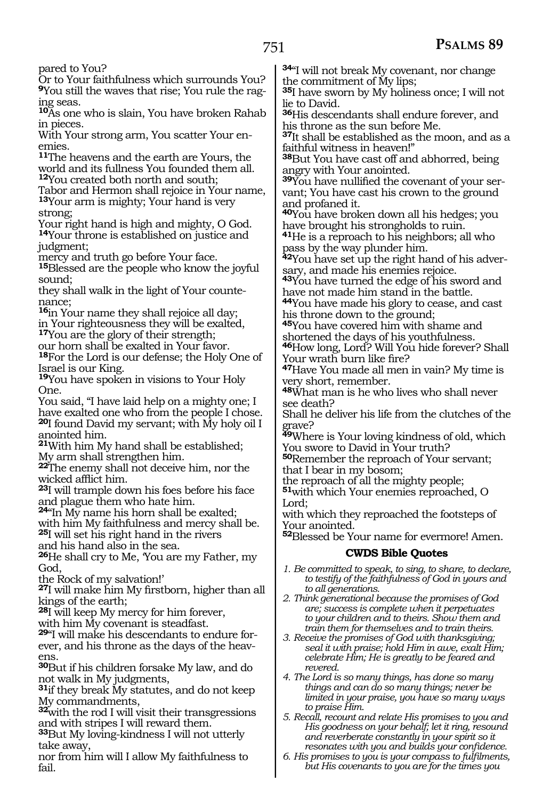pared to You?

Or to Your faithfulness which surrounds You? **9**You still the waves that rise; You rule the raging seas.

**<sup>10</sup>**As one who is slain, You have broken Rahab in pieces.

With Your strong arm, You scatter Your enemies.

**<sup>11</sup>**The heavens and the earth are Yours, the world and its fullness You founded them all. **<sup>12</sup>**You created both north and south;

Tabor and Hermon shall rejoice in Your name, **<sup>13</sup>**Your arm is mighty; Your hand is very strong;

Your right hand is high and mighty, O God. **<sup>14</sup>**Your throne is established on justice and judgment;

mercy and truth go before Your face.

**<sup>15</sup>**Blessed are the people who know the joyful sound;

they shall walk in the light of Your countenance;

**<sup>16</sup>**in Your name they shall rejoice all day; in Your righteousness they will be exalted, **<sup>17</sup>**You are the glory of their strength;

our horn shall be exalted in Your favor.

**<sup>18</sup>**For the Lord is our defense; the Holy One of Israel is our King.

**<sup>19</sup>**You have spoken in visions to Your Holy One.

You said, "I have laid help on a mighty one; I have exalted one who from the people I chose.

**<sup>20</sup>**I found David my servant; with My holy oil I anointed him.

**<sup>21</sup>**With him My hand shall be established; My arm shall strengthen him.

**<sup>22</sup>**The enemy shall not deceive him, nor the wicked afflict him.

**<sup>23</sup>**I will trample down his foes before his face and plague them who hate him.

**<sup>24</sup>**"In My name his horn shall be exalted;

with him My faithfulness and mercy shall be. **<sup>25</sup>**I will set his right hand in the rivers

and his hand also in the sea.

**<sup>26</sup>**He shall cry to Me, 'You are my Father, my God,

the Rock of my salvation!'

**<sup>27</sup>**I will make him My firstborn, higher than all kings of the earth;

**<sup>28</sup>**I will keep My mercy for him forever, with him My covenant is steadfast.

**29**"I will make his descendants to endure forever, and his throne as the days of the heavens.

**<sup>30</sup>**But if his children forsake My law, and do not walk in My judgments,

**<sup>31</sup>**if they break My statutes, and do not keep My commandments,

**<sup>32</sup>**with the rod I will visit their transgressions and with stripes I will reward them.

**<sup>33</sup>**But My loving-kindness I will not utterly take away,

nor from him will I allow My faithfulness to fail.

**<sup>34</sup>**"I will not break My covenant, nor change the commitment of My lips;

**<sup>35</sup>**I have sworn by My holiness once; I will not lie to David.

**<sup>36</sup>**His descendants shall endure forever, and his throne as the sun before Me.

**<sup>37</sup>**It shall be established as the moon, and as a faithful witness in heaven!"

**<sup>38</sup>**But You have cast off and abhorred, being angry with Your anointed.

**39**You have nullified the covenant of your servant; You have cast his crown to the ground and profaned it.

**<sup>40</sup>**You have broken down all his hedges; you have brought his strongholds to ruin.

**<sup>41</sup>**He is a reproach to his neighbors; all who pass by the way plunder him.

**42**You have set up the right hand of his adversary, and made his enemies rejoice.

**<sup>43</sup>**You have turned the edge of his sword and have not made him stand in the battle.

**<sup>44</sup>**You have made his glory to cease, and cast his throne down to the ground;

**<sup>45</sup>**You have covered him with shame and shortened the days of his youthfulness.

**<sup>46</sup>**How long, Lord? Will You hide forever? Shall Your wrath burn like fire?

**<sup>47</sup>**Have You made all men in vain? My time is very short, remember.

**<sup>48</sup>**What man is he who lives who shall never see death?

Shall he deliver his life from the clutches of the grave?

**<sup>49</sup>**Where is Your loving kindness of old, which You swore to David in Your truth?

**<sup>50</sup>**Remember the reproach of Your servant; that I bear in my bosom;

the reproach of all the mighty people;

**<sup>51</sup>**with which Your enemies reproached, O Lord;

with which they reproached the footsteps of Your anointed.

**<sup>52</sup>**Blessed be Your name for evermore! Amen.

### **CWDS Bible Quotes**

*1. Be committed to speak, to sing, to share, to declare, to testify of the faithfulness of God in yours and to all generations.*

*2. Think generational because the promises of God are; success is complete when it perpetuates to your children and to theirs. Show them and train them for themselves and to train theirs.*

*3. Receive the promises of God with thanksgiving; seal it with praise; hold Him in awe, exalt Him; celebrate Him; He is greatly to be feared and revered.*

*4. The Lord is so many things, has done so many things and can do so many things; never be limited in your praise, you have so many ways to praise Him.*

*5. Recall, recount and relate His promises to you and His goodness on your behalf; let it ring, resound and reverberate constantly in your spirit so it resonates with you and builds your confidence.*

*6. His promises to you is your compass to fulfilments, but His covenants to you are for the times you*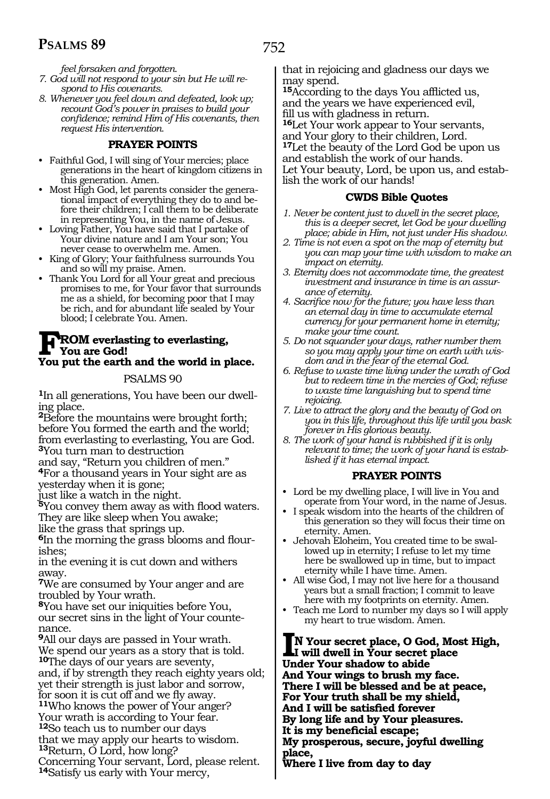752

*feel forsaken and forgotten.* 

- *7. God will not respond to your sin but He will respond to His covenants.*
- *8. Whenever you feel down and defeated, look up; recount God's power in praises to build your confidence; remind Him of His covenants, then request His intervention.*

### **PRAYER POINTS**

- Faithful God, I will sing of Your mercies; place generations in the heart of kingdom citizens in this generation. Amen.
- Most High God, let parents consider the generational impact of everything they do to and before their children; I call them to be deliberate in representing You, in the name of Jesus.
- Loving Father, You have said that I partake of Your divine nature and I am Your son; You never cease to overwhelm me. Amen.
- King of Glory; Your faithfulness surrounds You and so will my praise. Amen.
- Thank You Lord for all Your great and precious promises to me, for Your favor that surrounds me as a shield, for becoming poor that I may be rich, and for abundant life sealed by Your blood; I celebrate You. Amen.

#### **FROM everlasting to everlasting, You are God! You put the earth and the world in place.**

#### PSALMS 90

**1**In all generations, You have been our dwelling place.

**<sup>2</sup>**Before the mountains were brought forth; before You formed the earth and the world; from everlasting to everlasting, You are God. **<sup>3</sup>**You turn man to destruction

and say, "Return you children of men."

**<sup>4</sup>**For a thousand years in Your sight are as yesterday when it is gone;

just like a watch in the night.

**<sup>5</sup>**You convey them away as with flood waters. They are like sleep when You awake; like the grass that springs up.

**6**In the morning the grass blooms and flourishes;

in the evening it is cut down and withers away.

**<sup>7</sup>**We are consumed by Your anger and are troubled by Your wrath.

**<sup>8</sup>**You have set our iniquities before You, our secret sins in the light of Your countenance.

**<sup>9</sup>**All our days are passed in Your wrath. We spend our years as a story that is told. **<sup>10</sup>**The days of our years are seventy, and, if by strength they reach eighty years old; yet their strength is just labor and sorrow, for soon it is cut off and we fly away. **11**Who knows the power of Your anger? Your wrath is according to Your fear. **<sup>12</sup>**So teach us to number our days that we may apply our hearts to wisdom. **<sup>13</sup>**Return, O Lord, how long? Concerning Your servant, Lord, please relent. **<sup>14</sup>**Satisfy us early with Your mercy,

that in rejoicing and gladness our days we may spend.

**<sup>15</sup>**According to the days You afflicted us, and the years we have experienced evil, fill us with gladness in return. **<sup>16</sup>**Let Your work appear to Your servants, and Your glory to their children, Lord. **<sup>17</sup>**Let the beauty of the Lord God be upon us and establish the work of our hands.

Let Your beauty, Lord, be upon us, and establish the work of our hands!

### **CWDS Bible Quotes**

- *1. Never be content just to dwell in the secret place, this is a deeper secret, let God be your dwelling place; abide in Him, not just under His shadow.*
- *2. Time is not even a spot on the map of eternity but you can map your time with wisdom to make an impact on eternity.*
- *3. Eternity does not accommodate time, the greatest investment and insurance in time is an assurance of eternity.*
- *4. Sacrifice now for the future; you have less than an eternal day in time to accumulate eternal currency for your permanent home in eternity; make your time count.*
- *5. Do not squander your days, rather number them so you may apply your time on earth with wisdom and in the fear of the eternal God.*
- *6. Refuse to waste time living under the wrath of God but to redeem time in the mercies of God; refuse to waste time languishing but to spend time rejoicing.*
- *7. Live to attract the glory and the beauty of God on you in this life, throughout this life until you bask forever in His glorious beauty.*
- *8. The work of your hand is rubbished if it is only relevant to time; the work of your hand is established if it has eternal impact.*

### **PRAYER POINTS**

- Lord be my dwelling place, I will live in You and operate from Your word, in the name of Jesus.
- I speak wisdom into the hearts of the children of this generation so they will focus their time on eternity. Amen.
- Jehovah Eloheim, You created time to be swallowed up in eternity; I refuse to let my time here be swallowed up in time, but to impact eternity while I have time. Amen.
- All wise God, I may not live here for a thousand years but a small fraction; I commit to leave here with my footprints on eternity. Amen.
- Teach me Lord to number my days so I will apply my heart to true wisdom. Amen.

**IN Your secret place, O God, Most High, I will dwell in Your secret place Under Your shadow to abide And Your wings to brush my face. There I will be blessed and be at peace, For Your truth shall be my shield, And I will be satisfied forever By long life and by Your pleasures. It is my beneficial escape; My prosperous, secure, joyful dwelling place,**

**Where I live from day to day**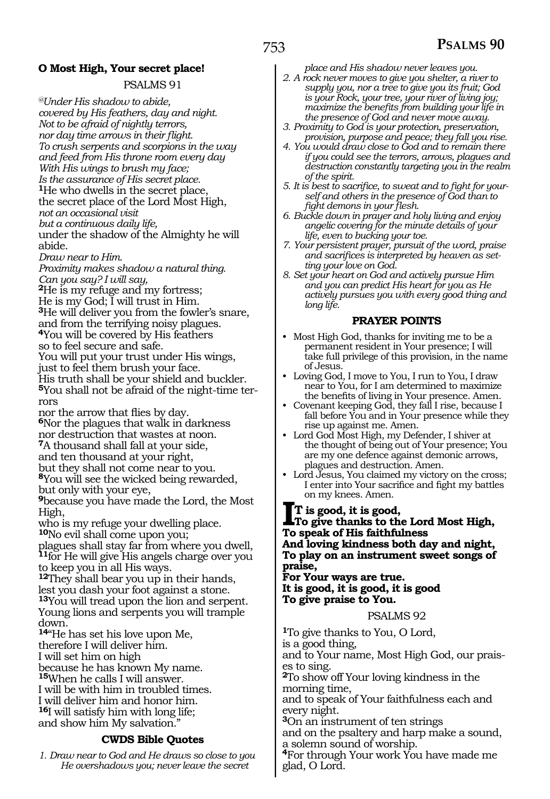# **O Most High, Your secret place!**

### PSALMS 91

*@Under His shadow to abide, covered by His feathers, day and night. Not to be afraid of nightly terrors, nor day time arrows in their flight. To crush serpents and scorpions in the way and feed from His throne room every day With His wings to brush my face; Is the assurance of His secret place.* **<sup>1</sup>**He who dwells in the secret place, the secret place of the Lord Most High, *not an occasional visit but a continuous daily life,* under the shadow of the Almighty he will abide.

*Draw near to Him.*

*Proximity makes shadow a natural thing. Can you say? I will say,* 

**<sup>2</sup>**He is my refuge and my fortress; He is my God; I will trust in Him. **<sup>3</sup>**He will deliver you from the fowler's snare, and from the terrifying noisy plagues. **<sup>4</sup>**You will be covered by His feathers so to feel secure and safe.

You will put your trust under His wings, just to feel them brush your face.

His truth shall be your shield and buckler. **5**You shall not be afraid of the night-time terrors

nor the arrow that flies by day. **6**Nor the plagues that walk in darkness nor destruction that wastes at noon. **<sup>7</sup>**A thousand shall fall at your side, and ten thousand at your right,

but they shall not come near to you.

**<sup>8</sup>**You will see the wicked being rewarded, but only with your eye,

**<sup>9</sup>**because you have made the Lord, the Most High,

who is my refuge your dwelling place. **<sup>10</sup>**No evil shall come upon you;

plagues shall stay far from where you dwell, **<sup>11</sup>**for He will give His angels charge over you to keep you in all His ways.

**<sup>12</sup>**They shall bear you up in their hands, lest you dash your foot against a stone. **<sup>13</sup>**You will tread upon the lion and serpent. Young lions and serpents you will trample down.

**<sup>14</sup>**"He has set his love upon Me,

therefore I will deliver him.

I will set him on high

because he has known My name.

**<sup>15</sup>**When he calls I will answer.

I will be with him in troubled times.

I will deliver him and honor him. **<sup>16</sup>**I will satisfy him with long life; and show him My salvation."

# **CWDS Bible Quotes**

*1. Draw near to God and He draws so close to you He overshadows you; never leave the secret* 

*place and His shadow never leaves you.*

- *2. A rock never moves to give you shelter, a river to supply you, nor a tree to give you its fruit; God is your Rock, your tree, your river of living joy; maximize the benefits from building your life in the presence of God and never move away.*
- *3. Proximity to God is your protection, preservation, provision, purpose and peace; they fall you rise.*
- *4. You would draw close to God and to remain there if you could see the terrors, arrows, plagues and destruction constantly targeting you in the realm of the spirit.*
- *5. It is best to sacrifice, to sweat and to fight for yourself and others in the presence of God than to fight demons in your flesh.*
- *6. Buckle down in prayer and holy living and enjoy angelic covering for the minute details of your life, even to bucking your toe.*
- *7. Your persistent prayer, pursuit of the word, praise and sacrifices is interpreted by heaven as setting your love on God.*
- *8. Set your heart on God and actively pursue Him and you can predict His heart for you as He actively pursues you with every good thing and long life.*

#### **PRAYER POINTS**

- Most High God, thanks for inviting me to be a permanent resident in Your presence; I will take full privilege of this provision, in the name of Jesus.
- Loving God, I move to You, I run to You, I draw near to You, for I am determined to maximize the benefits of living in Your presence. Amen.
- Covenant keeping God, they fall I rise, because I fall before You and in Your presence while they rise up against me. Amen.
- Lord God Most High, my Defender, I shiver at the thought of being out of Your presence; You are my one defence against demonic arrows, plagues and destruction. Amen.
- Lord Jesus, You claimed my victory on the cross; I enter into Your sacrifice and fight my battles on my knees. Amen.

**IT is good, it is good, To give thanks to the Lord Most High, To speak of His faithfulness And loving kindness both day and night, To play on an instrument sweet songs of praise,** 

**For Your ways are true. It is good, it is good, it is good To give praise to You.** 

PSALMS 92

**<sup>1</sup>**To give thanks to You, O Lord,

is a good thing, and to Your name, Most High God, our praises to sing.

**<sup>2</sup>**To show off Your loving kindness in the morning time,

and to speak of Your faithfulness each and every night.

**<sup>3</sup>**On an instrument of ten strings and on the psaltery and harp make a sound, a solemn sound of worship.

**<sup>4</sup>**For through Your work You have made me glad, O Lord.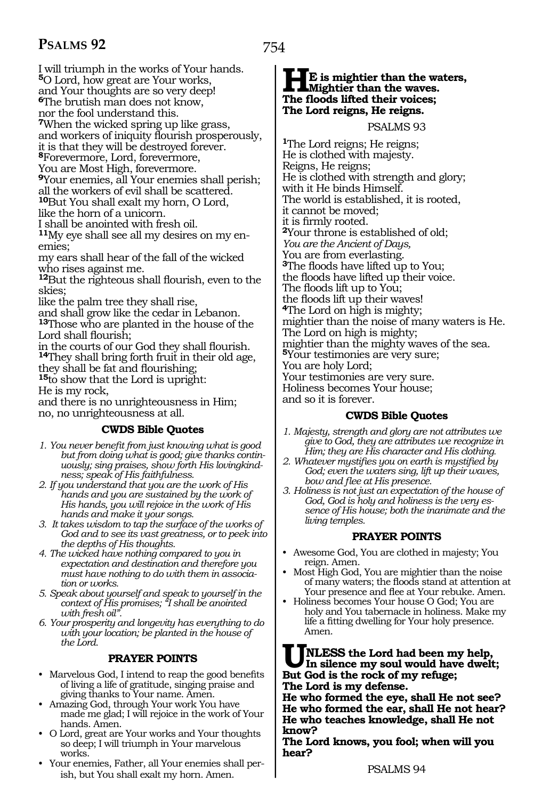I will triumph in the works of Your hands. **<sup>5</sup>**O Lord, how great are Your works, and Your thoughts are so very deep!

**<sup>6</sup>**The brutish man does not know,

nor the fool understand this.

**<sup>7</sup>**When the wicked spring up like grass,

and workers of iniquity flourish prosperously,

it is that they will be destroyed forever. **<sup>8</sup>**Forevermore, Lord, forevermore,

You are Most High, forevermore.

**<sup>9</sup>**Your enemies, all Your enemies shall perish; all the workers of evil shall be scattered. **<sup>10</sup>**But You shall exalt my horn, O Lord,

like the horn of a unicorn.

I shall be anointed with fresh oil.

**11**My eye shall see all my desires on my enemies;

my ears shall hear of the fall of the wicked who rises against me.

**<sup>12</sup>**But the righteous shall flourish, even to the skies;

like the palm tree they shall rise,

and shall grow like the cedar in Lebanon. **<sup>13</sup>**Those who are planted in the house of the

Lord shall flourish;

in the courts of our God they shall flourish. **<sup>14</sup>**They shall bring forth fruit in their old age, they shall be fat and flourishing;

**<sup>15</sup>**to show that the Lord is upright:

He is my rock,

and there is no unrighteousness in Him; no, no unrighteousness at all.

# **CWDS Bible Quotes**

- *1. You never benefit from just knowing what is good but from doing what is good; give thanks continuously; sing praises, show forth His lovingkindness; speak of His faithfulness.*
- *2. If you understand that you are the work of His hands and you are sustained by the work of His hands, you will rejoice in the work of His hands and make it your songs.*
- *3. It takes wisdom to tap the surface of the works of God and to see its vast greatness, or to peek into the depths of His thoughts.*
- *4. The wicked have nothing compared to you in expectation and destination and therefore you must have nothing to do with them in association or works.*
- *5. Speak about yourself and speak to yourself in the context of His promises; "I shall be anointed with fresh oil".*

*6. Your prosperity and longevity has everything to do with your location; be planted in the house of the Lord.*

# **PRAYER POINTS**

- Marvelous God, I intend to reap the good benefits of living a life of gratitude, singing praise and giving thanks to Your name. Amen.
- Amazing God, through Your work You have made me glad; I will rejoice in the work of Your hands. Amen.
- O Lord, great are Your works and Your thoughts so deep; I will triumph in Your marvelous works.
- Your enemies, Father, all Your enemies shall perish, but You shall exalt my horn. Amen.

# **HE** is mightier than the waters,<br>The floods lifted their voices: **The floods lifted their voices; The Lord reigns, He reigns.**

PSALMS 93

**<sup>1</sup>**The Lord reigns; He reigns; He is clothed with majesty. Reigns, He reigns; He is clothed with strength and glory; with it He binds Himself. The world is established, it is rooted, it cannot be moved; <sup>2</sup>Your throne is established of old; *You are the Ancient of Days,*  You are from everlasting. **<sup>3</sup>**The floods have lifted up to You; the floods have lifted up their voice. The floods lift up to You; the floods lift up their waves! **<sup>4</sup>**The Lord on high is mighty; mightier than the noise of many waters is He. The Lord on high is mighty; mightier than the mighty waves of the sea. **<sup>5</sup>**Your testimonies are very sure; You are holy Lord; Your testimonies are very sure. Holiness becomes Your house; and so it is forever.

### **CWDS Bible Quotes**

- *1. Majesty, strength and glory are not attributes we give to God, they are attributes we recognize in Him; they are His character and His clothing.*
- *2. Whatever mystifies you on earth is mystified by God; even the waters sing, lift up their waves, bow and flee at His presence.*
- *3. Holiness is not just an expectation of the house of God, God is holy and holiness is the very essence of His house; both the inanimate and the living temples.*

### **PRAYER POINTS**

- Awesome God, You are clothed in majesty; You reign. Amen.
- Most High God, You are mightier than the noise of many waters; the floods stand at attention at Your presence and flee at Your rebuke. Amen.
- Holiness becomes Your house O God; You are holy and You tabernacle in holiness. Make my life a fitting dwelling for Your holy presence. Amen.

**UNLESS** the Lord had been my help,<br>
In silence my soul would have dwelt;<br>
But God is the rock of my refuge; **But God is the rock of my refuge; The Lord is my defense.** 

**He who formed the eye, shall He not see? He who formed the ear, shall He not hear? He who teaches knowledge, shall He not know?** 

**The Lord knows, you fool; when will you hear?**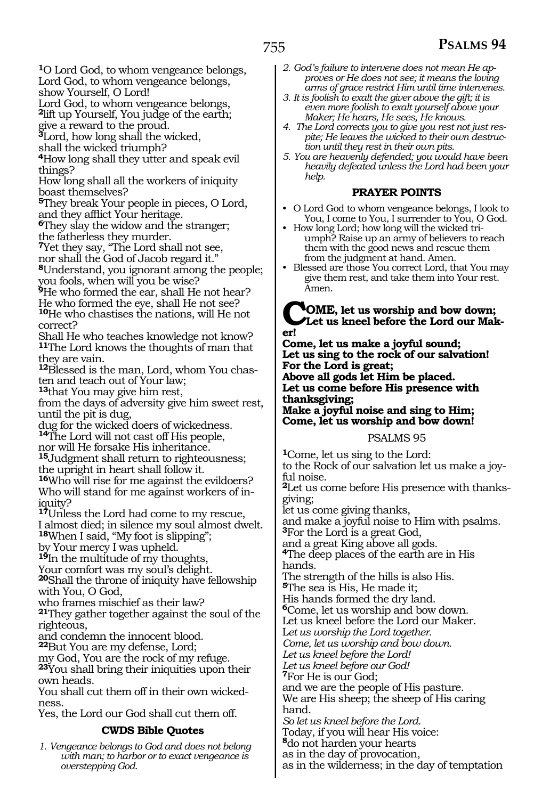**<sup>1</sup>**O Lord God, to whom vengeance belongs, Lord God, to whom vengeance belongs, show Yourself, O Lord!

Lord God, to whom vengeance belongs, **<sup>2</sup>**lift up Yourself, You judge of the earth;

give a reward to the proud.

**<sup>3</sup>**Lord, how long shall the wicked,

shall the wicked triumph?

**<sup>4</sup>**How long shall they utter and speak evil things?

How long shall all the workers of iniquity boast themselves?

**<sup>5</sup>**They break Your people in pieces, O Lord, and they afflict Your heritage.

**<sup>6</sup>**They slay the widow and the stranger; the fatherless they murder.

**<sup>7</sup>**Yet they say, "The Lord shall not see, nor shall the God of Jacob regard it."

**<sup>8</sup>**Understand, you ignorant among the people; you fools, when will you be wise?

**<sup>9</sup>**He who formed the ear, shall He not hear? He who formed the eye, shall He not see? **<sup>10</sup>**He who chastises the nations, will He not correct?

Shall He who teaches knowledge not know? **<sup>11</sup>**The Lord knows the thoughts of man that they are vain.

**12**Blessed is the man, Lord, whom You chasten and teach out of Your law;

**<sup>13</sup>**that You may give him rest,

from the days of adversity give him sweet rest, until the pit is dug,

dug for the wicked doers of wickedness. **<sup>14</sup>**The Lord will not cast off His people,

nor will He forsake His inheritance.

**<sup>15</sup>**Judgment shall return to righteousness; the upright in heart shall follow it.

**<sup>16</sup>**Who will rise for me against the evildoers? Who will stand for me against workers of iniquity?

**<sup>17</sup>**Unless the Lord had come to my rescue, I almost died; in silence my soul almost dwelt.

**<sup>18</sup>**When I said, "My foot is slipping";

by Your mercy I was upheld.

**<sup>19</sup>**In the multitude of my thoughts,

Your comfort was my soul's delight.

**<sup>20</sup>**Shall the throne of iniquity have fellowship with You, O God,

who frames mischief as their law?

**<sup>21</sup>**They gather together against the soul of the righteous,

and condemn the innocent blood.

**<sup>22</sup>**But You are my defense, Lord;

my God, You are the rock of my refuge. **<sup>23</sup>**You shall bring their iniquities upon their own heads.

You shall cut them off in their own wicked- ness.

Yes, the Lord our God shall cut them off.

# **CWDS Bible Quotes**

*1. Vengeance belongs to God and does not belong with man; to harbor or to exact vengeance is overstepping God.*

- *2. God's failure to intervene does not mean He approves or He does not see; it means the loving arms of grace restrict Him until time intervenes.*
- *3. It is foolish to exalt the giver above the gift; it is even more foolish to exalt yourself above your Maker; He hears, He sees, He knows.*
- *4. The Lord corrects you to give you rest not just respite; He leaves the wicked to their own destruction until they rest in their own pits.*
- *5. You are heavenly defended; you would have been heavily defeated unless the Lord had been your help.*

# **PRAYER POINTS**

- O Lord God to whom vengeance belongs, I look to You, I come to You, I surrender to You, O God.
- How long Lord; how long will the wicked triumph? Raise up an army of believers to reach them with the good news and rescue them from the judgment at hand. Amen.
- Blessed are those You correct Lord, that You may give them rest, and take them into Your rest. Amen.

#### **COME, let us worship and bow down; Let us kneel before the Lord our Maker!**

**Come, let us make a joyful sound; Let us sing to the rock of our salvation! For the Lord is great;**

**Above all gods let Him be placed. Let us come before His presence with thanksgiving;**

**Make a joyful noise and sing to Him; Come, let us worship and bow down!**

#### PSALMS 95

**<sup>1</sup>**Come, let us sing to the Lord: to the Rock of our salvation let us make a joyful noise.

**2**Let us come before His presence with thanksgiving;

let us come giving thanks,

and make a joyful noise to Him with psalms. **<sup>3</sup>**For the Lord is a great God,

and a great King above all gods.

**<sup>4</sup>**The deep places of the earth are in His hands.

The strength of the hills is also His.

**<sup>5</sup>**The sea is His, He made it;

His hands formed the dry land.

**<sup>6</sup>**Come, let us worship and bow down.

Let us kneel before the Lord our Maker.

L*et us worship the Lord together.* 

*Come, let us worship and bow down.* 

*Let us kneel before the Lord!*

*Let us kneel before our God!* 

**<sup>7</sup>**For He is our God;

and we are the people of His pasture. We are His sheep; the sheep of His caring hand.

*So let us kneel before the Lord.* 

Today, if you will hear His voice:

**<sup>8</sup>**do not harden your hearts

as in the day of provocation,

as in the wilderness; in the day of temptation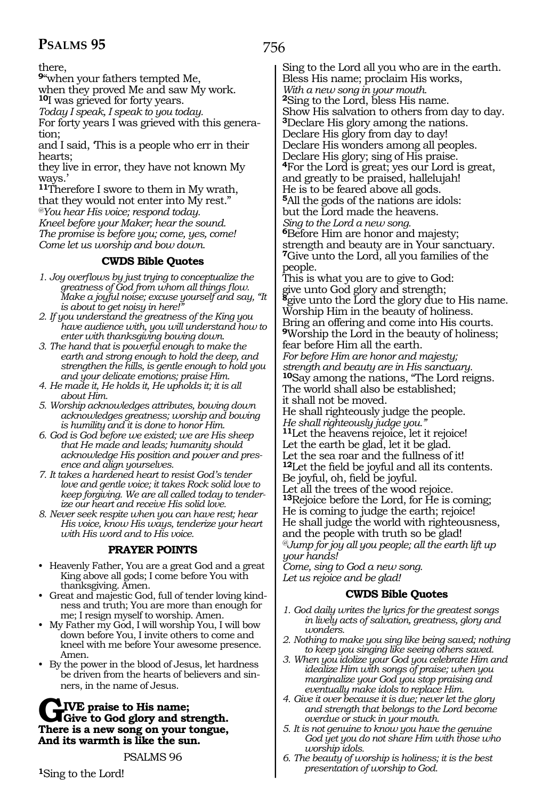there,

**<sup>9</sup>**"when your fathers tempted Me,

when they proved Me and saw My work. **<sup>10</sup>**I was grieved for forty years.

*Today I speak, I speak to you today.* 

For forty years I was grieved with this generation;

and I said, 'This is a people who err in their hearts;

they live in error, they have not known My ways.'

**<sup>11</sup>**Therefore I swore to them in My wrath, that they would not enter into My rest." *@You hear His voice; respond today. Kneel before your Maker; hear the sound. The promise is before you; come, yes, come!* 

*Come let us worship and bow down.* 

# **CWDS Bible Quotes**

- *1. Joy overflows by just trying to conceptualize the greatness of God from whom all things flow. Make a joyful noise; excuse yourself and say, "It is about to get noisy in here!"*
- *2. If you understand the greatness of the King you have audience with, you will understand how to enter with thanksgiving bowing down.*
- *3. The hand that is powerful enough to make the earth and strong enough to hold the deep, and strengthen the hills, is gentle enough to hold you and your delicate emotions; praise Him.*
- *4. He made it, He holds it, He upholds it; it is all about Him.*
- *5. Worship acknowledges attributes, bowing down acknowledges greatness; worship and bowing is humility and it is done to honor Him.*
- *6. God is God before we existed; we are His sheep that He made and leads; humanity should acknowledge His position and power and presence and align yourselves.*
- *7. It takes a hardened heart to resist God's tender love and gentle voice; it takes Rock solid love to keep forgiving. We are all called today to tenderize our heart and receive His solid love.*
- *8. Never seek respite when you can have rest; hear His voice, know His ways, tenderize your heart with His word and to His voice.*

# **PRAYER POINTS**

- Heavenly Father, You are a great God and a great King above all gods; I come before You with thanksgiving. Amen.
- Great and majestic God, full of tender loving kindness and truth; You are more than enough for me; I resign myself to worship. Amen.
- My Father my God, I will worship You, I will bow down before You, I invite others to come and kneel with me before Your awesome presence. Amen.
- By the power in the blood of Jesus, let hardness be driven from the hearts of believers and sinners, in the name of Jesus.

# GIVE praise to His name;<br>There is a new song on your tongue. **There is a new song on your tongue, And its warmth is like the sun.**

PSALMS 96

**<sup>1</sup>**Sing to the Lord!

Sing to the Lord all you who are in the earth. Bless His name; proclaim His works, *With a new song in your mouth.*  **<sup>2</sup>**Sing to the Lord, bless His name. Show His salvation to others from day to day. **<sup>3</sup>**Declare His glory among the nations. Declare His glory from day to day! Declare His wonders among all peoples. Declare His glory; sing of His praise. **<sup>4</sup>**For the Lord is great; yes our Lord is great, and greatly to be praised, hallelujah! He is to be feared above all gods. **<sup>5</sup>**All the gods of the nations are idols: but the Lord made the heavens. *Sing to the Lord a new song.*  **<sup>6</sup>**Before Him are honor and majesty; strength and beauty are in Your sanctuary. **<sup>7</sup>**Give unto the Lord, all you families of the people. This is what you are to give to God: give unto God glory and strength; **<sup>8</sup>**give unto the Lord the glory due to His name. Worship Him in the beauty of holiness. Bring an offering and come into His courts. **<sup>9</sup>**Worship the Lord in the beauty of holiness; fear before Him all the earth. *For before Him are honor and majesty; strength and beauty are in His sanctuary.* **<sup>10</sup>**Say among the nations, "The Lord reigns. The world shall also be established; it shall not be moved. He shall righteously judge the people. *He shall righteously judge you."* **<sup>11</sup>**Let the heavens rejoice, let it rejoice! Let the earth be glad, let it be glad. Let the sea roar and the fullness of it! **<sup>12</sup>**Let the field be joyful and all its contents. Be joyful, oh, field be joyful. Let all the trees of the wood rejoice. **<sup>13</sup>**Rejoice before the Lord, for He is coming; He is coming to judge the earth; rejoice! He shall judge the world with righteousness, and the people with truth so be glad! *@Jump for joy all you people; all the earth lift up your hands! Come, sing to God a new song. Let us rejoice and be glad!* 

# **CWDS Bible Quotes**

- *1. God daily writes the lyrics for the greatest songs in lively acts of salvation, greatness, glory and wonders.*
- *2. Nothing to make you sing like being saved; nothing to keep you singing like seeing others saved.*
- *3. When you idolize your God you celebrate Him and idealize Him with songs of praise; when you marginalize your God you stop praising and eventually make idols to replace Him.*
- *4. Give it over because it is due; never let the glory and strength that belongs to the Lord become overdue or stuck in your mouth.*
- *5. It is not genuine to know you have the genuine God yet you do not share Him with those who worship idols.*
- *6. The beauty of worship is holiness; it is the best presentation of worship to God.*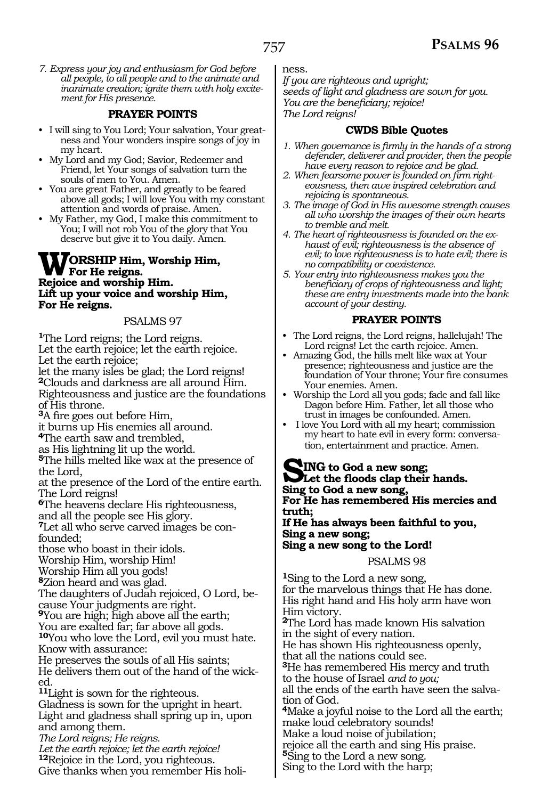*7. Express your joy and enthusiasm for God before all people, to all people and to the animate and inanimate creation; ignite them with holy excitement for His presence.*

#### **PRAYER POINTS**

- I will sing to You Lord; Your salvation, Your greatness and Your wonders inspire songs of joy in my heart.
- My Lord and my God; Savior, Redeemer and Friend, let Your songs of salvation turn the souls of men to You. Amen.
- You are great Father, and greatly to be feared above all gods; I will love You with my constant attention and words of praise. Amen.
- My Father, my God, I make this commitment to You; I will not rob You of the glory that You deserve but give it to You daily. Amen.

#### **WORSHIP Him, Worship Him, For He reigns. Rejoice and worship Him. Lift up your voice and worship Him, For He reigns.**

#### PSALMS 97

**<sup>1</sup>**The Lord reigns; the Lord reigns. Let the earth rejoice; let the earth rejoice.

Let the earth rejoice;

let the many isles be glad; the Lord reigns! **<sup>2</sup>**Clouds and darkness are all around Him. Righteousness and justice are the foundations of His throne.

**<sup>3</sup>**A fire goes out before Him,

it burns up His enemies all around. **<sup>4</sup>**The earth saw and trembled,

as His lightning lit up the world.

**<sup>5</sup>**The hills melted like wax at the presence of the Lord,

at the presence of the Lord of the entire earth. The Lord reigns!

**<sup>6</sup>**The heavens declare His righteousness, and all the people see His glory.

**7**Let all who serve carved images be confounded;

those who boast in their idols.

Worship Him, worship Him!

Worship Him all you gods!

**<sup>8</sup>**Zion heard and was glad.

The daughters of Judah rejoiced, O Lord, because Your judgments are right.

**<sup>9</sup>**You are high; high above all the earth;

You are exalted far; far above all gods.

**<sup>10</sup>**You who love the Lord, evil you must hate. Know with assurance:

He preserves the souls of all His saints; He delivers them out of the hand of the wicked.

**<sup>11</sup>**Light is sown for the righteous.

Gladness is sown for the upright in heart. Light and gladness shall spring up in, upon and among them.

*The Lord reigns; He reigns.* 

*Let the earth rejoice; let the earth rejoice!*  **<sup>12</sup>**Rejoice in the Lord, you righteous. Give thanks when you remember His holiness.

*If you are righteous and upright; seeds of light and gladness are sown for you. You are the beneficiary; rejoice! The Lord reigns!*

#### **CWDS Bible Quotes**

- *1. When governance is firmly in the hands of a strong defender, deliverer and provider, then the people have every reason to rejoice and be glad.*
- *2. When fearsome power is founded on firm righteousness, then awe inspired celebration and rejoicing is spontaneous.*
- *3. The image of God in His awesome strength causes all who worship the images of their own hearts to tremble and melt.*
- *4. The heart of righteousness is founded on the exhaust of evil; righteousness is the absence of evil; to love righteousness is to hate evil; there is no compatibility or coexistence.*
- *5. Your entry into righteousness makes you the beneficiary of crops of righteousness and light; these are entry investments made into the bank account of your destiny.*

#### **PRAYER POINTS**

- The Lord reigns, the Lord reigns, hallelujah! The Lord reigns! Let the earth rejoice. Amen.
- Amazing God, the hills melt like wax at Your presence; righteousness and justice are the foundation of Your throne; Your fire consumes Your enemies. Amen.
- Worship the Lord all you gods; fade and fall like Dagon before Him. Father, let all those who trust in images be confounded. Amen.
- I love You Lord with all my heart; commission my heart to hate evil in every form: conversation, entertainment and practice. Amen.

**SING to God a new song; Let the floods clap their hands. Sing to God a new song, For He has remembered His mercies and truth; If He has always been faithful to you, Sing a new song; Sing a new song to the Lord!** 

#### PSALMS 98

**<sup>1</sup>**Sing to the Lord a new song, for the marvelous things that He has done. His right hand and His holy arm have won Him victory.

**<sup>2</sup>**The Lord has made known His salvation in the sight of every nation.

He has shown His righteousness openly, that all the nations could see.

**<sup>3</sup>**He has remembered His mercy and truth

to the house of Israel *and to you;* all the ends of the earth have seen the salva-

tion of God. **<sup>4</sup>**Make a joyful noise to the Lord all the earth; make loud celebratory sounds!

Make a loud noise of jubilation;

rejoice all the earth and sing His praise.

**<sup>5</sup>**Sing to the Lord a new song.

Sing to the Lord with the harp;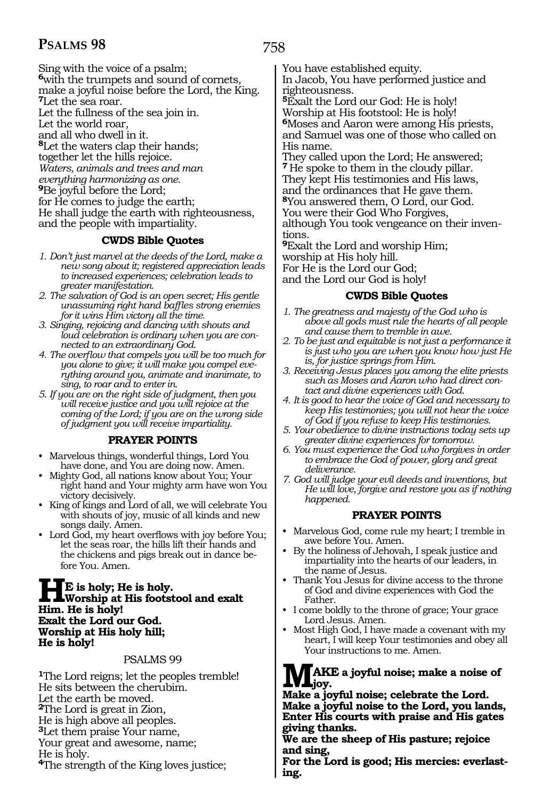Sing with the voice of a psalm; **<sup>6</sup>**with the trumpets and sound of cornets, make a joyful noise before the Lord, the King. **<sup>7</sup>**Let the sea roar. Let the fullness of the sea join in. Let the world roar, and all who dwell in it. **<sup>8</sup>**Let the waters clap their hands; together let the hills rejoice. *Waters, animals and trees and man everything harmonizing as one.*  **<sup>9</sup>**Be joyful before the Lord; for He comes to judge the earth; He shall judge the earth with righteousness, and the people with impartiality.

#### **CWDS Bible Quotes**

- *1. Don't just marvel at the deeds of the Lord, make a new song about it; registered appreciation leads to increased experiences; celebration leads to greater manifestation.*
- *2. The salvation of God is an open secret; His gentle unassuming right hand baffles strong enemies for it wins Him victory all the time.*
- *3. Singing, rejoicing and dancing with shouts and loud celebration is ordinary when you are connected to an extraordinary God.*
- *4. The overflow that compels you will be too much for you alone to give; it will make you compel everything around you, animate and inanimate, to sing, to roar and to enter in.*
- *5. If you are on the right side of judgment, then you will receive justice and you will rejoice at the coming of the Lord; if you are on the wrong side of judgment you will receive impartiality.*

#### **PRAYER POINTS**

- Marvelous things, wonderful things, Lord You have done, and You are doing now. Amen.
- Mighty God, all nations know about You; Your right hand and Your mighty arm have won You victory decisively.
- King of kings and Lord of all, we will celebrate You with shouts of joy, music of all kinds and new songs daily. Amen.
- Lord God, my heart overflows with joy before You; let the seas roar, the hills lift their hands and the chickens and pigs break out in dance before You. Amen.

#### **HE** is holy; He is holy.<br>Worship at His footstool and exalt<br>Him He is holy! **Him. He is holy! Exalt the Lord our God. Worship at His holy hill; He is holy!**

#### PSALMS 99

**<sup>1</sup>**The Lord reigns; let the peoples tremble! He sits between the cherubim. Let the earth be moved. **<sup>2</sup>**The Lord is great in Zion, He is high above all peoples. **<sup>3</sup>**Let them praise Your name, Your great and awesome, name; He is holy. **<sup>4</sup>**The strength of the King loves justice;

758

You have established equity.

In Jacob, You have performed justice and righteousness.

**<sup>5</sup>**Exalt the Lord our God: He is holy! Worship at His footstool: He is holy! **<sup>6</sup>**Moses and Aaron were among His priests, and Samuel was one of those who called on His name.

They called upon the Lord; He answered; **<sup>7</sup>**He spoke to them in the cloudy pillar. They kept His testimonies and His laws, and the ordinances that He gave them. **<sup>8</sup>**You answered them, O Lord, our God. You were their God Who Forgives, although You took vengeance on their inventions.

**<sup>9</sup>**Exalt the Lord and worship Him; worship at His holy hill. For He is the Lord our God; and the Lord our God is holy!

#### **CWDS Bible Quotes**

- *1. The greatness and majesty of the God who is above all gods must rule the hearts of all people and cause them to tremble in awe.*
- *2. To be just and equitable is not just a performance it is just who you are when you know how just He is, for justice springs from Him.*
- *3. Receiving Jesus places you among the elite priests such as Moses and Aaron who had direct contact and divine experiences with God.*
- *4. It is good to hear the voice of God and necessary to keep His testimonies; you will not hear the voice of God if you refuse to keep His testimonies.*
- *5. Your obedience to divine instructions today sets up greater divine experiences for tomorrow.*
- *6. You must experience the God who forgives in order to embrace the God of power, glory and great deliverance.*
- *7. God will judge your evil deeds and inventions, but He will love, forgive and restore you as if nothing happened.*

#### **PRAYER POINTS**

- Marvelous God, come rule my heart; I tremble in awe before You. Amen.
- By the holiness of Jehovah, I speak justice and impartiality into the hearts of our leaders, in the name of Jesus.
- Thank You Jesus for divine access to the throne of God and divine experiences with God the Father.
- I come boldly to the throne of grace; Your grace Lord Jesus. Amen.
- Most High God, I have made a covenant with my heart, I will keep Your testimonies and obey all Your instructions to me. Amen.

#### **MAKE a joyful noise; make a noise of joy.**

**Make a joyful noise; celebrate the Lord. Make a joyful noise to the Lord, you lands, Enter His courts with praise and His gates giving thanks.**

**We are the sheep of His pasture; rejoice and sing,**

**For the Lord is good; His mercies: everlast- ing.**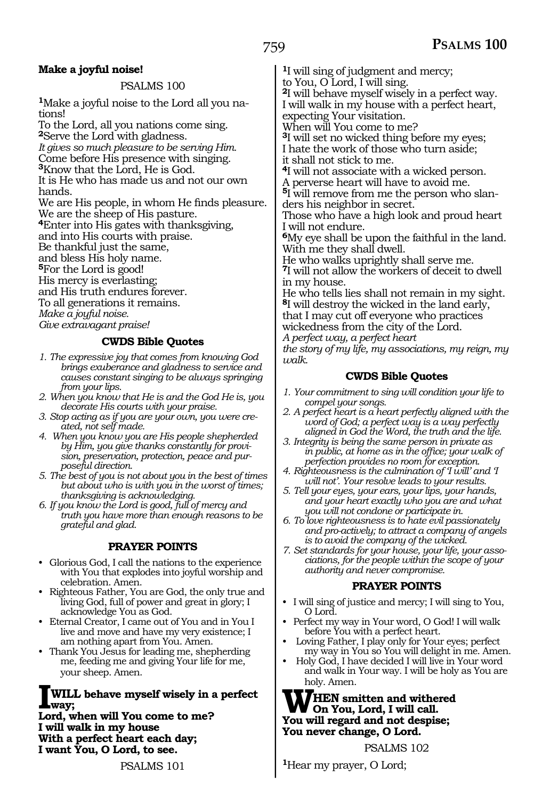#### **Make a joyful noise!**

#### PSALMS 100

**1**Make a joyful noise to the Lord all you nations!

To the Lord, all you nations come sing.

**<sup>2</sup>**Serve the Lord with gladness.

*It gives so much pleasure to be serving Him.* 

Come before His presence with singing.

**<sup>3</sup>**Know that the Lord, He is God.

It is He who has made us and not our own hands.

We are His people, in whom He finds pleasure. We are the sheep of His pasture.

**<sup>4</sup>**Enter into His gates with thanksgiving,

and into His courts with praise.

Be thankful just the same,

and bless His holy name.

**<sup>5</sup>**For the Lord is good!

His mercy is everlasting;

and His truth endures forever.

To all generations it remains.

*Make a joyful noise.*

*Give extravagant praise!* 

#### **CWDS Bible Quotes**

- *1. The expressive joy that comes from knowing God brings exuberance and gladness to service and causes constant singing to be always springing from your lips.*
- *2. When you know that He is and the God He is, you decorate His courts with your praise.*
- *3. Stop acting as if you are your own, you were created, not self made.*
- *4. When you know you are His people shepherded by Him, you give thanks constantly for provision, preservation, protection, peace and purposeful direction.*
- *5. The best of you is not about you in the best of times but about who is with you in the worst of times; thanksgiving is acknowledging.*
- *6. If you know the Lord is good, full of mercy and truth you have more than enough reasons to be grateful and glad.*

#### **PRAYER POINTS**

- Glorious God, I call the nations to the experience with You that explodes into joyful worship and celebration. Amen.
- Righteous Father, You are God, the only true and living God, full of power and great in glory; I acknowledge You as God.
- Eternal Creator, I came out of You and in You I live and move and have my very existence; I am nothing apart from You. Amen.
- Thank You Jesus for leading me, shepherding me, feeding me and giving Your life for me, your sheep. Amen.

#### **IWILL behave myself wisely in a perfect way;**

**Lord, when will You come to me? I will walk in my house With a perfect heart each day; I want You, O Lord, to see.**

PSALMS 101

**<sup>1</sup>**I will sing of judgment and mercy;

to You, O Lord, I will sing.

**<sup>2</sup>**I will behave myself wisely in a perfect way. I will walk in my house with a perfect heart,

expecting Your visitation. When will You come to me?

**<sup>3</sup>**I will set no wicked thing before my eyes; I hate the work of those who turn aside;

it shall not stick to me.

**<sup>4</sup>**I will not associate with a wicked person.

A perverse heart will have to avoid me.

**5**I will remove from me the person who slanders his neighbor in secret.

Those who have a high look and proud heart I will not endure.

**<sup>6</sup>**My eye shall be upon the faithful in the land. With me they shall dwell.

He who walks uprightly shall serve me.

**<sup>7</sup>**I will not allow the workers of deceit to dwell in my house.

He who tells lies shall not remain in my sight. **<sup>8</sup>**I will destroy the wicked in the land early, that I may cut off everyone who practices wickedness from the city of the Lord.

*A perfect way, a perfect heart*

*the story of my life, my associations, my reign, my walk.*

#### **CWDS Bible Quotes**

- *1. Your commitment to sing will condition your life to compel your songs.*
- *2. A perfect heart is a heart perfectly aligned with the word of God; a perfect way is a way perfectly aligned in God the Word, the truth and the life.*
- *3. Integrity is being the same person in private as in public, at home as in the office; your walk of perfection provides no room for exception.*
- *4. Righteousness is the culmination of 'I will' and 'I will not'. Your resolve leads to your results.*
- *5. Tell your eyes, your ears, your lips, your hands, and your heart exactly who you are and what you will not condone or participate in.*
- *6. To love righteousness is to hate evil passionately and pro-actively; to attract a company of angels is to avoid the company of the wicked.*
- *7. Set standards for your house, your life, your associations, for the people within the scope of your authority and never compromise.*

#### **PRAYER POINTS**

- I will sing of justice and mercy; I will sing to You, O Lord.
- Perfect my way in Your word, O God! I will walk before You with a perfect heart.
- Loving Father, I play only for Your eyes; perfect my way in You so You will delight in me. Amen.
- Holy God, I have decided I will live in Your word and walk in Your way. I will be holy as You are holy. Amen.

#### **WHEN smitten and withered On You, Lord, I will call. You will regard and not despise; You never change, O Lord.**

PSALMS 102

**<sup>1</sup>**Hear my prayer, O Lord;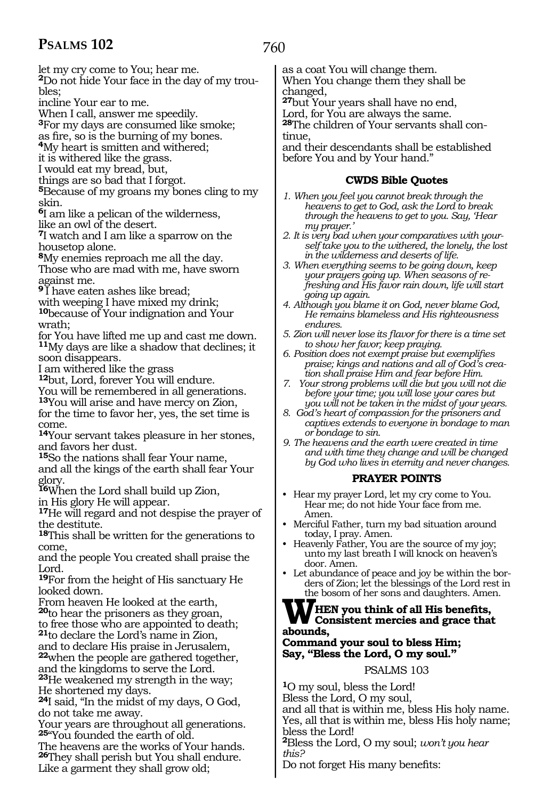let my cry come to You; hear me. **2**Do not hide Your face in the day of my trou-

bles;

incline Your ear to me.

When I call, answer me speedily.

**<sup>3</sup>**For my days are consumed like smoke;

<sup>4</sup>My heart is smitten and withered;

it is withered like the grass.

I would eat my bread, but,

things are so bad that I forgot.

**<sup>5</sup>**Because of my groans my bones cling to my skin.

**<sup>6</sup>**I am like a pelican of the wilderness, like an owl of the desert.

**<sup>7</sup>**I watch and I am like a sparrow on the housetop alone.

**<sup>8</sup>**My enemies reproach me all the day. Those who are mad with me, have sworn against me.

**<sup>9</sup>**I have eaten ashes like bread; with weeping I have mixed my drink; **<sup>10</sup>**because of Your indignation and Your wrath;

for You have lifted me up and cast me down. **<sup>11</sup>**My days are like a shadow that declines; it soon disappears.

I am withered like the grass

**<sup>12</sup>**but, Lord, forever You will endure.

You will be remembered in all generations.

**<sup>13</sup>**You will arise and have mercy on Zion, for the time to favor her, yes, the set time is come.

**<sup>14</sup>**Your servant takes pleasure in her stones, and favors her dust.

**<sup>15</sup>**So the nations shall fear Your name, and all the kings of the earth shall fear Your glory.

**<sup>16</sup>**When the Lord shall build up Zion,

in His glory He will appear.

**<sup>17</sup>**He will regard and not despise the prayer of the destitute.

**<sup>18</sup>**This shall be written for the generations to come,

and the people You created shall praise the Lord.

**<sup>19</sup>**For from the height of His sanctuary He looked down.

From heaven He looked at the earth,

**<sup>20</sup>**to hear the prisoners as they groan, to free those who are appointed to death; **<sup>21</sup>**to declare the Lord's name in Zion,

and to declare His praise in Jerusalem, **<sup>22</sup>**when the people are gathered together, and the kingdoms to serve the Lord. **<sup>23</sup>**He weakened my strength in the way; He shortened my days.

**<sup>24</sup>**I said, "In the midst of my days, O God, do not take me away.

Your years are throughout all generations. **<sup>25</sup>**"You founded the earth of old.

The heavens are the works of Your hands. **<sup>26</sup>**They shall perish but You shall endure. Like a garment they shall grow old;

760

as a coat You will change them. When You change them they shall be changed,

**<sup>27</sup>**but Your years shall have no end, Lord, for You are always the same.

**28**The children of Your servants shall continue,

and their descendants shall be established before You and by Your hand."

#### **CWDS Bible Quotes**

- *1. When you feel you cannot break through the heavens to get to God, ask the Lord to break through the heavens to get to you. Say, 'Hear my prayer.'*
- *2. It is very bad when your comparatives with yourself take you to the withered, the lonely, the lost in the wilderness and deserts of life.*
- *3. When everything seems to be going down, keep your prayers going up. When seasons of refreshing and His favor rain down, life will start going up again.*
- *4. Although you blame it on God, never blame God, He remains blameless and His righteousness endures.*
- *5. Zion will never lose its flavor for there is a time set to show her favor; keep praying.*
- *6. Position does not exempt praise but exemplifies praise; kings and nations and all of God's creation shall praise Him and fear before Him.*
- *7. Your strong problems will die but you will not die before your time; you will lose your cares but you will not be taken in the midst of your years.*
- *8. God's heart of compassion for the prisoners and captives extends to everyone in bondage to man or bondage to sin.*
- *9. The heavens and the earth were created in time and with time they change and will be changed by God who lives in eternity and never changes.*

#### **PRAYER POINTS**

- Hear my prayer Lord, let my cry come to You. Hear me; do not hide Your face from me. Amen.
- Merciful Father, turn my bad situation around today, I pray. Amen.
- Heavenly Father, You are the source of my joy; unto my last breath I will knock on heaven's door. Amen.
- Let abundance of peace and joy be within the borders of Zion; let the blessings of the Lord rest in the bosom of her sons and daughters. Amen.

## **WHEN** you think of all His benefits,<br>abounds **abounds,**

**Command your soul to bless Him; Say, "Bless the Lord, O my soul."**

#### PSALMS 103

**<sup>1</sup>**O my soul, bless the Lord! Bless the Lord, O my soul, and all that is within me, bless His holy name. Yes, all that is within me, bless His holy name; bless the Lord!

**<sup>2</sup>**Bless the Lord, O my soul; *won't you hear this?*

Do not forget His many benefits: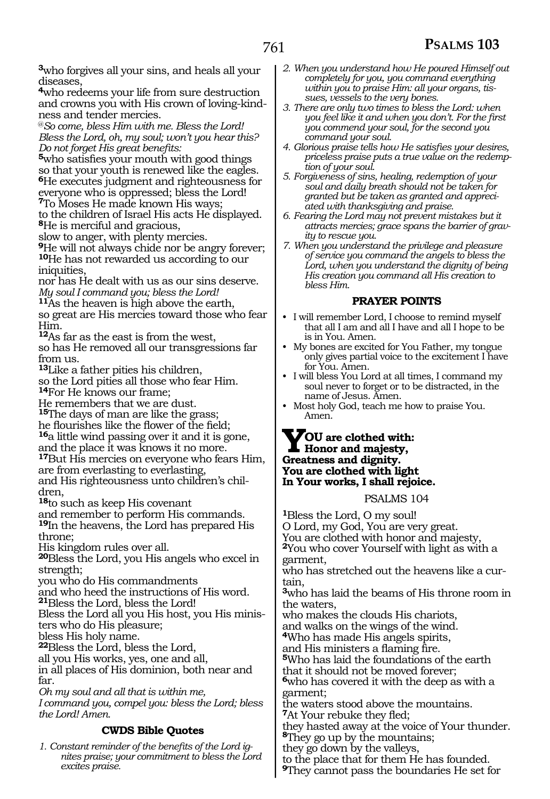**<sup>3</sup>**who forgives all your sins, and heals all your diseases,

**<sup>4</sup>**who redeems your life from sure destruction and crowns you with His crown of loving-kindness and tender mercies.

@*So come, bless Him with me. Bless the Lord! Bless the Lord, oh, my soul; won't you hear this? Do not forget His great benefits:* 

**<sup>5</sup>**who satisfies your mouth with good things so that your youth is renewed like the eagles. **<sup>6</sup>**He executes judgment and righteousness for everyone who is oppressed; bless the Lord! **<sup>7</sup>**To Moses He made known His ways;

to the children of Israel His acts He displayed. **<sup>8</sup>**He is merciful and gracious,

slow to anger, with plenty mercies.

**<sup>9</sup>**He will not always chide nor be angry forever; **<sup>10</sup>**He has not rewarded us according to our iniquities,

nor has He dealt with us as our sins deserve. *My soul I command you; bless the Lord!* 

**<sup>11</sup>**As the heaven is high above the earth,

so great are His mercies toward those who fear Him.

**<sup>12</sup>**As far as the east is from the west,

so has He removed all our transgressions far from us.

**<sup>13</sup>**Like a father pities his children,

so the Lord pities all those who fear Him. **<sup>14</sup>**For He knows our frame;

He remembers that we are dust.

- **<sup>15</sup>**The days of man are like the grass; he flourishes like the flower of the field; **<sup>16</sup>**a little wind passing over it and it is gone, and the place it was knows it no more.
- **<sup>17</sup>**But His mercies on everyone who fears Him, are from everlasting to everlasting,

and His righteousness unto children's chil- dren,

**<sup>18</sup>**to such as keep His covenant

and remember to perform His commands. **<sup>19</sup>**In the heavens, the Lord has prepared His throne;

His kingdom rules over all.

**<sup>20</sup>**Bless the Lord, you His angels who excel in strength;

you who do His commandments

and who heed the instructions of His word.

**<sup>21</sup>**Bless the Lord, bless the Lord!

Bless the Lord all you His host, you His minis- ters who do His pleasure;

bless His holy name.

**<sup>22</sup>**Bless the Lord, bless the Lord,

all you His works, yes, one and all,

in all places of His dominion, both near and far.

*Oh my soul and all that is within me, I command you, compel you: bless the Lord; bless the Lord! Amen.* 

#### **CWDS Bible Quotes**

*1. Constant reminder of the benefits of the Lord ignites praise; your commitment to bless the Lord excites praise.*

- *2. When you understand how He poured Himself out completely for you, you command everything within you to praise Him: all your organs, tissues, vessels to the very bones.*
- *3. There are only two times to bless the Lord: when you feel like it and when you don't. For the first you commend your soul, for the second you command your soul.*
- *4. Glorious praise tells how He satisfies your desires, priceless praise puts a true value on the redemption of your soul.*
- *5. Forgiveness of sins, healing, redemption of your soul and daily breath should not be taken for granted but be taken as granted and appreciated with thanksgiving and praise.*
- *6. Fearing the Lord may not prevent mistakes but it attracts mercies; grace spans the barrier of gravity to rescue you.*
- *7. When you understand the privilege and pleasure of service you command the angels to bless the Lord, when you understand the dignity of being His creation you command all His creation to bless Him.*

#### **PRAYER POINTS**

- I will remember Lord, I choose to remind myself that all I am and all I have and all I hope to be is in You. Amen.
- My bones are excited for You Father, my tongue only gives partial voice to the excitement I have for You. Amen.
- I will bless You Lord at all times, I command my soul never to forget or to be distracted, in the name of Jesus. Amen.
- Most holy God, teach me how to praise You. Amen.

### **YOU are clothed with: Honor and majesty, Greatness and dignity. You are clothed with light In Your works, I shall rejoice.**

#### PSALMS 104

**<sup>1</sup>**Bless the Lord, O my soul! O Lord, my God, You are very great. You are clothed with honor and majesty, **<sup>2</sup>**You who cover Yourself with light as with a garment, who has stretched out the heavens like a cur- tain, **<sup>3</sup>**who has laid the beams of His throne room in the waters, who makes the clouds His chariots, and walks on the wings of the wind. **<sup>4</sup>**Who has made His angels spirits, <sup>5</sup>Who has laid the foundations of the earth that it should not be moved forever; **<sup>6</sup>**who has covered it with the deep as with a garment; the waters stood above the mountains. **<sup>7</sup>**At Your rebuke they fled; they hasted away at the voice of Your thunder. **<sup>8</sup>**They go up by the mountains; they go down by the valleys, to the place that for them He has founded.

**<sup>9</sup>**They cannot pass the boundaries He set for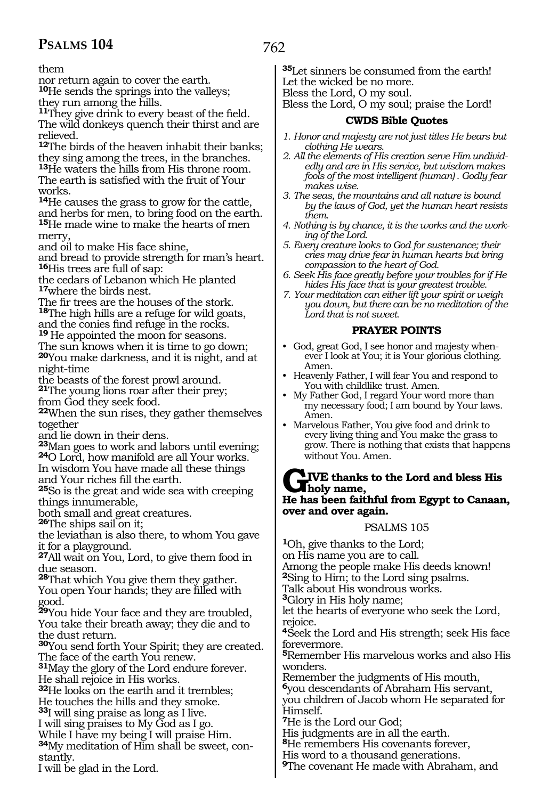them

nor return again to cover the earth. **<sup>10</sup>**He sends the springs into the valleys; they run among the hills.

**<sup>11</sup>**They give drink to every beast of the field. The wild donkeys quench their thirst and are relieved.

**<sup>12</sup>**The birds of the heaven inhabit their banks; they sing among the trees, in the branches. **<sup>13</sup>**He waters the hills from His throne room. The earth is satisfied with the fruit of Your works.

**<sup>14</sup>**He causes the grass to grow for the cattle, and herbs for men, to bring food on the earth.

**<sup>15</sup>**He made wine to make the hearts of men merry,

and oil to make His face shine,

and bread to provide strength for man's heart. **<sup>16</sup>**His trees are full of sap:

the cedars of Lebanon which He planted **<sup>17</sup>**where the birds nest.

The fir trees are the houses of the stork. **<sup>18</sup>**The high hills are a refuge for wild goats, and the conies find refuge in the rocks.

**<sup>19</sup>**He appointed the moon for seasons.

The sun knows when it is time to go down;

**<sup>20</sup>**You make darkness, and it is night, and at night-time

the beasts of the forest prowl around.

**<sup>21</sup>**The young lions roar after their prey; from God they seek food.

**<sup>22</sup>**When the sun rises, they gather themselves together

and lie down in their dens.

**<sup>23</sup>**Man goes to work and labors until evening; **24**O Lord, how manifold are all Your works.

In wisdom You have made all these things and Your riches fill the earth.

**<sup>25</sup>**So is the great and wide sea with creeping things innumerable,

both small and great creatures.

**<sup>26</sup>**The ships sail on it;

the leviathan is also there, to whom You gave it for a playground.

**<sup>27</sup>**All wait on You, Lord, to give them food in due season.

**<sup>28</sup>**That which You give them they gather. You open Your hands; they are filled with good.

**<sup>29</sup>**You hide Your face and they are troubled, You take their breath away; they die and to the dust return.

**<sup>30</sup>**You send forth Your Spirit; they are created. The face of the earth You renew.

**<sup>31</sup>**May the glory of the Lord endure forever. He shall rejoice in His works.

**<sup>32</sup>**He looks on the earth and it trembles; He touches the hills and they smoke.

**<sup>33</sup>**I will sing praise as long as I live.

I will sing praises to My God as I go.

While I have my being I will praise Him. **34**My meditation of Him shall be sweet, con-

stantly.

I will be glad in the Lord.

**<sup>35</sup>**Let sinners be consumed from the earth! Let the wicked be no more. Bless the Lord, O my soul.

Bless the Lord, O my soul; praise the Lord!

#### **CWDS Bible Quotes**

- *1. Honor and majesty are not just titles He bears but clothing He wears.*
- *2. All the elements of His creation serve Him undividedly and are in His service, but wisdom makes fools of the most intelligent (human) . Godly fear makes wise.*
- *3. The seas, the mountains and all nature is bound by the laws of God, yet the human heart resists them.*
- *4. Nothing is by chance, it is the works and the working of the Lord.*
- *5. Every creature looks to God for sustenance; their cries may drive fear in human hearts but bring compassion to the heart of God.*
- *6. Seek His face greatly before your troubles for if He hides His face that is your greatest trouble.*
- *7. Your meditation can either lift your spirit or weigh you down, but there can be no meditation of the Lord that is not sweet.*

#### **PRAYER POINTS**

- God, great God, I see honor and majesty whenever I look at You; it is Your glorious clothing. Amen.
- Heavenly Father, I will fear You and respond to You with childlike trust. Amen.
- My Father God, I regard Your word more than my necessary food; I am bound by Your laws. Amen.
- Marvelous Father, You give food and drink to every living thing and You make the grass to grow. There is nothing that exists that happens without You. Amen.

#### **GIVE thanks to the Lord and bless His holy name, He has been faithful from Egypt to Canaan, over and over again.**

#### PSALMS 105

**<sup>1</sup>**Oh, give thanks to the Lord; on His name you are to call. Among the people make His deeds known! **<sup>2</sup>**Sing to Him; to the Lord sing psalms. Talk about His wondrous works. **<sup>3</sup>**Glory in His holy name; let the hearts of everyone who seek the Lord, rejoice. **<sup>4</sup>**Seek the Lord and His strength; seek His face forevermore. **<sup>5</sup>**Remember His marvelous works and also His wonders. Remember the judgments of His mouth, **<sup>6</sup>**you descendants of Abraham His servant, you children of Jacob whom He separated for Himself. **<sup>7</sup>**He is the Lord our God; His judgments are in all the earth. **<sup>8</sup>**He remembers His covenants forever, His word to a thousand generations.

**<sup>9</sup>**The covenant He made with Abraham, and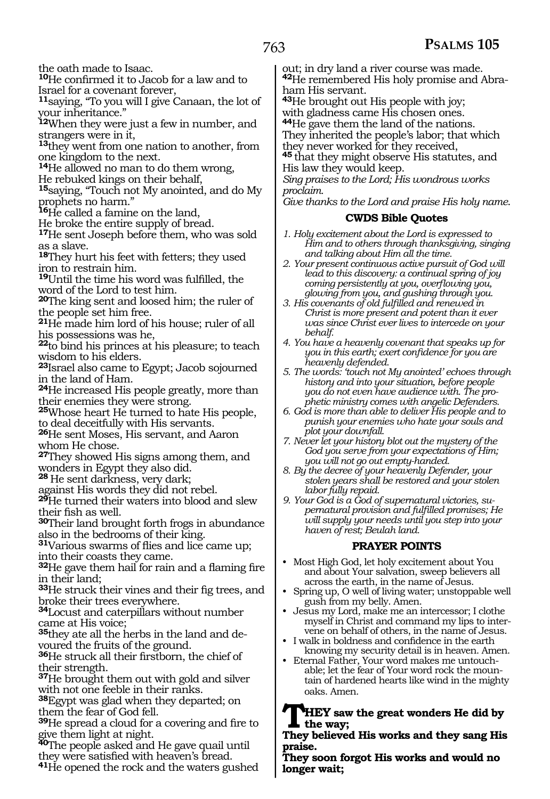the oath made to Isaac.

**<sup>10</sup>**He confirmed it to Jacob for a law and to Israel for a covenant forever,

**<sup>11</sup>**saying, "To you will I give Canaan, the lot of your inheritance."

**<sup>12</sup>**When they were just a few in number, and strangers were in it,

**<sup>13</sup>**they went from one nation to another, from one kingdom to the next.

**<sup>14</sup>**He allowed no man to do them wrong,

He rebuked kings on their behalf,

**<sup>15</sup>**saying, "Touch not My anointed, and do My prophets no harm."

**<sup>16</sup>**He called a famine on the land,

He broke the entire supply of bread.

**<sup>17</sup>**He sent Joseph before them, who was sold as a slave.

**<sup>18</sup>**They hurt his feet with fetters; they used iron to restrain him.

**<sup>19</sup>**Until the time his word was fulfilled, the word of the Lord to test him.

**<sup>20</sup>**The king sent and loosed him; the ruler of the people set him free.

**<sup>21</sup>**He made him lord of his house; ruler of all his possessions was he,

**<sup>22</sup>**to bind his princes at his pleasure; to teach wisdom to his elders.

**<sup>23</sup>**Israel also came to Egypt; Jacob sojourned in the land of Ham.

**<sup>24</sup>**He increased His people greatly, more than their enemies they were strong.

25Whose heart He turned to hate His people, to deal deceitfully with His servants.

**<sup>26</sup>**He sent Moses, His servant, and Aaron whom He chose.

**<sup>27</sup>**They showed His signs among them, and wonders in Egypt they also did.

28 He sent darkness, very dark;

against His words they did not rebel.

**<sup>29</sup>**He turned their waters into blood and slew their fish as well.

**<sup>30</sup>**Their land brought forth frogs in abundance also in the bedrooms of their king.

**<sup>31</sup>**Various swarms of flies and lice came up; into their coasts they came.

**<sup>32</sup>**He gave them hail for rain and a flaming fire in their land;

**<sup>33</sup>**He struck their vines and their fig trees, and broke their trees everywhere.

**<sup>34</sup>**Locust and caterpillars without number came at His voice;

**35**they ate all the herbs in the land and devoured the fruits of the ground.

**<sup>36</sup>**He struck all their firstborn, the chief of their strength.

**<sup>37</sup>**He brought them out with gold and silver with not one feeble in their ranks.

**<sup>38</sup>**Egypt was glad when they departed; on them the fear of God fell.

**<sup>39</sup>**He spread a cloud for a covering and fire to give them light at night.

**<sup>40</sup>**The people asked and He gave quail until they were satisfied with heaven's bread.

**<sup>41</sup>**He opened the rock and the waters gushed

out; in dry land a river course was made. **42**He remembered His holy promise and Abraham His servant.

**<sup>43</sup>**He brought out His people with joy; with gladness came His chosen ones.

**<sup>44</sup>**He gave them the land of the nations.

They inherited the people's labor; that which they never worked for they received,

**<sup>45</sup>**that they might observe His statutes, and His law they would keep.

*Sing praises to the Lord; His wondrous works proclaim.* 

*Give thanks to the Lord and praise His holy name*.

#### **CWDS Bible Quotes**

- *1. Holy excitement about the Lord is expressed to Him and to others through thanksgiving, singing and talking about Him all the time.*
- *2. Your present continuous active pursuit of God will lead to this discovery: a continual spring of joy coming persistently at you, overflowing you, glowing from you, and gushing through you.*
- *3. His covenants of old fulfilled and renewed in Christ is more present and potent than it ever was since Christ ever lives to intercede on your behalf.*
- *4. You have a heavenly covenant that speaks up for you in this earth; exert confidence for you are heavenly defended.*
- *5. The words: 'touch not My anointed' echoes through history and into your situation, before people you do not even have audience with. The prophetic ministry comes with angelic Defenders.*
- *6. God is more than able to deliver His people and to punish your enemies who hate your souls and plot your downfall.*
- *7. Never let your history blot out the mystery of the God you serve from your expectations of Him; you will not go out empty-handed.*

*8. By the decree of your heavenly Defender, your stolen years shall be restored and your stolen labor fully repaid.*

*9. Your God is a God of supernatural victories, supernatural provision and fulfilled promises; He will supply your needs until you step into your haven of rest; Beulah land.*

#### **PRAYER POINTS**

- Most High God, let holy excitement about You and about Your salvation, sweep believers all across the earth, in the name of Jesus.
- Spring up, O well of living water; unstoppable well gush from my belly. Amen.
- Jesus my Lord, make me an intercessor; I clothe myself in Christ and command my lips to intervene on behalf of others, in the name of Jesus.
- I walk in boldness and confidence in the earth knowing my security detail is in heaven. Amen.
- Eternal Father, Your word makes me untouchable; let the fear of Your word rock the mountain of hardened hearts like wind in the mighty oaks. Amen.

**THEY saw the great wonders He did by the way;**

#### **They believed His works and they sang His praise.**

**They soon forgot His works and would no longer wait;**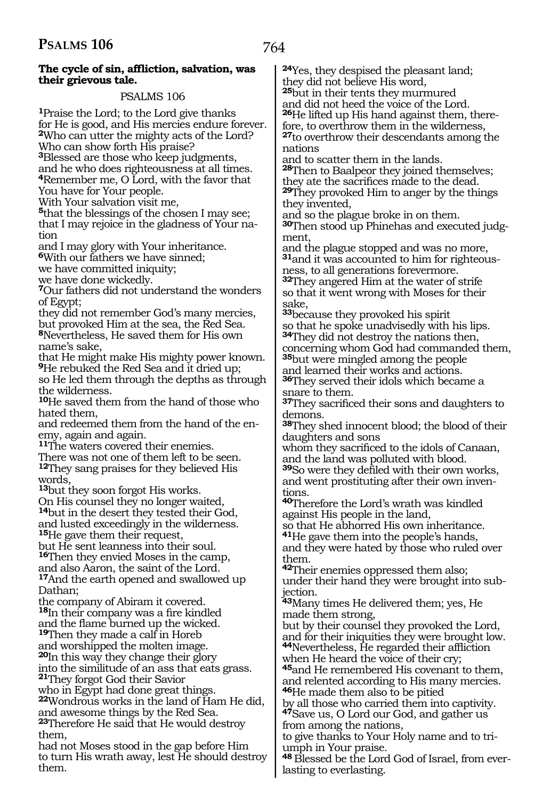#### **The cycle of sin, affliction, salvation, was their grievous tale.**

#### PSALMS 106

**<sup>1</sup>**Praise the Lord; to the Lord give thanks for He is good, and His mercies endure forever. **<sup>2</sup>**Who can utter the mighty acts of the Lord? Who can show forth His praise?

**<sup>3</sup>**Blessed are those who keep judgments, and he who does righteousness at all times. **<sup>4</sup>**Remember me, O Lord, with the favor that You have for Your people.

With Your salvation visit me,

**<sup>5</sup>**that the blessings of the chosen I may see; that I may rejoice in the gladness of Your nation

and I may glory with Your inheritance.

**<sup>6</sup>**With our fathers we have sinned;

we have committed iniquity;

we have done wickedly.

**<sup>7</sup>**Our fathers did not understand the wonders of Egypt;

they did not remember God's many mercies, but provoked Him at the sea, the Red Sea. **<sup>8</sup>**Nevertheless, He saved them for His own name's sake,

that He might make His mighty power known. **<sup>9</sup>**He rebuked the Red Sea and it dried up; so He led them through the depths as through

the wilderness. **<sup>10</sup>**He saved them from the hand of those who hated them,

and redeemed them from the hand of the enemy, again and again.

**<sup>11</sup>**The waters covered their enemies.

There was not one of them left to be seen. **<sup>12</sup>**They sang praises for they believed His words,

**<sup>13</sup>**but they soon forgot His works.

On His counsel they no longer waited, **<sup>14</sup>**but in the desert they tested their God, and lusted exceedingly in the wilderness. **<sup>15</sup>**He gave them their request,

but He sent leanness into their soul.

**<sup>16</sup>**Then they envied Moses in the camp, and also Aaron, the saint of the Lord. **<sup>17</sup>**And the earth opened and swallowed up Dathan;

the company of Abiram it covered. **<sup>18</sup>**In their company was a fire kindled and the flame burned up the wicked. **19**Then they made a calf in Horeb

and worshipped the molten image.

**<sup>20</sup>**In this way they change their glory into the similitude of an ass that eats grass.

**<sup>21</sup>**They forgot God their Savior

who in Egypt had done great things.

**<sup>22</sup>**Wondrous works in the land of Ham He did, and awesome things by the Red Sea.

**<sup>23</sup>**Therefore He said that He would destroy them,

had not Moses stood in the gap before Him to turn His wrath away, lest He should destroy them.

**<sup>24</sup>**Yes, they despised the pleasant land; they did not believe His word, **<sup>25</sup>**but in their tents they murmured and did not heed the voice of the Lord. **26**He lifted up His hand against them, there-

fore, to overthrow them in the wilderness, **<sup>27</sup>**to overthrow their descendants among the nations

and to scatter them in the lands. **<sup>28</sup>**Then to Baalpeor they joined themselves; they ate the sacrifices made to the dead. **<sup>29</sup>**They provoked Him to anger by the things they invented,

and so the plague broke in on them. **30**Then stood up Phinehas and executed judgment,

and the plague stopped and was no more, **31**and it was accounted to him for righteousness, to all generations forevermore.

**<sup>32</sup>**They angered Him at the water of strife so that it went wrong with Moses for their sake,

**<sup>33</sup>**because they provoked his spirit so that he spoke unadvisedly with his lips. **<sup>34</sup>**They did not destroy the nations then, concerning whom God had commanded them, **<sup>35</sup>**but were mingled among the people and learned their works and actions.

**<sup>36</sup>**They served their idols which became a snare to them.

**<sup>37</sup>**They sacrificed their sons and daughters to demons.

**<sup>38</sup>**They shed innocent blood; the blood of their daughters and sons

whom they sacrificed to the idols of Canaan, and the land was polluted with blood.

**<sup>39</sup>**So were they defiled with their own works, and went prostituting after their own inventions.

**<sup>40</sup>**Therefore the Lord's wrath was kindled against His people in the land,

so that He abhorred His own inheritance.

**<sup>41</sup>**He gave them into the people's hands, and they were hated by those who ruled over them.

**<sup>42</sup>**Their enemies oppressed them also; under their hand they were brought into subjection.

**<sup>43</sup>**Many times He delivered them; yes, He made them strong,

but by their counsel they provoked the Lord, and for their iniquities they were brought low. **<sup>44</sup>**Nevertheless, He regarded their affliction when He heard the voice of their cry; **<sup>45</sup>**and He remembered His covenant to them,

and relented according to His many mercies. **<sup>46</sup>**He made them also to be pitied

by all those who carried them into captivity. **<sup>47</sup>**Save us, O Lord our God, and gather us from among the nations,

to give thanks to Your Holy name and to triumph in Your praise.

**48** Blessed be the Lord God of Israel, from everlasting to everlasting.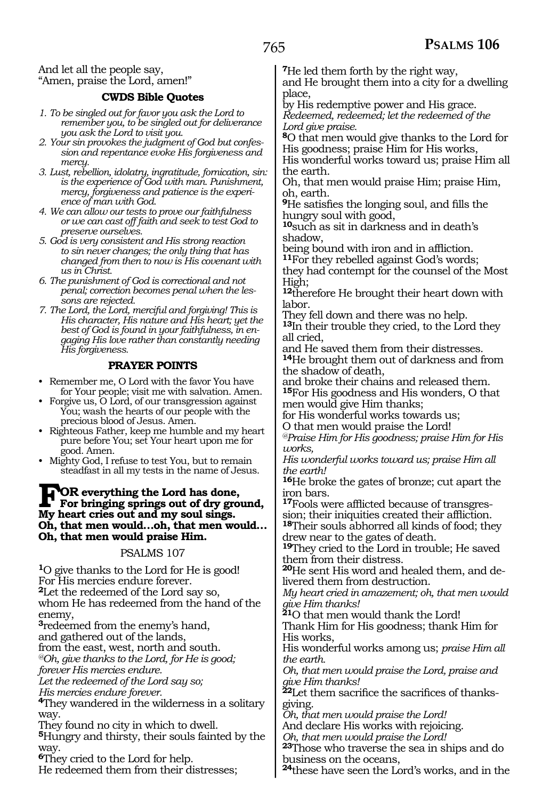And let all the people say, "Amen, praise the Lord, amen!"

#### **CWDS Bible Quotes**

- *1. To be singled out for favor you ask the Lord to remember you, to be singled out for deliverance you ask the Lord to visit you.*
- *2. Your sin provokes the judgment of God but confession and repentance evoke His forgiveness and mercy.*
- *3. Lust, rebellion, idolatry, ingratitude, fornication, sin: is the experience of God with man. Punishment, mercy, forgiveness and patience is the experience of man with God.*
- *4. We can allow our tests to prove our faithfulness or we can cast off faith and seek to test God to preserve ourselves.*
- *5. God is very consistent and His strong reaction to sin never changes; the only thing that has changed from then to now is His covenant with us in Christ.*
- *6. The punishment of God is correctional and not penal; correction becomes penal when the lessons are rejected.*
- *7. The Lord, the Lord, merciful and forgiving! This is His character, His nature and His heart; yet the best of God is found in your faithfulness, in engaging His love rather than constantly needing His forgiveness.*

#### **PRAYER POINTS**

- Remember me, O Lord with the favor You have for Your people; visit me with salvation. Amen.
- Forgive us, O Lord, of our transgression against You; wash the hearts of our people with the precious blood of Jesus. Amen.
- Righteous Father, keep me humble and my heart pure before You; set Your heart upon me for good. Amen.
- Mighty God, I refuse to test You, but to remain steadfast in all my tests in the name of Jesus.

### FOR everything the Lord has done,<br>For bringing springs out of dry ground,<br>My heart criss out and my soul sings **My heart cries out and my soul sings. Oh, that men would…oh, that men would… Oh, that men would praise Him.**

#### PSALMS 107

**<sup>1</sup>**O give thanks to the Lord for He is good! For His mercies endure forever. **<sup>2</sup>**Let the redeemed of the Lord say so, whom He has redeemed from the hand of the enemy,

**<sup>3</sup>**redeemed from the enemy's hand, and gathered out of the lands,

from the east, west, north and south.

*@Oh, give thanks to the Lord, for He is good;*

*forever His mercies endure.* 

*Let the redeemed of the Lord say so; His mercies endure forever.* 

**<sup>4</sup>**They wandered in the wilderness in a solitary way.

They found no city in which to dwell.

**<sup>5</sup>**Hungry and thirsty, their souls fainted by the way.

**<sup>6</sup>**They cried to the Lord for help.

He redeemed them from their distresses;

**<sup>7</sup>**He led them forth by the right way,

and He brought them into a city for a dwelling place,

by His redemptive power and His grace. *Redeemed, redeemed; let the redeemed of the Lord give praise.* 

**<sup>8</sup>**O that men would give thanks to the Lord for His goodness; praise Him for His works,

His wonderful works toward us; praise Him all the earth.

Oh, that men would praise Him; praise Him, oh, earth.

**<sup>9</sup>**He satisfies the longing soul, and fills the hungry soul with good,

**<sup>10</sup>**such as sit in darkness and in death's

shadow,<br>being bound with iron and in affliction. <sup>11</sup>For they rebelled against God's words;

they had contempt for the counsel of the Most High;

**<sup>12</sup>**therefore He brought their heart down with labor.

They fell down and there was no help.

**<sup>13</sup>**In their trouble they cried, to the Lord they all cried,

and He saved them from their distresses. **<sup>14</sup>**He brought them out of darkness and from the shadow of death,

and broke their chains and released them. **<sup>15</sup>**For His goodness and His wonders, O that men would give Him thanks;

for His wonderful works towards us; O that men would praise the Lord!

*@Praise Him for His goodness; praise Him for His works,* 

*His wonderful works toward us; praise Him all the earth!* 

**<sup>16</sup>**He broke the gates of bronze; cut apart the iron bars.

**17**Fools were afflicted because of transgression; their iniquities created their affliction. **<sup>18</sup>**Their souls abhorred all kinds of food; they

drew near to the gates of death.

**<sup>19</sup>**They cried to the Lord in trouble; He saved them from their distress.

**20**He sent His word and healed them, and delivered them from destruction.

*My heart cried in amazement; oh, that men would give Him thanks!* 

**<sup>21</sup>**O that men would thank the Lord!

Thank Him for His goodness; thank Him for His works,

His wonderful works among us; *praise Him all the earth.* 

*Oh, that men would praise the Lord, praise and give Him thanks!* 

**<sup>22</sup>**Let them sacrifice the sacrifices of thanks- giving.

*Oh, that men would praise the Lord!* 

And declare His works with rejoicing.

*Oh, that men would praise the Lord!* 

**<sup>23</sup>**Those who traverse the sea in ships and do business on the oceans,

**<sup>24</sup>**these have seen the Lord's works, and in the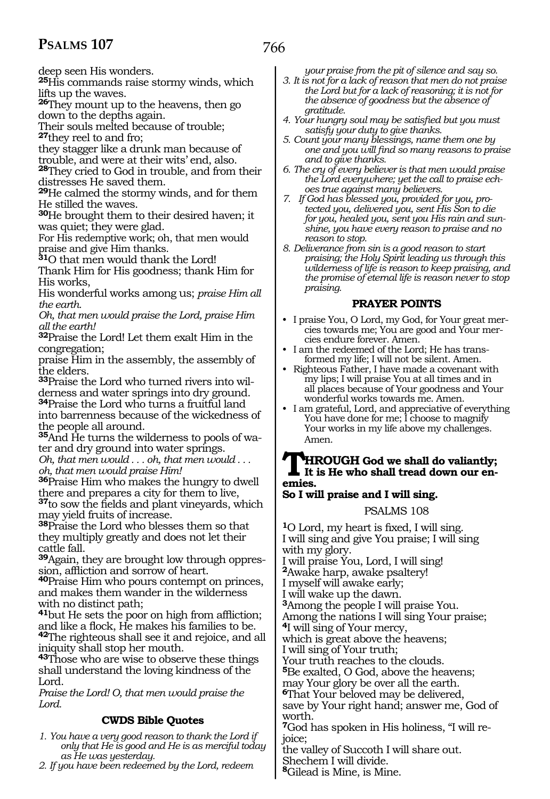deep seen His wonders.

**<sup>25</sup>**His commands raise stormy winds, which lifts up the waves.

**<sup>26</sup>**They mount up to the heavens, then go down to the depths again.

Their souls melted because of trouble;

**<sup>27</sup>**they reel to and fro;

they stagger like a drunk man because of

trouble, and were at their wits' end, also. **<sup>28</sup>**They cried to God in trouble, and from their

distresses He saved them. **<sup>29</sup>**He calmed the stormy winds, and for them He stilled the waves.

**<sup>30</sup>**He brought them to their desired haven; it was quiet; they were glad.

For His redemptive work; oh, that men would praise and give Him thanks. **<sup>31</sup>**O that men would thank the Lord!

Thank Him for His goodness; thank Him for His works,

His wonderful works among us; *praise Him all the earth.* 

*Oh, that men would praise the Lord, praise Him all the earth!* 

**<sup>32</sup>**Praise the Lord! Let them exalt Him in the congregation;

praise Him in the assembly, the assembly of the elders.

**33**Praise the Lord who turned rivers into wil-

derness and water springs into dry ground. **<sup>34</sup>**Praise the Lord who turns a fruitful land into barrenness because of the wickedness of the people all around.

**35**And He turns the wilderness to pools of water and dry ground into water springs.

*Oh, that men would . . . oh, that men would . . . oh, that men would praise Him!* 

**<sup>36</sup>**Praise Him who makes the hungry to dwell there and prepares a city for them to live, **<sup>37</sup>**to sow the fields and plant vineyards, which

may yield fruits of increase. **<sup>38</sup>**Praise the Lord who blesses them so that

they multiply greatly and does not let their cattle fall.

**39**Again, they are brought low through oppression, affliction and sorrow of heart.

**<sup>40</sup>**Praise Him who pours contempt on princes, and makes them wander in the wilderness with no distinct path;

**<sup>41</sup>**but He sets the poor on high from affliction; and like a flock, He makes his families to be. **<sup>42</sup>**The righteous shall see it and rejoice, and all iniquity shall stop her mouth.

**<sup>43</sup>**Those who are wise to observe these things shall understand the loving kindness of the Lord.

*Praise the Lord! O, that men would praise the Lord.* 

#### **CWDS Bible Quotes**

- *1. You have a very good reason to thank the Lord if only that He is good and He is as merciful today as He was yesterday.*
- *2. If you have been redeemed by the Lord, redeem*

*your praise from the pit of silence and say so.*

- *3. It is not for a lack of reason that men do not praise the Lord but for a lack of reasoning; it is not for the absence of goodness but the absence of gratitude.*
- *4. Your hungry soul may be satisfied but you must satisfy your duty to give thanks.*
- *5. Count your many blessings, name them one by one and you will find so many reasons to praise and to give thanks.*
- *6. The cry of every believer is that men would praise the Lord everywhere; yet the call to praise echoes true against many believers.*
- *7. If God has blessed you, provided for you, protected you, delivered you, sent His Son to die for you, healed you, sent you His rain and sunshine, you have every reason to praise and no reason to stop.*
- *8. Deliverance from sin is a good reason to start praising; the Holy Spirit leading us through this wilderness of life is reason to keep praising, and the promise of eternal life is reason never to stop praising.*

#### **PRAYER POINTS**

- I praise You, O Lord, my God, for Your great mercies towards me; You are good and Your mercies endure forever. Amen.
- I am the redeemed of the Lord; He has transformed my life; I will not be silent. Amen.
- Righteous Father, I have made a covenant with my lips; I will praise You at all times and in all places because of Your goodness and Your wonderful works towards me. Amen.
- I am grateful, Lord, and appreciative of everything You have done for me; I choose to magnify Your works in my life above my challenges. Amen.

## **THROUGH God we shall do valiantly;**<br>emies **emies.**

## **So I will praise and I will sing.**

#### PSALMS 108

**<sup>1</sup>**O Lord, my heart is fixed, I will sing. I will sing and give You praise; I will sing with my glory. I will praise You, Lord, I will sing! **<sup>2</sup>**Awake harp, awake psaltery! I myself will awake early; I will wake up the dawn. **<sup>3</sup>**Among the people I will praise You. Among the nations I will sing Your praise; **<sup>4</sup>**I will sing of Your mercy, which is great above the heavens; I will sing of Your truth; Your truth reaches to the clouds. **<sup>5</sup>**Be exalted, O God, above the heavens; may Your glory be over all the earth. **<sup>6</sup>**That Your beloved may be delivered, save by Your right hand; answer me, God of worth.

**7**God has spoken in His holiness, "I will rejoice;

the valley of Succoth I will share out. Shechem I will divide.

**<sup>8</sup>**Gilead is Mine, is Mine.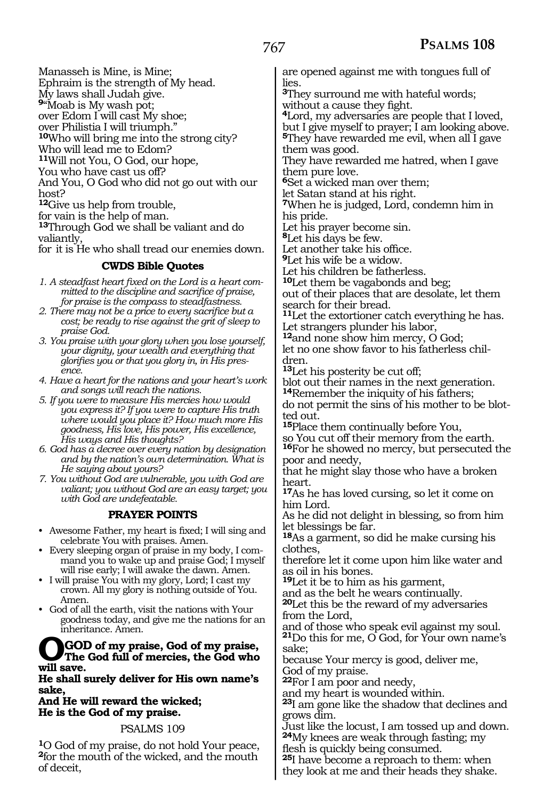Manasseh is Mine, is Mine;

Ephraim is the strength of My head.

My laws shall Judah give. **<sup>9</sup>**"Moab is My wash pot;

over Edom I will cast My shoe;

over Philistia I will triumph." **<sup>10</sup>**Who will bring me into the strong city?

Who will lead me to Edom?

**<sup>11</sup>**Will not You, O God, our hope*,* 

You who have cast us off?

And You, O God who did not go out with our

host?

**<sup>12</sup>**Give us help from trouble,

for vain is the help of man.

**<sup>13</sup>**Through God we shall be valiant and do valiantly,

forit is He who shall tread our enemies down.

#### **CWDS Bible Quotes**

*1. A steadfast heart fixed on the Lord is a heart committed to the discipline and sacrifice of praise, for praise is the compass to steadfastness.*

*2. There may not be a price to every sacrifice but a cost; be ready to rise against the grit of sleep to praise God.*

*3. You praise with your glory when you lose yourself, your dignity, your wealth and everything that glorifies you or that you glory in, in His presence.*

- *4. Have a heart for the nations and your heart's work and songs will reach the nations.*
- *5. If you were to measure His mercies how would you express it? If you were to capture His truth where would you place it? How much more His goodness, His love, His power, His excellence, His ways and His thoughts?*

*6. God has a decree over every nation by designation and by the nation's own determination. What is He saying about yours?*

*7. You without God are vulnerable, you with God are valiant; you without God are an easy target; you with God are undefeatable.*

#### **PRAYER POINTS**

• Awesome Father, my heart is fixed; I will sing and celebrate You with praises. Amen.

• Every sleeping organ of praise in my body, I command you to wake up and praise God; I myself will rise early; I will awake the dawn. Amen.

• I will praise You with my glory, Lord; I cast my crown. All my glory is nothing outside of You. Amen.

• God of all the earth, visit the nations with Your goodness today, and give me the nations for an inheritance. Amen.

### **OGOD of my praise, God of my praise, The God full of mercies, the God who will save.**

**He shall surely deliver for His own name's sake,** 

**And He will reward the wicked; He is the God of my praise.**

#### PSALMS 109

**<sup>1</sup>**O God of my praise, do not hold Your peace, **<sup>2</sup>**for the mouth of the wicked, and the mouth of deceit,

are opened against me with tongues full of lies.

**<sup>3</sup>**They surround me with hateful words; without a cause they fight.

**<sup>4</sup>**Lord, my adversaries are people that I loved, but I give myself to prayer; I am looking above. **<sup>5</sup>**They have rewarded me evil, when all I gave them was good.

They have rewarded me hatred, when I gave them pure love.

**<sup>6</sup>**Set a wicked man over them;

let Satan stand at his right. **<sup>7</sup>**When he is judged, Lord, condemn him in his pride.

Let his prayer become sin.

**<sup>8</sup>**Let his days be few.

Let another take his office.

**<sup>9</sup>**Let his wife be a widow.

Let his children be fatherless.

**<sup>10</sup>**Let them be vagabonds and beg; out of their places that are desolate, let them search for their bread.

**<sup>11</sup>**Let the extortioner catch everything he has. Let strangers plunder his labor,

**<sup>12</sup>**and none show him mercy, O God;

let no one show favor to his fatherless children.

**<sup>13</sup>**Let his posterity be cut off;

blot out their names in the next generation. **<sup>14</sup>**Remember the iniquity of his fathers;

do not permit the sins of his mother to be blotted out.

**<sup>15</sup>**Place them continually before You,

so You cut off their memory from the earth. **<sup>16</sup>**For he showed no mercy, but persecuted the poor and needy,

that he might slay those who have a broken heart.

**<sup>17</sup>**As he has loved cursing, so let it come on him Lord.

As he did not delight in blessing, so from him let blessings be far.

**<sup>18</sup>**As a garment, so did he make cursing his clothes,

therefore let it come upon him like water and as oil in his bones.

**<sup>19</sup>**Let it be to him as his garment,

and as the belt he wears continually.

**<sup>20</sup>**Let this be the reward of my adversaries from the Lord,

and of those who speak evil against my soul. **<sup>21</sup>**Do this for me, O God, for Your own name's sake;

because Your mercy is good, deliver me, God of my praise.

**<sup>22</sup>**For I am poor and needy,

and my heart is wounded within.

**<sup>23</sup>**I am gone like the shadow that declines and grows dim.

Just like the locust, I am tossed up and down. **<sup>24</sup>**My knees are weak through fasting; my

flesh is quickly being consumed.

**<sup>25</sup>**I have become a reproach to them: when they look at me and their heads they shake.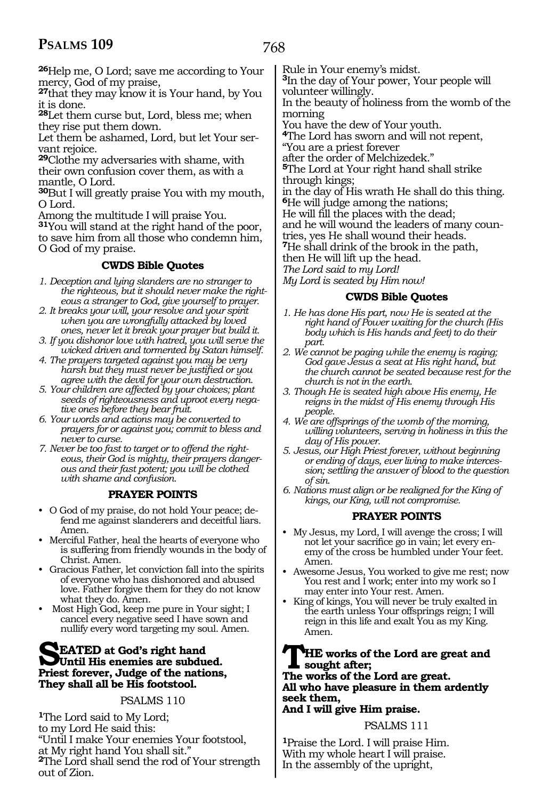### 768

**<sup>26</sup>**Help me, O Lord; save me according to Your mercy, God of my praise,

**<sup>27</sup>**that they may know it is Your hand, by You it is done.

**<sup>28</sup>**Let them curse but, Lord, bless me; when they rise put them down.

Let them be ashamed, Lord, but let Your servant rejoice.

**<sup>29</sup>**Clothe my adversaries with shame, with their own confusion cover them, as with a mantle, O Lord.

**<sup>30</sup>**But I will greatly praise You with my mouth, O Lord.

Among the multitude I will praise You.

**<sup>31</sup>**You will stand at the right hand of the poor, to save him from all those who condemn him,

O God of my praise.

#### **CWDS Bible Quotes**

- *1. Deception and lying slanders are no stranger to the righteous, but it should never make the righteous a stranger to God, give yourself to prayer.*
- *2. It breaks your will, your resolve and your spirit when you are wrongfully attacked by loved ones, never let it break your prayer but build it.*
- *3. If you dishonor love with hatred, you will serve the wicked driven and tormented by Satan himself.*
- *4. The prayers targeted against you may be very harsh but they must never be justified or you agree with the devil for your own destruction.*
- *5. Your children are affected by your choices; plant seeds of righteousness and uproot every negative ones before they bear fruit.*
- *6. Your words and actions may be converted to prayers for or against you; commit to bless and never to curse.*
- *7. Never be too fast to target or to offend the righteous, their God is mighty, their prayers dangerous and their fast potent; you will be clothed with shame and confusion.*

#### **PRAYER POINTS**

- O God of my praise, do not hold Your peace; defend me against slanderers and deceitful liars. Amen.
- Merciful Father, heal the hearts of everyone who is suffering from friendly wounds in the body of Christ. Amen.
- Gracious Father, let conviction fall into the spirits of everyone who has dishonored and abused love. Father forgive them for they do not know what they do. Amen.
- Most High God, keep me pure in Your sight; I cancel every negative seed I have sown and nullify every word targeting my soul. Amen.

### **SEATED** at God's right hand<br> **Priest forever** Judge of the nations **Priest forever, Judge of the nations, They shall all be His footstool.**

#### PSALMS 110

**<sup>1</sup>**The Lord said to My Lord; to my Lord He said this: "Until I make Your enemies Your footstool, at My right hand You shall sit." **<sup>2</sup>**The Lord shall send the rod of Your strength out of Zion.

Rule in Your enemy's midst.

**<sup>3</sup>**In the day of Your power, Your people will volunteer willingly.

In the beauty of holiness from the womb of the morning

You have the dew of Your youth.

**<sup>4</sup>**The Lord has sworn and will not repent,

"You are a priest forever

after the order of Melchizedek."

**<sup>5</sup>**The Lord at Your right hand shall strike through kings;

in the day of His wrath He shall do this thing. **<sup>6</sup>**He will judge among the nations;

He will fill the places with the dead;

and he will wound the leaders of many coun-

tries, yes He shall wound their heads.

**<sup>7</sup>**He shall drink of the brook in the path,

then He will lift up the head.

*The Lord said to my Lord! My Lord is seated by Him now!* 

#### **CWDS Bible Quotes**

- *1. He has done His part, now He is seated at the right hand of Power waiting for the church (His body which is His hands and feet) to do their part.*
- *2. We cannot be paging while the enemy is raging; God gave Jesus a seat at His right hand, but the church cannot be seated because rest for the church is not in the earth.*
- *3. Though He is seated high above His enemy, He reigns in the midst of His enemy through His people.*
- *4. We are offsprings of the womb of the morning, willing volunteers, serving in holiness in this the day of His power.*
- *5. Jesus, our High Priest forever, without beginning or ending of days, ever living to make intercession; settling the answer of blood to the question of sin.*
- *6. Nations must align or be realigned for the King of kings, our King, will not compromise.*

#### **PRAYER POINTS**

- My Jesus, my Lord, I will avenge the cross; I will not let your sacrifice go in vain; let every enemy of the cross be humbled under Your feet. Amen.
- Awesome Jesus, You worked to give me rest; now You rest and I work; enter into my work so I may enter into Your rest. Amen.
- King of kings, You will never be truly exalted in the earth unless Your offsprings reign; I will reign in this life and exalt You as my King. Amen.

**THE works of the Lord are great and sought after; The works of the Lord are great. All who have pleasure in them ardently seek them,**

### **And I will give Him praise.**

#### PSALMS 111

**<sup>1</sup>**Praise the Lord. I will praise Him. With my whole heart I will praise. In the assembly of the upright,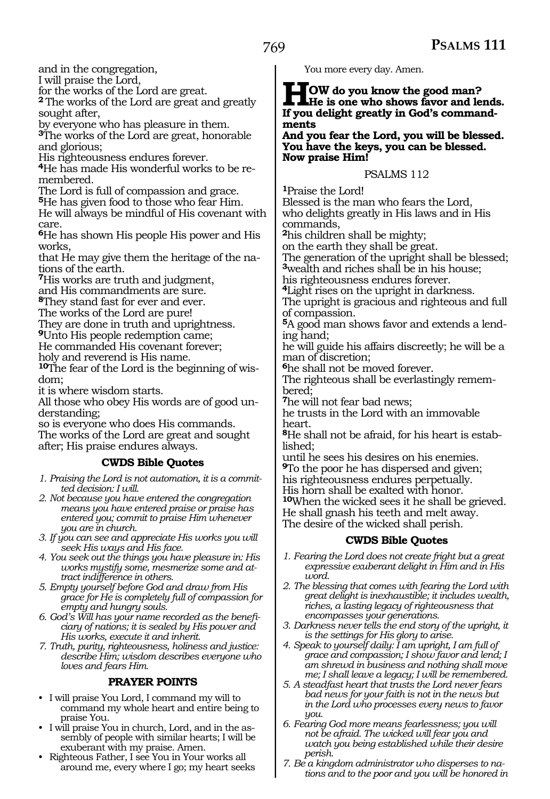and in the congregation,

I will praise the Lord,

for the works of the Lord are great. **<sup>2</sup>**The works of the Lord are great and greatly sought after,

by everyone who has pleasure in them. **<sup>3</sup>**The works of the Lord are great, honorable and glorious;

His righteousness endures forever.

**<sup>4</sup>**He has made His wonderful works to be re- membered.

The Lord is full of compassion and grace.

**<sup>5</sup>**He has given food to those who fear Him.

He will always be mindful of His covenant with care.

**<sup>6</sup>**He has shown His people His power and His works,

that He may give them the heritage of the nations of the earth.

**<sup>7</sup>**His works are truth and judgment,

and His commandments are sure.

**<sup>8</sup>**They stand fast for ever and ever.

The works of the Lord are pure!

They are done in truth and uprightness.

**<sup>9</sup>**Unto His people redemption came;

He commanded His covenant forever;

holy and reverend is His name. **10**The fear of the Lord is the beginning of wis-

dom;

it is where wisdom starts.

All those who obey His words are of good understanding;

so is everyone who does His commands. The works of the Lord are great and sought after; His praise endures always.

#### **CWDS Bible Quotes**

*1. Praising the Lord is not automation, it is a committed decision: I will.* 

*2. Not because you have entered the congregation means you have entered praise or praise has entered you; commit to praise Him whenever you are in church.*

*3. If you can see and appreciate His works you will seek His ways and His face.*

*4. You seek out the things you have pleasure in: His works mystify some, mesmerize some and attract indifference in others.* 

*5. Empty yourself before God and draw from His grace for He is completely full of compassion for empty and hungry souls.*

*6. God's Will has your name recorded as the beneficiary of nations; it is sealed by His power and His works, execute it and inherit.* 

*7. Truth, purity, righteousness, holiness and justice: describe Him; wisdom describes everyone who loves and fears Him.*

#### **PRAYER POINTS**

- I will praise You Lord, I command my will to command my whole heart and entire being to praise You.
- I will praise You in church, Lord, and in the assembly of people with similar hearts; I will be exuberant with my praise. Amen.
- Righteous Father, I see You in Your works all around me, every where I go; my heart seeks

You more every day. Amen.

**HOW** do you know the good man?<br> **He is one who shows favor and lends.**<br> **If you delight greatly in God's command. If you delight greatly in God's commandments** 

**And you fear the Lord, you will be blessed. You have the keys, you can be blessed. Now praise Him!** 

#### PSALMS 112

**<sup>1</sup>**Praise the Lord! Blessed is the man who fears the Lord, who delights greatly in His laws and in His commands,

**<sup>2</sup>**his children shall be mighty;

on the earth they shall be great.

The generation of the upright shall be blessed; **<sup>3</sup>**wealth and riches shall be in his house;

his righteousness endures forever.

**<sup>4</sup>**Light rises on the upright in darkness.

The upright is gracious and righteous and full of compassion.

**5**A good man shows favor and extends a lending hand;

he will guide his affairs discreetly; he will be a man of discretion;

**<sup>6</sup>**he shall not be moved forever.

The righteous shall be everlastingly remembered;

**<sup>7</sup>**he will not fear bad news;

he trusts in the Lord with an immovable heart.

**8**He shall not be afraid, for his heart is established;

until he sees his desires on his enemies. **<sup>9</sup>**To the poor he has dispersed and given; his righteousness endures perpetually. His horn shall be exalted with honor. **<sup>10</sup>**When the wicked sees it he shall be grieved. He shall gnash his teeth and melt away.

The desire of the wicked shall perish*.*

#### **CWDS Bible Quotes**

- *1. Fearing the Lord does not create fright but a great expressive exuberant delight in Him and in His word.*
- *2. The blessing that comes with fearing the Lord with great delight is inexhaustible; it includes wealth, riches, a lasting legacy of righteousness that encompasses your generations.*
- *3. Darkness never tells the end story of the upright, it is the settings for His glory to arise.*
- *4. Speak to yourself daily: I am upright, I am full of grace and compassion; I show favor and lend; I am shrewd in business and nothing shall move me; I shall leave a legacy; I will be remembered.*
- *5. A steadfast heart that trusts the Lord never fears bad news for your faith is not in the news but in the Lord who processes every news to favor you.*
- *6. Fearing God more means fearlessness; you will not be afraid. The wicked will fear you and watch you being established while their desire perish.*
- *7. Be a kingdom administrator who disperses to nations and to the poor and you will be honored in*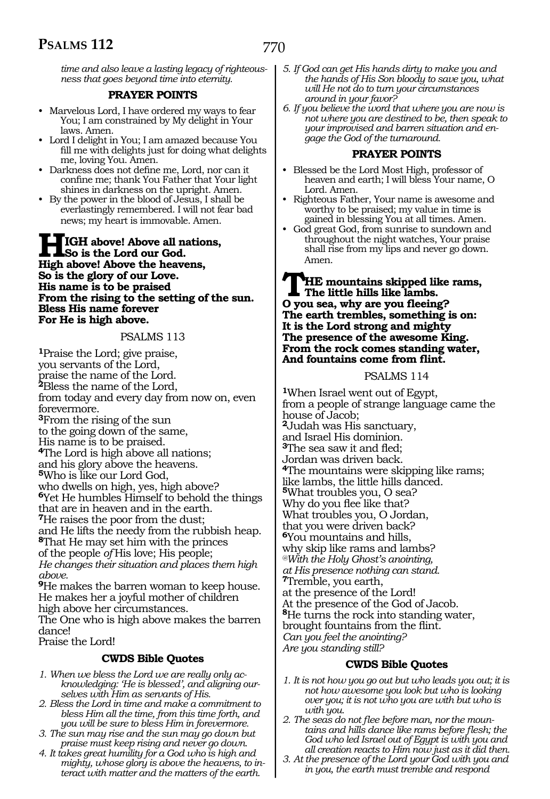*time and also leave a lasting legacy of righteousness that goes beyond time into eternity.*

#### **PRAYER POINTS**

- Marvelous Lord, I have ordered my ways to fear You; I am constrained by My delight in Your laws. Amen.
- Lord I delight in You; I am amazed because You fill me with delights just for doing what delights me, loving You. Amen.
- Darkness does not define me, Lord, nor can it confine me; thank You Father that Your light shines in darkness on the upright. Amen.
- By the power in the blood of Jesus, I shall be everlastingly remembered. I will not fear bad news; my heart is immovable. Amen.

#### **HIGH above! Above all nations, So is the Lord our God. High above! Above the heavens, So is the glory of our Love. His name is to be praised From the rising to the setting of the sun. Bless His name forever For He is high above.**

#### PSALMS 113

**<sup>1</sup>**Praise the Lord; give praise, you servants of the Lord, praise the name of the Lord. **<sup>2</sup>**Bless the name of the Lord, from today and every day from now on, even forevermore. **<sup>3</sup>**From the rising of the sun to the going down of the same, His name is to be praised. **<sup>4</sup>**The Lord is high above all nations; and his glory above the heavens. **<sup>5</sup>**Who is like our Lord God, who dwells on high, yes, high above? **<sup>6</sup>**Yet He humbles Himself to behold the things that are in heaven and in the earth. **<sup>7</sup>**He raises the poor from the dust; and He lifts the needy from the rubbish heap. **<sup>8</sup>**That He may set him with the princes of the people *of* His love; His people; *He changes their situation and places them high above.*  **<sup>9</sup>**He makes the barren woman to keep house. He makes her a joyful mother of children

high above her circumstances.

The One who is high above makes the barren dance!

Praise the Lord!

#### **CWDS Bible Quotes**

- *1. When we bless the Lord we are really only acknowledging: 'He is blessed', and aligning ourselves with Him as servants of His.*
- *2. Bless the Lord in time and make a commitment to bless Him all the time, from this time forth, and you will be sure to bless Him in forevermore.*
- *3. The sun may rise and the sun may go down but praise must keep rising and never go down.*
- *4. It takes great humility for a God who is high and mighty, whose glory is above the heavens, to interact with matter and the matters of the earth.*
- *5. If God can get His hands dirty to make you and the hands of His Son bloody to save you, what will He not do to turn your circumstances around in your favor?*
- *6. If you believe the word that where you are now is not where you are destined to be, then speak to your improvised and barren situation and engage the God of the turnaround.*

#### **PRAYER POINTS**

- Blessed be the Lord Most High, professor of heaven and earth; I will bless Your name, O Lord. Amen.
- Righteous Father, Your name is awesome and worthy to be praised; my value in time is gained in blessing You at all times. Amen.
- God great God, from sunrise to sundown and throughout the night watches, Your praise shall rise from my lips and never go down. Amen.

#### **THE mountains skipped like rams, The little hills like lambs. O you sea, why are you fleeing? The earth trembles, something is on: It is the Lord strong and mighty The presence of the awesome King. From the rock comes standing water, And fountains come from flint.**

#### PSALMS 114

**<sup>1</sup>**When Israel went out of Egypt, from a people of strange language came the house of Jacob; **<sup>2</sup>**Judah was His sanctuary, and Israel His dominion. **<sup>3</sup>**The sea saw it and fled; Jordan was driven back. **<sup>4</sup>**The mountains were skipping like rams; like lambs, the little hills danced. **<sup>5</sup>**What troubles you, O sea? Why do you flee like that? What troubles you, O Jordan, that you were driven back? **<sup>6</sup>**You mountains and hills, why skip like rams and lambs? *@With the Holy Ghost's anointing, at His presence nothing can stand.*  **<sup>7</sup>**Tremble, you earth, at the presence of the Lord! At the presence of the God of Jacob. **<sup>8</sup>**He turns the rock into standing water, brought fountains from the flint. *Can you feel the anointing? Are you standing still?* 

#### **CWDS Bible Quotes**

- *1. It is not how you go out but who leads you out; it is not how awesome you look but who is looking over you; it is not who you are with but who is with you.*
- *2. The seas do not flee before man, nor the mountains and hills dance like rams before flesh; the God who led Israel out of Egypt is with you and all creation reacts to Him now just as it did then.*
- *3. At the presence of the Lord your God with you and in you, the earth must tremble and respond*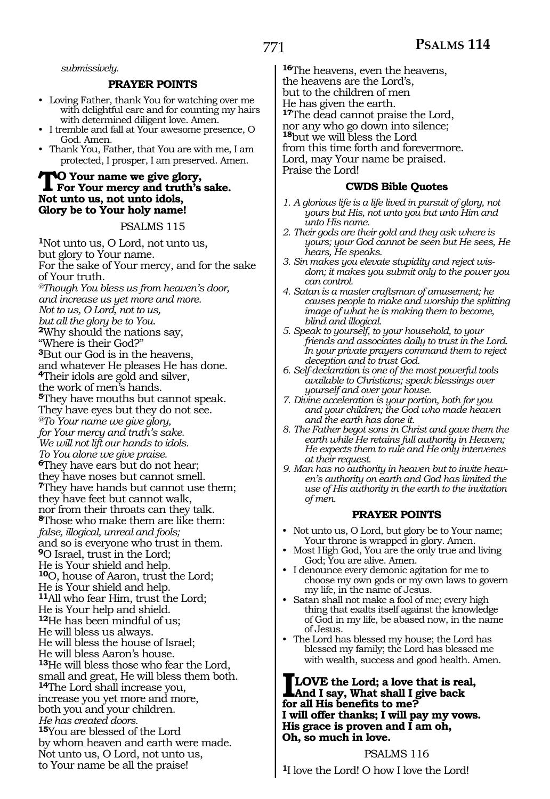*submissively.*

#### **PRAYER POINTS**

- Loving Father, thank You for watching over me with delightful care and for counting my hairs with determined diligent love. Amen.
- I tremble and fall at Your awesome presence, O God. Amen.
- Thank You, Father, that You are with me, I am protected, I prosper, I am preserved. Amen.

### **TO Your name we give glory, For Your mercy and truth's sake. Not unto us, not unto idols, Glory be to Your holy name!**

#### PSALMS 115

**<sup>1</sup>**Not unto us, O Lord, not unto us, but glory to Your name. For the sake of Your mercy, and for the sake of Your truth. *@Though You bless us from heaven's door, and increase us yet more and more. Not to us, O Lord, not to us, but all the glory be to You.* **<sup>2</sup>**Why should the nations say, "Where is their God?" **<sup>3</sup>**But our God is in the heavens, and whatever He pleases He has done. **<sup>4</sup>**Their idols are gold and silver, the work of men's hands. **<sup>5</sup>**They have mouths but cannot speak. They have eyes but they do not see. *@To Your name we give glory, for Your mercy and truth's sake. We will not lift our hands to idols. To You alone we give praise.* **<sup>6</sup>**They have ears but do not hear; they have noses but cannot smell. **<sup>7</sup>**They have hands but cannot use them; they have feet but cannot walk, nor from their throats can they talk. **<sup>8</sup>**Those who make them are like them: *false, illogical, unreal and fools;*  and so is everyone who trust in them. **<sup>9</sup>**O Israel, trust in the Lord; He is Your shield and help. **<sup>10</sup>**O, house of Aaron, trust the Lord; He is Your shield and help. **<sup>11</sup>**All who fear Him, trust the Lord; He is Your help and shield. **<sup>12</sup>**He has been mindful of us; He will bless us always. He will bless the house of Israel; He will bless Aaron's house. **<sup>13</sup>**He will bless those who fear the Lord, small and great, He will bless them both. **<sup>14</sup>**The Lord shall increase you, increase you yet more and more, both you and your children. *He has created doors.*  **<sup>15</sup>**You are blessed of the Lord by whom heaven and earth were made. Not unto us, O Lord, not unto us, to Your name be all the praise!

**<sup>16</sup>**The heavens, even the heavens, the heavens are the Lord's, but to the children of men He has given the earth. **<sup>17</sup>**The dead cannot praise the Lord, nor any who go down into silence; **<sup>18</sup>**but we will bless the Lord from this time forth and forevermore. Lord, may Your name be praised. Praise the Lord!

#### **CWDS Bible Quotes**

- *1. A glorious life is a life lived in pursuit of glory, not yours but His, not unto you but unto Him and unto His name.*
- *2. Their gods are their gold and they ask where is yours; your God cannot be seen but He sees, He hears, He speaks.*
- *3. Sin makes you elevate stupidity and reject wisdom; it makes you submit only to the power you can control.*
- *4. Satan is a master craftsman of amusement; he causes people to make and worship the splitting image of what he is making them to become, blind and illogical.*
- *5. Speak to yourself, to your household, to your friends and associates daily to trust in the Lord. In your private prayers command them to reject deception and to trust God.*
- *6. Self-declaration is one of the most powerful tools available to Christians; speak blessings over yourself and over your house.*
- *7. Divine acceleration is your portion, both for you and your children; the God who made heaven and the earth has done it.*
- *8. The Father begot sons in Christ and gave them the earth while He retains full authority in Heaven; He expects them to rule and He only intervenes at their request.*
- *9. Man has no authority in heaven but to invite heaven's authority on earth and God has limited the use of His authority in the earth to the invitation of men.*

#### **PRAYER POINTS**

- Not unto us, O Lord, but glory be to Your name; Your throne is wrapped in glory. Amen.
- Most High God, You are the only true and living God; You are alive. Amen.
- I denounce every demonic agitation for me to choose my own gods or my own laws to govern my life, in the name of Jesus.
- Satan shall not make a fool of me; every high thing that exalts itself against the knowledge of God in my life, be abased now, in the name of Jesus.
- The Lord has blessed my house; the Lord has blessed my family; the Lord has blessed me with wealth, success and good health. Amen.

#### **ILOVE the Lord; a love that is real, And I say, What shall I give back for all His benefits to me? I will offer thanks; I will pay my vows. His grace is proven and I am oh, Oh, so much in love.**

#### PSALMS 116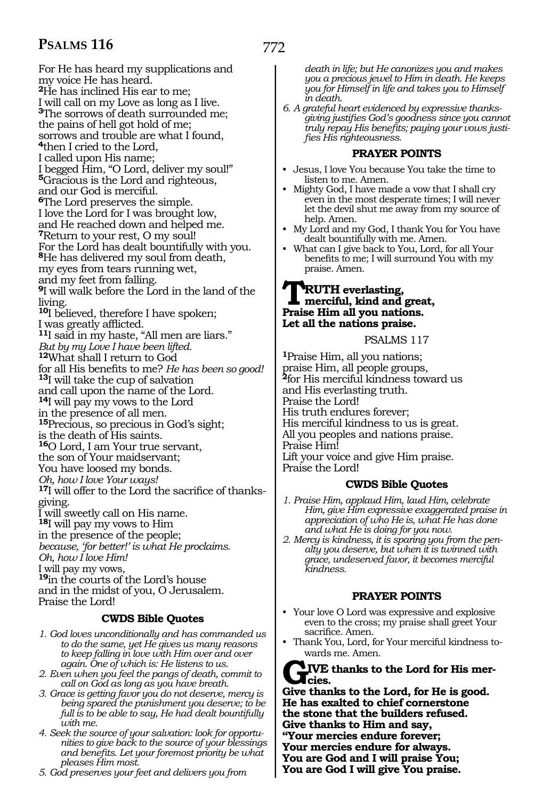For He has heard my supplications and my voice He has heard. **<sup>2</sup>**He has inclined His ear to me; I will call on my Love as long as I live. **<sup>3</sup>**The sorrows of death surrounded me; the pains of hell got hold of me; sorrows and trouble are what I found, **<sup>4</sup>**then I cried to the Lord, I called upon His name; I begged Him, "O Lord, deliver my soul!" **<sup>5</sup>**Gracious is the Lord and righteous, and our God is merciful. **<sup>6</sup>**The Lord preserves the simple. I love the Lord for I was brought low, and He reached down and helped me. **<sup>7</sup>**Return to your rest, O my soul! For the Lord has dealt bountifully with you. **<sup>8</sup>**He has delivered my soul from death, my eyes from tears running wet, and my feet from falling. **<sup>9</sup>**I will walk before the Lord in the land of the living. **<sup>10</sup>**I believed, therefore I have spoken; I was greatly afflicted. **<sup>11</sup>**I said in my haste, "All men are liars." *But by my Love I have been lifted.*  **<sup>12</sup>**What shall I return to God for all His benefits to me? *He has been so good!* **13**I will take the cup of salvation and call upon the name of the Lord. **<sup>14</sup>**I will pay my vows to the Lord in the presence of all men. **<sup>15</sup>**Precious, so precious in God's sight; is the death of His saints. **<sup>16</sup>**O Lord, I am Your true servant, the son of Your maidservant; You have loosed my bonds. *Oh, how I love Your ways!*  **<sup>17</sup>**I will offer to the Lord the sacrifice of thanks- giving. I will sweetly call on His name. **<sup>18</sup>**I will pay my vows to Him in the presence of the people; *because, 'for better!' is what He proclaims. Oh, how I love Him!* I will pay my vows, **<sup>19</sup>**in the courts of the Lord's house and in the midst of you, O Jerusalem. Praise the Lord!

#### **CWDS Bible Quotes**

- *1. God loves unconditionally and has commanded us to do the same, yet He gives us many reasons to keep falling in love with Him over and over again. One of which is: He listens to us.*
- *2. Even when you feel the pangs of death, commit to call on God as long as you have breath.*
- *3. Grace is getting favor you do not deserve, mercy is being spared the punishment you deserve; to be full is to be able to say, He had dealt bountifully with me.*
- *4. Seek the source of your salvation: look for opportunities to give back to the source of your blessings and benefits. Let your foremost priority be what pleases Him most.*
- *5. God preserves your feet and delivers you from*

*death in life; but He canonizes you and makes you a precious jewel to Him in death. He keeps you for Himself in life and takes you to Himself in death.*

*6. A grateful heart evidenced by expressive thanksgiving justifies God's goodness since you cannot truly repay His benefits; paying your vows justifies His righteousness.*

#### **PRAYER POINTS**

- Jesus, I love You because You take the time to listen to me. Amen.
- Mighty God, I have made a vow that I shall cry even in the most desperate times; I will never let the devil shut me away from my source of help. Amen.
- My Lord and my God, I thank You for You have dealt bountifully with me. Amen.
- What can I give back to You, Lord, for all Your benefits to me; I will surround You with my praise. Amen.

### **TRUTH everlasting,<br>
<u>Proise Him all</u> you nations Praise Him all you nations. Let all the nations praise.**

#### PSALMS 117

**<sup>1</sup>**Praise Him, all you nations; praise Him, all people groups, **<sup>2</sup>**for His merciful kindness toward us and His everlasting truth. Praise the Lord! His truth endures forever; His merciful kindness to us is great. All you peoples and nations praise. Praise Him! Lift your voice and give Him praise. Praise the Lord!

#### **CWDS Bible Quotes**

- *1. Praise Him, applaud Him, laud Him, celebrate Him, give Him expressive exaggerated praise in appreciation of who He is, what He has done and what He is doing for you now.*
- *2. Mercy is kindness, it is sparing you from the penalty you deserve, but when it is twinned with grace, undeserved favor, it becomes merciful kindness.*

#### **PRAYER POINTS**

- Your love O Lord was expressive and explosive even to the cross; my praise shall greet Your sacrifice. Amen.
- Thank You, Lord, for Your merciful kindness towards me. Amen.

#### **GIVE thanks to the Lord for His mer-** $\chi$ <sub>cies.</sub>

**Give thanks to the Lord, for He is good. He has exalted to chief cornerstone the stone that the builders refused. Give thanks to Him and say, "Your mercies endure forever; Your mercies endure for always.**

**You are God and I will praise You;**

**You are God I will give You praise.**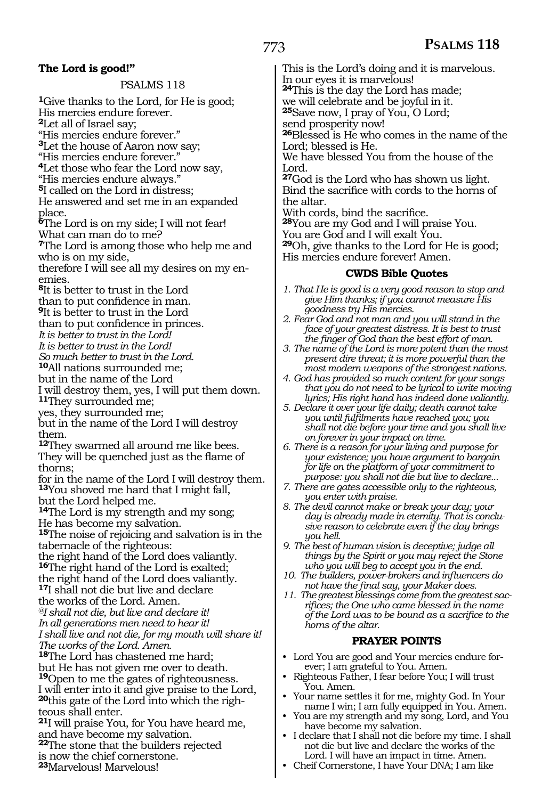#### **The Lord is good!"**

PSALMS 118

**<sup>1</sup>**Give thanks to the Lord, for He is good; His mercies endure forever.

**<sup>2</sup>**Let all of Israel say;

"His mercies endure forever." **<sup>3</sup>**Let the house of Aaron now say;

"His mercies endure forever."

**<sup>4</sup>**Let those who fear the Lord now say,

"His mercies endure always."

**<sup>5</sup>**I called on the Lord in distress;

He answered and set me in an expanded place.

**<sup>6</sup>**The Lord is on my side; I will not fear!

What can man do to me?

**<sup>7</sup>**The Lord is among those who help me and who is on my side,

therefore I will see all my desires on my enemies.

**<sup>8</sup>**It is better to trust in the Lord

than to put confidence in man.

**<sup>9</sup>**It is better to trust in the Lord

than to put confidence in princes.

*It is better to trust in the Lord!*

*It is better to trust in the Lord!*

*So much better to trust in the Lord.* 

**<sup>10</sup>**All nations surrounded me;

but in the name of the Lord

I will destroy them, yes, I will put them down. **<sup>11</sup>**They surrounded me;

yes, they surrounded me;

but in the name of the Lord I will destroy them.

**<sup>12</sup>**They swarmed all around me like bees. They will be quenched just as the flame of thorns;

for in the name of the Lord I will destroy them. **<sup>13</sup>**You shoved me hard that I might fall, but the Lord helped me.

**<sup>14</sup>**The Lord is my strength and my song; He has become my salvation.

**<sup>15</sup>**The noise of rejoicing and salvation is in the tabernacle of the righteous:

the right hand of the Lord does valiantly. **<sup>16</sup>**The right hand of the Lord is exalted; the right hand of the Lord does valiantly. **<sup>17</sup>**I shall not die but live and declare

the works of the Lord. Amen.

*@I shall not die, but live and declare it! In all generations men need to hear it!* 

*I shall live and not die, for my mouth will share it! The works of the Lord. Amen.* 

**<sup>18</sup>**The Lord has chastened me hard; but He has not given me over to death. **<sup>19</sup>**Open to me the gates of righteousness. I will enter into it and give praise to the Lord, **20**this gate of the Lord into which the righteous shall enter.

**<sup>21</sup>**I will praise You, for You have heard me, and have become my salvation. **<sup>22</sup>**The stone that the builders rejected

is now the chief cornerstone.

**<sup>23</sup>**Marvelous! Marvelous!

This is the Lord's doing and it is marvelous. In our eyes it is marvelous!

**<sup>24</sup>**This is the day the Lord has made;

we will celebrate and be joyful in it. **<sup>25</sup>**Save now, I pray of You, O Lord;

send prosperity now!

**<sup>26</sup>**Blessed is He who comes in the name of the Lord; blessed is He.

We have blessed You from the house of the Lord.

**<sup>27</sup>**God is the Lord who has shown us light. Bind the sacrifice with cords to the horns of the altar.

With cords, bind the sacrifice.

**<sup>28</sup>**You are my God and I will praise You.

You are God and I will exalt You.

**<sup>29</sup>**Oh, give thanks to the Lord for He is good; His mercies endure forever! Amen.

#### **CWDS Bible Quotes**

- *1. That He is good is a very good reason to stop and give Him thanks; if you cannot measure His goodness try His mercies.*
- *2. Fear God and not man and you will stand in the face of your greatest distress. It is best to trust the finger of God than the best effort of man.*
- *3. The name of the Lord is more potent than the most present dire threat; it is more powerful than the most modern weapons of the strongest nations.*
- *4. God has provided so much content for your songs that you do not need to be lyrical to write moving lyrics; His right hand has indeed done valiantly.*
- *5. Declare it over your life daily; death cannot take you until fulfilments have reached you; you shall not die before your time and you shall live on forever in your impact on time.*

*6. There is a reason for your living and purpose for your existence; you have argument to bargain for life on the platform of your commitment to purpose: you shall not die but live to declare...*

- *7. There are gates accessible only to the righteous, you enter with praise.*
- *8. The devil cannot make or break your day; your day is already made in eternity. That is conclusive reason to celebrate even if the day brings you hell.*
- *9. The best of human vision is deceptive; judge all things by the Spirit or you may reject the Stone who you will beg to accept you in the end.*
- *10. The builders, power-brokers and influencers do not have the final say, your Maker does.*
- *11. The greatest blessings come from the greatest sacrifices; the One who came blessed in the name of the Lord was to be bound as a sacrifice to the horns of the altar.*

#### **PRAYER POINTS**

- Lord You are good and Your mercies endure forever; I am grateful to You. Amen.
- Righteous Father, I fear before You; I will trust You. Amen.
- Your name settles it for me, mighty God. In Your name I win; I am fully equipped in You. Amen.
- You are my strength and my song, Lord, and You have become my salvation.
- I declare that I shall not die before my time. I shall not die but live and declare the works of the Lord. I will have an impact in time. Amen.
- Cheif Cornerstone, I have Your DNA; I am like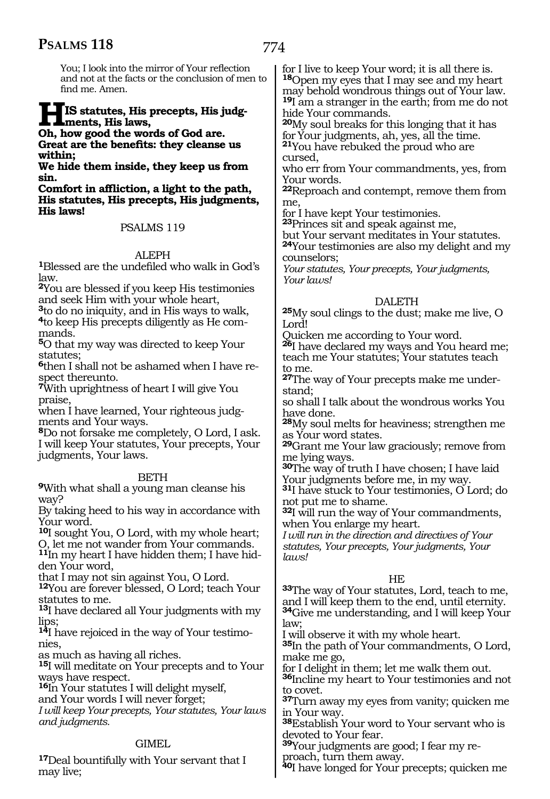774

You; I look into the mirror of Your reflection and not at the facts or the conclusion of men to find me. Amen.

#### **HIS statutes, His precepts, His judgments, His laws,**

**Oh, how good the words of God are. Great are the benefits: they cleanse us within;** 

**We hide them inside, they keep us from sin.** 

**Comfort in affliction, a light to the path, His statutes, His precepts, His judgments, His laws!** 

#### PSALMS 119

ALEPH **1**Blessed are the undefiled who walk in God's law.

**<sup>2</sup>**You are blessed if you keep His testimonies and seek Him with your whole heart,

**<sup>3</sup>**to do no iniquity, and in His ways to walk, **4**to keep His precepts diligently as He commands.

**<sup>5</sup>**O that my way was directed to keep Your statutes:

**6**then I shall not be ashamed when I have respect thereunto.

**<sup>7</sup>**With uprightness of heart I will give You praise,

when I have learned, Your righteous judgments and Your ways.

**<sup>8</sup>**Do not forsake me completely, O Lord, I ask. I will keep Your statutes, Your precepts, Your judgments, Your laws.

#### **BETH**

**<sup>9</sup>**With what shall a young man cleanse his way?

By taking heed to his way in accordance with Your word.

**<sup>10</sup>**I sought You, O Lord, with my whole heart; O, let me not wander from Your commands.

**11**In my heart I have hidden them; I have hidden Your word,

that I may not sin against You, O Lord.

**<sup>12</sup>**You are forever blessed, O Lord; teach Your statutes to me.

**<sup>13</sup>**I have declared all Your judgments with my lips;

**<sup>14</sup>**I have rejoiced in the way of Your testimo- nies,

as much as having all riches.

**<sup>15</sup>**I will meditate on Your precepts and to Your ways have respect.

**<sup>16</sup>**In Your statutes I will delight myself, and Your words I will never forget;

*I will keep Your precepts, Your statutes, Your laws and judgments.*

#### GIMEL

**<sup>17</sup>**Deal bountifully with Your servant that I may live;

for I live to keep Your word; it is all there is. **<sup>18</sup>**Open my eyes that I may see and my heart may behold wondrous things out of Your law. **<sup>19</sup>**I am a stranger in the earth; from me do not hide Your commands.

**<sup>20</sup>**My soul breaks for this longing that it has <sup>21</sup>You have rebuked the proud who are cursed,

who err from Your commandments, yes, from Your words.

**<sup>22</sup>**Reproach and contempt, remove them from me,

for I have kept Your testimonies.

**<sup>23</sup>**Princes sit and speak against me,

but Your servant meditates in Your statutes. **<sup>24</sup>**Your testimonies are also my delight and my counselors;

*Your statutes, Your precepts, Your judgments, Your laws!*

#### DALETH

**<sup>25</sup>**My soul clings to the dust; make me live, O Lord!

Quicken me according to Your word.

**<sup>26</sup>**I have declared my ways and You heard me; teach me Your statutes; Your statutes teach to me.

**27**The way of Your precepts make me understand;

so shall I talk about the wondrous works You have done.

**<sup>28</sup>**My soul melts for heaviness; strengthen me as Your word states.

**<sup>29</sup>**Grant me Your law graciously; remove from me lying ways.

**<sup>30</sup>**The way of truth I have chosen; I have laid Your judgments before me, in my way.

**<sup>31</sup>**I have stuck to Your testimonies, O Lord; do not put me to shame.

**<sup>32</sup>**I will run the way of Your commandments, when You enlarge my heart.

*I will run in the direction and directives of Your statutes, Your precepts, Your judgments, Your laws!* 

#### HE

**<sup>33</sup>**The way of Your statutes, Lord, teach to me, and I will keep them to the end, until eternity. **<sup>34</sup>**Give me understanding, and I will keep Your law;

I will observe it with my whole heart.

**<sup>35</sup>**In the path of Your commandments, O Lord, make me go,

for I delight in them; let me walk them out.

**<sup>36</sup>**Incline my heart to Your testimonies and not to covet.

**<sup>37</sup>**Turn away my eyes from vanity; quicken me in Your way.

**<sup>38</sup>**Establish Your word to Your servant who is devoted to Your fear.

**39**Your judgments are good; I fear my reproach, turn them away.

**<sup>40</sup>**I have longed for Your precepts; quicken me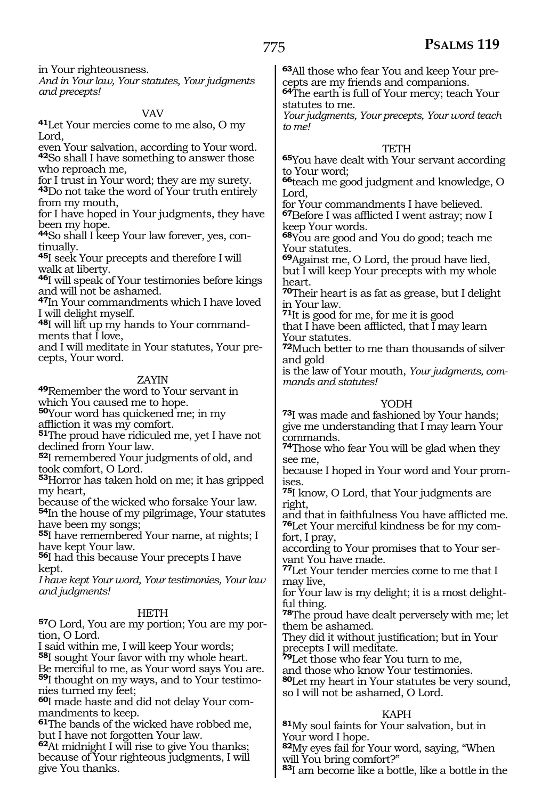in Your righteousness.

*And in Your law, Your statutes, Your judgments and precepts!*

VAV **41**Let Your mercies come to me also, O my Lord,

even Your salvation, according to Your word. **<sup>42</sup>**So shall I have something to answer those who reproach me,

for I trust in Your word; they are my surety.

**<sup>43</sup>**Do not take the word of Your truth entirely from my mouth,

for I have hoped in Your judgments, they have been my hope.

**44**So shall I keep Your law forever, yes, continually.

**<sup>45</sup>**I seek Your precepts and therefore I will walk at liberty.

**<sup>46</sup>**I will speak of Your testimonies before kings and will not be ashamed.

**<sup>47</sup>**In Your commandments which I have loved I will delight myself.

**48**I will lift up my hands to Your commandments that  $\overline{I}$  love,

and I will meditate in Your statutes, Your precepts, Your word.

#### ZAYIN

**<sup>49</sup>**Remember the word to Your servant in which You caused me to hope.

**<sup>50</sup>**Your word has quickened me; in my

affliction it was my comfort. **51**The proud have ridiculed me, yet I have not declined from Your law.

**<sup>52</sup>**I remembered Your judgments of old, and took comfort, O Lord.

**<sup>53</sup>**Horror has taken hold on me; it has gripped my heart,

because of the wicked who forsake Your law.

**<sup>54</sup>**In the house of my pilgrimage, Your statutes have been my songs;

**<sup>55</sup>**I have remembered Your name, at nights; I have kept Your law.

**<sup>56</sup>**I had this because Your precepts I have kept.

*I have kept Your word, Your testimonies, Your law and judgments!* 

#### **HETH**

**57**O Lord, You are my portion; You are my portion, O Lord.

I said within me, I will keep Your words;

**<sup>58</sup>**I sought Your favor with my whole heart. Be merciful to me, as Your word says You are.

**59**I thought on my ways, and to Your testimonies turned my feet;

**60**I made haste and did not delay Your commandments to keep.

**<sup>61</sup>**The bands of the wicked have robbed me, but I have not forgotten Your law.

**<sup>62</sup>**At midnight I will rise to give You thanks; because of Your righteous judgments, I will give You thanks.

**63**All those who fear You and keep Your precepts are my friends and companions.

**<sup>64</sup>**The earth is full of Your mercy; teach Your statutes to me.

*Your judgments, Your precepts, Your word teach to me!* 

#### **TETH**

**<sup>65</sup>**You have dealt with Your servant according to Your word;

**<sup>66</sup>**teach me good judgment and knowledge, O Lord,

for Your commandments I have believed. **<sup>67</sup>**Before I was afflicted I went astray; now I keep Your words.

**<sup>68</sup>**You are good and You do good; teach me Your statutes.

**<sup>69</sup>**Against me, O Lord, the proud have lied, but I will keep Your precepts with my whole heart.

**<sup>70</sup>**Their heart is as fat as grease, but I delight in Your law.

**<sup>71</sup>**It is good for me, for me it is good that I have been afflicted, that I may learn Your statutes.

**<sup>72</sup>**Much better to me than thousands of silver and gold

is the law of Your mouth, *Your judgments, commands and statutes!* 

#### YODH

**<sup>73</sup>**I was made and fashioned by Your hands; give me understanding that I may learn Your commands.

**<sup>74</sup>**Those who fear You will be glad when they see me,

because I hoped in Your word and Your prom- ises.

**<sup>75</sup>**I know, O Lord, that Your judgments are right,

and that in faithfulness You have afflicted me. **76**Let Your merciful kindness be for my comfort, I pray,

according to Your promises that to Your servant You have made.

**<sup>77</sup>**Let Your tender mercies come to me that I may live,

for Your law is my delight; it is a most delightful thing.

**<sup>78</sup>**The proud have dealt perversely with me; let them be ashamed.

They did it without justification; but in Your precepts I will meditate.

**<sup>79</sup>**Let those who fear You turn to me,

and those who know Your testimonies.

**<sup>80</sup>**Let my heart in Your statutes be very sound, so I will not be ashamed, O Lord.

#### KAPH

**<sup>81</sup>**My soul faints for Your salvation, but in Your word I hope.

**<sup>82</sup>**My eyes fail for Your word, saying, "When will You bring comfort?"

**<sup>83</sup>**I am become like a bottle, like a bottle in the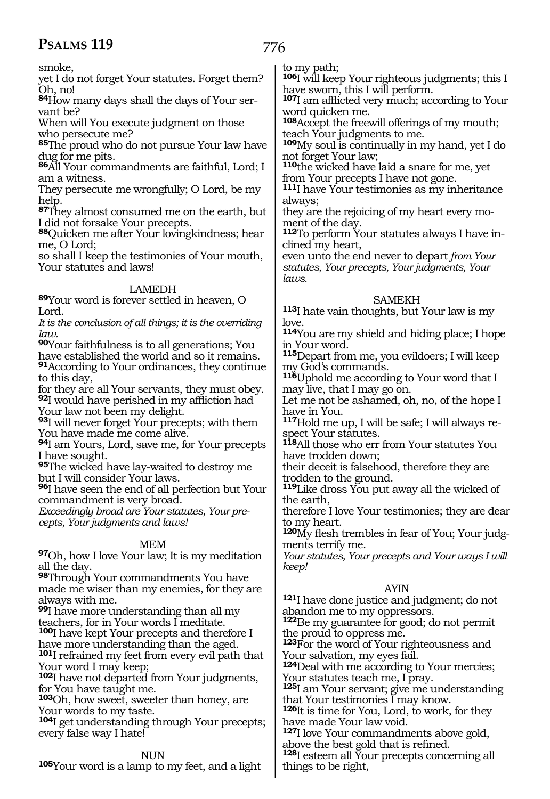776

smoke,

yet I do not forget Your statutes. Forget them? Oh, no!

**84**How many days shall the days of Your servant be?

When will You execute judgment on those who persecute me?

**<sup>85</sup>**The proud who do not pursue Your law have dug for me pits.

**<sup>86</sup>**All Your commandments are faithful, Lord; I am a witness.

They persecute me wrongfully; O Lord, be my help.

**<sup>87</sup>**They almost consumed me on the earth, but I did not forsake Your precepts.

**<sup>88</sup>**Quicken me after Your lovingkindness; hear me, O Lord;

so shall I keep the testimonies of Your mouth, Your statutes and laws!

#### LAMEDH

**<sup>89</sup>**Your word is forever settled in heaven, O Lord.

*It is the conclusion of all things; it is the overriding law.* 

**<sup>90</sup>**Your faithfulness is to all generations; You have established the world and so it remains.

**<sup>91</sup>**According to Your ordinances, they continue to this day,

for they are all Your servants, they must obey. **<sup>92</sup>**I would have perished in my affliction had Your law not been my delight.

**<sup>93</sup>**I will never forget Your precepts; with them You have made me come alive.

**<sup>94</sup>**I am Yours, Lord, save me, for Your precepts I have sought.

**<sup>95</sup>**The wicked have lay-waited to destroy me but I will consider Your laws.

**<sup>96</sup>**I have seen the end of all perfection but Your commandment is very broad.

*Exceedingly broad are Your statutes, Your precepts, Your judgments and laws!* 

#### MEM

**<sup>97</sup>**Oh, how I love Your law; It is my meditation all the day.

**<sup>98</sup>**Through Your commandments You have made me wiser than my enemies, for they are always with me.

**<sup>99</sup>**I have more understanding than all my teachers, for in Your words I meditate.

**<sup>100</sup>**I have kept Your precepts and therefore I have more understanding than the aged. **<sup>101</sup>**I refrained my feet from every evil path that

Your word I may keep; **<sup>102</sup>**I have not departed from Your judgments,

for You have taught me.

**<sup>103</sup>**Oh, how sweet, sweeter than honey, are Your words to my taste.

**<sup>104</sup>**I get understanding through Your precepts; every false way I hate!

#### NUN

**<sup>105</sup>**Your word is a lamp to my feet, and a light

to my path;

**<sup>106</sup>**I will keep Your righteous judgments; this I have sworn, this I will perform.

**<sup>107</sup>**I am afflicted very much; according to Your word quicken me.

**<sup>108</sup>**Accept the freewill offerings of my mouth; teach Your judgments to me.

**<sup>109</sup>**My soul is continually in my hand, yet I do not forget Your law;

**<sup>110</sup>**the wicked have laid a snare for me, yet from Your precepts I have not gone.

**<sup>111</sup>**I have Your testimonies as my inheritance always;

they are the rejoicing of my heart every moment of the day.

**112**To perform Your statutes always I have inclined my heart,

even unto the end never to depart *from Your statutes, Your precepts, Your judgments, Your laws.*

#### SAMEKH

**<sup>113</sup>**I hate vain thoughts, but Your law is my love.

**<sup>114</sup>**You are my shield and hiding place; I hope in Your word.

**<sup>115</sup>**Depart from me, you evildoers; I will keep my God's commands.

**<sup>116</sup>**Uphold me according to Your word that I may live, that I may go on.

Let me not be ashamed, oh, no, of the hope I have in You.

**117**Hold me up, I will be safe; I will always respect Your statutes.

**<sup>118</sup>**All those who err from Your statutes You have trodden down;

their deceit is falsehood, therefore they are trodden to the ground.

**<sup>119</sup>**Like dross You put away all the wicked of the earth,

therefore I love Your testimonies; they are dear to my heart.

**<sup>120</sup>**My flesh trembles in fear of You; Your judg- ments terrify me.

*Your statutes, Your precepts and Your ways I will keep!* 

#### AYIN

**<sup>121</sup>**I have done justice and judgment; do not abandon me to my oppressors.

**<sup>122</sup>**Be my guarantee for good; do not permit the proud to oppress me.

**<sup>123</sup>**For the word of Your righteousness and Your salvation, my eyes fail.

**<sup>124</sup>**Deal with me according to Your mercies; Your statutes teach me, I pray.

**<sup>125</sup>**I am Your servant; give me understanding that Your testimonies I may know.

**<sup>126</sup>**It is time for You, Lord, to work, for they have made Your law void.

**<sup>127</sup>**I love Your commandments above gold, above the best gold that is refined.

**<sup>128</sup>**I esteem all Your precepts concerning all things to be right,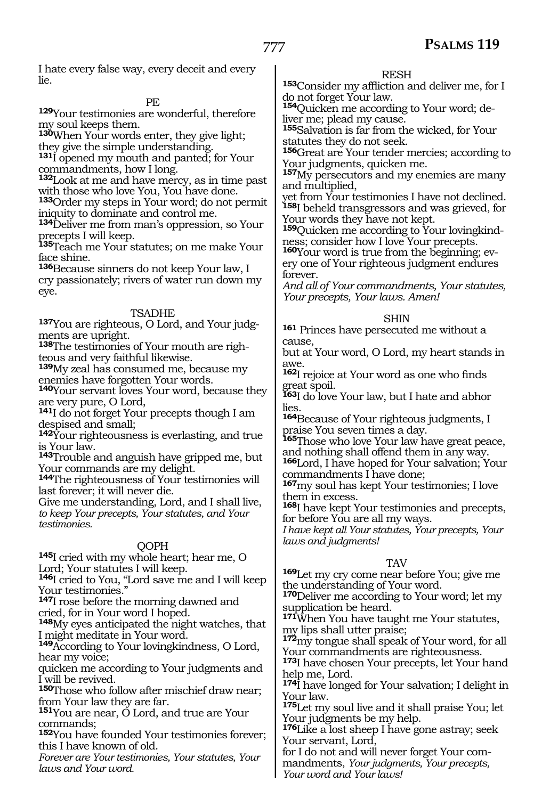I hate every false way, every deceit and every lie.

PE

**<sup>129</sup>**Your testimonies are wonderful, therefore my soul keeps them.

**<sup>130</sup>**When Your words enter, they give light; they give the simple understanding.

**<sup>131</sup>**I opened my mouth and panted; for Your commandments, how I long.

**<sup>132</sup>**Look at me and have mercy, as in time past with those who love You, You have done.

**<sup>133</sup>**Order my steps in Your word; do not permit iniquity to dominate and control me.

**<sup>134</sup>**Deliver me from man's oppression, so Your precepts I will keep.

**<sup>135</sup>**Teach me Your statutes; on me make Your face shine.

**<sup>136</sup>**Because sinners do not keep Your law, I cry passionately; rivers of water run down my eye.

#### TSADHE

**137**You are righteous, O Lord, and Your judgments are upright.

**138**The testimonies of Your mouth are righteous and very faithful likewise.

**<sup>139</sup>**My zeal has consumed me, because my enemies have forgotten Your words.

140Your servant loves Your word, because they are very pure, O Lord,

**<sup>141</sup>**I do not forget Your precepts though I am despised and small;

**<sup>142</sup>**Your righteousness is everlasting, and true is Your law.

**<sup>143</sup>**Trouble and anguish have gripped me, but Your commands are my delight.

**<sup>144</sup>**The righteousness of Your testimonies will last forever; it will never die.

Give me understanding, Lord, and I shall live, *to keep Your precepts, Your statutes, and Your testimonies.* 

#### QOPH

**<sup>145</sup>**I cried with my whole heart; hear me, O Lord; Your statutes I will keep.

**<sup>146</sup>**I cried to You, "Lord save me and I will keep Your testimonies."

**<sup>147</sup>**I rose before the morning dawned and cried, for in Your word I hoped.

**<sup>148</sup>**My eyes anticipated the night watches, that I might meditate in Your word.

**<sup>149</sup>**According to Your lovingkindness, O Lord, hear my voice;

quicken me according to Your judgments and I will be revived.

**<sup>150</sup>**Those who follow after mischief draw near; from Your law they are far.

**<sup>151</sup>**You are near, O Lord, and true are Your commands;

**<sup>152</sup>**You have founded Your testimonies forever; this I have known of old.

*Forever are Your testimonies, Your statutes, Your laws and Your word.*

#### RESH

**<sup>153</sup>**Consider my affliction and deliver me, for I do not forget Your law.

**154**Quicken me according to Your word; deliver me; plead my cause.

**<sup>155</sup>**Salvation is far from the wicked, for Your statutes they do not seek.

**<sup>156</sup>**Great are Your tender mercies; according to Your judgments, quicken me.

**<sup>157</sup>**My persecutors and my enemies are many and multiplied,

yet from Your testimonies I have not declined. **<sup>158</sup>**I beheld transgressors and was grieved, for Your words they have not kept.

**<sup>159</sup>**Quicken me according to Your lovingkind- ness; consider how I love Your precepts.

**160**Your word is true from the beginning; every one of Your righteous judgment endures forever.

*And all of Your commandments, Your statutes, Your precepts, Your laws. Amen!* 

#### SHIN

**<sup>161</sup>** Princes have persecuted me without a cause,

but at Your word, O Lord, my heart stands in awe.

**<sup>162</sup>**I rejoice at Your word as one who finds great spoil.

**<sup>163</sup>**I do love Your law, but I hate and abhor lies.

**<sup>164</sup>**Because of Your righteous judgments, I praise You seven times a day.

**<sup>165</sup>**Those who love Your law have great peace, and nothing shall offend them in any way.

**<sup>166</sup>**Lord, I have hoped for Your salvation; Your commandments I have done;

**<sup>167</sup>**my soul has kept Your testimonies; I love them in excess.

**<sup>168</sup>**I have kept Your testimonies and precepts, for before You are all my ways.

*I have kept all Your statutes, Your precepts, Your laws and judgments!* 

#### TAV

**<sup>169</sup>**Let my cry come near before You; give me the understanding of Your word.

**<sup>170</sup>**Deliver me according to Your word; let my supplication be heard.

**<sup>171</sup>**When You have taught me Your statutes, my lips shall utter praise;

**<sup>172</sup>**my tongue shall speak of Your word, for all Your commandments are righteousness.

**<sup>173</sup>**I have chosen Your precepts, let Your hand help me, Lord.

**<sup>174</sup>**I have longed for Your salvation; I delight in Your law.

**<sup>175</sup>**Let my soul live and it shall praise You; let Your judgments be my help.

**<sup>176</sup>**Like a lost sheep I have gone astray; seek Your servant, Lord,

for I do not and will never forget Your commandments, *Your judgments, Your precepts, Your word and Your laws!*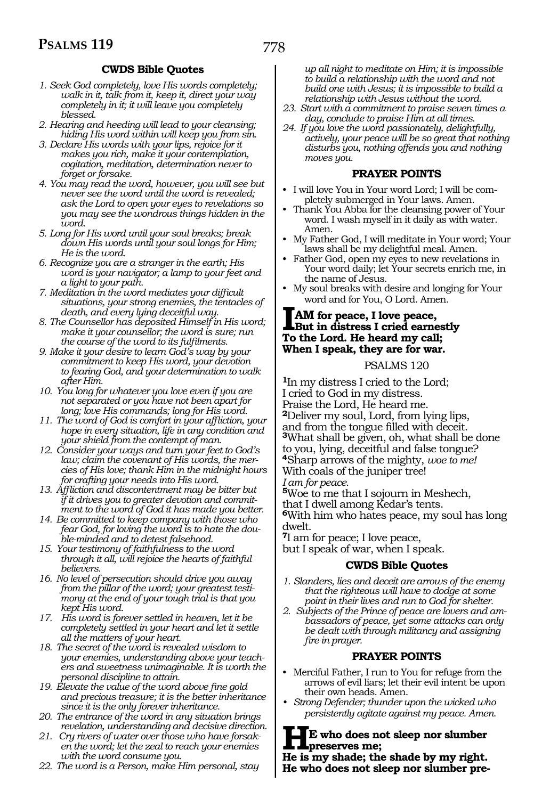#### **CWDS Bible Quotes**

- *1. Seek God completely, love His words completely; walk in it, talk from it, keep it, direct your way completely in it; it will leave you completely blessed.*
- *2. Hearing and heeding will lead to your cleansing; hiding His word within will keep you from sin.*
- *3. Declare His words with your lips, rejoice for it makes you rich, make it your contemplation, cogitation, meditation, determination never to forget or forsake.*
- *4. You may read the word, however, you will see but never see the word until the word is revealed; ask the Lord to open your eyes to revelations so you may see the wondrous things hidden in the word.*
- *5. Long for His word until your soul breaks; break down His words until your soul longs for Him; He is the word.*
- *6. Recognize you are a stranger in the earth; His word is your navigator; a lamp to your feet and a light to your path.*
- *7. Meditation in the word mediates your difficult situations, your strong enemies, the tentacles of death, and every lying deceitful way.*
- *8. The Counsellor has deposited Himself in His word; make it your counsellor; the word is sure; run the course of the word to its fulfilments.*
- *9. Make it your desire to learn God's way by your commitment to keep His word, your devotion to fearing God, and your determination to walk after Him.*
- *10. You long for whatever you love even if you are not separated or you have not been apart for long; love His commands; long for His word.*
- *11. The word of God is comfort in your affliction, your hope in every situation, life in any condition and your shield from the contempt of man.*
- *12. Consider your ways and turn your feet to God's law; claim the covenant of His words, the mercies of His love; thank Him in the midnight hours for crafting your needs into His word.*
- *13. Affliction and discontentment may be bitter but if it drives you to greater devotion and commitment to the word of God it has made you better.*
- *14. Be committed to keep company with those who fear God, for loving the word is to hate the double-minded and to detest falsehood.*
- *15. Your testimony of faithfulness to the word through it all, will rejoice the hearts of faithful believers.*
- *16. No level of persecution should drive you away from the pillar of the word; your greatest testimony at the end of your tough trial is that you kept His word.*
- *17. His word is forever settled in heaven, let it be completely settled in your heart and let it settle all the matters of your heart.*
- *18. The secret of the word is revealed wisdom to your enemies, understanding above your teachers and sweetness unimaginable. It is worth the personal discipline to attain.*
- *19. Elevate the value of the word above fine gold and precious treasure; it is the better inheritance since it is the only forever inheritance.*
- *20. The entrance of the word in any situation brings revelation, understanding and decisive direction.*
- *21. Cry rivers of water over those who have forsaken the word; let the zeal to reach your enemies with the word consume you.*
- *22. The word is a Person, make Him personal, stay*

*up all night to meditate on Him; it is impossible to build a relationship with the word and not build one with Jesus; it is impossible to build a relationship with Jesus without the word.*

- *23. Start with a commitment to praise seven times a day, conclude to praise Him at all times.*
- *24. If you love the word passionately, delightfully, actively, your peace will be so great that nothing disturbs you, nothing offends you and nothing moves you.*

#### **PRAYER POINTS**

- I will love You in Your word Lord; I will be completely submerged in Your laws. Amen.
- Thank You Abba for the cleansing power of Your word. I wash myself in it daily as with water. Amen.
- My Father God, I will meditate in Your word; Your laws shall be my delightful meal. Amen.
- Father God, open my eyes to new revelations in Your word daily; let Your secrets enrich me, in the name of Jesus.
- My soul breaks with desire and longing for Your word and for You, O Lord. Amen.

#### **IAM for peace, I love peace, But in distress I cried earnestly To the Lord. He heard my call; When I speak, they are for war.**

PSALMS 120

**<sup>1</sup>**In my distress I cried to the Lord; I cried to God in my distress. Praise the Lord, He heard me. **<sup>2</sup>**Deliver my soul, Lord, from lying lips, and from the tongue filled with deceit. **<sup>3</sup>**What shall be given, oh, what shall be done to you, lying, deceitful and false tongue? **<sup>4</sup>**Sharp arrows of the mighty, *woe to me!* With coals of the juniper tree! *I am for peace.* 

**<sup>5</sup>**Woe to me that I sojourn in Meshech, that I dwell among Kedar's tents. **<sup>6</sup>**With him who hates peace, my soul has long dwelt.

**<sup>7</sup>**I am for peace; I love peace, but I speak of war, when I speak.

#### **CWDS Bible Quotes**

- *1. Slanders, lies and deceit are arrows of the enemy that the righteous will have to dodge at some point in their lives and run to God for shelter.*
- *2. Subjects of the Prince of peace are lovers and ambassadors of peace, yet some attacks can only be dealt with through militancy and assigning fire in prayer.*

#### **PRAYER POINTS**

- Merciful Father, I run to You for refuge from the arrows of evil liars; let their evil intent be upon their own heads. Amen.
- *• Strong Defender; thunder upon the wicked who persistently agitate against my peace. Amen.*

#### **HE who does not sleep nor slumber preserves me;**

**He is my shade; the shade by my right. He who does not sleep nor slumber pre-**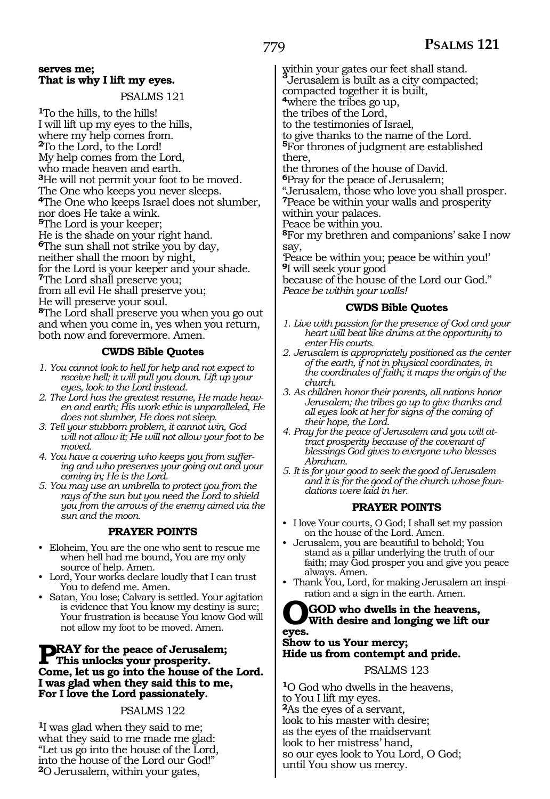#### **serves me; That is why I lift my eyes.**

PSALMS 121

**<sup>1</sup>**To the hills, to the hills! I will lift up my eyes to the hills, where my help comes from. **<sup>2</sup>**To the Lord, to the Lord! My help comes from the Lord, who made heaven and earth. **<sup>3</sup>**He will not permit your foot to be moved. The One who keeps you never sleeps. **<sup>4</sup>**The One who keeps Israel does not slumber, nor does He take a wink. **<sup>5</sup>**The Lord is your keeper; He is the shade on your right hand. **<sup>6</sup>**The sun shall not strike you by day, neither shall the moon by night, for the Lord is your keeper and your shade. **<sup>7</sup>**The Lord shall preserve you; from all evil He shall preserve you; He will preserve your soul. **<sup>8</sup>**The Lord shall preserve you when you go out and when you come in, yes when you return, both now and forevermore. Amen.

#### **CWDS Bible Quotes**

- *1. You cannot look to hell for help and not expect to receive hell; it will pull you down. Lift up your eyes, look to the Lord instead.*
- *2. The Lord has the greatest resume, He made heaven and earth; His work ethic is unparalleled, He does not slumber, He does not sleep.*
- *3. Tell your stubborn problem, it cannot win, God will not allow it; He will not allow your foot to be moved.*
- *4. You have a covering who keeps you from suffering and who preserves your going out and your coming in; He is the Lord.*
- *5. You may use an umbrella to protect you from the rays of the sun but you need the Lord to shield you from the arrows of the enemy aimed via the sun and the moon.*

#### **PRAYER POINTS**

- Eloheim, You are the one who sent to rescue me when hell had me bound, You are my only source of help. Amen.
- Lord, Your works declare loudly that I can trust You to defend me. Amen.
- Satan, You lose; Calvary is settled. Your agitation is evidence that You know my destiny is sure; Your frustration is because You know God will not allow my foot to be moved. Amen.

#### **PRAY** for the peace of Jerusalem;<br>This unlocks your prosperity. **Come, let us go into the house of the Lord. I was glad when they said this to me, For I love the Lord passionately.**

#### PSALMS 122

**<sup>1</sup>**I was glad when they said to me; what they said to me made me glad: "Let us go into the house of the Lord, into the house of the Lord our God!" **<sup>2</sup>**O Jerusalem, within your gates,

within your gates our feet shall stand. **<sup>3</sup>**Jerusalem is built as a city compacted; compacted together it is built, **<sup>4</sup>**where the tribes go up, the tribes of the Lord, to the testimonies of Israel, to give thanks to the name of the Lord.

**<sup>5</sup>**For thrones of judgment are established there,

the thrones of the house of David.

**<sup>6</sup>**Pray for the peace of Jerusalem; "Jerusalem, those who love you shall prosper. **<sup>7</sup>**Peace be within your walls and prosperity within your palaces.

Peace be within you.

**<sup>8</sup>**For my brethren and companions' sake I now say,

'Peace be within you; peace be within you!' **<sup>9</sup>**I will seek your good

because of the house of the Lord our God." *Peace be within your walls!* 

#### **CWDS Bible Quotes**

- *1. Live with passion for the presence of God and your heart will beat like drums at the opportunity to enter His courts.*
- *2. Jerusalem is appropriately positioned as the center of the earth, if not in physical coordinates, in the coordinates of faith; it maps the origin of the church.*
- *3. As children honor their parents, all nations honor Jerusalem; the tribes go up to give thanks and all eyes look at her for signs of the coming of their hope, the Lord.*
- *4. Pray for the peace of Jerusalem and you will attract prosperity because of the covenant of blessings God gives to everyone who blesses Abraham.*
- *5. It is for your good to seek the good of Jerusalem and it is for the good of the church whose foundations were laid in her.*

#### **PRAYER POINTS**

- I love Your courts, O God; I shall set my passion on the house of the Lord. Amen.
- Jerusalem, you are beautiful to behold; You stand as a pillar underlying the truth of our faith; may God prosper you and give you peace always. Amen.
- Thank You, Lord, for making Jerusalem an inspiration and a sign in the earth. Amen.

### **OGOD who dwells in the heavens, With desire and longing we lift our eyes.**

**Show to us Your mercy; Hide us from contempt and pride.**

PSALMS 123

**<sup>1</sup>**O God who dwells in the heavens, to You I lift my eyes. **<sup>2</sup>**As the eyes of a servant, look to his master with desire; as the eyes of the maidservant look to her mistress' hand, so our eyes look to You Lord, O God; until You show us mercy.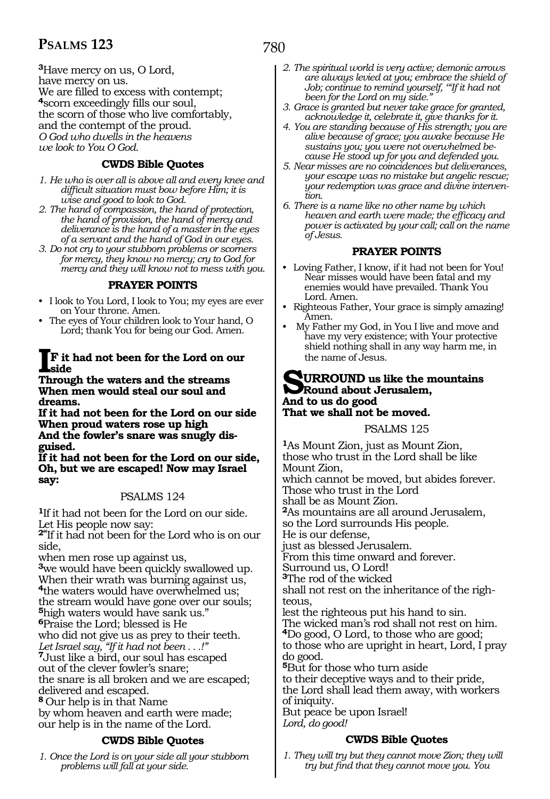**<sup>3</sup>**Have mercy on us, O Lord, have mercy on us. We are filled to excess with contempt; **<sup>4</sup>**scorn exceedingly fills our soul, the scorn of those who live comfortably, and the contempt of the proud. *O God who dwells in the heavens we look to You O God.*

#### **CWDS Bible Quotes**

- *1. He who is over all is above all and every knee and difficult situation must bow before Him; it is wise and good to look to God.*
- *2. The hand of compassion, the hand of protection, the hand of provision, the hand of mercy and deliverance is the hand of a master in the eyes of a servant and the hand of God in our eyes.*
- *3. Do not cry to your stubborn problems or scorners for mercy, they know no mercy; cry to God for mercy and they will know not to mess with you.*

#### **PRAYER POINTS**

- I look to You Lord, I look to You; my eyes are ever on Your throne. Amen.
- The eyes of Your children look to Your hand, O Lord; thank You for being our God. Amen.

#### **IF it had not been for the Lord on our side**

**Through the waters and the streams When men would steal our soul and dreams.** 

**If it had not been for the Lord on our side When proud waters rose up high And the fowler's snare was snugly disguised.** 

**If it had not been for the Lord on our side, Oh, but we are escaped! Now may Israel say:**

#### PSALMS 124

**<sup>1</sup>**If it had not been for the Lord on our side. Let His people now say:

**2"**If it had not been for the Lord who is on our side,

when men rose up against us,

we would have been quickly swallowed up. When their wrath was burning against us, the waters would have overwhelmed us; the stream would have gone over our souls; high waters would have sank us." Praise the Lord; blessed is He

who did not give us as prey to their teeth. *Let Israel say, "If it had not been . . .!"* 

**<sup>7</sup>**Just like a bird, our soul has escaped

out of the clever fowler's snare;

the snare is all broken and we are escaped; delivered and escaped.

**<sup>8</sup>**Our help is in that Name

by whom heaven and earth were made; our help is in the name of the Lord.

#### **CWDS Bible Quotes**

*1. Once the Lord is on your side all your stubborn problems will fall at your side.*

- *2. The spiritual world is very active; demonic arrows are always levied at you; embrace the shield of Job; continue to remind yourself, '"If it had not been for the Lord on my side."*
- *3. Grace is granted but never take grace for granted, acknowledge it, celebrate it, give thanks for it.*
- *4. You are standing because of His strength; you are alive because of grace; you awake because He sustains you; you were not overwhelmed because He stood up for you and defended you.*
- *5. Near misses are no coincidences but deliverances, your escape was no mistake but angelic rescue; your redemption was grace and divine intervention.*
- *6. There is a name like no other name by which heaven and earth were made; the efficacy and power is activated by your call; call on the name of Jesus.*

#### **PRAYER POINTS**

- Loving Father, I know, if it had not been for You! Near misses would have been fatal and my enemies would have prevailed. Thank You Lord. Amen.
- Righteous Father, Your grace is simply amazing! Amen.
- My Father my God, in You I live and move and have my very existence; with Your protective shield nothing shall in any way harm me, in the name of Jesus.

#### **SURROUND us like the mountains Round about Jerusalem, And to us do good That we shall not be moved.**

#### PSALMS 125

**<sup>1</sup>**As Mount Zion, just as Mount Zion, those who trust in the Lord shall be like Mount Zion, which cannot be moved, but abides forever. Those who trust in the Lord shall be as Mount Zion. **<sup>2</sup>**As mountains are all around Jerusalem, so the Lord surrounds His people. He is our defense, just as blessed Jerusalem. From this time onward and forever. Surround us, O Lord! **<sup>3</sup>**The rod of the wicked shall not rest on the inheritance of the righ- teous, lest the righteous put his hand to sin. The wicked man's rod shall not rest on him. **<sup>4</sup>**Do good, O Lord, to those who are good; to those who are upright in heart, Lord, I pray do good. **<sup>5</sup>**But for those who turn aside to their deceptive ways and to their pride, the Lord shall lead them away, with workers of iniquity. But peace be upon Israel! *Lord, do good!* 

#### **CWDS Bible Quotes**

*1. They will try but they cannot move Zion; they will try but find that they cannot move you. You*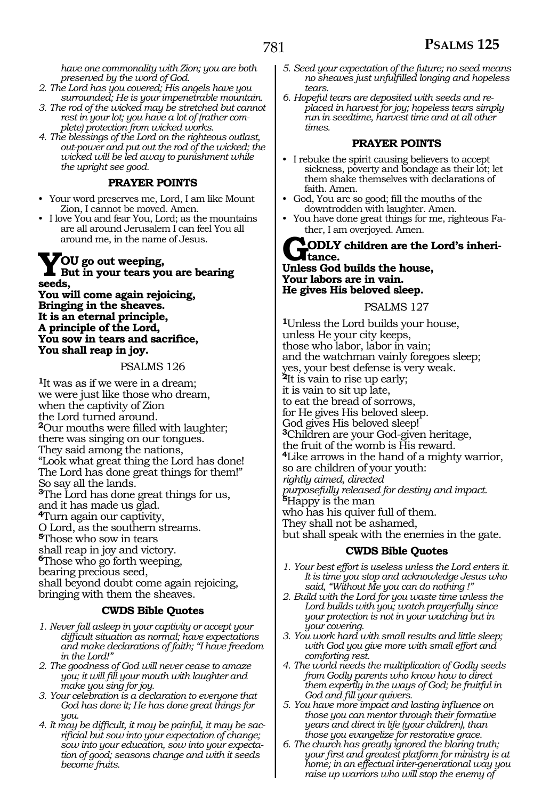*have one commonality with Zion; you are both preserved by the word of God.*

- *2. The Lord has you covered; His angels have you surrounded; He is your impenetrable mountain.*
- *3. The rod of the wicked may be stretched but cannot rest in your lot; you have a lot of (rather complete) protection from wicked works.*
- *4. The blessings of the Lord on the righteous outlast, out-power and put out the rod of the wicked; the wicked will be led away to punishment while the upright see good.*

#### **PRAYER POINTS**

- Your word preserves me, Lord, I am like Mount Zion, I cannot be moved. Amen.
- I love You and fear You, Lord; as the mountains are all around Jerusalem I can feel You all around me, in the name of Jesus.

### **YOU go out weeping, But in your tears you are bearing seeds,**

**You will come again rejoicing, Bringing in the sheaves. It is an eternal principle, A principle of the Lord, You sow in tears and sacrifice, You shall reap in joy.** 

PSALMS 126

**<sup>1</sup>**It was as if we were in a dream; we were just like those who dream, when the captivity of Zion the Lord turned around. **<sup>2</sup>**Our mouths were filled with laughter; there was singing on our tongues. They said among the nations, "Look what great thing the Lord has done! The Lord has done great things for them!" So say all the lands. **<sup>3</sup>**The Lord has done great things for us, and it has made us glad. **<sup>4</sup>**Turn again our captivity, O Lord, as the southern streams. **<sup>5</sup>**Those who sow in tears shall reap in joy and victory. **<sup>6</sup>**Those who go forth weeping, bearing precious seed, shall beyond doubt come again rejoicing, bringing with them the sheaves.

#### **CWDS Bible Quotes**

- *1. Never fall asleep in your captivity or accept your difficult situation as normal; have expectations and make declarations of faith; "I have freedom in the Lord!"*
- *2. The goodness of God will never cease to amaze you; it will fill your mouth with laughter and make you sing for joy.*
- *3. Your celebration is a declaration to everyone that God has done it; He has done great things for you.*
- *4. It may be difficult, it may be painful, it may be sacrificial but sow into your expectation of change; sow into your education, sow into your expectation of good; seasons change and with it seeds become fruits.*
- *5. Seed your expectation of the future; no seed means no sheaves just unfulfilled longing and hopeless tears.*
- *6. Hopeful tears are deposited with seeds and replaced in harvest for joy; hopeless tears simply run in seedtime, harvest time and at all other times.*

#### **PRAYER POINTS**

- I rebuke the spirit causing believers to accept sickness, poverty and bondage as their lot; let them shake themselves with declarations of faith. Amen.
- God, You are so good; fill the mouths of the downtrodden with laughter. Amen.
- You have done great things for me, righteous Father, I am overjoyed. Amen.

#### **CODLY** children are the Lord's inheri- $\mathbf{I}_{\text{tance}}$

#### **Unless God builds the house, Your labors are in vain. He gives His beloved sleep.**

#### PSALMS 127

**<sup>1</sup>**Unless the Lord builds your house, unless He your city keeps, those who labor, labor in vain; and the watchman vainly foregoes sleep; yes, your best defense is very weak. **<sup>2</sup>**It is vain to rise up early; it is vain to sit up late, to eat the bread of sorrows, for He gives His beloved sleep. God gives His beloved sleep! **<sup>3</sup>**Children are your God-given heritage, the fruit of the womb is His reward. **<sup>4</sup>**Like arrows in the hand of a mighty warrior, so are children of your youth: *rightly aimed, directed purposefully released for destiny and impact.*  **<sup>5</sup>**Happy is the man who has his quiver full of them. They shall not be ashamed, but shall speak with the enemies in the gate.

#### **CWDS Bible Quotes**

- *1. Your best effort is useless unless the Lord enters it. It is time you stop and acknowledge Jesus who said, "Without Me you can do nothing !"*
- *2. Build with the Lord for you waste time unless the Lord builds with you; watch prayerfully since your protection is not in your watching but in your covering.*
- *3. You work hard with small results and little sleep; with God you give more with small effort and comforting rest.*
- *4. The world needs the multiplication of Godly seeds from Godly parents who know how to direct them expertly in the ways of God; be fruitful in God and fill your quivers.*
- *5. You have more impact and lasting influence on those you can mentor through their formative years and direct in life (your children), than those you evangelize for restorative grace.*
- *6. The church has greatly ignored the blaring truth; your first and greatest platform for ministry is at home; in an effectual inter-generational way you raise up warriors who will stop the enemy of*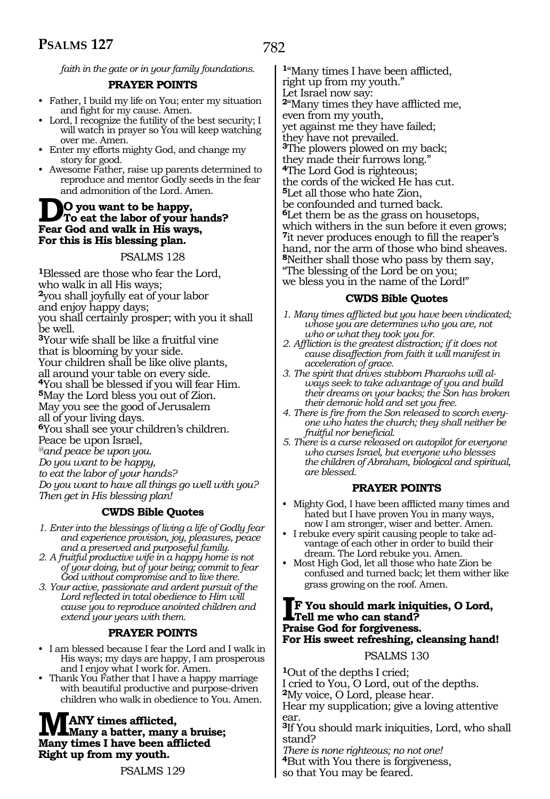*faith in the gate or in your family foundations.*

#### **PRAYER POINTS**

- Father, I build my life on You; enter my situation and fight for my cause. Amen.
- Lord, I recognize the futility of the best security; I will watch in prayer so You will keep watching over me. Amen.
- Enter my efforts mighty God, and change my story for good.
- Awesome Father, raise up parents determined to reproduce and mentor Godly seeds in the fear and admonition of the Lord. Amen.

### **DO** you want to be happy,<br>To eat the labor of your hands? **Fear God and walk in His ways, For this is His blessing plan.**

#### PSALMS 128

**<sup>1</sup>**Blessed are those who fear the Lord, who walk in all His ways; **<sup>2</sup>**you shall joyfully eat of your labor and enjoy happy days; you shall certainly prosper; with you it shall be well. **<sup>3</sup>**Your wife shall be like a fruitful vine

that is blooming by your side. Your children shall be like olive plants, all around your table on every side.

**<sup>4</sup>**You shall be blessed if you will fear Him.

**<sup>5</sup>**May the Lord bless you out of Zion. May you see the good of Jerusalem

all of your living days.

**<sup>6</sup>**You shall see your children's children. Peace be upon Israel,

*@and peace be upon you.* 

*Do you want to be happy,* 

*to eat the labor of your hands?* 

*Do you want to have all things go well with you? Then get in His blessing plan!* 

#### **CWDS Bible Quotes**

- *1. Enter into the blessings of living a life of Godly fear and experience provision, joy, pleasures, peace and a preserved and purposeful family.*
- *2. A fruitful productive wife in a happy home is not of your doing, but of your being; commit to fear God without compromise and to live there.*
- *3. Your active, passionate and ardent pursuit of the Lord reflected in total obedience to Him will cause you to reproduce anointed children and extend your years with them.*

#### **PRAYER POINTS**

- I am blessed because I fear the Lord and I walk in His ways; my days are happy, I am prosperous and I enjoy what I work for. Amen.
- Thank You Father that I have a happy marriage with beautiful productive and purpose-driven children who walk in obedience to You. Amen.

#### **MANY times afflicted, Many a batter, many a bruise; Many times I have been afflicted Right up from my youth.**

PSALMS 129

**<sup>1</sup>**"Many times I have been afflicted, right up from my youth." Let Israel now say: **<sup>2</sup>**"Many times they have afflicted me, even from my youth, yet against me they have failed; they have not prevailed. **<sup>3</sup>**The plowers plowed on my back; they made their furrows long." **<sup>4</sup>**The Lord God is righteous; the cords of the wicked He has cut. **<sup>5</sup>**Let all those who hate Zion, be confounded and turned back. **<sup>6</sup>**Let them be as the grass on housetops, which withers in the sun before it even grows; **<sup>7</sup>**it never produces enough to fill the reaper's hand, nor the arm of those who bind sheaves. **<sup>8</sup>**Neither shall those who pass by them say, "The blessing of the Lord be on you; we bless you in the name of the Lord!"

#### **CWDS Bible Quotes**

- *1. Many times afflicted but you have been vindicated; whose you are determines who you are, not who or what they took you for.*
- *2. Affliction is the greatest distraction; if it does not cause disaffection from faith it will manifest in acceleration of grace.*
- *3. The spirit that drives stubborn Pharaohs will always seek to take advantage of you and build their dreams on your backs; the Son has broken their demonic hold and set you free.*
- *4. There is fire from the Son released to scorch everyone who hates the church; they shall neither be fruitful nor beneficial.*
- *5. There is a curse released on autopilot for everyone who curses Israel, but everyone who blesses the children of Abraham, biological and spiritual, are blessed.*

#### **PRAYER POINTS**

- Mighty God, I have been afflicted many times and hated but I have proven You in many ways, now I am stronger, wiser and better. Amen.
- I rebuke every spirit causing people to take advantage of each other in order to build their dream. The Lord rebuke you. Amen.
- Most High God, let all those who hate Zion be confused and turned back; let them wither like grass growing on the roof. Amen.

#### **IF You should mark iniquities, O Lord, Tell me who can stand? Praise God for forgiveness. For His sweet refreshing, cleansing hand!**

#### PSALMS 130

**<sup>1</sup>**Out of the depths I cried; I cried to You, O Lord, out of the depths. **<sup>2</sup>**My voice, O Lord, please hear. Hear my supplication; give a loving attentive ear. **<sup>3</sup>**If You should mark iniquities, Lord, who shall stand? *There is none righteous; no not one!*  **<sup>4</sup>**But with You there is forgiveness,

so that You may be feared.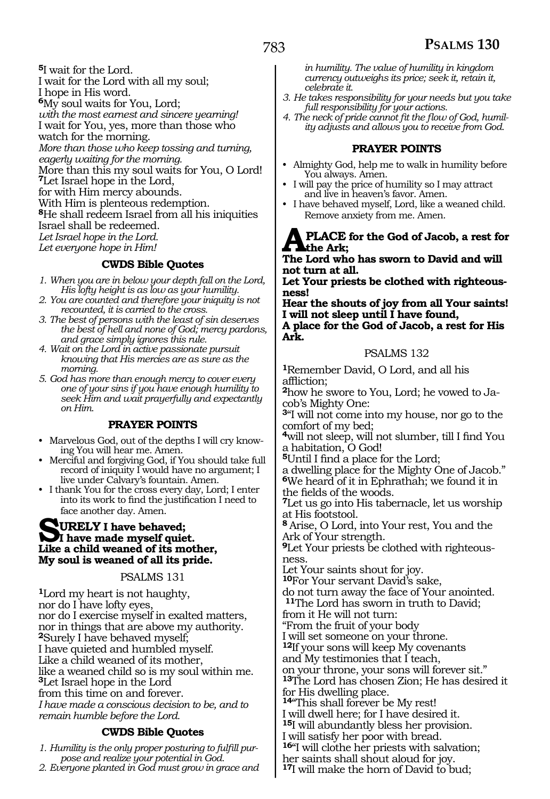**<sup>5</sup>**I wait for the Lord.

- I wait for the Lord with all my soul;
- I hope in His word. **<sup>6</sup>**My soul waits for You, Lord;
- *with the most earnest and sincere yearning!*
- I wait for You, yes, more than those who
- watch for the morning.

*More than those who keep tossing and turning,* 

*eagerly waiting for the morning.* 

More than this my soul waits for You, O Lord! **<sup>7</sup>**Let Israel hope in the Lord,

for with Him mercy abounds.

With Him is plenteous redemption.

**<sup>8</sup>**He shall redeem Israel from all his iniquities

Israel shall be redeemed.

*Let Israel hope in the Lord.* 

*Let everyone hope in Him!* 

#### **CWDS Bible Quotes**

- *1. When you are in below your depth fall on the Lord, His lofty height is as low as your humility.*
- *2. You are counted and therefore your iniquity is not recounted, it is carried to the cross.*
- *3. The best of persons with the least of sin deserves the best of hell and none of God; mercy pardons, and grace simply ignores this rule.*
- *4. Wait on the Lord in active passionate pursuit knowing that His mercies are as sure as the morning.*
- *5. God has more than enough mercy to cover every one of your sins if you have enough humility to seek Him and wait prayerfully and expectantly on Him.*

#### **PRAYER POINTS**

- Marvelous God, out of the depths I will cry knowing You will hear me. Amen.
- Merciful and forgiving God, if You should take full record of iniquity I would have no argument; I live under Calvary's fountain. Amen.
- I thank You for the cross every day, Lord; I enter into its work to find the justification I need to face another day. Amen.

### **SURELY** I have behaved;<br> **I** have made myself quiet. **Like a child weaned of its mother, My soul is weaned of all its pride.**

#### PSALMS 131

**<sup>1</sup>**Lord my heart is not haughty, nor do I have lofty eyes, nor do I exercise myself in exalted matters, nor in things that are above my authority. **<sup>2</sup>**Surely I have behaved myself; I have quieted and humbled myself. Like a child weaned of its mother, like a weaned child so is my soul within me. **<sup>3</sup>**Let Israel hope in the Lord from this time on and forever. *I have made a conscious decision to be, and to remain humble before the Lord.* 

#### **CWDS Bible Quotes**

*1. Humility is the only proper posturing to fulfill purpose and realize your potential in God.*

#### *2. Everyone planted in God must grow in grace and*

*in humility. The value of humility in kingdom currency outweighs its price; seek it, retain it, celebrate it.*

- *3. He takes responsibility for your needs but you take full responsibility for your actions.*
- *4. The neck of pride cannot fit the flow of God, humility adjusts and allows you to receive from God.*

#### **PRAYER POINTS**

- Almighty God, help me to walk in humility before You always. Amen.
- I will pay the price of humility so I may attract and live in heaven's favor. Amen.
- I have behaved myself, Lord, like a weaned child. Remove anxiety from me. Amen.

#### **APLACE for the God of Jacob, a rest for the Ark;**

**The Lord who has sworn to David and will not turn at all.** 

**Let Your priests be clothed with righteous- ness!** 

**Hear the shouts of joy from all Your saints! I will not sleep until I have found, A place for the God of Jacob, a rest for His Ark.**

#### PSALMS 132

**<sup>1</sup>**Remember David, O Lord, and all his affliction;

**<sup>2</sup>**how he swore to You, Lord; he vowed to Ja- cob's Mighty One:

**<sup>3</sup>**"I will not come into my house, nor go to the comfort of my bed;

**<sup>4</sup>**will not sleep, will not slumber, till I find You a habitation, O God!

**<sup>5</sup>**Until I find a place for the Lord;

a dwelling place for the Mighty One of Jacob." **<sup>6</sup>**We heard of it in Ephrathah; we found it in the fields of the woods.

**<sup>7</sup>**Let us go into His tabernacle, let us worship at His footstool.

**<sup>8</sup>**Arise, O Lord, into Your rest, You and the Ark of Your strength.

**9**Let Your priests be clothed with righteousness.

Let Your saints shout for joy.

**<sup>10</sup>**For Your servant David's sake,

do not turn away the face of Your anointed. **<sup>11</sup>**The Lord has sworn in truth to David; from it He will not turn:

"From the fruit of your body

I will set someone on your throne. **<sup>12</sup>**If your sons will keep My covenants

and My testimonies that I teach,

on your throne, your sons will forever sit." **<sup>13</sup>**The Lord has chosen Zion; He has desired it

for His dwelling place.

**<sup>14</sup>**"This shall forever be My rest! I will dwell here; for I have desired it.

**<sup>15</sup>**I will abundantly bless her provision.

I will satisfy her poor with bread.

**<sup>16</sup>**"I will clothe her priests with salvation;

her saints shall shout aloud for joy.

**<sup>17</sup>**I will make the horn of David to bud;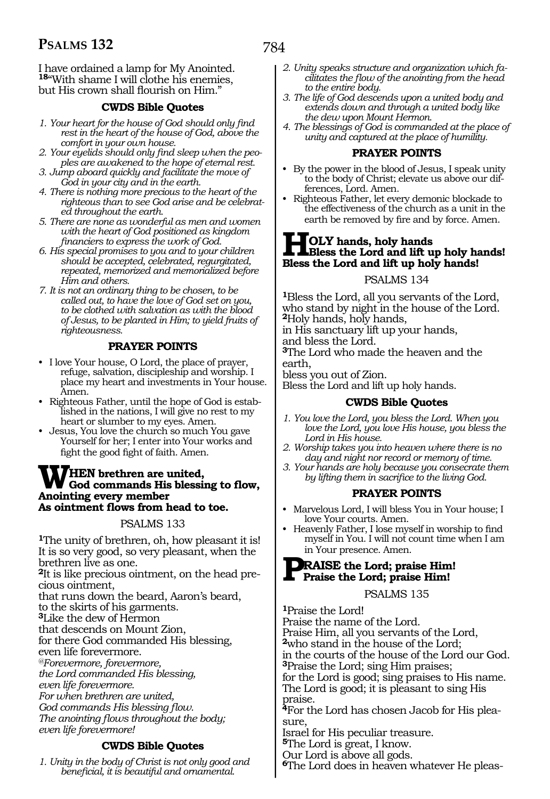I have ordained a lamp for My Anointed. 18"With shame I will clothe his enemies, but His crown shall flourish on Him."

#### **CWDS Bible Quotes**

- *1. Your heart for the house of God should only find rest in the heart of the house of God, above the comfort in your own house.*
- *2. Your eyelids should only find sleep when the peoples are awakened to the hope of eternal rest.*
- *3. Jump aboard quickly and facilitate the move of God in your city and in the earth.*
- *4. There is nothing more precious to the heart of the righteous than to see God arise and be celebrated throughout the earth.*
- *5. There are none as wonderful as men and women with the heart of God positioned as kingdom financiers to express the work of God.*
- *6. His special promises to you and to your children should be accepted, celebrated, regurgitated, repeated, memorized and memorialized before Him and others.*
- *7. It is not an ordinary thing to be chosen, to be called out, to have the love of God set on you, to be clothed with salvation as with the blood of Jesus, to be planted in Him; to yield fruits of righteousness.*

#### **PRAYER POINTS**

- I love Your house, O Lord, the place of prayer, refuge, salvation, discipleship and worship. I place my heart and investments in Your house. Amen.
- Righteous Father, until the hope of God is established in the nations, I will give no rest to my heart or slumber to my eyes. Amen.
- Jesus, You love the church so much You gave Yourself for her; I enter into Your works and fight the good fight of faith. Amen.

#### **WHEN brethren are united, God commands His blessing to flow, Anointing every member As ointment flows from head to toe.**

#### PSALMS 133

**<sup>1</sup>**The unity of brethren, oh, how pleasant it is! It is so very good, so very pleasant, when the brethren live as one.

**2**It is like precious ointment, on the head precious ointment,

that runs down the beard, Aaron's beard,

to the skirts of his garments.

**<sup>3</sup>**Like the dew of Hermon

that descends on Mount Zion, for there God commanded His blessing,

even life forevermore.

*@Forevermore, forevermore,* 

*the Lord commanded His blessing,* 

*even life forevermore.* 

*For when brethren are united,* 

*God commands His blessing flow.* 

*The anointing flows throughout the body; even life forevermore!* 

#### **CWDS Bible Quotes**

*1. Unity in the body of Christ is not only good and beneficial, it is beautiful and ornamental.*

- *2. Unity speaks structure and organization which facilitates the flow of the anointing from the head to the entire body.*
- *3. The life of God descends upon a united body and extends down and through a united body like the dew upon Mount Hermon.*
- *4. The blessings of God is commanded at the place of unity and captured at the place of humility.*

#### **PRAYER POINTS**

- By the power in the blood of Jesus, I speak unity to the body of Christ; elevate us above our differences, Lord. Amen.
- Righteous Father, let every demonic blockade to the effectiveness of the church as a unit in the earth be removed by fire and by force. Amen.

#### **HOLY hands, holy hands Bless the Lord and lift up holy hands! Bless the Lord and lift up holy hands!**

#### PSALMS 134

**<sup>1</sup>**Bless the Lord, all you servants of the Lord, who stand by night in the house of the Lord. **<sup>2</sup>**Holy hands, holy hands,

in His sanctuary lift up your hands,

and bless the Lord.

**<sup>3</sup>**The Lord who made the heaven and the earth,

bless you out of Zion.

Bless the Lord and lift up holy hands.

#### **CWDS Bible Quotes**

- *1. You love the Lord, you bless the Lord. When you love the Lord, you love His house, you bless the Lord in His house.*
- *2. Worship takes you into heaven where there is no day and night nor record or memory of time.*
- *3. Your hands are holy because you consecrate them by lifting them in sacrifice to the living God.*

#### **PRAYER POINTS**

- Marvelous Lord, I will bless You in Your house; I love Your courts. Amen.
- Heavenly Father, I lose myself in worship to find myself in You. I will not count time when I am in Your presence. Amen.

# **PRAISE the Lord; praise Him! Praise the Lord; praise Him!**

#### PSALMS 135

**<sup>1</sup>**Praise the Lord! Praise the name of the Lord. Praise Him, all you servants of the Lord, **<sup>2</sup>**who stand in the house of the Lord; in the courts of the house of the Lord our God. **<sup>3</sup>**Praise the Lord; sing Him praises; for the Lord is good; sing praises to His name. The Lord is good; it is pleasant to sing His praise. **4**For the Lord has chosen Jacob for His pleasure, Israel for His peculiar treasure. **<sup>5</sup>**The Lord is great, I know. Our Lord is above all gods.

**6**The Lord does in heaven whatever He pleas-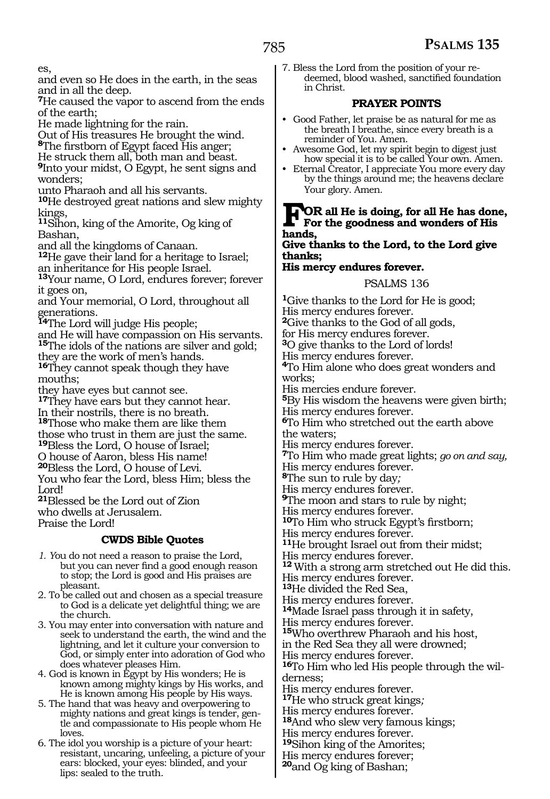es,

and even so He does in the earth, in the seas and in all the deep.

**<sup>7</sup>**He caused the vapor to ascend from the ends of the earth;

He made lightning for the rain.

Out of His treasures He brought the wind.

**<sup>8</sup>**The firstborn of Egypt faced His anger;

He struck them all, both man and beast.

**<sup>9</sup>**Into your midst, O Egypt, he sent signs and wonders;

unto Pharaoh and all his servants.

**<sup>10</sup>**He destroyed great nations and slew mighty kings,

**<sup>11</sup>**Sihon, king of the Amorite, Og king of Bashan,

and all the kingdoms of Canaan.

**<sup>12</sup>**He gave their land for a heritage to Israel; an inheritance for His people Israel.

**<sup>13</sup>**Your name, O Lord, endures forever; forever it goes on,

and Your memorial, O Lord, throughout all generations.

**<sup>14</sup>**The Lord will judge His people;

and He will have compassion on His servants. **<sup>15</sup>**The idols of the nations are silver and gold; they are the work of men's hands.

**<sup>16</sup>**They cannot speak though they have mouths;

they have eyes but cannot see.

**<sup>17</sup>**They have ears but they cannot hear. In their nostrils, there is no breath. **<sup>18</sup>**Those who make them are like them

those who trust in them are just the same.

**<sup>19</sup>**Bless the Lord, O house of Israel;

O house of Aaron, bless His name! **<sup>20</sup>**Bless the Lord, O house of Levi.

You who fear the Lord, bless Him; bless the Lord!

**<sup>21</sup>**Blessed be the Lord out of Zion who dwells at Jerusalem. Praise the Lord!

#### **CWDS Bible Quotes**

- *1. Y*ou do not need a reason to praise the Lord, but you can never find a good enough reason to stop; the Lord is good and His praises are pleasant.
- 2. To be called out and chosen as a special treasure to God is a delicate yet delightful thing; we are the church.
- 3. You may enter into conversation with nature and seek to understand the earth, the wind and the lightning, and let it culture your conversion to God, or simply enter into adoration of God who does whatever pleases Him.

4. God is known in Egypt by His wonders; He is known among mighty kings by His works, and He is known among His people by His ways.

- 5. The hand that was heavy and overpowering to mighty nations and great kings is tender, gentle and compassionate to His people whom He loves.
- 6. The idol you worship is a picture of your heart: resistant, uncaring, unfeeling, a picture of your ears: blocked, your eyes: blinded, and your lips: sealed to the truth.

7. Bless the Lord from the position of your redeemed, blood washed, sanctified foundation in Christ.

#### **PRAYER POINTS**

- Good Father, let praise be as natural for me as the breath I breathe, since every breath is a reminder of You. Amen.
- Awesome God, let my spirit begin to digest just how special it is to be called Your own. Amen.
- Eternal Creator, I appreciate You more every day by the things around me; the heavens declare Your glory. Amen.

#### **FOR all He is doing, for all He has done, For the goodness and wonders of His hands,**

**Give thanks to the Lord, to the Lord give thanks;**

#### **His mercy endures forever.**

#### PSALMS 136

**<sup>1</sup>**Give thanks to the Lord for He is good; His mercy endures forever. **<sup>2</sup>**Give thanks to the God of all gods, for His mercy endures forever. **<sup>3</sup>**O give thanks to the Lord of lords! His mercy endures forever. **<sup>4</sup>**To Him alone who does great wonders and works; His mercies endure forever. **<sup>5</sup>**By His wisdom the heavens were given birth; His mercy endures forever. **<sup>6</sup>**To Him who stretched out the earth above the waters; His mercy endures forever. **<sup>7</sup>**To Him who made great lights; *go on and say,*  His mercy endures forever. **<sup>8</sup>**The sun to rule by day*;* His mercy endures forever. **<sup>9</sup>**The moon and stars to rule by night; His mercy endures forever. **<sup>10</sup>**To Him who struck Egypt's firstborn; His mercy endures forever. **<sup>11</sup>**He brought Israel out from their midst; His mercy endures forever. **<sup>12</sup>**With a strong arm stretched out He did this. His mercy endures forever. **<sup>13</sup>**He divided the Red Sea, His mercy endures forever. **<sup>14</sup>**Made Israel pass through it in safety, His mercy endures forever. **<sup>15</sup>**Who overthrew Pharaoh and his host, in the Red Sea they all were drowned; His mercy endures forever. **16**To Him who led His people through the wilderness; His mercy endures forever. **<sup>17</sup>**He who struck great kings*;*  His mercy endures forever. **<sup>18</sup>**And who slew very famous kings; His mercy endures forever. **19**Sihon king of the Amorites;

His mercy endures forever; **<sup>20</sup>**and Og king of Bashan;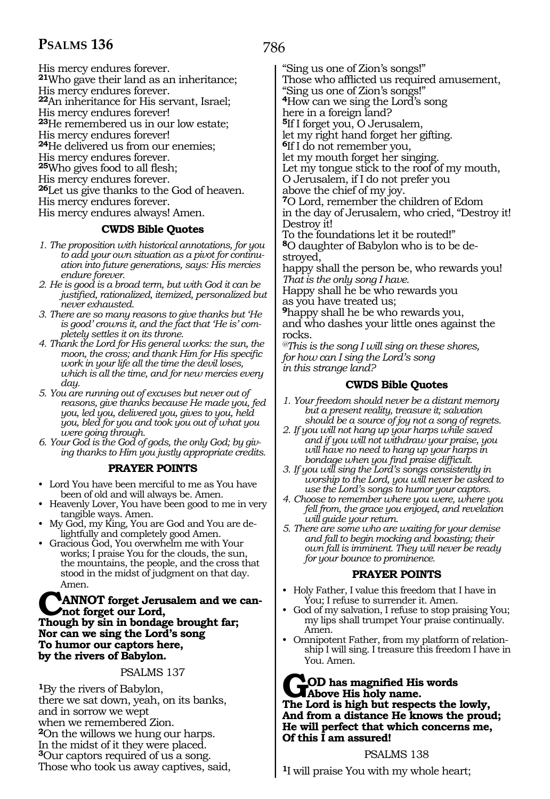His mercy endures forever. **<sup>21</sup>**Who gave their land as an inheritance;

His mercy endures forever.

**<sup>22</sup>**An inheritance for His servant, Israel; His mercy endures forever!

**<sup>23</sup>**He remembered us in our low estate;

His mercy endures forever!

**<sup>24</sup>**He delivered us from our enemies;

His mercy endures forever.

**<sup>25</sup>**Who gives food to all flesh;

His mercy endures forever.

**<sup>26</sup>**Let us give thanks to the God of heaven.

His mercy endures forever.

His mercy endures always! Amen.

#### **CWDS Bible Quotes**

- *1. The proposition with historical annotations, for you to add your own situation as a pivot for continuation into future generations, says: His mercies endure forever.*
- *2. He is good is a broad term, but with God it can be justified, rationalized, itemized, personalized but never exhausted.*
- *3. There are so many reasons to give thanks but 'He is good' crowns it, and the fact that 'He is' completely settles it on its throne.*
- *4. Thank the Lord for His general works: the sun, the moon, the cross; and thank Him for His specific work in your life all the time the devil loses, which is all the time, and for new mercies every day.*
- *5. You are running out of excuses but never out of reasons, give thanks because He made you, fed you, led you, delivered you, gives to you, held you, bled for you and took you out of what you were going through.*

*6. Your God is the God of gods, the only God; by giving thanks to Him you justly appropriate credits.*

#### **PRAYER POINTS**

- Lord You have been merciful to me as You have been of old and will always be. Amen.
- Heavenly Lover, You have been good to me in very tangible ways. Amen.
- My God, my King, You are God and You are delightfully and completely good Amen.
- Gracious God, You overwhelm me with Your works; I praise You for the clouds, the sun, the mountains, the people, and the cross that stood in the midst of judgment on that day. Amen.

#### **ANNOT** forget Jerusalem and we can**not forget our Lord, Though by sin in bondage brought far; Nor can we sing the Lord's song To humor our captors here, by the rivers of Babylon.**

#### PSALMS 137

**<sup>1</sup>**By the rivers of Babylon, there we sat down, yeah, on its banks, and in sorrow we wept when we remembered Zion. **<sup>2</sup>**On the willows we hung our harps. In the midst of it they were placed. **<sup>3</sup>**Our captors required of us a song. Those who took us away captives, said, 786

"Sing us one of Zion's songs!"

Those who afflicted us required amusement,

"Sing us one of Zion's songs!"

**<sup>4</sup>**How can we sing the Lord's song

here in a foreign land?

**<sup>5</sup>**If I forget you, O Jerusalem,

let my right hand forget her gifting.

**<sup>6</sup>**If I do not remember you,

let my mouth forget her singing. Let my tongue stick to the roof of my mouth,

O Jerusalem, if I do not prefer you

above the chief of my joy.

**<sup>7</sup>**O Lord, remember the children of Edom in the day of Jerusalem, who cried, "Destroy it! Destroy it!

To the foundations let it be routed!" **8**O daughter of Babylon who is to be destroyed,

happy shall the person be, who rewards you! *That is the only song I have.* 

Happy shall he be who rewards you as you have treated us;

**<sup>9</sup>**happy shall he be who rewards you, and who dashes your little ones against the rocks.

*@This is the song I will sing on these shores, for how can I sing the Lord's song in this strange land?*

#### **CWDS Bible Quotes**

- *1. Your freedom should never be a distant memory but a present reality, treasure it; salvation should be a source of joy not a song of regrets.*
- *2. If you will not hang up your harps while saved and if you will not withdraw your praise, you will have no need to hang up your harps in bondage when you find praise difficult.*
- *3. If you will sing the Lord's songs consistently in worship to the Lord, you will never be asked to use the Lord's songs to humor your captors.*
- *4. Choose to remember where you were, where you fell from, the grace you enjoyed, and revelation will guide your return.*
- *5. There are some who are waiting for your demise and fall to begin mocking and boasting; their own fall is imminent. They will never be ready for your bounce to prominence.*

#### **PRAYER POINTS**

- Holy Father, I value this freedom that I have in You; I refuse to surrender it. Amen.
- God of my salvation, I refuse to stop praising You; my lips shall trumpet Your praise continually. Amen.
- Omnipotent Father, from my platform of relationship I will sing. I treasure this freedom I have in You. Amen.

#### **GOD has magnified His words Above His holy name. The Lord is high but respects the lowly, And from a distance He knows the proud; He will perfect that which concerns me, Of this I am assured!**

PSALMS 138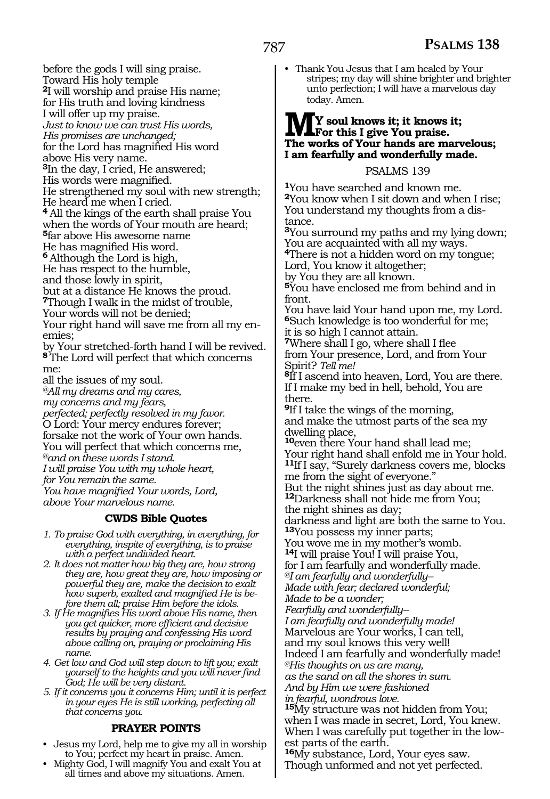before the gods I will sing praise. Toward His holy temple **<sup>2</sup>**I will worship and praise His name; for His truth and loving kindness I will offer up my praise. *Just to know we can trust His words, His promises are unchanged;*  for the Lord has magnified His word above His very name. **<sup>3</sup>**In the day, I cried, He answered; His words were magnified. He strengthened my soul with new strength; He heard me when I cried. **<sup>4</sup>**All the kings of the earth shall praise You when the words of Your mouth are heard; **<sup>5</sup>**far above His awesome name He has magnified His word. **<sup>6</sup>**Although the Lord is high, He has respect to the humble, and those lowly in spirit, but at a distance He knows the proud. **<sup>7</sup>**Though I walk in the midst of trouble, Your words will not be denied; Your right hand will save me from all my en- emies; by Your stretched-forth hand I will be revived. **<sup>8</sup>**The Lord will perfect that which concerns me: all the issues of my soul. *@All my dreams and my cares, my concerns and my fears, perfected; perfectly resolved in my favor.* O Lord: Your mercy endures forever; forsake not the work of Your own hands. You will perfect that which concerns me, *@and on these words I stand. I will praise You with my whole heart, for You remain the same. You have magnified Your words, Lord, above Your marvelous name.*  **CWDS Bible Quotes** *1. To praise God with everything, in everything, for* 

- *everything, inspite of everything, is to praise with a perfect undivided heart.*
- *2. It does not matter how big they are, how strong they are, how great they are, how imposing or powerful they are, make the decision to exalt how superb, exalted and magnified He is before them all; praise Him before the idols.*
- *3. If He magnifies His word above His name, then you get quicker, more efficient and decisive results by praying and confessing His word above calling on, praying or proclaiming His name.*
- *4. Get low and God will step down to lift you; exalt yourself to the heights and you will never find God; He will be very distant.*
- *5. If it concerns you it concerns Him; until it is perfect in your eyes He is still working, perfecting all that concerns you.*

#### **PRAYER POINTS**

- Jesus my Lord, help me to give my all in worship to You; perfect my heart in praise. Amen.
- Mighty God, I will magnify You and exalt You at all times and above my situations. Amen.

• Thank You Jesus that I am healed by Your stripes; my day will shine brighter and brighter unto perfection; I will have a marvelous day today. Amen.

### **MY soul knows it; it knows it; For this I give You praise. The works of Your hands are marvelous; I am fearfully and wonderfully made.**

#### PSALMS 139

**<sup>1</sup>**You have searched and known me. **<sup>2</sup>**You know when I sit down and when I rise; You understand my thoughts from a dis- tance.

**<sup>3</sup>**You surround my paths and my lying down; You are acquainted with all my ways. **<sup>4</sup>**There is not a hidden word on my tongue; Lord, You know it altogether; by You they are all known.

**<sup>5</sup>**You have enclosed me from behind and in front.

You have laid Your hand upon me, my Lord. **<sup>6</sup>**Such knowledge is too wonderful for me; it is so high I cannot attain.

**<sup>7</sup>**Where shall I go, where shall I flee from Your presence, Lord, and from Your Spirit? *Tell me!* 

**<sup>8</sup>**If I ascend into heaven, Lord, You are there. If I make my bed in hell, behold, You are there.

**<sup>9</sup>**If I take the wings of the morning, and make the utmost parts of the sea my dwelling place,

**<sup>10</sup>**even there Your hand shall lead me; Your right hand shall enfold me in Your hold. **<sup>11</sup>**If I say, "Surely darkness covers me, blocks me from the sight of everyone."

But the night shines just as day about me. **<sup>12</sup>**Darkness shall not hide me from You; the night shines as day;

darkness and light are both the same to You. **<sup>13</sup>**You possess my inner parts;

You wove me in my mother's womb. **<sup>14</sup>**I will praise You! I will praise You,

for I am fearfully and wonderfully made. *@I am fearfully and wonderfully--*

*Made with fear; declared wonderful;* 

*Made to be a wonder;*

*Fearfully and wonderfully--* 

*I am fearfully and wonderfully made!* 

Marvelous are Your works, I can tell,

and my soul knows this very well! Indeed I am fearfully and wonderfully made!

*@His thoughts on us are many,* 

*as the sand on all the shores in sum. And by Him we were fashioned*

*in fearful, wondrous love.* **<sup>15</sup>**My structure was not hidden from You; when I was made in secret, Lord, You knew. When I was carefully put together in the lowest parts of the earth.

**<sup>16</sup>**My substance, Lord, Your eyes saw. Though unformed and not yet perfected.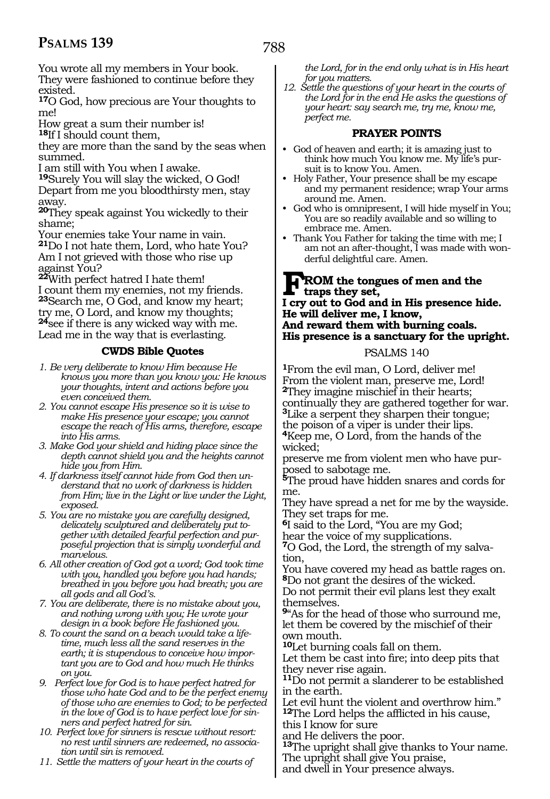788

You wrote all my members in Your book. They were fashioned to continue before they existed.

**<sup>17</sup>**O God, how precious are Your thoughts to me!

How great a sum their number is!

**<sup>18</sup>**If I should count them,

they are more than the sand by the seas when summed.

I am still with You when I awake.

**<sup>19</sup>**Surely You will slay the wicked, O God! Depart from me you bloodthirsty men, stay away.

**<sup>20</sup>**They speak against You wickedly to their shame;

Your enemies take Your name in vain.

**<sup>21</sup>**Do I not hate them, Lord, who hate You? Am I not grieved with those who rise up against You?

**<sup>22</sup>**With perfect hatred I hate them! I count them my enemies, not my friends. **<sup>23</sup>**Search me, O God, and know my heart; try me, O Lord, and know my thoughts; **<sup>24</sup>**see if there is any wicked way with me. Lead me in the way that is everlasting.

#### **CWDS Bible Quotes**

- *1. Be very deliberate to know Him because He knows you more than you know you: He knows your thoughts, intent and actions before you even conceived them.*
- *2. You cannot escape His presence so it is wise to make His presence your escape; you cannot escape the reach of His arms, therefore, escape into His arms.*
- *3. Make God your shield and hiding place since the depth cannot shield you and the heights cannot hide you from Him.*
- *4. If darkness itself cannot hide from God then understand that no work of darkness is hidden from Him; live in the Light or live under the Light, exposed.*
- *5. You are no mistake you are carefully designed, delicately sculptured and deliberately put together with detailed fearful perfection and purposeful projection that is simply wonderful and marvelous.*
- *6. All other creation of God got a word; God took time with you, handled you before you had hands; breathed in you before you had breath; you are all gods and all God's.*
- *7. You are deliberate, there is no mistake about you, and nothing wrong with you; He wrote your design in a book before He fashioned you.*
- *8. To count the sand on a beach would take a lifetime, much less all the sand reserves in the earth; it is stupendous to conceive how important you are to God and how much He thinks on you.*
- *9. Perfect love for God is to have perfect hatred for those who hate God and to be the perfect enemy of those who are enemies to God; to be perfected in the love of God is to have perfect love for sinners and perfect hatred for sin.*
- *10. Perfect love for sinners is rescue without resort: no rest until sinners are redeemed, no association until sin is removed.*
- *11. Settle the matters of your heart in the courts of*

*the Lord, for in the end only what is in His heart for you matters.*

*12. Settle the questions of your heart in the courts of the Lord for in the end He asks the questions of your heart: say search me, try me, know me, perfect me.*

#### **PRAYER POINTS**

- God of heaven and earth; it is amazing just to think how much You know me. My life's pursuit is to know You. Amen.
- Holy Father, Your presence shall be my escape and my permanent residence; wrap Your arms around me. Amen.
- God who is omnipresent, I will hide myself in You; You are so readily available and so willing to embrace me. Amen.
- Thank You Father for taking the time with me; I am not an after-thought, I was made with wonderful delightful care. Amen.

#### **FROM** the tongues of men and the trans they set. **traps they set, I cry out to God and in His presence hide. He will deliver me, I know, And reward them with burning coals. His presence is a sanctuary for the upright.**

#### PSALMS 140

**<sup>1</sup>**From the evil man, O Lord, deliver me! From the violent man, preserve me, Lord! **<sup>2</sup>**They imagine mischief in their hearts; continually they are gathered together for war. **<sup>3</sup>**Like a serpent they sharpen their tongue; the poison of a viper is under their lips. **<sup>4</sup>**Keep me, O Lord, from the hands of the wicked;

preserve me from violent men who have purposed to sabotage me.

**<sup>5</sup>**The proud have hidden snares and cords for me.

They have spread a net for me by the wayside. They set traps for me.

**<sup>6</sup>**I said to the Lord, "You are my God; hear the voice of my supplications.

**7**O God, the Lord, the strength of my salvation,

You have covered my head as battle rages on. **<sup>8</sup>**Do not grant the desires of the wicked.

Do not permit their evil plans lest they exalt themselves.

**<sup>9</sup>**"As for the head of those who surround me, let them be covered by the mischief of their own mouth.

**<sup>10</sup>**Let burning coals fall on them.

Let them be cast into fire; into deep pits that they never rise again.

**<sup>11</sup>**Do not permit a slanderer to be established in the earth.

Let evil hunt the violent and overthrow him." **<sup>12</sup>**The Lord helps the afflicted in his cause,

this I know for sure

and He delivers the poor.

**<sup>13</sup>**The upright shall give thanks to Your name. The upright shall give You praise,

and dwell in Your presence always.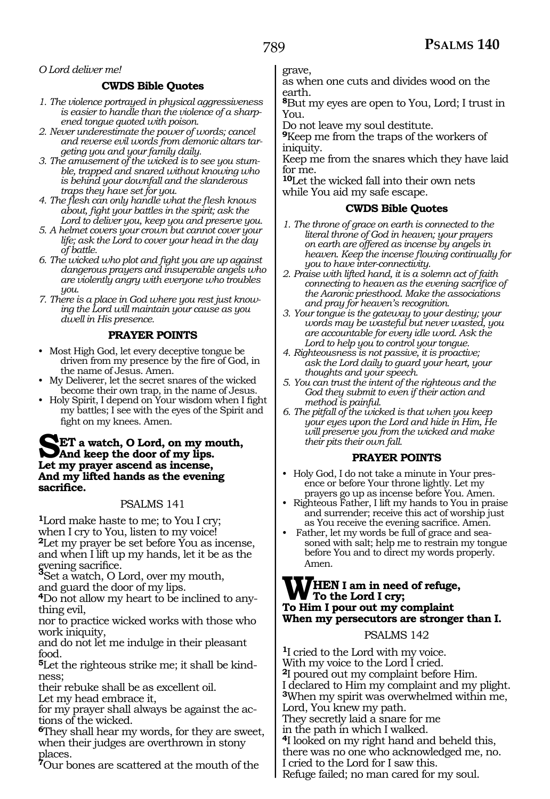#### *O Lord deliver me!*

#### **CWDS Bible Quotes**

- *1. The violence portrayed in physical aggressiveness is easier to handle than the violence of a sharpened tongue quoted with poison.*
- *2. Never underestimate the power of words; cancel and reverse evil words from demonic altars targeting you and your family daily.*
- *3. The amusement of the wicked is to see you stumble, trapped and snared without knowing who is behind your downfall and the slanderous traps they have set for you.*
- *4. The flesh can only handle what the flesh knows about, fight your battles in the spirit; ask the Lord to deliver you, keep you and preserve you.*
- *5. A helmet covers your crown but cannot cover your life; ask the Lord to cover your head in the day of battle.*
- *6. The wicked who plot and fight you are up against dangerous prayers and insuperable angels who are violently angry with everyone who troubles you.*
- *7. There is a place in God where you rest just knowing the Lord will maintain your cause as you dwell in His presence.*

#### **PRAYER POINTS**

- Most High God, let every deceptive tongue be driven from my presence by the fire of God, in the name of Jesus. Amen.
- My Deliverer, let the secret snares of the wicked become their own trap, in the name of Jesus.
- Holy Spirit, I depend on Your wisdom when I fight my battles; I see with the eyes of the Spirit and fight on my knees. Amen.

#### **SET** a watch, O Lord, on my mouth, **And keep the door of my lips. Let my prayer ascend as incense, And my lifted hands as the evening sacrifice.**

#### PSALMS 141

**<sup>1</sup>**Lord make haste to me; to You I cry; when I cry to You, listen to my voice! **<sup>2</sup>**Let my prayer be set before You as incense, and when I lift up my hands, let it be as the evening sacrifice.

**<sup>3</sup>**Set a watch, O Lord, over my mouth,

and guard the door of my lips.

**4**Do not allow my heart to be inclined to anything evil,

nor to practice wicked works with those who work iniquity,

and do not let me indulge in their pleasant food.

**5**Let the righteous strike me; it shall be kindness;

their rebuke shall be as excellent oil. Let my head embrace it,

for my prayer shall always be against the actions of the wicked.

**<sup>6</sup>**They shall hear my words, for they are sweet, when their judges are overthrown in stony places.

**<sup>7</sup>**Our bones are scattered at the mouth of the

grave,

as when one cuts and divides wood on the earth.

**<sup>8</sup>**But my eyes are open to You, Lord; I trust in You.

Do not leave my soul destitute.

**<sup>9</sup>**Keep me from the traps of the workers of iniquity.

Keep me from the snares which they have laid for me.

**<sup>10</sup>**Let the wicked fall into their own nets while You aid my safe escape.

#### **CWDS Bible Quotes**

- *1. The throne of grace on earth is connected to the literal throne of God in heaven; your prayers on earth are offered as incense by angels in heaven. Keep the incense flowing continually for you to have inter-connectivity.*
- *2. Praise with lifted hand, it is a solemn act of faith connecting to heaven as the evening sacrifice of the Aaronic priesthood. Make the associations and pray for heaven's recognition.*
- *3. Your tongue is the gateway to your destiny; your words may be wasteful but never wasted, you are accountable for every idle word. Ask the Lord to help you to control your tongue.*
- *4. Righteousness is not passive, it is proactive; ask the Lord daily to guard your heart, your thoughts and your speech.*
- *5. You can trust the intent of the righteous and the God they submit to even if their action and method is painful.*
- *6. The pitfall of the wicked is that when you keep your eyes upon the Lord and hide in Him, He will preserve you from the wicked and make their pits their own fall.*

#### **PRAYER POINTS**

- Holy God, I do not take a minute in Your presence or before Your throne lightly. Let my prayers go up as incense before You. Amen.
- Righteous Father, I lift my hands to You in praise and surrender; receive this act of worship just as You receive the evening sacrifice. Amen.
- Father, let my words be full of grace and seasoned with salt; help me to restrain my tongue before You and to direct my words properly. Amen.

#### **WHEN I am in need of refuge, To the Lord I cry; To Him I pour out my complaint When my persecutors are stronger than I.**

#### PSALMS 142

**<sup>1</sup>**I cried to the Lord with my voice. With my voice to the Lord I cried. **<sup>2</sup>**I poured out my complaint before Him. I declared to Him my complaint and my plight. **<sup>3</sup>**When my spirit was overwhelmed within me, Lord, You knew my path. They secretly laid a snare for me in the path in which I walked. **<sup>4</sup>**I looked on my right hand and beheld this, there was no one who acknowledged me, no. I cried to the Lord for I saw this. Refuge failed; no man cared for my soul.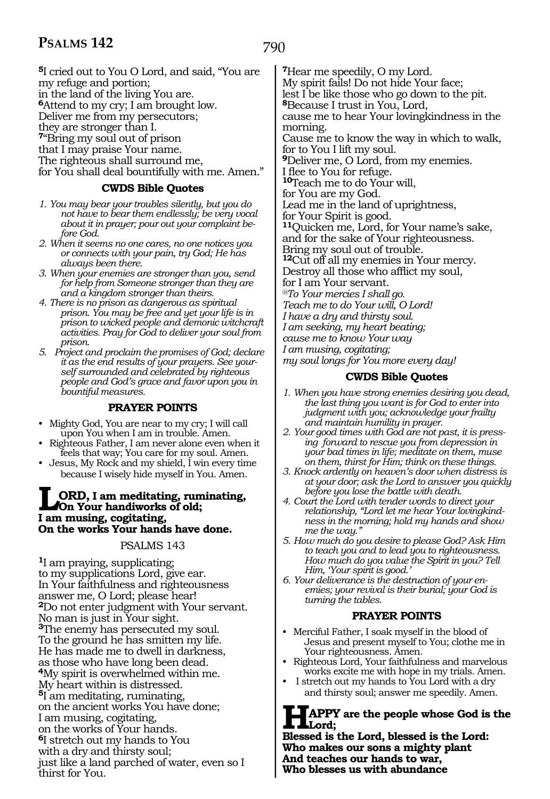790

**<sup>5</sup>**I cried out to You O Lord, and said, "You are my refuge and portion; in the land of the living You are. **<sup>6</sup>**Attend to my cry; I am brought low. Deliver me from my persecutors; they are stronger than I. **<sup>7</sup>**"Bring my soul out of prison that I may praise Your name. The righteous shall surround me, for You shall deal bountifully with me. Amen."

#### **CWDS Bible Quotes**

- *1. You may bear your troubles silently, but you do not have to bear them endlessly; be very vocal about it in prayer; pour out your complaint before God.*
- *2. When it seems no one cares, no one notices you or connects with your pain, try God; He has always been there.*
- *3. When your enemies are stronger than you, send for help from Someone stronger than they are and a kingdom stronger than theirs.*
- *4. There is no prison as dangerous as spiritual prison. You may be free and yet your life is in prison to wicked people and demonic witchcraft activities. Pray for God to deliver your soul from prison.*
- *5. Project and proclaim the promises of God; declare it as the end results of your prayers. See yourself surrounded and celebrated by righteous people and God's grace and favor upon you in bountiful measures.*

#### **PRAYER POINTS**

- Mighty God, You are near to my cry; I will call upon You when I am in trouble. Amen.
- Righteous Father, I am never alone even when it feels that way; You care for my soul. Amen.
- Jesus, My Rock and my shield, I win every time because I wisely hide myself in You. Amen.

#### **LORD, I am meditating, ruminating, On Your handiworks of old; I am musing, cogitating, On the works Your hands have done.**

#### PSALMS 143

**<sup>1</sup>**I am praying, supplicating; to my supplications Lord, give ear. In Your faithfulness and righteousness answer me, O Lord; please hear! **<sup>2</sup>**Do not enter judgment with Your servant. No man is just in Your sight. **<sup>3</sup>**The enemy has persecuted my soul. To the ground he has smitten my life. He has made me to dwell in darkness, as those who have long been dead. **<sup>4</sup>**My spirit is overwhelmed within me. My heart within is distressed. **<sup>5</sup>**I am meditating, ruminating, on the ancient works You have done; I am musing, cogitating, on the works of Your hands. **<sup>6</sup>**I stretch out my hands to You with a dry and thirsty soul; just like a land parched of water, even so I thirst for You.

**<sup>7</sup>**Hear me speedily, O my Lord. My spirit fails! Do not hide Your face; lest I be like those who go down to the pit. **<sup>8</sup>**Because I trust in You, Lord, cause me to hear Your lovingkindness in the morning. Cause me to know the way in which to walk, for to You I lift my soul. **<sup>9</sup>**Deliver me, O Lord, from my enemies. I flee to You for refuge. **<sup>10</sup>**Teach me to do Your will, for You are my God. Lead me in the land of uprightness, for Your Spirit is good. **<sup>11</sup>**Quicken me, Lord, for Your name's sake, and for the sake of Your righteousness. Bring my soul out of trouble. **<sup>12</sup>**Cut off all my enemies in Your mercy. Destroy all those who afflict my soul, for I am Your servant. *@To Your mercies I shall go. Teach me to do Your will, O Lord! I have a dry and thirsty soul. I am seeking, my heart beating; cause me to know Your way I am musing, cogitating; my soul longs for You more every day!* 

#### **CWDS Bible Quotes**

- *1. When you have strong enemies desiring you dead, the last thing you want is for God to enter into judgment with you; acknowledge your frailty and maintain humility in prayer.*
- *2. Your good times with God are not past, it is pressing forward to rescue you from depression in your bad times in life; meditate on them, muse on them, thirst for Him; think on these things.*
- *3. Knock ardently on heaven's door when distress is at your door; ask the Lord to answer you quickly before you lose the battle with death.*
- *4. Court the Lord with tender words to direct your relationship, "Lord let me hear Your lovingkindness in the morning; hold my hands and show me the way."*
- *5. How much do you desire to please God? Ask Him to teach you and to lead you to righteousness. How much do you value the Spirit in you? Tell Him, 'Your spirit is good.'*
- *6. Your deliverance is the destruction of your enemies; your revival is their burial; your God is turning the tables.*

#### **PRAYER POINTS**

- Merciful Father, I soak myself in the blood of Jesus and present myself to You; clothe me in Your righteousness. Amen.
- Righteous Lord, Your faithfulness and marvelous works excite me with hope in my trials. Amen.
- I stretch out my hands to You Lord with a dry and thirsty soul; answer me speedily. Amen.

#### **HAPPY are the people whose God is the Lord;**

**Blessed is the Lord, blessed is the Lord: Who makes our sons a mighty plant And teaches our hands to war, Who blesses us with abundance**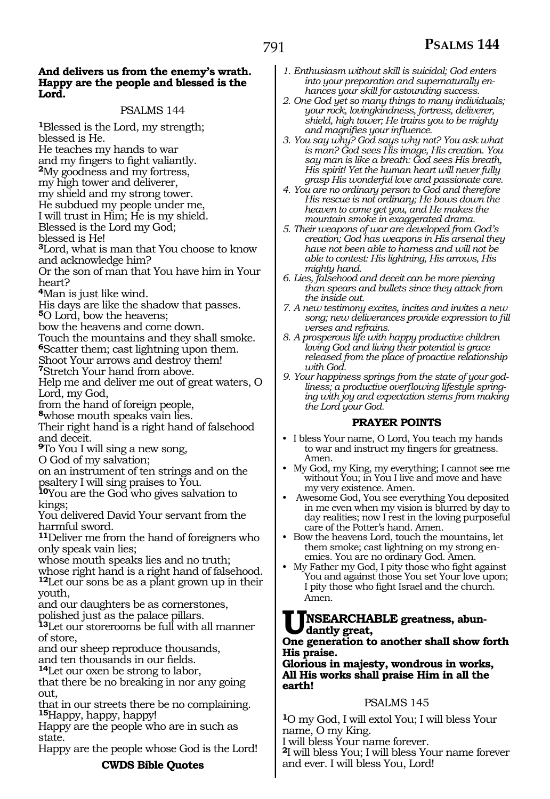#### **And delivers us from the enemy's wrath. Happy are the people and blessed is the Lord.**

PSALMS 144 **<sup>1</sup>**Blessed is the Lord, my strength; blessed is He. He teaches my hands to war<br>and my fingers to fight valiantly. <sup>2</sup>My goodness and my fortress, my high tower and deliverer, my shield and my strong tower. He subdued my people under me, I will trust in Him; He is my shield. Blessed is the Lord my God; blessed is He! **<sup>3</sup>**Lord, what is man that You choose to know and acknowledge him? Or the son of man that You have him in Your heart? **<sup>4</sup>**Man is just like wind. His days are like the shadow that passes. **<sup>5</sup>**O Lord, bow the heavens; bow the heavens and come down. Touch the mountains and they shall smoke. **<sup>6</sup>**Scatter them; cast lightning upon them. Shoot Your arrows and destroy them! **<sup>7</sup>**Stretch Your hand from above. Help me and deliver me out of great waters, O Lord, my God, from the hand of foreign people, **<sup>8</sup>**whose mouth speaks vain lies. Their right hand is a right hand of falsehood and deceit. **<sup>9</sup>**To You I will sing a new song, O God of my salvation; on an instrument of ten strings and on the psaltery I will sing praises to You. **<sup>10</sup>**You are the God who gives salvation to kings; You delivered David Your servant from the harmful sword. **<sup>11</sup>**Deliver me from the hand of foreigners who only speak vain lies; whose mouth speaks lies and no truth; whose right hand is a right hand of falsehood. **<sup>12</sup>**Let our sons be as a plant grown up in their youth, and our daughters be as cornerstones, polished just as the palace pillars. **<sup>13</sup>**Let our storerooms be full with all manner of store, and our sheep reproduce thousands,<br>and ten thousands in our fields. <sup>14</sup>Let our oxen be strong to labor, that there be no breaking in nor any going out, that in our streets there be no complaining. **<sup>15</sup>**Happy, happy, happy!

Happy are the people who are in such as state.

Happy are the people whose God is the Lord!

**CWDS Bible Quotes**

- *1. Enthusiasm without skill is suicidal; God enters into your preparation and supernaturally enhances your skill for astounding success.*
- *2. One God yet so many things to many individuals; your rock, lovingkindness, fortress, deliverer, shield, high tower; He trains you to be mighty and magnifies your influence.*
- *3. You say why? God says why not? You ask what is man? God sees His image, His creation. You say man is like a breath: God sees His breath, His spirit! Yet the human heart will never fully grasp His wonderful love and passionate care.*
- *4. You are no ordinary person to God and therefore His rescue is not ordinary; He bows down the heaven to come get you, and He makes the mountain smoke in exaggerated drama.*
- *5. Their weapons of war are developed from God's creation; God has weapons in His arsenal they have not been able to harness and will not be able to contest: His lightning, His arrows, His mighty hand.*
- *6. Lies, falsehood and deceit can be more piercing than spears and bullets since they attack from the inside out.*
- *7. A new testimony excites, incites and invites a new song; new deliverances provide expression to fill verses and refrains.*
- *8. A prosperous life with happy productive children loving God and living their potential is grace released from the place of proactive relationship with God.*
- *9. Your happiness springs from the state of your godliness; a productive overflowing lifestyle springing with joy and expectation stems from making the Lord your God.*

#### **PRAYER POINTS**

- I bless Your name, O Lord, You teach my hands to war and instruct my fingers for greatness. Amen.
- My God, my King, my everything; I cannot see me without You; in You I live and move and have my very existence. Amen.
- Awesome God, You see everything You deposited in me even when my vision is blurred by day to day realities; now I rest in the loving purposeful care of the Potter's hand. Amen.
- Bow the heavens Lord, touch the mountains, let them smoke; cast lightning on my strong enemies. You are no ordinary God. Amen.
- My Father my God, I pity those who fight against You and against those You set Your love upon; I pity those who fight Israel and the church. Amen.

# **UNSEARCHABLE greatness, abun- dantly great,**

#### **One generation to another shall show forth His praise.**

**Glorious in majesty, wondrous in works, All His works shall praise Him in all the earth!**

#### PSALMS 145

**<sup>1</sup>**O my God, I will extol You; I will bless Your name, O my King.

I will bless Your name forever.

**<sup>2</sup>**I will bless You; I will bless Your name forever and ever. I will bless You, Lord!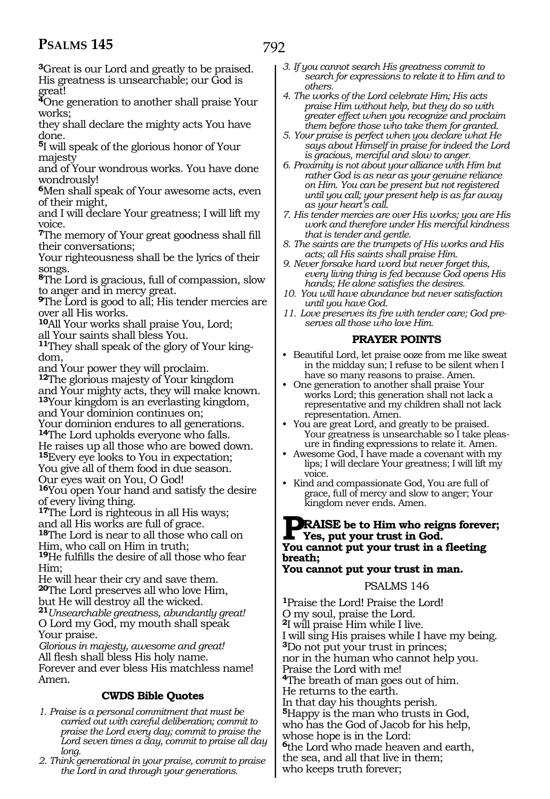792

**<sup>3</sup>**Great is our Lord and greatly to be praised. His greatness is unsearchable; our God is great!

**<sup>4</sup>**One generation to another shall praise Your works;

they shall declare the mighty acts You have done.

**<sup>5</sup>**I will speak of the glorious honor of Your majesty

and of Your wondrous works. You have done wondrously!

**<sup>6</sup>**Men shall speak of Your awesome acts, even of their might,

and I will declare Your greatness; I will lift my voice.

**<sup>7</sup>**The memory of Your great goodness shall fill their conversations;

Your righteousness shall be the lyrics of their songs.

**<sup>8</sup>**The Lord is gracious, full of compassion, slow to anger and in mercy great.

**<sup>9</sup>**The Lord is good to all; His tender mercies are over all His works.

**<sup>10</sup>**All Your works shall praise You, Lord;

all Your saints shall bless You.

**11**They shall speak of the glory of Your kingdom,

and Your power they will proclaim.

**<sup>12</sup>**The glorious majesty of Your kingdom and Your mighty acts, they will make known.

**<sup>13</sup>**Your kingdom is an everlasting kingdom, and Your dominion continues on;

Your dominion endures to all generations. **<sup>14</sup>**The Lord upholds everyone who falls. He raises up all those who are bowed down.

**<sup>15</sup>**Every eye looks to You in expectation; You give all of them food in due season.

Our eyes wait on You, O God!

**<sup>16</sup>**You open Your hand and satisfy the desire of every living thing.

**<sup>17</sup>**The Lord is righteous in all His ways;

and all His works are full of grace.

**<sup>18</sup>**The Lord is near to all those who call on Him, who call on Him in truth;

**<sup>19</sup>**He fulfills the desire of all those who fear Him;

He will hear their cry and save them. **<sup>20</sup>**The Lord preserves all who love Him,

but He will destroy all the wicked. **<sup>21</sup>***Unsearchable greatness, abundantly great!* O Lord my God, my mouth shall speak

Your praise. *Glorious in majesty, awesome and great!* All flesh shall bless His holy name. Forever and ever bless His matchless name! Amen.

#### **CWDS Bible Quotes**

- *1. Praise is a personal commitment that must be carried out with careful deliberation; commit to praise the Lord every day; commit to praise the Lord seven times a day, commit to praise all day long.*
- *2. Think generational in your praise, commit to praise the Lord in and through your generations.*

*3. If you cannot search His greatness commit to search for expressions to relate it to Him and to others.*

*4. The works of the Lord celebrate Him; His acts praise Him without help, but they do so with greater effect when you recognize and proclaim them before those who take them for granted.* 

*5. Your praise is perfect when you declare what He says about Himself in praise for indeed the Lord is gracious, merciful and slow to anger.*

*6. Proximity is not about your alliance with Him but rather God is as near as your genuine reliance on Him. You can be present but not registered until you call; your present help is as far away as your heart's call.*

*7. His tender mercies are over His works; you are His work and therefore under His merciful kindness that is tender and gentle.*

- *8. The saints are the trumpets of His works and His acts; all His saints shall praise Him.*
- *9. Never forsake hard word but never forget this, every living thing is fed because God opens His hands; He alone satisfies the desires.*
- *10. You will have abundance but never satisfaction until you have God.*
- *11. Love preserves its fire with tender care; God preserves all those who love Him.*

#### **PRAYER POINTS**

- Beautiful Lord, let praise ooze from me like sweat in the midday sun; I refuse to be silent when I have so many reasons to praise. Amen.
- One generation to another shall praise Your works Lord; this generation shall not lack a representative and my children shall not lack representation. Amen.
- You are great Lord, and greatly to be praised. Your greatness is unsearchable so I take pleasure in finding expressions to relate it. Amen.
- Awesome God, I have made a covenant with my lips; I will declare Your greatness; I will lift my voice.
- Kind and compassionate God, You are full of grace, full of mercy and slow to anger; Your kingdom never ends. Amen.

### **PRAISE** be to Him who reigns forever;<br>
Yes, put your trust in God.<br>
You cannot nut your trust in a fleeting **You cannot put your trust in a fleeting breath;**

#### **You cannot put your trust in man.**

#### PSALMS 146

**<sup>1</sup>**Praise the Lord! Praise the Lord! O my soul, praise the Lord. **<sup>2</sup>**I will praise Him while I live. I will sing His praises while I have my being. **<sup>3</sup>**Do not put your trust in princes; nor in the human who cannot help you. Praise the Lord with me! **<sup>4</sup>**The breath of man goes out of him. He returns to the earth. In that day his thoughts perish. **<sup>5</sup>**Happy is the man who trusts in God, who has the God of Jacob for his help, whose hope is in the Lord: **<sup>6</sup>**the Lord who made heaven and earth, the sea, and all that live in them; who keeps truth forever;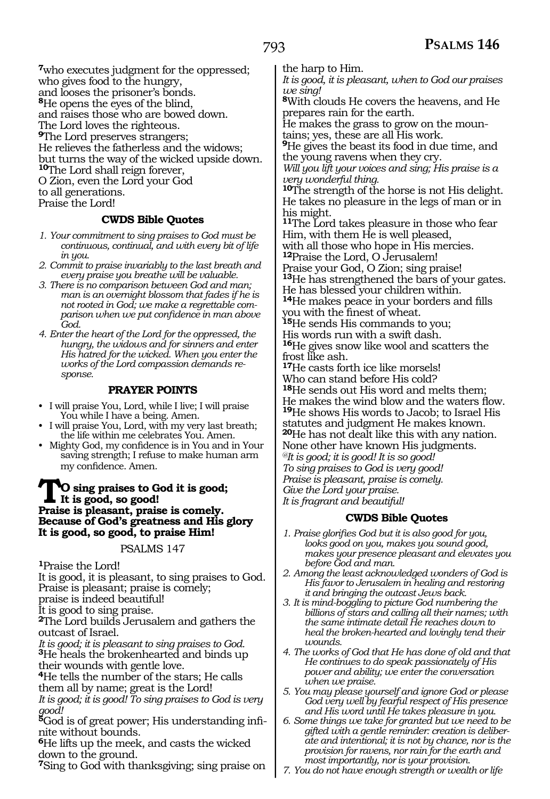**<sup>7</sup>**who executes judgment for the oppressed; who gives food to the hungry, and looses the prisoner's bonds. **<sup>8</sup>**He opens the eyes of the blind, and raises those who are bowed down. The Lord loves the righteous. **<sup>9</sup>**The Lord preserves strangers; He relieves the fatherless and the widows; but turns the way of the wicked upside down. **<sup>10</sup>**The Lord shall reign forever, O Zion, even the Lord your God to all generations. Praise the Lord!

### **CWDS Bible Quotes**

- *1. Your commitment to sing praises to God must be continuous, continual, and with every bit of life in you.*
- *2. Commit to praise invariably to the last breath and every praise you breathe will be valuable.*
- *3. There is no comparison between God and man; man is an overnight blossom that fades if he is not rooted in God; we make a regrettable comparison when we put confidence in man above God.*
- *4. Enter the heart of the Lord for the oppressed, the hungry, the widows and for sinners and enter His hatred for the wicked. When you enter the works of the Lord compassion demands response.*

### **PRAYER POINTS**

- I will praise You, Lord, while I live; I will praise You while I have a being. Amen.
- I will praise You, Lord, with my very last breath; the life within me celebrates You. Amen.
- Mighty God, my confidence is in You and in Your saving strength; I refuse to make human arm my confidence. Amen.

#### **TO sing praises to God it is good; It is good, so good! Praise is pleasant, praise is comely. Because of God's greatness and His glory It is good, so good, to praise Him!**

#### PSALMS 147

**<sup>1</sup>**Praise the Lord!

It is good, it is pleasant, to sing praises to God. Praise is pleasant; praise is comely;

praise is indeed beautiful!

It is good to sing praise.

**<sup>2</sup>**The Lord builds Jerusalem and gathers the outcast of Israel.

*It is good; it is pleasant to sing praises to God.*  **<sup>3</sup>**He heals the brokenhearted and binds up their wounds with gentle love.

**<sup>4</sup>**He tells the number of the stars; He calls them all by name; great is the Lord!

*It is good; it is good! To sing praises to God is very good!* 

**5**God is of great power; His understanding infinite without bounds.

**<sup>6</sup>**He lifts up the meek, and casts the wicked down to the ground.

**<sup>7</sup>**Sing to God with thanksgiving; sing praise on

the harp to Him.

*It is good, it is pleasant, when to God our praises we sing!* 

**<sup>8</sup>**With clouds He covers the heavens, and He prepares rain for the earth.

He makes the grass to grow on the mountains; yes, these are all His work.

**<sup>9</sup>**He gives the beast its food in due time, and the young ravens when they cry.

*Will you lift your voices and sing; His praise is a very wonderful thing.* 

**<sup>10</sup>**The strength of the horse is not His delight. He takes no pleasure in the legs of man or in his might.

**<sup>11</sup>**The Lord takes pleasure in those who fear Him, with them He is well pleased,

with all those who hope in His mercies.

**<sup>12</sup>**Praise the Lord, O Jerusalem! Praise your God, O Zion; sing praise! **<sup>13</sup>**He has strengthened the bars of your gates. He has blessed your children within.

**<sup>14</sup>**He makes peace in your borders and fills you with the finest of wheat.

**<sup>15</sup>**He sends His commands to you;

His words run with a swift dash. **<sup>16</sup>**He gives snow like wool and scatters the frost like ash.

**<sup>17</sup>**He casts forth ice like morsels! Who can stand before His cold? **<sup>18</sup>**He sends out His word and melts them; He makes the wind blow and the waters flow. **<sup>19</sup>**He shows His words to Jacob; to Israel His statutes and judgment He makes known. **<sup>20</sup>**He has not dealt like this with any nation. None other have known His judgments. *@It is good; it is good! It is so good! To sing praises to God is very good! Praise is pleasant, praise is comely. Give the Lord your praise. It is fragrant and beautiful!*

### **CWDS Bible Quotes**

- *1. Praise glorifies God but it is also good for you, looks good on you, makes you sound good, makes your presence pleasant and elevates you before God and man.*
- *2. Among the least acknowledged wonders of God is His favor to Jerusalem in healing and restoring it and bringing the outcast Jews back.*
- *3. It is mind-boggling to picture God numbering the billions of stars and calling all their names; with the same intimate detail He reaches down to heal the broken-hearted and lovingly tend their wounds.*
- *4. The works of God that He has done of old and that He continues to do speak passionately of His power and ability; we enter the conversation when we praise.*
- *5. You may please yourself and ignore God or please God very well by fearful respect of His presence and His word until He takes pleasure in you.*
- *6. Some things we take for granted but we need to be gifted with a gentle reminder: creation is deliberate and intentional; it is not by chance, nor is the provision for ravens, nor rain for the earth and most importantly, nor is your provision.*
- *7. You do not have enough strength or wealth or life*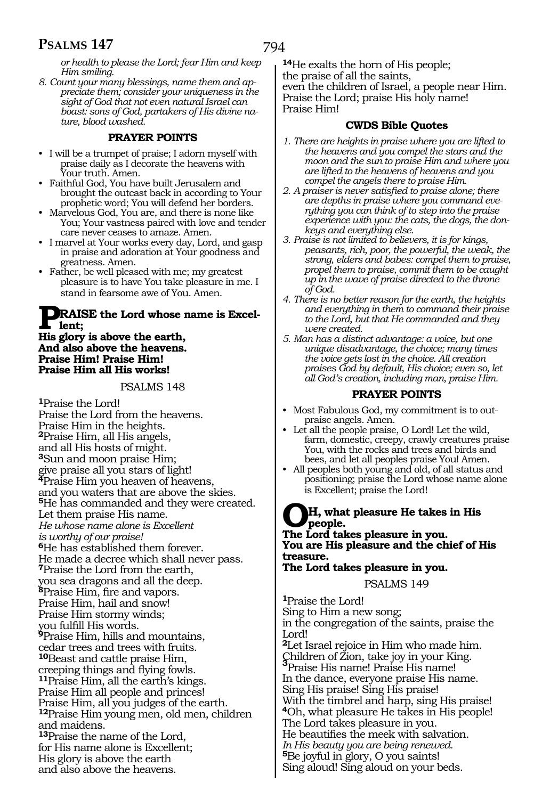# **PSALMS 147**

*or health to please the Lord; fear Him and keep Him smiling.*

*8. Count your many blessings, name them and appreciate them; consider your uniqueness in the sight of God that not even natural Israel can boast: sons of God, partakers of His divine nature, blood washed.*

## **PRAYER POINTS**

- I will be a trumpet of praise; I adorn myself with praise daily as I decorate the heavens with Your truth. Amen.
- Faithful God, You have built Jerusalem and brought the outcast back in according to Your prophetic word; You will defend her borders.
- Marvelous God, You are, and there is none like You; Your vastness paired with love and tender care never ceases to amaze. Amen.
- I marvel at Your works every day, Lord, and gasp in praise and adoration at Your goodness and greatness. Amen.
- Father, be well pleased with me; my greatest pleasure is to have You take pleasure in me. I stand in fearsome awe of You. Amen.

# **PRAISE the Lord whose name is Excellent;**

#### **His glory is above the earth, And also above the heavens. Praise Him! Praise Him! Praise Him all His works!**

PSALMS 148

**<sup>1</sup>**Praise the Lord! Praise the Lord from the heavens. Praise Him in the heights. **<sup>2</sup>**Praise Him, all His angels, and all His hosts of might. **<sup>3</sup>**Sun and moon praise Him; give praise all you stars of light! **<sup>4</sup>**Praise Him you heaven of heavens, and you waters that are above the skies. **<sup>5</sup>**He has commanded and they were created. Let them praise His name. *He whose name alone is Excellent is worthy of our praise!*  **<sup>6</sup>**He has established them forever. He made a decree which shall never pass. **<sup>7</sup>**Praise the Lord from the earth, you sea dragons and all the deep. **<sup>8</sup>**Praise Him, fire and vapors. Praise Him, hail and snow! Praise Him stormy winds; you fulfill His words. **<sup>9</sup>**Praise Him, hills and mountains, cedar trees and trees with fruits. **<sup>10</sup>**Beast and cattle praise Him, 11<sub>Praise</sub> Him, all the earth's kings. Praise Him all people and princes! Praise Him, all you judges of the earth. **<sup>12</sup>**Praise Him young men, old men, children and maidens. **<sup>13</sup>**Praise the name of the Lord, for His name alone is Excellent; His glory is above the earth and also above the heavens.

**<sup>14</sup>**He exalts the horn of His people; the praise of all the saints, even the children of Israel, a people near Him. Praise the Lord; praise His holy name! Praise Him!

### **CWDS Bible Quotes**

- *1. There are heights in praise where you are lifted to the heavens and you compel the stars and the moon and the sun to praise Him and where you are lifted to the heavens of heavens and you compel the angels there to praise Him.*
- *2. A praiser is never satisfied to praise alone; there are depths in praise where you command everything you can think of to step into the praise experience with you: the cats, the dogs, the donkeys and everything else.*
- *3. Praise is not limited to believers, it is for kings, peasants, rich, poor, the powerful, the weak, the strong, elders and babes: compel them to praise, propel them to praise, commit them to be caught up in the wave of praise directed to the throne of God.*
- *4. There is no better reason for the earth, the heights and everything in them to command their praise to the Lord, but that He commanded and they were created.*
- *5. Man has a distinct advantage: a voice, but one unique disadvantage, the choice; many times the voice gets lost in the choice. All creation praises God by default, His choice; even so, let all God's creation, including man, praise Him.*

## **PRAYER POINTS**

- Most Fabulous God, my commitment is to outpraise angels. Amen.
- Let all the people praise, O Lord! Let the wild, farm, domestic, creepy, crawly creatures praise You, with the rocks and trees and birds and bees, and let all peoples praise You! Amen.
- All peoples both young and old, of all status and positioning; praise the Lord whose name alone is Excellent; praise the Lord!

#### **OH, what pleasure He takes in His people. The Lord takes pleasure in you. You are His pleasure and the chief of His treasure. The Lord takes pleasure in you.**

PSALMS 149

**<sup>1</sup>**Praise the Lord! Sing to Him a new song; in the congregation of the saints, praise the Lord! **<sup>2</sup>**Let Israel rejoice in Him who made him. Children of Zion, take joy in your King. **<sup>3</sup>**Praise His name! Praise His name! In the dance, everyone praise His name. Sing His praise! Sing His praise! With the timbrel and harp, sing His praise! **<sup>4</sup>**Oh, what pleasure He takes in His people! The Lord takes pleasure in you. He beautifies the meek with salvation. *In His beauty you are being renewed.* **<sup>5</sup>**Be joyful in glory, O you saints! Sing aloud! Sing aloud on your beds.